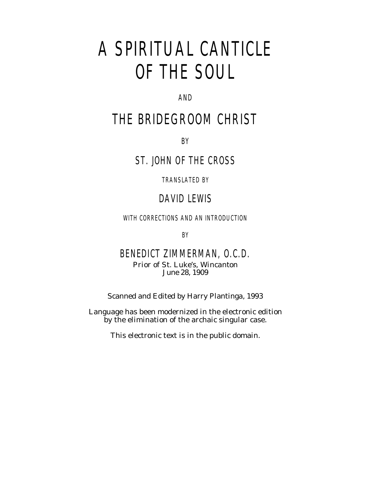# *A SPIRITUAL CANTICLE OF THE SOUL*

# *AND*

# *THE BRIDEGROOM CHRIST*

*BY*

# *ST. JOHN OF THE CROSS*

*TRANSLATED BY*

# *DAVID LEWIS*

*WITH CORRECTIONS AND AN INTRODUCTION*

*BY*

*BENEDICT ZIMMERMAN, O.C.D. Prior of St. Luke's, Wincanton* June 28, 1909

Scanned and Edited by Harry Plantinga, 1993

Language has been modernized in the electronic edition by the elimination of the archaic singular case.

This electronic text is in the public domain.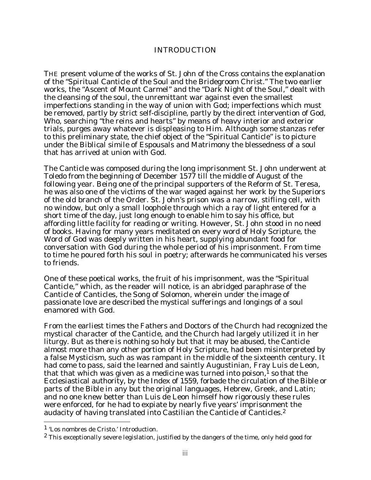## INTRODUCTION

THE present volume of the works of St. John of the Cross contains the explanation of the "Spiritual Canticle of the Soul and the Bridegroom Christ." The two earlier works, the "Ascent of Mount Carmel" and the "Dark Night of the Soul," dealt with the cleansing of the soul, the unremittant war against even the smallest imperfections standing in the way of union with God; imperfections which must be removed, partly by strict self-discipline, partly by the direct intervention of God, Who, searching "the reins and hearts" by means of heavy interior and exterior trials, purges away whatever is displeasing to Him. Although some stanzas refer to this preliminary state, the chief object of the "Spiritual Canticle" is to picture under the Biblical simile of Espousals and Matrimony the blessedness of a soul that has arrived at union with God.

The Canticle was composed during the long imprisonment St. John underwent at Toledo from the beginning of December 1577 till the middle of August of the following year. Being one of the principal supporters of the Reform of St. Teresa, he was also one of the victims of the war waged against her work by the Superiors of the old branch of the Order. St. John's prison was a narrow, stifling cell, with no window, but only a small loophole through which a ray of light entered for a short time of the day, just long enough to enable him to say his office, but affording little facility for reading or writing. However, St. John stood in no need of books. Having for many years meditated on every word of Holy Scripture, the Word of God was deeply written in his heart, supplying abundant food for conversation with God during the whole period of his imprisonment. From time to time he poured forth his soul in poetry; afterwards he communicated his verses to friends.

One of these poetical works, the fruit of his imprisonment, was the "Spiritual Canticle," which, as the reader will notice, is an abridged paraphrase of the Canticle of Canticles, the Song of Solomon, wherein under the image of passionate love are described the mystical sufferings and longings of a soul enamored with God.

From the earliest times the Fathers and Doctors of the Church had recognized the mystical character of the Canticle, and the Church had largely utilized it in her liturgy. But as there is nothing so holy but that it may be abused, the Canticle almost more than any other portion of Holy Scripture, had been misinterpreted by a false Mysticism, such as was rampant in the middle of the sixteenth century. It had come to pass, said the learned and saintly Augustinian, Fray Luis de Leon, that that which was given as a medicine was turned into poison, $<sup>1</sup>$  so that the</sup> Ecclesiastical authority, by the Index of 1559, forbade the circulation of the Bible or parts of the Bible in any but the original languages, Hebrew, Greek, and Latin; and no one knew better than Luis de Leon himself how rigorously these rules were enforced, for he had to expiate by nearly five years' imprisonment the audacity of having translated into Castilian the Canticle of Canticles.2

<sup>1</sup> 'Los nombres de Cristo.' Introduction.

 $2$  This exceptionally severe legislation, justified by the dangers of the time, only held good for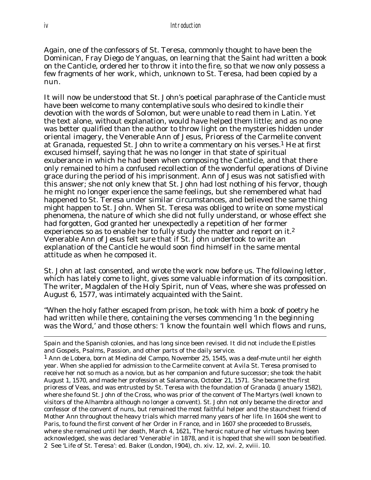Again, one of the confessors of St. Teresa, commonly thought to have been the Dominican, Fray Diego de Yanguas, on learning that the Saint had written a book on the Canticle, ordered her to throw it into the fire, so that we now only possess a few fragments of her work, which, unknown to St. Teresa, had been copied by a nun.

It will now be understood that St. John's poetical paraphrase of the Canticle must have been welcome to many contemplative souls who desired to kindle their devotion with the words of Solomon, but were unable to read them in Latin. Yet the text alone, without explanation, would have helped them little; and as no one was better qualified than the author to throw light on the mysteries hidden under oriental imagery, the Venerable Ann of Jesus, Prioress of the Carmelite convent at Granada, requested St. John to write a commentary on his verses.1 He at first excused himself, saying that he was no longer in that state of spiritual exuberance in which he had been when composing the Canticle, and that there only remained to him a confused recollection of the wonderful operations of Divine grace during the period of his imprisonment. Ann of Jesus was not satisfied with this answer; she not only knew that St. John had lost nothing of his fervor, though he might no longer experience the same feelings, but she remembered what had happened to St. Teresa under similar circumstances, and believed the same thing might happen to St. John. When St. Teresa was obliged to write on some mystical phenomena, the nature of which she did not fully understand, or whose effect she had forgotten, God granted her unexpectedly a repetition of her former experiences so as to enable her to fully study the matter and report on it.<sup>2</sup> Venerable Ann of Jesus felt sure that if St. John undertook to write an explanation of the Canticle he would soon find himself in the same mental attitude as when he composed it.

St. John at last consented, and wrote the work now before us. The following letter, which has lately come to light, gives some valuable information of its composition. The writer, Magdalen of the Holy Spirit, nun of Veas, where she was professed on August 6, 1577, was intimately acquainted with the Saint.

"When the holy father escaped from prison, he took with him a book of poetry he had written while there, containing the verses commencing 'In the beginning was the Word,' and those others: 'I know the fountain well which flows and runs,

Spain and the Spanish colonies, and has long since been revised. It did not include the Epistles and Gospels, Psalms, Passion, and other parts of the daily service.

<sup>1</sup> Ann de Lobera, born at Medina del Campo, November 25, 1545, was a deaf-mute until her eighth year. When she applied for admission to the Carmelite convent at Avila St. Teresa promised to receive her not so much as a novice, but as her companion and future successor; she took the habit August 1, 1570, and made her profession at Salamanca, October 21, 1571. She became the first prioress of Veas, and was entrusted by St. Teresa with the foundation of Granada (January 1582), where she found St. John of the Cross, who was prior of the convent of The Martyrs (well known to visitors of the Alhambra although no longer a convent). St. John not only became the director and confessor of the convent of nuns, but remained the most faithful helper and the staunchest friend of Mother Ann throughout the heavy trials which marred many years of her life. In 1604 she went to Paris, to found the first convent of her Order in France, and in 1607 she proceeded to Brussels, where she remained until her death, March 4, 1621, The heroic nature of her virtues having been acknowledged, she was declared 'Venerable' in 1878*,* and it is hoped that she will soon be beatified. 2 See 'Life of St. Teresa': ed. Baker (London, I904), ch. xiv. 12, xvi. 2, xviii. 10.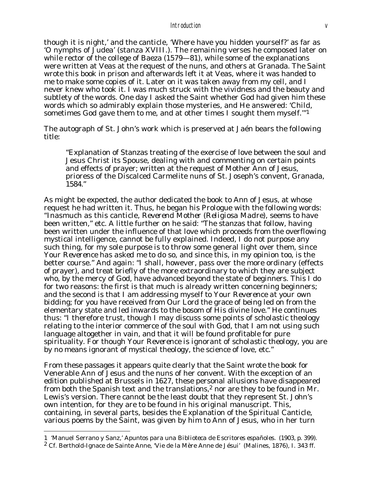#### *Introduction v*

though it is night,' and the canticle, 'Where have you hidden yourself?' as far as 'O nymphs of Judea' (stanza XVIII.). The remaining verses he composed later on while rector of the college of Baeza (1579—81), while some of the explanations were written at Veas at the request of the nuns, and others at Granada. The Saint wrote this book in prison and afterwards left it at Veas, where it was handed to me to make some copies of it. Later on it was taken away from my cell, and I never knew who took it. I was much struck with the vividness and the beauty and subtlety of the words. One day I asked the Saint whether God had given him these words which so admirably explain those mysteries, and He answered: 'Child, sometimes God gave them to me, and at other times I sought them myself.'"1

The autograph of St. John's work which is preserved at Jaén bears the following title:

"Explanation of Stanzas treating of the exercise of love between the soul and Jesus Christ its Spouse, dealing with and commenting on certain points and effects of prayer; written at the request of Mother Ann of Jesus, prioress of the Discalced Carmelite nuns of St. Joseph's convent, Granada, 1584."

As might be expected, the author dedicated the book to Ann of Jesus, at whose request he had written it. Thus, he began his Prologue with the following words: "Inasmuch as this canticle, *Reverend Mother (Religiosa Madre),* seems to have been written," etc. A little further on he said: "The stanzas that follow, having been written under the influence of that love which proceeds from the overflowing mystical intelligence, cannot be fully explained. Indeed, I do not purpose any such thing, for my sole purpose is to throw some general light over them, *since Your Reverence has asked me to do so,* and since this, in my opinion too, is the better course." And again: "I shall, however, pass over the more ordinary (effects of prayer), and treat briefly of the more extraordinary to which they are subject who, by the mercy of God, have advanced beyond the state of beginners. This I do for two reasons: the first is that much is already written concerning beginners; and the second is that I am addressing myself *to Your Reverence at your own bidding;* for you have received from Our Lord the grace of being led on from the elementary state and led inwards to the bosom of His divine love." He continues thus: "I therefore trust, though I may discuss some points of scholastic theology relating to the interior commerce of the soul with God, that I am not using such language altogether in vain, and that it will be found profitable for pure spirituality. For though *Your Reverence is ignorant of scholastic theology, you* are by no means ignorant of mystical theology, the science of love, etc."

From these passages it appears quite clearly that the Saint wrote the book for Venerable Ann of Jesus and the nuns of her convent. With the exception of an edition published at Brussels in 1627, these personal allusions have disappeared from both the Spanish text and the translations,<sup>2</sup> nor are they to be found in Mr. Lewis's version. There cannot be the least doubt that they represent St. John's own intention, for they are to be found in his original manuscript. This, containing, in several parts, besides the Explanation of the Spiritual Canticle, various poems by the Saint, was given by him to Ann of Jesus, who in her turn

<sup>1 &#</sup>x27;Manuel Serrano y Sanz,' *Apuntos para una Biblioteca de Escritores españoles*. (1903, p. 399).

<sup>&</sup>lt;sup>2</sup> Cf. Berthold-Ignace de Sainte Anne, 'Vie de la Mère Anne de Jésui' (Malines, 1876), I. 343 ff.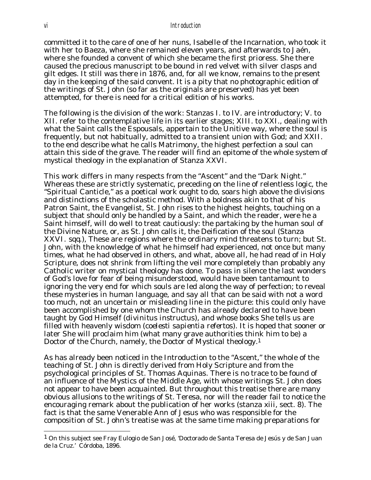committed it to the care of one of her nuns, Isabelle of the Incarnation, who took it with her to Baeza, where she remained eleven years, and afterwards to Jaén, where she founded a convent of which she became the first prioress. She there caused the precious manuscript to be bound in red velvet with silver clasps and gilt edges. It still was there in 1876, and, for all we know, remains to the present day in the keeping of the said convent. It is a pity that no photographic edition of the writings of St. John (so far as the originals are preserved) has yet been attempted, for there is need for a critical edition of his works.

The following is the division of the work: Stanzas I. to IV. are introductory; V. to XII. refer to the contemplative life in its earlier stages; XIII. to XXI., dealing with what the Saint calls the Espousals, appertain to the Unitive way, where the soul is frequently, but not habitually, admitted to a transient union with God; and XXII. to the end describe what he calls Matrimony, the highest perfection a soul can attain this side of the grave. The reader will find an epitome of the whole system of mystical theology in the explanation of Stanza XXVI.

This work differs in many respects from the "Ascent" and the "Dark Night." Whereas these are strictly systematic, preceding on the line of relentless logic, the "Spiritual Canticle," as a poetical work ought to do, soars high above the divisions and distinctions of the scholastic method. With a boldness akin to that of his Patron Saint, the Evangelist, St. John rises to the highest heights, touching on a subject that should only be handled by a Saint, and which the reader, were he a Saint himself, will do well to treat cautiously: the partaking by the human soul of the Divine Nature, or, as St. John calls it, the Deification of the soul (Stanza XXVI. *sqq*.), These are regions where the ordinary mind threatens to turn; but St. John, with the knowledge of what he himself had experienced, not once but many times, what he had observed in others, and what, above all, he had read of in Holy Scripture, does not shrink from lifting the veil more completely than probably any Catholic writer on mystical theology has done. To pass in silence the last wonders of God's love for fear of being misunderstood, would have been tantamount to ignoring the very end for which souls are led along the way of perfection; to reveal these mysteries in human language, and say all that can be said with not a word too much, not an uncertain or misleading line in the picture: this could only have been accomplished by one whom the Church has already declared to have been taught by God Himself *(divinitus instructus),* and whose books She tells us are filled with heavenly wisdom *(coelesti sapientia refertos).* It is hoped that sooner or later She will proclaim him (what many grave authorities think him to be) a Doctor of the Church, namely, the Doctor of Mystical theology.1

As has already been noticed in the Introduction to the "Ascent," the whole of the teaching of St. John is directly derived from Holy Scripture and from the psychological principles of St. Thomas Aquinas. There is no trace to be found of an influence of the Mystics of the Middle Age, with whose writings St. John does not appear to have been acquainted. But throughout this treatise there are many obvious allusions to the writings of St. Teresa, nor will the reader fail to notice the encouraging remark about the publication of her works (stanza xiii, sect. 8). The fact is that the same Venerable Ann of Jesus who was responsible for the composition of St. John's treatise was at the same time making preparations for

 $<sup>1</sup>$  On this subject see Fray Eulogio de San José, 'Doctorado de Santa Teresa de Jesús y de San Juan</sup> de la Cruz.' Córdoba, 1896.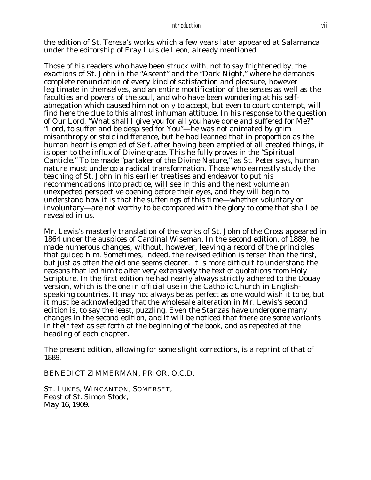the edition of St. Teresa's works which a few years later appeared at Salamanca under the editorship of Fray Luis de Leon, already mentioned.

Those of his readers who have been struck with, not to say frightened by, the exactions of St. John in the "Ascent" and the "Dark Night," where he demands complete renunciation of every kind of satisfaction and pleasure, however legitimate in themselves, and an entire mortification of the senses as well as the faculties and powers of the soul, and who have been wondering at his selfabnegation which caused him not only to accept, but even to court contempt, will find here the clue to this almost inhuman attitude. In his response to the question of Our Lord, "What shall I give you for all you have done and suffered for Me?" "Lord, to suffer and be despised for You"—he was not animated by grim misanthropy or stoic indifference, but he had learned that in proportion as the human heart is emptied of Self, after having been emptied of all created things, it is open to the influx of Divine grace. This he fully proves in the "Spiritual Canticle." To be made "partaker of the Divine Nature," as St. Peter says, human nature must undergo a radical transformation. Those who earnestly study the teaching of St. John in his earlier treatises and endeavor to put his recommendations into practice, will see in this and the next volume an unexpected perspective opening before their eyes, and they will begin to understand how it is that the sufferings of this time—whether voluntary or involuntary—are not worthy to be compared with the glory to come that shall be revealed in us.

Mr. Lewis's masterly translation of the works of St. John of the Cross appeared in 1864 under the auspices of Cardinal Wiseman. In the second edition, of 1889, he made numerous changes, without, however, leaving a record of the principles that guided him. Sometimes, indeed, the revised edition is terser than the first, but just as often the old one seems clearer. It is more difficult to understand the reasons that led him to alter very extensively the text of quotations from Holy Scripture. In the first edition he had nearly always strictly adhered to the Douay version, which is the one in official use in the Catholic Church in Englishspeaking countries. It may not always be as perfect as one would wish it to be, but it must be acknowledged that the wholesale alteration in Mr. Lewis's second edition is, to say the least, puzzling. Even the Stanzas have undergone many changes in the second edition, and it will be noticed that there are some variants in their text as set forth at the beginning of the book, and as repeated at the heading of each chapter.

The present edition, allowing for some slight corrections, is a reprint of that of 1889.

BENEDICT ZIMMERMAN, PRIOR, O.C.D.

ST. LUKES, WINCANTON, SOMERSET, Feast of St. Simon Stock, *May* 16, 1909.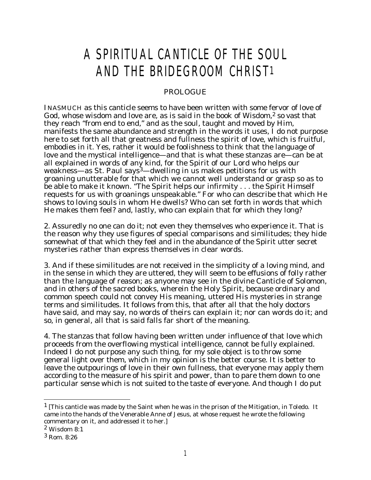# *A SPIRITUAL CANTICLE OF THE SOUL AND THE BRIDEGROOM CHRIST1*

# PROLOGUE

INASMUCH as this canticle seems to have been written with some fervor of love of God, whose wisdom and love are, as is said in the book of Wisdom,<sup>2</sup> so vast that they reach "from end to end," and as the soul, taught and moved by Him, manifests the same abundance and strength in the words it uses, I do not purpose here to set forth all that greatness and fullness the spirit of love, which is fruitful, embodies in it. Yes, rather it would be foolishness to think that the language of love and the mystical intelligence—and that is what these stanzas are—can be at all explained in words of any kind, for the Spirit of our Lord who helps our weakness—as St. Paul says<sup>3</sup>—dwelling in us makes petitions for us with groaning unutterable for that which we cannot well understand or grasp so as to be able to make it known. "The Spirit helps our infirmity . . . the Spirit Himself requests for us with groanings unspeakable." For who can describe that which He shows to loving souls in whom He dwells? Who can set forth in words that which He makes them feel? and, lastly, who can explain that for which they long?

2. Assuredly no one can do it; not even they themselves who experience it. That is the reason why they use figures of special comparisons and similitudes; they hide somewhat of that which they feel and in the abundance of the Spirit utter secret mysteries rather than express themselves in clear words.

3. And if these similitudes are not received in the simplicity of a loving mind, and in the sense in which they are uttered, they will seem to be effusions of folly rather than the language of reason; as anyone may see in the divine Canticle of Solomon, and in others of the sacred books, wherein the Holy Spirit, because ordinary and common speech could not convey His meaning, uttered His mysteries in strange terms and similitudes. It follows from this, that after all that the holy doctors have said, and may say, no words of theirs can explain it; nor can words do it; and so, in general, all that is said falls far short of the meaning.

4. The stanzas that follow having been written under influence of that love which proceeds from the overflowing mystical intelligence, cannot be fully explained. Indeed I do not purpose any such thing, for my sole object is to throw some general light over them, which in my opinion is the better course. It is better to leave the outpourings of love in their own fullness, that everyone may apply them according to the measure of his spirit and power, than to pare them down to one particular sense which is not suited to the taste of everyone. And though I do put

<sup>&</sup>lt;sup>1</sup> [This canticle was made by the Saint when he was in the prison of the Mitigation, in Toledo. It came into the hands of the Venerable Anne of Jesus, at whose request he wrote the following commentary on it, and addressed it to her.]

<sup>2</sup> Wisdom 8:1

<sup>3</sup> Rom. 8:26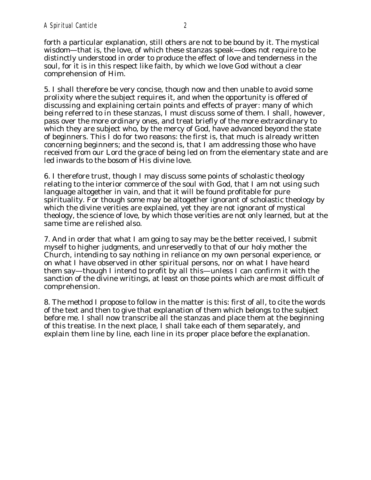forth a particular explanation, still others are not to be bound by it. The mystical wisdom—that is, the love, of which these stanzas speak—does not require to be distinctly understood in order to produce the effect of love and tenderness in the soul, for it is in this respect like faith, by which we love God without a clear comprehension of Him.

5. I shall therefore be very concise, though now and then unable to avoid some prolixity where the subject requires it, and when the opportunity is offered of discussing and explaining certain points and effects of prayer: many of which being referred to in these stanzas, I must discuss some of them. I shall, however, pass over the more ordinary ones, and treat briefly of the more extraordinary to which they are subject who, by the mercy of God, have advanced beyond the state of beginners. This I do for two reasons: the first is, that much is already written concerning beginners; and the second is, that I am addressing those who have received from our Lord the grace of being led on from the elementary state and are led inwards to the bosom of His divine love.

6. I therefore trust, though I may discuss some points of scholastic theology relating to the interior commerce of the soul with God, that I am not using such language altogether in vain, and that it will be found profitable for pure spirituality. For though some may be altogether ignorant of scholastic theology by which the divine verities are explained, yet they are not ignorant of mystical theology, the science of love, by which those verities are not only learned, but at the same time are relished also.

7. And in order that what I am going to say may be the better received, I submit myself to higher judgments, and unreservedly to that of our holy mother the Church, intending to say nothing in reliance on my own personal experience, or on what I have observed in other spiritual persons, nor on what I have heard them say—though I intend to profit by all this—unless I can confirm it with the sanction of the divine writings, at least on those points which are most difficult of comprehension.

8. The method I propose to follow in the matter is this: first of all, to cite the words of the text and then to give that explanation of them which belongs to the subject before me. I shall now transcribe all the stanzas and place them at the beginning of this treatise. In the next place, I shall take each of them separately, and explain them line by line, each line in its proper place before the explanation.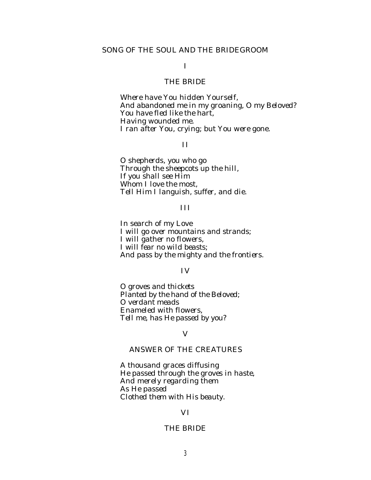#### SONG OF THE SOUL AND THE BRIDEGROOM

#### I

#### THE BRIDE

*Where have You hidden Yourself, And abandoned me in my groaning, O my Beloved? You have fled like the hart, Having wounded me. I ran after You, crying; but You were gone.*

#### II

*O shepherds, you who go Through the sheepcots up the hill, If you shall see Him Whom I love the most, Tell Him I languish, suffer, and die.*

#### III

*In search of my Love I will go over mountains and strands; I will gather no flowers, I will fear no wild beasts; And pass by the mighty and the frontiers.*

#### IV

*O groves and thickets Planted by the hand of the Beloved; O verdant meads Enameled with flowers, Tell me, has He passed by you?*

## V

#### ANSWER OF THE CREATURES

*A thousand graces diffusing He passed through the groves in haste, And merely regarding them As He passed Clothed them with His beauty.*

#### VI

#### THE BRIDE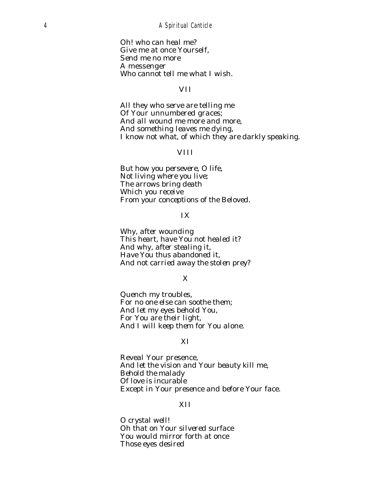#### *4 A Spiritual Canticle*

*Oh! who can heal me? Give me at once Yourself, Send me no more A messenger Who cannot tell me what I wish.*

#### VII

*All they who serve are telling me Of Your unnumbered graces; And all wound me more and more, And something leaves me dying, I know not what, of which they are darkly speaking.*

#### VIII

*But how you persevere, O life, Not living where you live; The arrows bring death Which you receive From your conceptions of the Beloved.*

#### IX

*Why, after wounding This heart, have You not healed it? And why, after stealing it, Have You thus abandoned it, And not carried away the stolen prey?*

#### X

*Quench my troubles, For no one else can soothe them; And let my eyes behold You, For You are their light, And I will keep them for You alone.*

#### XI

*Reveal Your presence, And let the vision and Your beauty kill me, Behold the malady Of love is incurable Except in Your presence and before Your face.*

#### XII

*O crystal well! Oh that on Your silvered surface You would mirror forth at once Those eyes desired*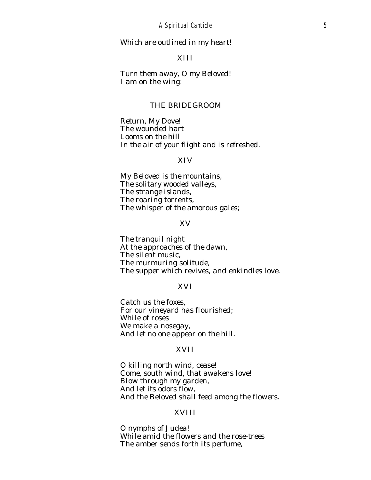#### *Which are outlined in my heart!*

# XIII

*Turn them away, O my Beloved! I am on the wing:*

#### THE BRIDEGROOM

*Return, My Dove! The wounded hart Looms on the hill In the air of your flight and is refreshed.*

# XIV

*My Beloved is the mountains, The solitary wooded valleys, The strange islands, The roaring torrents, The whisper of the amorous gales;*

#### XV

*The tranquil night At the approaches of the dawn, The silent music, The murmuring solitude, The supper which revives, and enkindles love.*

#### XVI

*Catch us the foxes, For our vineyard has flourished; While of roses We make a nosegay, And let no one appear on the hill.*

# XVII

*O killing north wind, cease! Come, south wind, that awakens love! Blow through my garden, And let its odors flow, And the Beloved shall feed among the flowers.*

#### XVIII

*O nymphs of Judea! While amid the flowers and the rose-trees The amber sends forth its perfume,*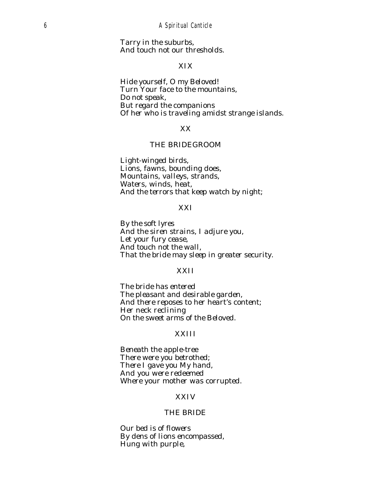*Tarry in the suburbs, And touch not our thresholds.*

#### XIX

*Hide yourself, O my Beloved! Turn Your face to the mountains, Do not speak, But regard the companions Of her who is traveling amidst strange islands.*

#### XX

#### THE BRIDEGROOM

*Light-winged birds, Lions, fawns, bounding does, Mountains, valleys, strands, Waters, winds, heat, And the terrors that keep watch by night;*

#### XXI

*By the soft lyres And the siren strains, I adjure you, Let your fury cease, And touch not the wall, That the bride may sleep in greater security.*

#### XXII

*The bride has entered The pleasant and desirable garden, And there reposes to her heart's content; Her neck reclining On the sweet arms of the Beloved.*

#### XXIII

*Beneath the apple-tree There were you betrothed; There I gave you My hand, And you were redeemed Where your mother was corrupted.*

#### XXIV

#### THE BRIDE

*Our bed is of flowers By dens of lions encompassed, Hung with purple,*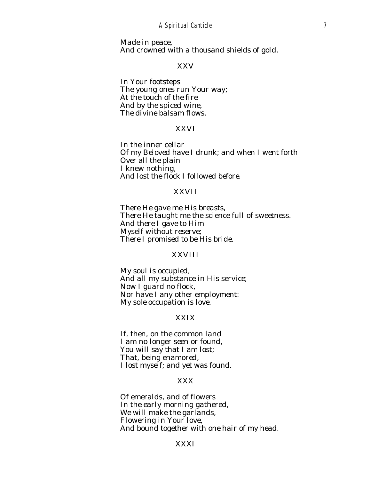*Made in peace, And crowned with a thousand shields of gold.*

#### XXV

*In Your footsteps The young ones run Your way; At the touch of the fire And by the spiced wine, The divine balsam flows.*

## XXVI

*In the inner cellar Of my Beloved have I drunk; and when I went forth Over all the plain I knew nothing, And lost the flock I followed before.*

# XXVII

*There He gave me His breasts, There He taught me the science full of sweetness. And there I gave to Him Myself without reserve; There I promised to be His bride.*

#### XXVIII

*My soul is occupied, And all my substance in His service; Now I guard no flock, Nor have I any other employment: My sole occupation is love.*

# XXIX

*If, then, on the common land I am no longer seen or found, You will say that I am lost; That, being enamored, I lost myself; and yet was found.*

# XXX

*Of emeralds, and of flowers In the early morning gathered, We will make the garlands, Flowering in Your love, And bound together with one hair of my head.*

#### XXXI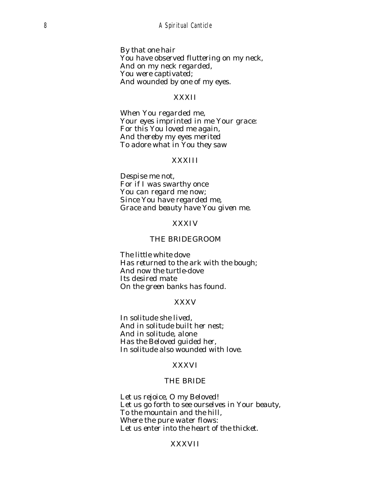*By that one hair You have observed fluttering on my neck, And on my neck regarded, You were captivated; And wounded by one of my eyes.*

#### XXXII

*When You regarded me, Your eyes imprinted in me Your grace: For this You loved me again, And thereby my eyes merited To adore what in You they saw*

#### XXXIII

*Despise me not, For if I was swarthy once You can regard me now; Since You have regarded me, Grace and beauty have You given me.*

## XXXIV

#### THE BRIDEGROOM

*The little white dove Has returned to the ark with the bough; And now the turtle-dove Its desired mate On the green banks has found.*

#### XXXV

*In solitude she lived, And in solitude built her nest; And in solitude, alone Has the Beloved guided her, In solitude also wounded with love.*

#### XXXVI

#### THE BRIDE

*Let us rejoice, O my Beloved! Let us go forth to see ourselves in Your beauty, To the mountain and the hill, Where the pure water flows: Let us enter into the heart of the thicket.*

## XXXVII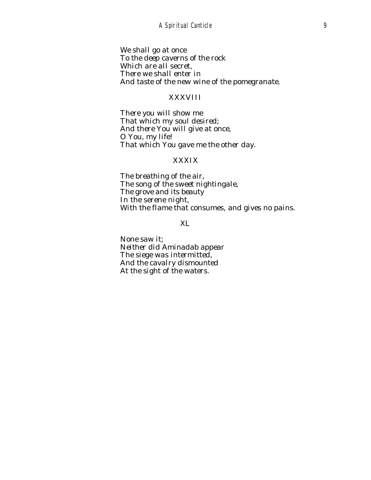*We shall go at once To the deep caverns of the rock Which are all secret, There we shall enter in And taste of the new wine of the pomegranate.*

#### XXXVIII

*There you will show me That which my soul desired; And there You will give at once, O You, my life! That which You gave me the other day.*

# XXXIX

*The breathing of the air, The song of the sweet nightingale, The grove and its beauty In the serene night, With the flame that consumes, and gives no pains.*

## XL

*None saw it; Neither did Aminadab appear The siege was intermitted, And the cavalry dismounted At the sight of the waters.*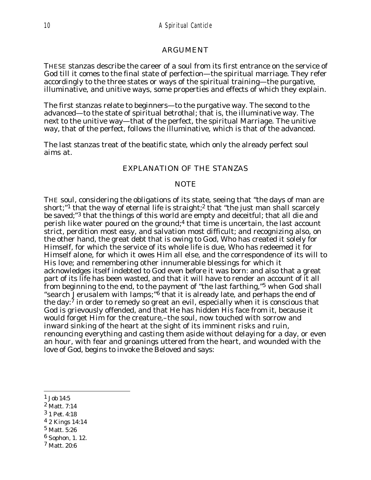# ARGUMENT

THESE stanzas describe the career of a soul from its first entrance on the service of God till it comes to the final state of perfection—the spiritual marriage. They refer accordingly to the three states or ways of the spiritual training—the purgative, illuminative, and unitive ways, some properties and effects of which they explain.

The first stanzas relate to beginners—to the purgative way. The second to the advanced—to the state of spiritual betrothal; that is, the illuminative way. The next to the unitive way—that of the perfect, the spiritual Marriage. The unitive way, that of the perfect, follows the illuminative, which is that of the advanced.

The last stanzas treat of the beatific state, which only the already perfect soul aims at.

## EXPLANATION OF THE STANZAS

#### NOTE

THE soul, considering the obligations of its state, seeing that "the days of man are short;"<sup>1</sup> that the way of eternal life is straight;<sup>2</sup> that "the just man shall scarcely be saved;"3 that the things of this world are empty and deceitful; that all die and perish like water poured on the ground;<sup>4</sup> that time is uncertain, the last account strict, perdition most easy, and salvation most difficult; and recognizing also, on the other hand, the great debt that is owing to God, Who has created it solely for Himself, for which the service of its whole life is due, Who has redeemed it for Himself alone, for which it owes Him all else, and the correspondence of its will to His love; and remembering other innumerable blessings for which it acknowledges itself indebted to God even before it was born: and also that a great part of its life has been wasted, and that it will have to render an account of it all from beginning to the end, to the payment of "the last farthing,"5 when God shall "search Jerusalem with lamps;" $\frac{6}{3}$  that it is already late, and perhaps the end of the day:7 in order to remedy so great an evil, especially when it is conscious that God is grievously offended, and that He has hidden His face from it, because it would forget Him for the creature,–the soul, now touched with sorrow and inward sinking of the heart at the sight of its imminent risks and ruin, renouncing everything and casting them aside without delaying for a day, or even an hour, with fear and groanings uttered from the heart, and wounded with the love of God, begins to invoke the Beloved and says:

- 2 Matt. 7:14
- 3 1 Pet. 4:18
- 4 2 Kings 14:14
- 5 Matt. 5:26
- 6 Sophon, 1. 12.
- 7 Matt. 20:6

 $1$  Job  $14:5$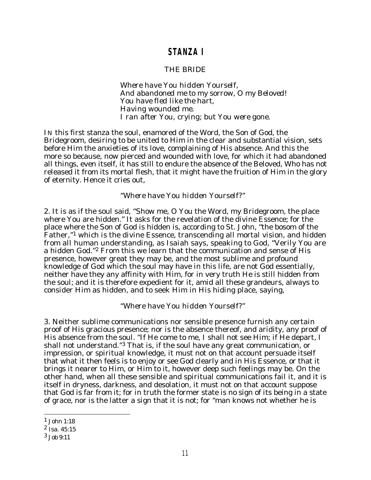# *STANZA I*

## THE BRIDE

*Where have You hidden Yourself, And abandoned me to my sorrow, O my Beloved! You have fled like the hart, Having wounded me. I ran after You, crying; but You were gone.*

IN this first stanza the soul, enamored of the Word, the Son of God, the Bridegroom, desiring to be united to Him in the clear and substantial vision, sets before Him the anxieties of its love, complaining of His absence. And this the more so because, now pierced and wounded with love, for which it had abandoned all things, even itself, it has still to endure the absence of the Beloved, Who has not released it from its mortal flesh, that it might have the fruition of Him in the glory of eternity. Hence it cries out,

## *"Where have You hidden Yourself?"*

2. It is as if the soul said, "Show me, O You the Word, my Bridegroom, the place where You are hidden." It asks for the revelation of the divine Essence; for the place where the Son of God is hidden is, according to St. John, "the bosom of the Father,"1 which is the divine Essence, transcending all mortal vision, and hidden from all human understanding, as Isaiah says, speaking to God, "Verily You are a hidden God."2 From this we learn that the communication and sense of His presence, however great they may be, and the most sublime and profound knowledge of God which the soul may have in this life, are not God essentially, neither have they any affinity with Him, for in very truth He is still hidden from the soul; and it is therefore expedient for it, amid all these grandeurs, always to consider Him as hidden, and to seek Him in His hiding place, saying,

## *"Where have You hidden Yourself?"*

3. Neither sublime communications nor sensible presence furnish any certain proof of His gracious presence; nor is the absence thereof, and aridity, any proof of His absence from the soul. "If He come to me, I shall not see Him; if He depart, I shall not understand."3 That is, if the soul have any great communication, or impression, or spiritual knowledge, it must not on that account persuade itself that what it then feels is to enjoy or see God clearly and in His Essence, or that it brings it nearer to Him, or Him to it, however deep such feelings may be. On the other hand, when all these sensible and spiritual communications fail it, and it is itself in dryness, darkness, and desolation, it must not on that account suppose that God is far from it; for in truth the former state is no sign of its being in a state of grace, nor is the latter a sign that it is not; for "man knows not whether he is

<sup>1</sup> John 1:18

<sup>2</sup> Isa. 45:15

<sup>3</sup> Job 9:11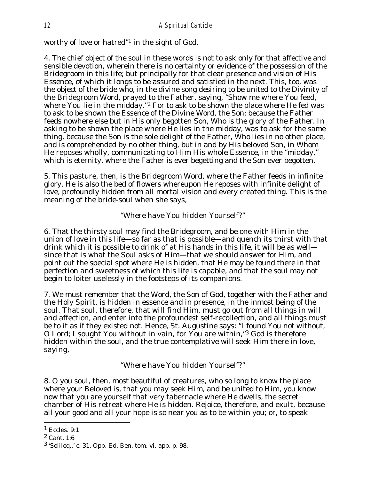worthy of love or hatred"<sup>1</sup> in the sight of God.

4. The chief object of the soul in these words is not to ask only for that affective and sensible devotion, wherein there is no certainty or evidence of the possession of the Bridegroom in this life; but principally for that clear presence and vision of His Essence, of which it longs to be assured and satisfied in the next. This, too, was the object of the bride who, in the divine song desiring to be united to the Divinity of the Bridegroom Word, prayed to the Father, saying, "Show me where You feed, where You lie in the midday."<sup>2</sup> For to ask to be shown the place where He fed was to ask to be shown the Essence of the Divine Word, the Son; because the Father feeds nowhere else but in His only begotten Son, Who is the glory of the Father. In asking to be shown the place where He lies in the midday, was to ask for the same thing, because the Son is the sole delight of the Father, Who lies in no other place, and is comprehended by no other thing, but in and by His beloved Son, in Whom He reposes wholly, communicating to Him His whole Essence, in the "midday," which is eternity, where the Father is ever begetting and the Son ever begotten.

5. This pasture, then, is the Bridegroom Word, where the Father feeds in infinite glory. He is also the bed of flowers whereupon He reposes with infinite delight of love, profoundly hidden from all mortal vision and every created thing. This is the meaning of the bride-soul when she says,

# *"Where have You hidden Yourself?"*

6. That the thirsty soul may find the Bridegroom, and be one with Him in the union of love in this life—so far as that is possible—and quench its thirst with that drink which it is possible to drink of at His hands in this life, it will be as well since that is what the Soul asks of Him—that we should answer for Him, and point out the special spot where He is hidden, that He may be found there in that perfection and sweetness of which this life is capable, and that the soul may not begin to loiter uselessly in the footsteps of its companions.

7. We must remember that the Word, the Son of God, together with the Father and the Holy Spirit, is hidden in essence and in presence, in the inmost being of the soul. That soul, therefore, that will find Him, must go out from all things in will and affection, and enter into the profoundest self-recollection, and all things must be to it as if they existed not. Hence, St. Augustine says: "I found You not without, O Lord; I sought You without in vain, for You are within,"3 God is therefore hidden within the soul, and the true contemplative will seek Him there in love, saying,

# *"Where have You hidden Yourself?"*

8. O you soul, then, most beautiful of creatures, who so long to know the place where your Beloved is, that you may seek Him, and be united to Him, you know now that you are yourself that very tabernacle where He dwells, the secret chamber of His retreat where He is hidden. Rejoice, therefore, and exult, because all your good and all your hope is so near you as to be within you; or, to speak

<sup>1</sup> Eccles. 9:1

<sup>2</sup> Cant. 1:6

<sup>3</sup> 'Soliloq.,' c. 31. Opp. Ed. Ben. tom. vi. app. p. 98.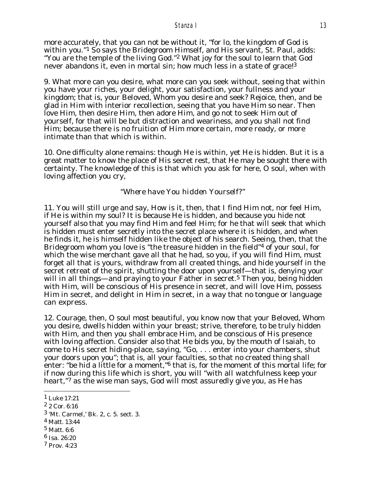more accurately, that you can not be without it, "for lo, the kingdom of God is within you."<sup>1</sup> So says the Bridegroom Himself, and His servant, St. Paul, adds: "You are the temple of the living God."2 What joy for the soul to learn that God never abandons it, even in mortal sin; how much less in a state of grace!<sup>3</sup>

9. What more can you desire, what more can you seek without, seeing that within you have your riches, your delight, your satisfaction, your fullness and your kingdom; that is, your Beloved, Whom you desire and seek? Rejoice, then, and be glad in Him with interior recollection, seeing that you have Him so near. Then love Him, then desire Him, then adore Him, and go not to seek Him out of yourself, for that will be but distraction and weariness, and you shall not find Him; because there is no fruition of Him more certain, more ready, or more intimate than that which is within.

10. One difficulty alone remains: though He is within, yet He is hidden. But it is a great matter to know the place of His secret rest, that He may be sought there with certainty. The knowledge of this is that which you ask for here, O soul, when with loving affection you cry,

#### *"Where have You hidden Yourself?"*

11. You will still urge and say, How is it, then, that I find Him not, nor feel Him, if He is within my soul? It is because He is hidden, and because you hide not yourself also that you may find Him and feel Him; for he that will seek that which is hidden must enter secretly into the secret place where it is hidden, and when he finds it, he is himself hidden like the object of his search. Seeing, then, that the Bridegroom whom you love is "the treasure hidden in the field"4 of your soul, for which the wise merchant gave all that he had, so you, if you will find Him, must forget all that is yours, withdraw from all created things, and hide yourself in the secret retreat of the spirit, shutting the door upon yourself—that is, denying your will in all things—and praying to your Father in secret.<sup>5</sup> Then you, being hidden with Him, will be conscious of His presence in secret, and will love Him, possess Him in secret, and delight in Him in secret, in a way that no tongue or language can express.

12. Courage, then, O soul most beautiful, you know now that your Beloved, Whom you desire, dwells hidden within your breast; strive, therefore, to be truly hidden with Him, and then you shall embrace Him, and be conscious of His presence with loving affection. Consider also that He bids you, by the mouth of Isaiah, to come to His secret hiding-place, saying, "Go, . . . enter into your chambers, shut your doors upon you"; that is, all your faculties, so that no created thing shall enter: "be hid a little for a moment,"<sup>6</sup> that is, for the moment of this mortal life; for if now during this life which is short, you will "with all watchfulness keep your heart,"<sup>7</sup> as the wise man says, God will most assuredly give you, as He has

- 3 'Mt. Carmel,' Bk. 2, c. 5. sect. 3.
- 4 Matt. 13:44
- 5 Matt. 6:6
- 6 Isa. 26:20
- 7 Prov. 4:23

<sup>1</sup> Luke 17:21

 $2$  2 Cor. 6:16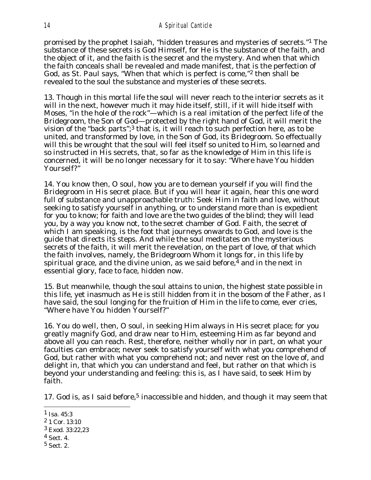promised by the prophet Isaiah, "hidden treasures and mysteries of secrets."1 The substance of these secrets is God Himself, for He is the substance of the faith, and the object of it, and the faith is the secret and the mystery. And when that which the faith conceals shall be revealed and made manifest, that is the perfection of God, as St. Paul says, "When that which is perfect is come,"2 then shall be revealed to the soul the substance and mysteries of these secrets.

13. Though in this mortal life the soul will never reach to the interior secrets as it will in the next, however much it may hide itself, still, if it will hide itself with Moses, "in the hole of the rock"—which is a real imitation of the perfect life of the Bridegroom, the Son of God—protected by the right hand of God, it will merit the vision of the "back parts";3 that is, it will reach to such perfection here, as to be united, and transformed by love, in the Son of God, its Bridegroom. So effectually will this be wrought that the soul will feel itself so united to Him, so learned and so instructed in His secrets, that, so far as the knowledge of Him in this life is concerned, it will be no longer necessary for it to say: "Where have You hidden Yourself?"

14. You know then, O soul, how you are to demean yourself if you will find the Bridegroom in His secret place. But if you will hear it again, hear this one word full of substance and unapproachable truth: Seek Him in faith and love, without seeking to satisfy yourself in anything, or to understand more than is expedient for you to know; for faith and love are the two guides of the blind; they will lead you, by a way you know not, to the secret chamber of God. Faith, the secret of which I am speaking, is the foot that journeys onwards to God, and love is the guide that directs its steps. And while the soul meditates on the mysterious secrets of the faith, it will merit the revelation, on the part of love, of that which the faith involves, namely, the Bridegroom Whom it longs for, in this life by spiritual grace, and the divine union, as we said before,  $\frac{4}{3}$  and in the next in essential glory, face to face, hidden now.

15. But meanwhile, though the soul attains to union, the highest state possible in this life, yet inasmuch as He is still hidden from it in the bosom of the Father, as I have said, the soul longing for the fruition of Him in the life to come, ever cries, "Where have You hidden Yourself?"

16. You do well, then, O soul, in seeking Him always in His secret place; for you greatly magnify God, and draw near to Him, esteeming Him as far beyond and above all you can reach. Rest, therefore, neither wholly nor in part, on what your faculties can embrace; never seek to satisfy yourself with what you comprehend of God, but rather with what you comprehend not; and never rest on the love of, and delight in, that which you can understand and feel, but rather on that which is beyond your understanding and feeling: this is, as I have said, to seek Him by faith.

17. God is, as I said before,<sup>5</sup> inaccessible and hidden, and though it may seem that

- 2 1 Cor. 13:10
- 3 Exod. 33:22,23
- 4 Sect. 4.
- 5 Sect. 2.

 $1$  Isa. 45:3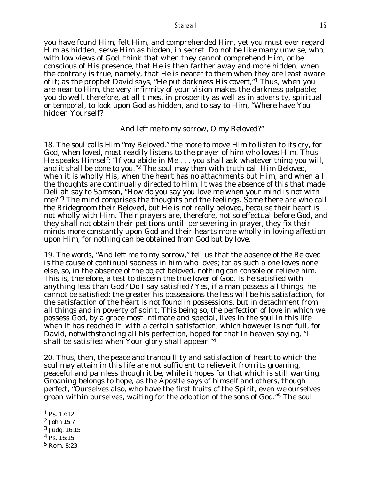you have found Him, felt Him, and comprehended Him, yet you must ever regard Him as hidden, serve Him as hidden, in secret. Do not be like many unwise, who, with low views of God, think that when they cannot comprehend Him, or be conscious of His presence, that He is then farther away and more hidden, when the contrary is true, namely, that He is nearer to them when they are least aware of it; as the prophet David says, "He put darkness His covert,"1 Thus, when you are near to Him, the very infirmity of your vision makes the darkness palpable; you do well, therefore, at all times, in prosperity as well as in adversity, spiritual or temporal, to look upon God as hidden, and to say to Him, "Where have You hidden Yourself?

#### *And left me to my sorrow, O my Beloved?"*

18. The soul calls Him "my Beloved," the more to move Him to listen to its cry, for God, when loved, most readily listens to the prayer of him who loves Him. Thus He speaks Himself: "If you abide in Me . . . you shall ask whatever thing you will, and it shall be done to you."2 The soul may then with truth call Him Beloved, when it is wholly His, when the heart has no attachments but Him, and when all the thoughts are continually directed to Him. It was the absence of this that made Delilah say to Samson, "How do you say you love me when your mind is not with me?"3 The mind comprises the thoughts and the feelings. Some there are who call the Bridegroom their Beloved, but He is not really beloved, because their heart is not wholly with Him. Their prayers are, therefore, not so effectual before God, and they shall not obtain their petitions until, persevering in prayer, they fix their minds more constantly upon God and their hearts more wholly in loving affection upon Him, for nothing can be obtained from God but by love.

19. The words, "And left me to my sorrow," tell us that the absence of the Beloved is the cause of continual sadness in him who loves; for as such a one loves none else, so, in the absence of the object beloved, nothing can console or relieve him. This is, therefore, a test to discern the true lover of God. Is he satisfied with anything less than God? Do I say satisfied? Yes, if a man possess all things, he cannot be satisfied; the greater his possessions the less will be his satisfaction, for the satisfaction of the heart is not found in possessions, but in detachment from all things and in poverty of spirit. This being so, the perfection of love in which we possess God, by a grace most intimate and special, lives in the soul in this life when it has reached it, with a certain satisfaction, which however is not full, for David, notwithstanding all his perfection, hoped for that in heaven saying, "I shall be satisfied when Your glory shall appear."4

20. Thus, then, the peace and tranquillity and satisfaction of heart to which the soul may attain in this life are not sufficient to relieve it from its groaning, peaceful and painless though it be, while it hopes for that which is still wanting. Groaning belongs to hope, as the Apostle says of himself and others, though perfect, "Ourselves also, who have the first fruits of the Spirit, even we ourselves groan within ourselves, waiting for the adoption of the sons of God."5 The soul

<sup>1</sup> Ps. 17:12

<sup>2</sup> John 15:7

<sup>3</sup> Judg. 16:15

<sup>4</sup> Ps. 16:15

<sup>5</sup> Rom. 8:23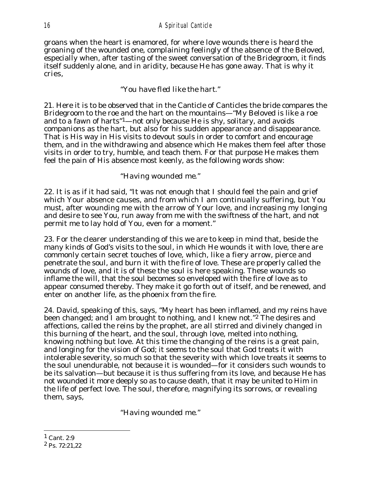groans when the heart is enamored, for where love wounds there is heard the groaning of the wounded one, complaining feelingly of the absence of the Beloved, especially when, after tasting of the sweet conversation of the Bridegroom, it finds itself suddenly alone, and in aridity, because He has gone away. That is why it cries,

# *"You have fled like the hart."*

21. Here it is to be observed that in the Canticle of Canticles the bride compares the Bridegroom to the roe and the hart on the mountains—"My Beloved is like a roe and to a fawn of harts"1—not only because He is shy, solitary, and avoids companions as the hart, but also for his sudden appearance and disappearance. That is His way in His visits to devout souls in order to comfort and encourage them, and in the withdrawing and absence which He makes them feel after those visits in order to try, humble, and teach them. For that purpose He makes them feel the pain of His absence most keenly, as the following words show:

# *"Having wounded me."*

22. It is as if it had said, "It was not enough that I should feel the pain and grief which Your absence causes, and from which I am continually suffering, but You must, after wounding me with the arrow of Your love, and increasing my longing and desire to see You, run away from me with the swiftness of the hart, and not permit me to lay hold of You, even for a moment."

23. For the clearer understanding of this we are to keep in mind that, beside the many kinds of God's visits to the soul, in which He wounds it with love, there are commonly certain secret touches of love, which, like a fiery arrow, pierce and penetrate the soul, and burn it with the fire of love. These are properly called the wounds of love, and it is of these the soul is here speaking. These wounds so inflame the will, that the soul becomes so enveloped with the fire of love as to appear consumed thereby. They make it go forth out of itself, and be renewed, and enter on another life, as the phoenix from the fire.

24. David, speaking of this, says, "My heart has been inflamed, and my reins have been changed; and I am brought to nothing, and I knew not."2 The desires and affections, called the reins by the prophet, are all stirred and divinely changed in this burning of the heart, and the soul, through love, melted into nothing, knowing nothing but love. At this time the changing of the reins is a great pain, and longing for the vision of God; it seems to the soul that God treats it with intolerable severity, so much so that the severity with which love treats it seems to the soul unendurable, not because it is wounded—for it considers such wounds to be its salvation—but because it is thus suffering from its love, and because He has not wounded it more deeply so as to cause death, that it may be united to Him in the life of perfect love. The soul, therefore, magnifying its sorrows, or revealing them, says,

*"Having wounded me."*

<sup>1</sup> Cant. 2:9

<sup>2</sup> Ps. 72:21,22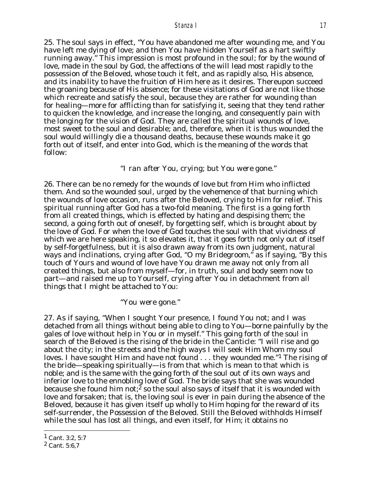25. The soul says in effect, "You have abandoned me after wounding me, and You have left me dying of love; and then You have hidden Yourself as a hart swiftly running away." This impression is most profound in the soul; for by the wound of love, made in the soul by God, the affections of the will lead most rapidly to the possession of the Beloved, whose touch it felt, and as rapidly also, His absence, and its inability to have the fruition of Him here as it desires. Thereupon succeed the groaning because of His absence; for these visitations of God are not like those which recreate and satisfy the soul, because they are rather for wounding than for healing—more for afflicting than for satisfying it, seeing that they tend rather to quicken the knowledge, and increase the longing, and consequently pain with the longing for the vision of God. They are called the spiritual wounds of love, most sweet to the soul and desirable; and, therefore, when it is thus wounded the soul would willingly die a thousand deaths, because these wounds make it go forth out of itself, and enter into God, which is the meaning of the words that follow:

#### *"I ran after You, crying; but You were gone."*

26. There can be no remedy for the wounds of love but from Him who inflicted them. And so the wounded soul, urged by the vehemence of that burning which the wounds of love occasion, runs after the Beloved, crying to Him for relief. This spiritual running after God has a two-fold meaning. The first is a going forth from all created things, which is effected by hating and despising them; the second, a going forth out of oneself, by forgetting self, which is brought about by the love of God. For when the love of God touches the soul with that vividness of which we are here speaking, it so elevates it, that it goes forth not only out of itself by self-forgetfulness, but it is also drawn away from its own judgment, natural ways and inclinations, crying after God, "O my Bridegroom," as if saying, "By this touch of Yours and wound of love have You drawn me away not only from all created things, but also from myself—for, in truth, soul and body seem now to part—and raised me up to Yourself, crying after You in detachment from all things that I might be attached to You:

#### *"You were gone."*

27. As if saying, "When I sought Your presence, I found You not; and I was detached from all things without being able to cling to You—borne painfully by the gales of love without help in You or in myself." This going forth of the soul in search of the Beloved is the rising of the bride in the Canticle: "I will rise and go about the city; in the streets and the high ways I will seek Him Whom my soul loves. I have sought Him and have not found . . . they wounded me."1 The rising of the bride—speaking spiritually—is from that which is mean to that which is noble; and is the same with the going forth of the soul out of its own ways and inferior love to the ennobling love of God. The bride says that she was wounded because she found him not;<sup>2</sup> so the soul also says of itself that it is wounded with love and forsaken; that is, the loving soul is ever in pain during the absence of the Beloved, because it has given itself up wholly to Him hoping for the reward of its self-surrender, the Possession of the Beloved. Still the Beloved withholds Himself while the soul has lost all things, and even itself, for Him; it obtains no

<sup>1</sup> Cant. 3:2, 5:7

<sup>2</sup> Cant. 5:6,7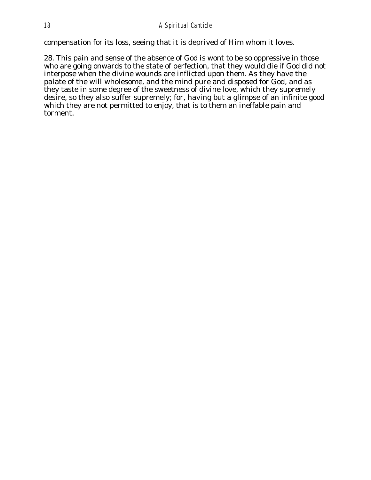compensation for its loss, seeing that it is deprived of Him whom it loves.

28. This pain and sense of the absence of God is wont to be so oppressive in those who are going onwards to the state of perfection, that they would die if God did not interpose when the divine wounds are inflicted upon them. As they have the palate of the will wholesome, and the mind pure and disposed for God, and as they taste in some degree of the sweetness of divine love, which they supremely desire, so they also suffer supremely; for, having but a glimpse of an infinite good which they are not permitted to enjoy, that is to them an ineffable pain and torment.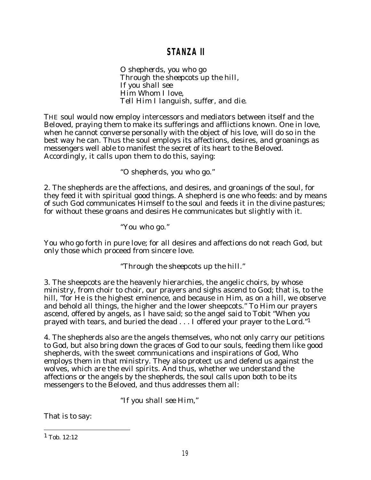# *STANZA II*

*O shepherds, you who go Through the sheepcots up the hill, If you shall see Him Whom I love, Tell Him I languish, suffer, and die.*

THE soul would now employ intercessors and mediators between itself and the Beloved, praying them to make its sufferings and afflictions known. One in love, when he cannot converse personally with the object of his love, will do so in the best way he can. Thus the soul employs its affections, desires, and groanings as messengers well able to manifest the secret of its heart to the Beloved. Accordingly, it calls upon them to do this, saying:

# *"O shepherds, you who go."*

2. The shepherds are the affections, and desires, and groanings of the soul, for they feed it with spiritual good things. A shepherd is one who feeds: and by means of such God communicates Himself to the soul and feeds it in the divine pastures; for without these groans and desires He communicates but slightly with it.

# *"You who go."*

You who go forth in pure love; for all desires and affections do not reach God, but only those which proceed from sincere love.

# *"Through the sheepcots up the hill."*

3. The sheepcots are the heavenly hierarchies, the angelic choirs, by whose ministry, from choir to choir, our prayers and sighs ascend to God; that is, to the hill, "for He is the highest eminence, and because in Him, as on a hill, we observe and behold all things, the higher and the lower sheepcots." To Him our prayers ascend, offered by angels, as I have said; so the angel said to Tobit "When you prayed with tears, and buried the dead . . . I offered your prayer to the Lord."1

4. The shepherds also are the angels themselves, who not only carry our petitions to God, but also bring down the graces of God to our souls, feeding them like good shepherds, with the sweet communications and inspirations of God, Who employs them in that ministry. They also protect us and defend us against the wolves, which are the evil spirits. And thus, whether we understand the affections or the angels by the shepherds, the soul calls upon both to be its messengers to the Beloved, and thus addresses them all:

# *"If you shall see Him,"*

That is to say:

 $1$  Tob.  $12:12$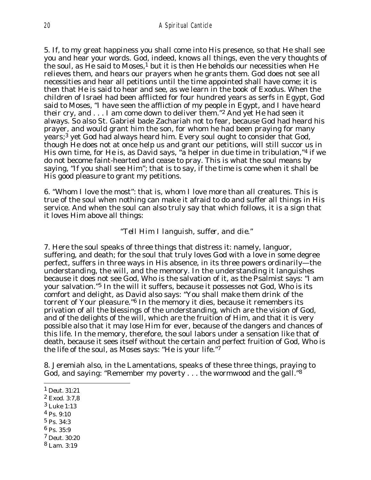5. If, to my great happiness you shall come into His presence, so that He shall see you and hear your words. God, indeed, knows all things, even the very thoughts of the soul, as He said to Moses, $1$  but it is then He beholds our necessities when He relieves them, and hears our prayers when he grants them. God does not see all necessities and hear all petitions until the time appointed shall have come; it is then that He is said to hear and see, as we learn in the book of Exodus. When the children of Israel had been afflicted for four hundred years as serfs in Egypt, God said to Moses, "I have seen the affliction of my people in Egypt, and I have heard their cry, and . . . I am come down to deliver them."2 And yet He had seen it always. So also St. Gabriel bade Zachariah not to fear, because God had heard his prayer, and would grant him the son, for whom he had been praying for many years;3 yet God had always heard him. Every soul ought to consider that God, though He does not at once help us and grant our petitions, will still succor us in His own time, for He is, as David says, "a helper in due time in tribulation,"4 if we do not become faint-hearted and cease to pray. This is what the soul means by saying, "If you shall see Him"; that is to say, if the time is come when it shall be His good pleasure to grant my petitions.

6. "Whom I love the most": that is, whom I love more than all creatures. This is true of the soul when nothing can make it afraid to do and suffer all things in His service. And when the soul can also truly say that which follows, it is a sign that it loves Him above all things:

# *"Tell Him I languish, suffer, and die."*

7. Here the soul speaks of three things that distress it: namely, languor, suffering, and death; for the soul that truly loves God with a love in some degree perfect, suffers in three ways in His absence, in its three powers ordinarily—the understanding, the will, and the memory. In the understanding it languishes because it does not see God, Who is the salvation of it, as the Psalmist says: "I am your salvation."5 In the will it suffers, because it possesses not God, Who is its comfort and delight, as David also says: "You shall make them drink of the torrent of Your pleasure."6 In the memory it dies, because it remembers its privation of all the blessings of the understanding, which are the vision of God, and of the delights of the will, which are the fruition of Him, and that it is very possible also that it may lose Him for ever, because of the dangers and chances of this life. In the memory, therefore, the soul labors under a sensation like that of death, because it sees itself without the certain and perfect fruition of God, Who is the life of the soul, as Moses says: "He is your life."7

8. Jeremiah also, in the Lamentations, speaks of these three things, praying to God, and saying: "Remember my poverty . . . the wormwood and the gall."8

1 Deut. 31:21

- 2 Exod. 3:7,8
- 3 Luke 1:13
- 4 Ps. 9:10
- 5 Ps. 34:3
- 6 Ps. 35:9
- 7 Deut. 30:20
- 8 Lam. 3:19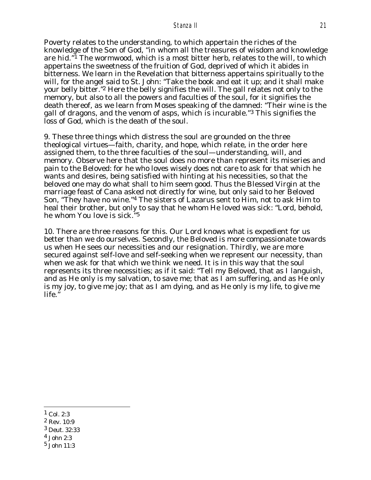Poverty relates to the understanding, to which appertain the riches of the knowledge of the Son of God, "in whom all the treasures of wisdom and knowledge are hid."1 The wormwood, which is a most bitter herb, relates to the will, to which appertains the sweetness of the fruition of God, deprived of which it abides in bitterness. We learn in the Revelation that bitterness appertains spiritually to the will, for the angel said to St. John: "Take the book and eat it up; and it shall make your belly bitter."2 Here the belly signifies the will. The gall relates not only to the memory, but also to all the powers and faculties of the soul, for it signifies the death thereof, as we learn from Moses speaking of the damned: "Their wine is the gall of dragons, and the venom of asps, which is incurable."3 This signifies the loss of God, which is the death of the soul.

9. These three things which distress the soul are grounded on the three theological virtues—faith, charity, and hope, which relate, in the order here assigned them, to the three faculties of the soul—understanding, will, and memory. Observe here that the soul does no more than represent its miseries and pain to the Beloved: for he who loves wisely does not care to ask for that which he wants and desires, being satisfied with hinting at his necessities, so that the beloved one may do what shall to him seem good. Thus the Blessed Virgin at the marriage feast of Cana asked not directly for wine, but only said to her Beloved Son, "They have no wine."4 The sisters of Lazarus sent to Him, not to ask Him to heal their brother, but only to say that he whom He loved was sick: "Lord, behold, he whom You love is sick."5

10. There are three reasons for this. Our Lord knows what is expedient for us better than we do ourselves. Secondly, the Beloved is more compassionate towards us when He sees our necessities and our resignation. Thirdly, we are more secured against self-love and self-seeking when we represent our necessity, than when we ask for that which we think we need. It is in this way that the soul represents its three necessities; as if it said: "Tell my Beloved, that as I languish, and as He only is my salvation, to save me; that as I am suffering, and as He only is my joy, to give me joy; that as I am dying, and as He only is my life, to give me life."

- 3 Deut. 32:33
- 4 John 2:3
- 5 John 11:3

 $1$  Col. 2:3

 $2$  Rev. 10:9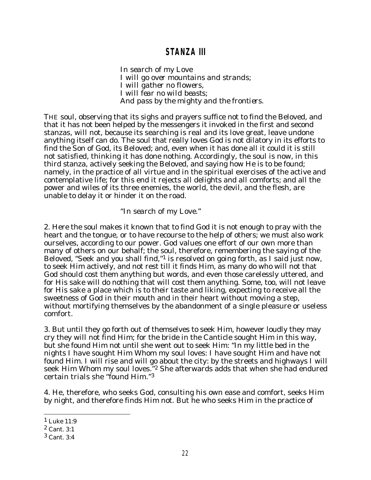# *STANZA III*

*In search of my Love I will go over mountains and strands; I will gather no flowers, I will fear no wild beasts; And pass by the mighty and the frontiers.*

THE soul, observing that its sighs and prayers suffice not to find the Beloved, and that it has not been helped by the messengers it invoked in the first and second stanzas, will not, because its searching is real and its love great, leave undone anything itself can do. The soul that really loves God is not dilatory in its efforts to find the Son of God, its Beloved; and, even when it has done all it could it is still not satisfied, thinking it has done nothing. Accordingly, the soul is now, in this third stanza, actively seeking the Beloved, and saying how He is to be found; namely, in the practice of all virtue and in the spiritual exercises of the active and contemplative life; for this end it rejects all delights and all comforts; and all the power and wiles of its three enemies, the world, the devil, and the flesh, are unable to delay it or hinder it on the road.

## *"In search of my Love."*

2. Here the soul makes it known that to find God it is not enough to pray with the heart and the tongue, or to have recourse to the help of others; we must also work ourselves, according to our power. God values one effort of our own more than many of others on our behalf; the soul, therefore, remembering the saying of the Beloved, "Seek and you shall find,"1 is resolved on going forth, as I said just now, to seek Him actively, and not rest till it finds Him, as many do who will not that God should cost them anything but words, and even those carelessly uttered, and for His sake will do nothing that will cost them anything. Some, too, will not leave for His sake a place which is to their taste and liking, expecting to receive all the sweetness of God in their mouth and in their heart without moving a step, without mortifying themselves by the abandonment of a single pleasure or useless comfort.

3. But until they go forth out of themselves to seek Him, however loudly they may cry they will not find Him; for the bride in the Canticle sought Him in this way, but she found Him not until she went out to seek Him: "In my little bed in the nights I have sought Him Whom my soul loves: I have sought Him and have not found Him. I will rise and will go about the city: by the streets and highways I will seek Him Whom my soul loves."2 She afterwards adds that when she had endured certain trials she "found Him."3

4. He, therefore, who seeks God, consulting his own ease and comfort, seeks Him by night, and therefore finds Him not. But he who seeks Him in the practice of

<sup>1</sup> Luke 11:9

<sup>2</sup> Cant. 3:1

<sup>3</sup> Cant. 3:4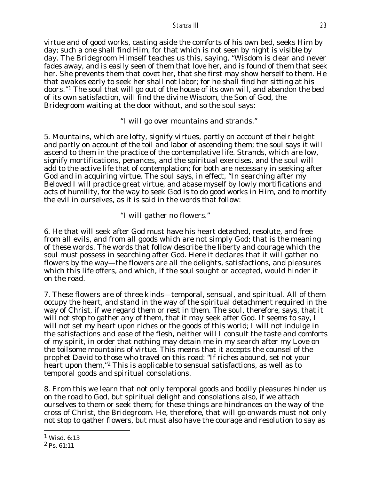virtue and of good works, casting aside the comforts of his own bed, seeks Him by day; such a one shall find Him, for that which is not seen by night is visible by day. The Bridegroom Himself teaches us this, saying, "Wisdom is clear and never fades away, and is easily seen of them that love her, and is found of them that seek her. She prevents them that covet her, that she first may show herself to them. He that awakes early to seek her shall not labor; for he shall find her sitting at his doors."1 The soul that will go out of the house of its own will, and abandon the bed of its own satisfaction, will find the divine Wisdom, the Son of God, the Bridegroom waiting at the door without, and so the soul says:

# *"I will go over mountains and strands."*

5. Mountains, which are lofty, signify virtues, partly on account of their height and partly on account of the toil and labor of ascending them; the soul says it will ascend to them in the practice of the contemplative life. Strands, which are low, signify mortifications, penances, and the spiritual exercises, and the soul will add to the active life that of contemplation; for both are necessary in seeking after God and in acquiring virtue. The soul says, in effect, "In searching after my Beloved I will practice great virtue, and abase myself by lowly mortifications and acts of humility, for the way to seek God is to do good works in Him, and to mortify the evil in ourselves, as it is said in the words that follow:

# *"I will gather no flowers."*

6. He that will seek after God must have his heart detached, resolute, and free from all evils, and from all goods which are not simply God; that is the meaning of these words. The words that follow describe the liberty and courage which the soul must possess in searching after God. Here it declares that it will gather no flowers by the way—the flowers are all the delights, satisfactions, and pleasures which this life offers, and which, if the soul sought or accepted, would hinder it on the road.

7. These flowers are of three kinds—temporal, sensual, and spiritual. All of them occupy the heart, and stand in the way of the spiritual detachment required in the way of Christ, if we regard them or rest in them. The soul, therefore, says, that it will not stop to gather any of them, that it may seek after God. It seems to say, I will not set my heart upon riches or the goods of this world; I will not indulge in the satisfactions and ease of the flesh, neither will I consult the taste and comforts of my spirit, in order that nothing may detain me in my search after my Love on the toilsome mountains of virtue. This means that it accepts the counsel of the prophet David to those who travel on this road: "If riches abound, set not your heart upon them,"2 This is applicable to sensual satisfactions, as well as to temporal goods and spiritual consolations.

8. From this we learn that not only temporal goods and bodily pleasures hinder us on the road to God, but spiritual delight and consolations also, if we attach ourselves to them or seek them; for these things are hindrances on the way of the cross of Christ, the Bridegroom. He, therefore, that will go onwards must not only not stop to gather flowers, but must also have the courage and resolution to say as

<sup>1</sup> Wisd. 6:13

 $^{2}$  Ps. 61:11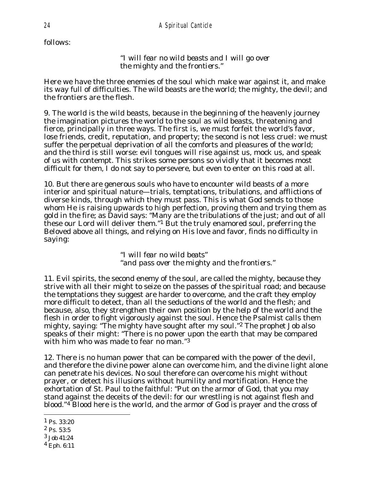follows:

# *"I will fear no wild beasts and I will go over the mighty and the frontiers."*

Here we have the three enemies of the soul which make war against it, and make its way full of difficulties. The wild beasts are the world; the mighty, the devil; and the frontiers are the flesh.

9. The world is the wild beasts, because in the beginning of the heavenly journey the imagination pictures the world to the soul as wild beasts, threatening and fierce, principally in three ways. The first is, we must forfeit the world's favor, lose friends, credit, reputation, and property; the second is not less cruel: we must suffer the perpetual deprivation of all the comforts and pleasures of the world; and the third is still worse: evil tongues will rise against us, mock us, and speak of us with contempt. This strikes some persons so vividly that it becomes most difficult for them, I do not say to persevere, but even to enter on this road at all.

10. But there are generous souls who have to encounter wild beasts of a more interior and spiritual nature—trials, temptations, tribulations, and afflictions of diverse kinds, through which they must pass. This is what God sends to those whom He is raising upwards to high perfection, proving them and trying them as gold in the fire; as David says: "Many are the tribulations of the just; and out of all these our Lord will deliver them."1 But the truly enamored soul, preferring the Beloved above all things, and relying on His love and favor, finds no difficulty in saying:

> *"I will fear no wild beats" "and pass over the mighty and the frontiers."*

11. Evil spirits, the second enemy of the soul, are called the mighty, because they strive with all their might to seize on the passes of the spiritual road; and because the temptations they suggest are harder to overcome, and the craft they employ more difficult to detect, than all the seductions of the world and the flesh; and because, also, they strengthen their own position by the help of the world and the flesh in order to fight vigorously against the soul. Hence the Psalmist calls them mighty, saying: "The mighty have sought after my soul."2 The prophet Job also speaks of their might: "There is no power upon the earth that may be compared with him who was made to fear no man."<sup>3</sup>

12. There is no human power that can be compared with the power of the devil, and therefore the divine power alone can overcome him, and the divine light alone can penetrate his devices. No soul therefore can overcome his might without prayer, or detect his illusions without humility and mortification. Hence the exhortation of St. Paul to the faithful: "Put on the armor of God, that you may stand against the deceits of the devil: for our wrestling is not against flesh and blood."4 Blood here is the world, and the armor of God is prayer and the cross of

<sup>1</sup> Ps. 33:20

 $^{2}$  Ps. 53:5

<sup>3</sup> Job 41:24

<sup>4</sup> Eph. 6:11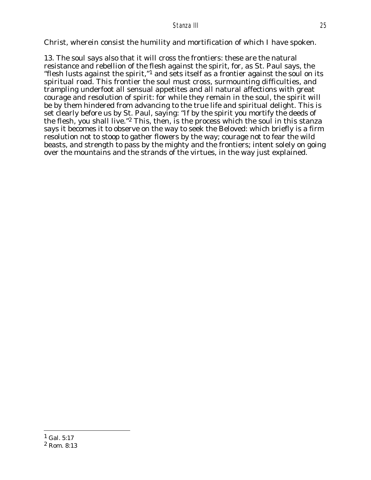Christ, wherein consist the humility and mortification of which I have spoken.

13. The soul says also that it will cross the frontiers: these are the natural resistance and rebellion of the flesh against the spirit, for, as St. Paul says, the "flesh lusts against the spirit,"<sup>1</sup> and sets itself as a frontier against the soul on its spiritual road. This frontier the soul must cross, surmounting difficulties, and trampling underfoot all sensual appetites and all natural affections with great courage and resolution of spirit: for while they remain in the soul, the spirit will be by them hindered from advancing to the true life and spiritual delight. This is set clearly before us by St. Paul, saying: "If by the spirit you mortify the deeds of the flesh, you shall live."2 This, then, is the process which the soul in this stanza says it becomes it to observe on the way to seek the Beloved: which briefly is a firm resolution not to stoop to gather flowers by the way; courage not to fear the wild beasts, and strength to pass by the mighty and the frontiers; intent solely on going over the mountains and the strands of the virtues, in the way just explained.

<sup>1</sup> Gal. 5:17

<sup>2</sup> Rom. 8:13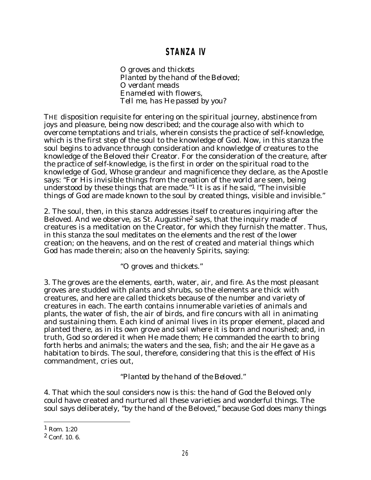# *STANZA IV*

*O groves and thickets Planted by the hand of the Beloved; O verdant meads Enameled with flowers, Tell me, has He passed by you?*

THE disposition requisite for entering on the spiritual journey, abstinence from joys and pleasure, being now described; and the courage also with which to overcome temptations and trials, wherein consists the practice of self-knowledge, which is the first step of the soul to the knowledge of God. Now, in this stanza the soul begins to advance through consideration and knowledge of creatures to the knowledge of the Beloved their Creator. For the consideration of the creature, after the practice of self-knowledge, is the first in order on the spiritual road to the knowledge of God, Whose grandeur and magnificence they declare, as the Apostle says: "For His invisible things from the creation of the world are seen, being understood by these things that are made."1 It is as if he said, "The invisible things of God are made known to the soul by created things, visible and invisible."

2. The soul, then, in this stanza addresses itself to creatures inquiring after the Beloved. And we observe, as St. Augustine<sup>2</sup> says, that the inquiry made of creatures is a meditation on the Creator, for which they furnish the matter. Thus, in this stanza the soul meditates on the elements and the rest of the lower creation; on the heavens, and on the rest of created and material things which God has made therein; also on the heavenly Spirits, saying:

# *"O groves and thickets."*

3. The groves are the elements, earth, water, air, and fire. As the most pleasant groves are studded with plants and shrubs, so the elements are thick with creatures, and here are called thickets because of the number and variety of creatures in each. The earth contains innumerable varieties of animals and plants, the water of fish, the air of birds, and fire concurs with all in animating and sustaining them. Each kind of animal lives in its proper element, placed and planted there, as in its own grove and soil where it is born and nourished; and, in truth, God so ordered it when He made them; He commanded the earth to bring forth herbs and animals; the waters and the sea, fish; and the air He gave as a habitation to birds. The soul, therefore, considering that this is the effect of His commandment, cries out,

## *"Planted by the hand of the Beloved."*

4. That which the soul considers now is this: the hand of God the Beloved only could have created and nurtured all these varieties and wonderful things. The soul says deliberately, "by the hand of the Beloved," because God does many things

 $1$  Rom.  $1:20$ 

 $2$  Conf. 10. 6.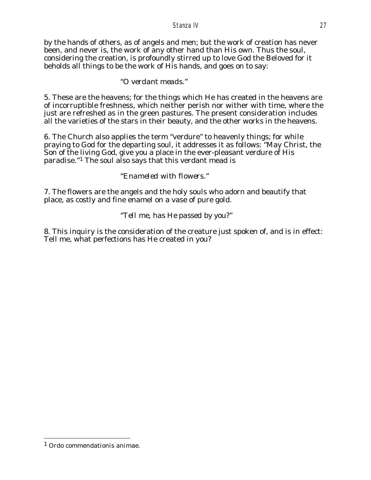by the hands of others, as of angels and men; but the work of creation has never been, and never is, the work of any other hand than His own. Thus the soul, considering the creation, is profoundly stirred up to love God the Beloved for it beholds all things to be the work of His hands, and goes on to say:

# *"O verdant meads."*

5. These are the heavens; for the things which He has created in the heavens are of incorruptible freshness, which neither perish nor wither with time, where the just are refreshed as in the green pastures. The present consideration includes all the varieties of the stars in their beauty, and the other works in the heavens.

6. The Church also applies the term "verdure" to heavenly things; for while praying to God for the departing soul, it addresses it as follows: "May Christ, the Son of the living God, give you a place in the ever-pleasant verdure of His paradise."1 The soul also says that this verdant mead is

# *"Enameled with flowers."*

7. The flowers are the angels and the holy souls who adorn and beautify that place, as costly and fine enamel on a vase of pure gold.

# *"Tell me, has He passed by you?"*

8. This inquiry is the consideration of the creature just spoken of, and is in effect: Tell me, what perfections has He created in you?

<sup>1</sup> Ordo commendationis animae.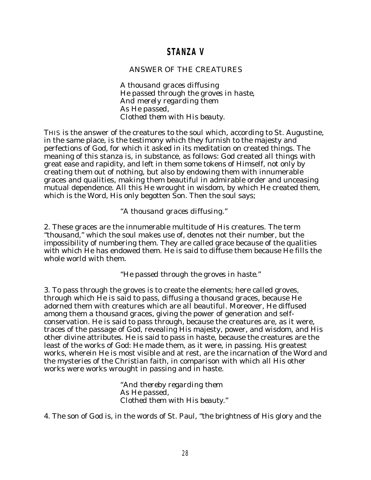# *STANZA V*

# ANSWER OF THE CREATURES

*A thousand graces diffusing He passed through the groves in haste, And merely regarding them As He passed, Clothed them with His beauty.*

THIS is the answer of the creatures to the soul which, according to St. Augustine, in the same place, is the testimony which they furnish to the majesty and perfections of God, for which it asked in its meditation on created things. The meaning of this stanza is, in substance, as follows: God created all things with great ease and rapidity, and left in them some tokens of Himself, not only by creating them out of nothing, but also by endowing them with innumerable graces and qualities, making them beautiful in admirable order and unceasing mutual dependence. All this He wrought in wisdom, by which He created them, which is the Word, His only begotten Son. Then the soul says;

# *"A thousand graces diffusing."*

2. These graces are the innumerable multitude of His creatures. The term "thousand," which the soul makes use of, denotes not their number, but the impossibility of numbering them. They are called grace because of the qualities with which He has endowed them. He is said to diffuse them because He fills the whole world with them.

*"He passed through the groves in haste."*

3. To pass through the groves is to create the elements; here called groves, through which He is said to pass, diffusing a thousand graces, because He adorned them with creatures which are all beautiful. Moreover, He diffused among them a thousand graces, giving the power of generation and selfconservation. He is said to pass through, because the creatures are, as it were, traces of the passage of God, revealing His majesty, power, and wisdom, and His other divine attributes. He is said to pass in haste, because the creatures are the least of the works of God: He made them, as it were, in passing. His greatest works, wherein He is most visible and at rest, are the incarnation of the Word and the mysteries of the Christian faith, in comparison with which all His other works were works wrought in passing and in haste.

> *"And thereby regarding them As He passed, Clothed them with His beauty."*

4. The son of God is, in the words of St. Paul, "the brightness of His glory and the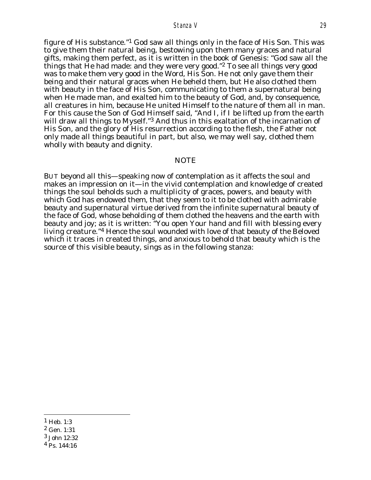#### *Stanza V 29*

figure of His substance."1 God saw all things only in the face of His Son. This was to give them their natural being, bestowing upon them many graces and natural gifts, making them perfect, as it is written in the book of Genesis: "God saw all the things that He had made: and they were very good."2 To see all things very good was to make them very good in the Word, His Son. He not only gave them their being and their natural graces when He beheld them, but He also clothed them with beauty in the face of His Son, communicating to them a supernatural being when He made man, and exalted him to the beauty of God, and, by consequence, all creatures in him, because He united Himself to the nature of them all in man. For this cause the Son of God Himself said, "And I, if I be lifted up from the earth will draw all things to Myself."3 And thus in this exaltation of the incarnation of His Son, and the glory of His resurrection according to the flesh, the Father not only made all things beautiful in part, but also, we may well say, clothed them wholly with beauty and dignity.

#### NOTE

BUT beyond all this—speaking now of contemplation as it affects the soul and makes an impression on it—in the vivid contemplation and knowledge of created things the soul beholds such a multiplicity of graces, powers, and beauty with which God has endowed them, that they seem to it to be clothed with admirable beauty and supernatural virtue derived from the infinite supernatural beauty of the face of God, whose beholding of them clothed the heavens and the earth with beauty and joy; as it is written: "You open Your hand and fill with blessing every living creature."4 Hence the soul wounded with love of that beauty of the Beloved which it traces in created things, and anxious to behold that beauty which is the source of this visible beauty, sings as in the following stanza:

 $1$  Heb. 1:3

<sup>2</sup> Gen. 1:31

<sup>3</sup> John 12:32

<sup>4</sup> Ps. 144:16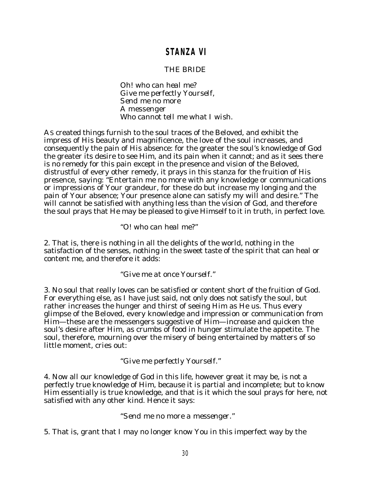# *STANZA VI*

### THE BRIDE

*Oh! who can heal me? Give me perfectly Yourself, Send me no more A messenger Who cannot tell me what I wish.*

AS created things furnish to the soul traces of the Beloved, and exhibit the impress of His beauty and magnificence, the love of the soul increases, and consequently the pain of His absence: for the greater the soul's knowledge of God the greater its desire to see Him, and its pain when it cannot; and as it sees there is no remedy for this pain except in the presence and vision of the Beloved, distrustful of every other remedy, it prays in this stanza for the fruition of His presence, saying: "Entertain me no more with any knowledge or communications or impressions of Your grandeur, for these do but increase my longing and the pain of Your absence; Your presence alone can satisfy my will and desire." The will cannot be satisfied with anything less than the vision of God, and therefore the soul prays that He may be pleased to give Himself to it in truth, in perfect love.

### *"O! who can heal me?"*

2. That is, there is nothing in all the delights of the world, nothing in the satisfaction of the senses, nothing in the sweet taste of the spirit that can heal or content me, and therefore it adds:

### *"Give me at once Yourself."*

3. No soul that really loves can be satisfied or content short of the fruition of God. For everything else, as I have just said, not only does not satisfy the soul, but rather increases the hunger and thirst of seeing Him as He us. Thus every glimpse of the Beloved, every knowledge and impression or communication from Him—these are the messengers suggestive of Him—increase and quicken the soul's desire after Him, as crumbs of food in hunger stimulate the appetite. The soul, therefore, mourning over the misery of being entertained by matters of so little moment, cries out:

### *"Give me perfectly Yourself."*

4. Now all our knowledge of God in this life, however great it may be, is not a perfectly true knowledge of Him, because it is partial and incomplete; but to know Him essentially is true knowledge, and that is it which the soul prays for here, not satisfied with any other kind. Hence it says:

### *"Send me no more a messenger."*

5. That is, grant that I may no longer know You in this imperfect way by the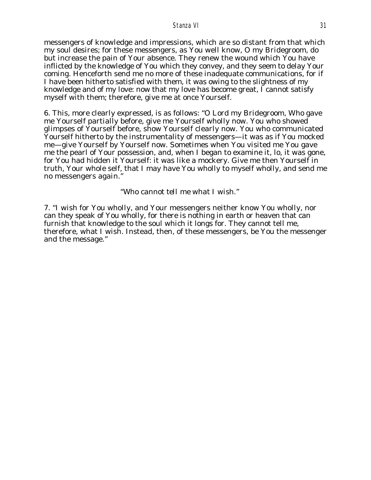messengers of knowledge and impressions, which are so distant from that which my soul desires; for these messengers, as You well know, O my Bridegroom, do but increase the pain of Your absence. They renew the wound which You have inflicted by the knowledge of You which they convey, and they seem to delay Your coming. Henceforth send me no more of these inadequate communications, for if I have been hitherto satisfied with them, it was owing to the slightness of my knowledge and of my love: now that my love has become great, I cannot satisfy myself with them; therefore, give me at once Yourself.

6. This, more clearly expressed, is as follows: "O Lord my Bridegroom, Who gave me Yourself partially before, give me Yourself wholly now. You who showed glimpses of Yourself before, show Yourself clearly now. You who communicated Yourself hitherto by the instrumentality of messengers—it was as if You mocked me—give Yourself by Yourself now. Sometimes when You visited me You gave me the pearl of Your possession, and, when I began to examine it, lo, it was gone, for You had hidden it Yourself: it was like a mockery. Give me then Yourself in truth, Your whole self, that I may have You wholly to myself wholly, and send me no messengers again."

*"Who cannot tell me what I wish."*

7. "I wish for You wholly, and Your messengers neither know You wholly, nor can they speak of You wholly, for there is nothing in earth or heaven that can furnish that knowledge to the soul which it longs for. They cannot tell me, therefore, what I wish. Instead, then, of these messengers, be You the messenger and the message."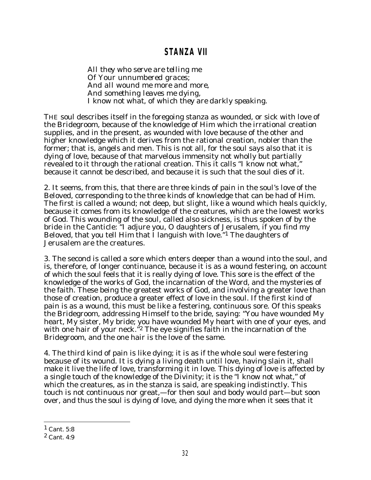# *STANZA VII*

*All they who serve are telling me Of Your unnumbered graces; And all wound me more and more, And something leaves me dying, I know not what, of which they are darkly speaking.*

THE soul describes itself in the foregoing stanza as wounded, or sick with love of the Bridegroom, because of the knowledge of Him which the irrational creation supplies, and in the present, as wounded with love because of the other and higher knowledge which it derives from the rational creation, nobler than the former; that is, angels and men. This is not all, for the soul says also that it is dying of love, because of that marvelous immensity not wholly but partially revealed to it through the rational creation. This it calls "I know not what," because it cannot be described, and because it is such that the soul dies of it.

2. It seems, from this, that there are three kinds of pain in the soul's love of the Beloved, corresponding to the three kinds of knowledge that can be had of Him. The first is called a wound; not deep, but slight, like a wound which heals quickly, because it comes from its knowledge of the creatures, which are the lowest works of God. This wounding of the soul, called also sickness, is thus spoken of by the bride in the Canticle: "I adjure you, O daughters of Jerusalem, if you find my Beloved, that you tell Him that I languish with love."1 The daughters of Jerusalem are the creatures.

3. The second is called a sore which enters deeper than a wound into the soul, and is, therefore, of longer continuance, because it is as a wound festering, on account of which the soul feels that it is really dying of love. This sore is the effect of the knowledge of the works of God, the incarnation of the Word, and the mysteries of the faith. These being the greatest works of God, and involving a greater love than those of creation, produce a greater effect of love in the soul. If the first kind of pain is as a wound, this must be like a festering, continuous sore. Of this speaks the Bridegroom, addressing Himself to the bride, saying: "You have wounded My heart, My sister, My bride; you have wounded My heart with one of your eyes, and with one hair of your neck.<sup>"2</sup> The eye signifies faith in the incarnation of the Bridegroom, and the one hair is the love of the same.

4. The third kind of pain is like dying; it is as if the whole soul were festering because of its wound. It is dying a living death until love, having slain it, shall make it live the life of love, transforming it in love. This dying of love is affected by a single touch of the knowledge of the Divinity; it is the "I know not what," of which the creatures, as in the stanza is said, are speaking indistinctly. This touch is not continuous nor great,—for then soul and body would part—but soon over, and thus the soul is dying of love, and dying the more when it sees that it

<sup>1</sup> Cant. 5:8

<sup>2</sup> Cant. 4:9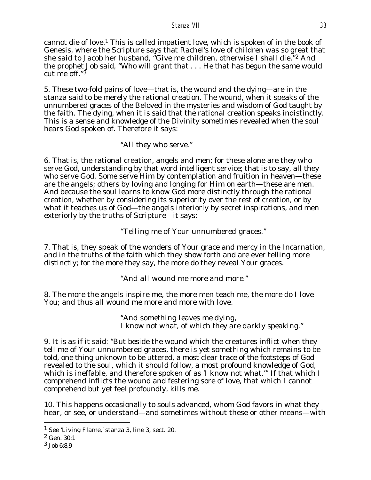#### *Stanza VII 33*

cannot die of love.<sup>1</sup> This is called impatient love, which is spoken of in the book of Genesis, where the Scripture says that Rachel's love of children was so great that she said to Jacob her husband, "Give me children, otherwise I shall die."2 And the prophet Job said, "Who will grant that . . . He that has begun the same would cut me off."3

5. These two-fold pains of love—that is, the wound and the dying—are in the stanza said to be merely the rational creation. The wound, when it speaks of the unnumbered graces of the Beloved in the mysteries and wisdom of God taught by the faith. The dying, when it is said that the rational creation speaks indistinctly. This is a sense and knowledge of the Divinity sometimes revealed when the soul hears God spoken of. Therefore it says:

### *"All they who serve."*

6. That is, the rational creation, angels and men; for these alone are they who serve God, understanding by that word intelligent service; that is to say, all they who serve God. Some serve Him by contemplation and fruition in heaven—these are the angels; others by loving and longing for Him on earth—these are men. And because the soul learns to know God more distinctly through the rational creation, whether by considering its superiority over the rest of creation, or by what it teaches us of God—the angels interiorly by secret inspirations, and men exteriorly by the truths of Scripture—it says:

### *"Telling me of Your unnumbered graces."*

7. That is, they speak of the wonders of Your grace and mercy in the Incarnation, and in the truths of the faith which they show forth and are ever telling more distinctly; for the more they say, the more do they reveal Your graces.

### *"And all wound me more and more."*

8. The more the angels inspire me, the more men teach me, the more do I love You; and thus all wound me more and more with love.

### *"And something leaves me dying, I know not what, of which they are darkly speaking."*

9. It is as if it said: "But beside the wound which the creatures inflict when they tell me of Your unnumbered graces, there is yet something which remains to be told, one thing unknown to be uttered, a most clear trace of the footsteps of God revealed to the soul, which it should follow, a most profound knowledge of God, which is ineffable, and therefore spoken of as 'I know not what." If that which I comprehend inflicts the wound and festering sore of love, that which I cannot comprehend but yet feel profoundly, kills me.

10. This happens occasionally to souls advanced, whom God favors in what they hear, or see, or understand—and sometimes without these or other means—with

<sup>1</sup> See 'Living Flame,' stanza 3, line 3, sect. 20.

<sup>2</sup> Gen. 30:1

<sup>3</sup> Job 6:8,9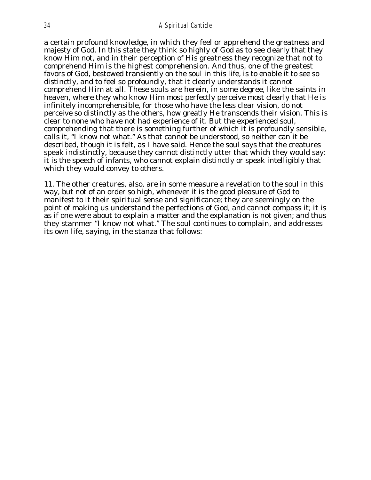a certain profound knowledge, in which they feel or apprehend the greatness and majesty of God. In this state they think so highly of God as to see clearly that they know Him not, and in their perception of His greatness they recognize that not to comprehend Him is the highest comprehension. And thus, one of the greatest favors of God, bestowed transiently on the soul in this life, is to enable it to see so distinctly, and to feel so profoundly, that it clearly understands it cannot comprehend Him at all. These souls are herein, in some degree, like the saints in heaven, where they who know Him most perfectly perceive most clearly that He is infinitely incomprehensible, for those who have the less clear vision, do not perceive so distinctly as the others, how greatly He transcends their vision. This is clear to none who have not had experience of it. But the experienced soul, comprehending that there is something further of which it is profoundly sensible, calls it, "I know not what." As that cannot be understood, so neither can it be described, though it is felt, as I have said. Hence the soul says that the creatures speak indistinctly, because they cannot distinctly utter that which they would say: it is the speech of infants, who cannot explain distinctly or speak intelligibly that which they would convey to others.

11. The other creatures, also, are in some measure a revelation to the soul in this way, but not of an order so high, whenever it is the good pleasure of God to manifest to it their spiritual sense and significance; they are seemingly on the point of making us understand the perfections of God, and cannot compass it; it is as if one were about to explain a matter and the explanation is not given; and thus they stammer "I know not what." The soul continues to complain, and addresses its own life, saying, in the stanza that follows: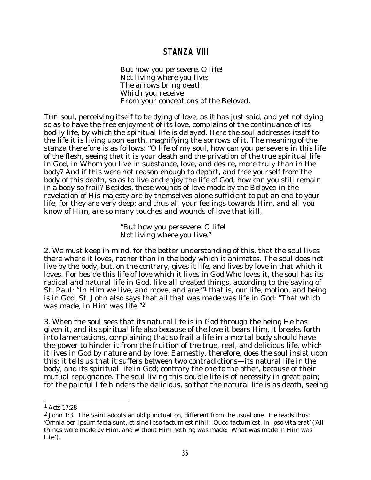# *STANZA VIII*

*But how you persevere, O life! Not living where you live; The arrows bring death Which you receive From your conceptions of the Beloved.*

THE soul, perceiving itself to be dying of love, as it has just said, and yet not dying so as to have the free enjoyment of its love, complains of the continuance of its bodily life, by which the spiritual life is delayed. Here the soul addresses itself to the life it is living upon earth, magnifying the sorrows of it. The meaning of the stanza therefore is as follows: "O life of my soul, how can you persevere in this life of the flesh, seeing that it is your death and the privation of the true spiritual life in God, in Whom you live in substance, love, and desire, more truly than in the body? And if this were not reason enough to depart, and free yourself from the body of this death, so as to live and enjoy the life of God, how can you still remain in a body so frail? Besides, these wounds of love made by the Beloved in the revelation of His majesty are by themselves alone sufficient to put an end to your life, for they are very deep; and thus all your feelings towards Him, and all you know of Him, are so many touches and wounds of love that kill,

#### *"But how you persevere, O life! Not living where you live."*

2. We must keep in mind, for the better understanding of this, that the soul lives there where it loves, rather than in the body which it animates. The soul does not live by the body, but, on the contrary, gives it life, and lives by love in that which it loves. For beside this life of love which it lives in God Who loves it, the soul has its radical and natural life in God, like all created things, according to the saying of St. Paul: "In Him we live, and move, and are;"1 that is, our life, motion, and being is in God. St. John also says that all that was made was life in God: "That which was made, in Him was life."2

3. When the soul sees that its natural life is in God through the being He has given it, and its spiritual life also because of the love it bears Him, it breaks forth into lamentations, complaining that so frail a life in a mortal body should have the power to hinder it from the fruition of the true, real, and delicious life, which it lives in God by nature and by love. Earnestly, therefore, does the soul insist upon this: it tells us that it suffers between two contradictions—its natural life in the body, and its spiritual life in God; contrary the one to the other, because of their mutual repugnance. The soul living this double life is of necessity in great pain; for the painful life hinders the delicious, so that the natural life is as death, seeing

<sup>1</sup> Acts 17:28

 $2$  John 1:3. The Saint adopts an old punctuation, different from the usual one. He reads thus: 'Omnia per Ipsum facta sunt, et sine Ipso factum est nihil: Quod factum est, in Ipso vita erat' ('All things were made by Him, and without Him nothing was made: What was made in Him was life').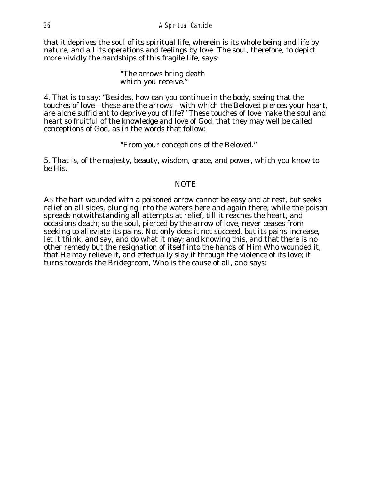that it deprives the soul of its spiritual life, wherein is its whole being and life by nature, and all its operations and feelings by love. The soul, therefore, to depict more vividly the hardships of this fragile life, says:

### *"The arrows bring death which you receive."*

4. That is to say: "Besides, how can you continue in the body, seeing that the touches of love—these are the arrows—with which the Beloved pierces your heart, are alone sufficient to deprive you of life?" These touches of love make the soul and heart so fruitful of the knowledge and love of God, that they may well be called conceptions of God, as in the words that follow:

### *"From your conceptions of the Beloved."*

5. That is, of the majesty, beauty, wisdom, grace, and power, which you know to be His.

### **NOTE**

AS the hart wounded with a poisoned arrow cannot be easy and at rest, but seeks relief on all sides, plunging into the waters here and again there, while the poison spreads notwithstanding all attempts at relief, till it reaches the heart, and occasions death; so the soul, pierced by the arrow of love, never ceases from seeking to alleviate its pains. Not only does it not succeed, but its pains increase, let it think, and say, and do what it may; and knowing this, and that there is no other remedy but the resignation of itself into the hands of Him Who wounded it, that He may relieve it, and effectually slay it through the violence of its love; it turns towards the Bridegroom, Who is the cause of all, and says: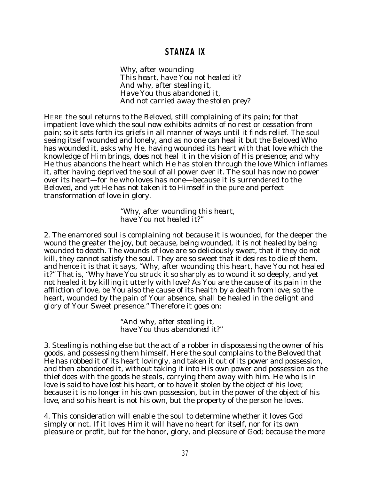# *STANZA IX*

*Why, after wounding This heart, have You not healed it? And why, after stealing it, Have You thus abandoned it, And not carried away the stolen prey?*

HERE the soul returns to the Beloved, still complaining of its pain; for that impatient love which the soul now exhibits admits of no rest or cessation from pain; so it sets forth its griefs in all manner of ways until it finds relief. The soul seeing itself wounded and lonely, and as no one can heal it but the Beloved Who has wounded it, asks why He, having wounded its heart with that love which the knowledge of Him brings, does not heal it in the vision of His presence; and why He thus abandons the heart which He has stolen through the love Which inflames it, after having deprived the soul of all power over it. The soul has now no power over its heart—for he who loves has none—because it is surrendered to the Beloved, and yet He has not taken it to Himself in the pure and perfect transformation of love in glory.

> *"Why, after wounding this heart, have You not healed it?"*

2. The enamored soul is complaining not because it is wounded, for the deeper the wound the greater the joy, but because, being wounded, it is not healed by being wounded to death. The wounds of love are so deliciously sweet, that if they do not kill, they cannot satisfy the soul. They are so sweet that it desires to die of them, and hence it is that it says, "Why, after wounding this heart, have You not healed it?" That is, "Why have You struck it so sharply as to wound it so deeply, and yet not healed it by killing it utterly with love? As You are the cause of its pain in the affliction of love, be You also the cause of its health by a death from love; so the heart, wounded by the pain of Your absence, shall be healed in the delight and glory of Your Sweet presence." Therefore it goes on:

> *"And why, after stealing it, have You thus abandoned it?"*

3. Stealing is nothing else but the act of a robber in dispossessing the owner of his goods, and possessing them himself. Here the soul complains to the Beloved that He has robbed it of its heart lovingly, and taken it out of its power and possession, and then abandoned it, without taking it into His own power and possession as the thief does with the goods he steals, carrying them away with him. He who is in love is said to have lost his heart, or to have it stolen by the object of his love; because it is no longer in his own possession, but in the power of the object of his love, and so his heart is not his own, but the property of the person he loves.

4. This consideration will enable the soul to determine whether it loves God simply or not. If it loves Him it will have no heart for itself, nor for its own pleasure or profit, but for the honor, glory, and pleasure of God; because the more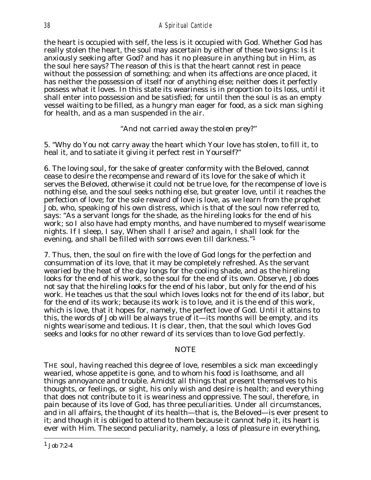the heart is occupied with self, the less is it occupied with God. Whether God has really stolen the heart, the soul may ascertain by either of these two signs: Is it anxiously seeking after God? and has it no pleasure in anything but in Him, as the soul here says? The reason of this is that the heart cannot rest in peace without the possession of something; and when its affections are once placed, it has neither the possession of itself nor of anything else; neither does it perfectly possess what it loves. In this state its weariness is in proportion to its loss, until it shall enter into possession and be satisfied; for until then the soul is as an empty vessel waiting to be filled, as a hungry man eager for food, as a sick man sighing for health, and as a man suspended in the air.

# *"And not carried away the stolen prey?"*

5. "Why do You not carry away the heart which Your love has stolen, to fill it, to heal it, and to satiate it giving it perfect rest in Yourself?"

6. The loving soul, for the sake of greater conformity with the Beloved, cannot cease to desire the recompense and reward of its love for the sake of which it serves the Beloved, otherwise it could not be true love, for the recompense of love is nothing else, and the soul seeks nothing else, but greater love, until it reaches the perfection of love; for the sole reward of love is love, as we learn from the prophet Job, who, speaking of his own distress, which is that of the soul now referred to, says: "As a servant longs for the shade, as the hireling looks for the end of his work; so I also have had empty months, and have numbered to myself wearisome nights. If I sleep, I say, When shall I arise? and again, I shall look for the evening, and shall be filled with sorrows even till darkness."1

7. Thus, then, the soul on fire with the love of God longs for the perfection and consummation of its love, that it may be completely refreshed. As the servant wearied by the heat of the day longs for the cooling shade, and as the hireling looks for the end of his work, so the soul for the end of its own. Observe, Job does not say that the hireling looks for the end of his labor, but only for the end of his work. He teaches us that the soul which loves looks not for the end of its labor, but for the end of its work; because its work is to love, and it is the end of this work, which is love, that it hopes for, namely, the perfect love of God. Until it attains to this, the words of Job will be always true of it—its months will be empty, and its nights wearisome and tedious. It is clear, then, that the soul which loves God seeks and looks for no other reward of its services than to love God perfectly.

### NOTE

THE soul, having reached this degree of love, resembles a sick man exceedingly wearied, whose appetite is gone, and to whom his food is loathsome, and all things annoyance and trouble. Amidst all things that present themselves to his thoughts, or feelings, or sight, his only wish and desire is health; and everything that does not contribute to it is weariness and oppressive. The soul, therefore, in pain because of its love of God, has three peculiarities. Under all circumstances, and in all affairs, the thought of its health—that is, the Beloved—is ever present to it; and though it is obliged to attend to them because it cannot help it, its heart is ever with Him. The second peculiarity, namely, a loss of pleasure in everything,

 $1$  Job 7:2-4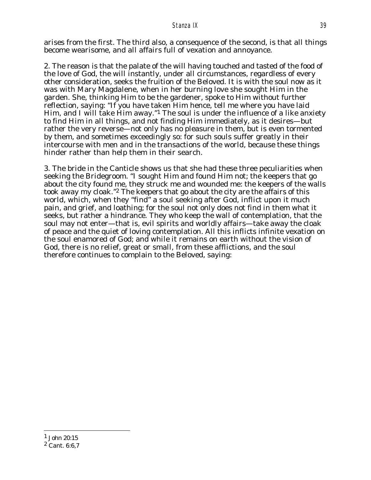arises from the first. The third also, a consequence of the second, is that all things become wearisome, and all affairs full of vexation and annoyance.

2. The reason is that the palate of the will having touched and tasted of the food of the love of God, the will instantly, under all circumstances, regardless of every other consideration, seeks the fruition of the Beloved. It is with the soul now as it was with Mary Magdalene, when in her burning love she sought Him in the garden. She, thinking Him to be the gardener, spoke to Him without further reflection, saying: "If you have taken Him hence, tell me where you have laid Him, and I will take Him away."1 The soul is under the influence of a like anxiety to find Him in all things, and not finding Him immediately, as it desires—but rather the very reverse—not only has no pleasure in them, but is even tormented by them, and sometimes exceedingly so: for such souls suffer greatly in their intercourse with men and in the transactions of the world, because these things hinder rather than help them in their search.

3. The bride in the Canticle shows us that she had these three peculiarities when seeking the Bridegroom. "I sought Him and found Him not; the keepers that go about the city found me, they struck me and wounded me: the keepers of the walls took away my cloak."2 The keepers that go about the city are the affairs of this world, which, when they "find" a soul seeking after God, inflict upon it much pain, and grief, and loathing; for the soul not only does not find in them what it seeks, but rather a hindrance. They who keep the wall of contemplation, that the soul may not enter—that is, evil spirits and worldly affairs—take away the cloak of peace and the quiet of loving contemplation. All this inflicts infinite vexation on the soul enamored of God; and while it remains on earth without the vision of God, there is no relief, great or small, from these afflictions, and the soul therefore continues to complain to the Beloved, saying:

<sup>1</sup> John 20:15

<sup>2</sup> Cant. 6:6,7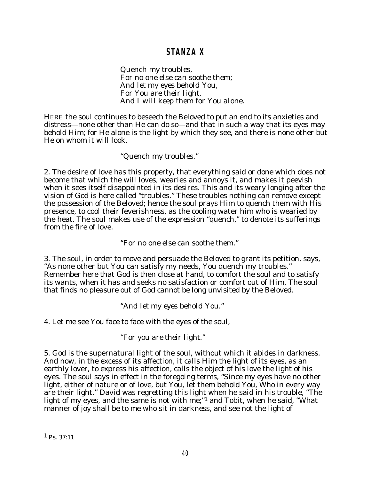# *STANZA X*

*Quench my troubles, For no one else can soothe them; And let my eyes behold You, For You are their light, And I will keep them for You alone.*

HERE the soul continues to beseech the Beloved to put an end to its anxieties and distress—none other than He can do so—and that in such a way that its eyes may behold Him; for He alone is the light by which they see, and there is none other but He on whom it will look.

## *"Quench my troubles."*

2. The desire of love has this property, that everything said or done which does not become that which the will loves, wearies and annoys it, and makes it peevish when it sees itself disappointed in its desires. This and its weary longing after the vision of God is here called "troubles." These troubles nothing can remove except the possession of the Beloved; hence the soul prays Him to quench them with His presence, to cool their feverishness, as the cooling water him who is wearied by the heat. The soul makes use of the expression "quench," to denote its sufferings from the fire of love.

### *"For no one else can soothe them."*

3. The soul, in order to move and persuade the Beloved to grant its petition, says, "As none other but You can satisfy my needs, You quench my troubles." Remember here that God is then close at hand, to comfort the soul and to satisfy its wants, when it has and seeks no satisfaction or comfort out of Him. The soul that finds no pleasure out of God cannot be long unvisited by the Beloved.

### *"And let my eyes behold You."*

4. Let me see You face to face with the eyes of the soul,

# *"For you are their light."*

5. God is the supernatural light of the soul, without which it abides in darkness. And now, in the excess of its affection, it calls Him the light of its eyes, as an earthly lover, to express his affection, calls the object of his love the light of his eyes. The soul says in effect in the foregoing terms, "Since my eyes have no other light, either of nature or of love, but You, let them behold You, Who in every way are their light." David was regretting this light when he said in his trouble, "The light of my eyes, and the same is not with me;"<sup>1</sup> and Tobit, when he said, "What manner of joy shall be to me who sit in darkness, and see not the light of

<sup>1</sup> Ps. 37:11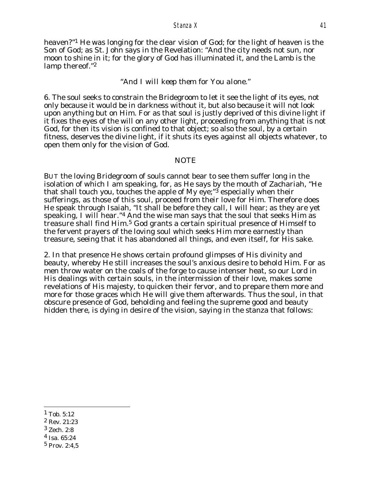#### *Stanza X 41*

heaven?"1 He was longing for the clear vision of God; for the light of heaven is the Son of God; as St. John says in the Revelation: "And the city needs not sun, nor moon to shine in it; for the glory of God has illuminated it, and the Lamb is the lamp thereof."2

#### *"And I will keep them for You alone."*

6. The soul seeks to constrain the Bridegroom to let it see the light of its eyes, not only because it would be in darkness without it, but also because it will not look upon anything but on Him. For as that soul is justly deprived of this divine light if it fixes the eyes of the will on any other light, proceeding from anything that is not God, for then its vision is confined to that object; so also the soul, by a certain fitness, deserves the divine light, if it shuts its eyes against all objects whatever, to open them only for the vision of God.

#### NOTE

BUT the loving Bridegroom of souls cannot bear to see them suffer long in the isolation of which I am speaking, for, as He says by the mouth of Zachariah, "He that shall touch you, touches the apple of My eye;" $\frac{3}{2}$  especially when their sufferings, as those of this soul, proceed from their love for Him. Therefore does He speak through Isaiah, "It shall be before they call, I will hear; as they are yet speaking, I will hear."4 And the wise man says that the soul that seeks Him as treasure shall find Him.5 God grants a certain spiritual presence of Himself to the fervent prayers of the loving soul which seeks Him more earnestly than treasure, seeing that it has abandoned all things, and even itself, for His sake.

2. In that presence He shows certain profound glimpses of His divinity and beauty, whereby He still increases the soul's anxious desire to behold Him. For as men throw water on the coals of the forge to cause intenser heat, so our Lord in His dealings with certain souls, in the intermission of their love, makes some revelations of His majesty, to quicken their fervor, and to prepare them more and more for those graces which He will give them afterwards. Thus the soul, in that obscure presence of God, beholding and feeling the supreme good and beauty hidden there, is dying in desire of the vision, saying in the stanza that follows:

- 3 Zech. 2:8
- 4 Isa. 65:24
- 5 Prov. 2:4,5

 $1$  Tob. 5:12

<sup>2</sup> Rev. 21:23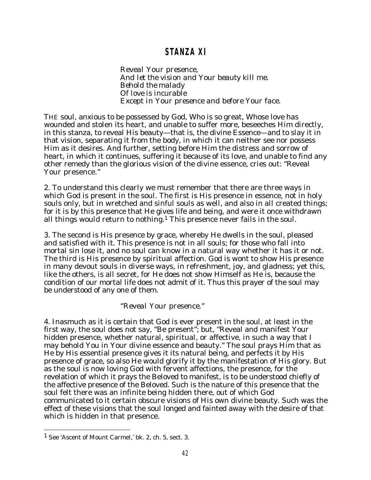# *STANZA XI*

*Reveal Your presence, And let the vision and Your beauty kill me. Behold the malady Of love is incurable Except in Your presence and before Your face.*

THE soul, anxious to be possessed by God, Who is so great, Whose love has wounded and stolen its heart, and unable to suffer more, beseeches Him directly, in this stanza, to reveal His beauty—that is, the divine Essence—and to slay it in that vision, separating it from the body, in which it can neither see nor possess Him as it desires. And further, setting before Him the distress and sorrow of heart, in which it continues, suffering it because of its love, and unable to find any other remedy than the glorious vision of the divine essence, cries out: "Reveal Your presence."

2. To understand this clearly we must remember that there are three ways in which God is present in the soul. The first is His presence in essence, not in holy souls only, but in wretched and sinful souls as well, and also in all created things; for it is by this presence that He gives life and being, and were it once withdrawn all things would return to nothing.<sup>1</sup> This presence never fails in the soul.

3. The second is His presence by grace, whereby He dwells in the soul, pleased and satisfied with it. This presence is not in all souls; for those who fall into mortal sin lose it, and no soul can know in a natural way whether it has it or not. The third is His presence by spiritual affection. God is wont to show His presence in many devout souls in diverse ways, in refreshment, joy, and gladness; yet this, like the others, is all secret, for He does not show Himself as He is, because the condition of our mortal life does not admit of it. Thus this prayer of the soul may be understood of any one of them.

### *"Reveal Your presence."*

4. Inasmuch as it is certain that God is ever present in the soul, at least in the first way, the soul does not say, "Be present"; but, "Reveal and manifest Your hidden presence, whether natural, spiritual, or affective, in such a way that I may behold You in Your divine essence and beauty." The soul prays Him that as He by His essential presence gives it its natural being, and perfects it by His presence of grace, so also He would glorify it by the manifestation of His glory. But as the soul is now loving God with fervent affections, the presence, for the revelation of which it prays the Beloved to manifest, is to be understood chiefly of the affective presence of the Beloved. Such is the nature of this presence that the soul felt there was an infinite being hidden there, out of which God communicated to it certain obscure visions of His own divine beauty. Such was the effect of these visions that the soul longed and fainted away with the desire of that which is hidden in that presence.

<sup>1</sup> See 'Ascent of Mount Carmel,' bk. 2, ch. 5, sect. 3.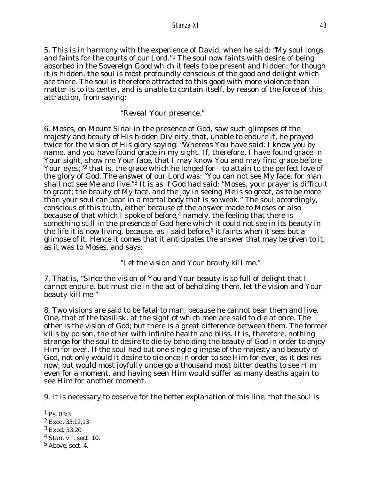5. This is in harmony with the experience of David, when he said: "My soul longs and faints for the courts of our Lord."1 The soul now faints with desire of being absorbed in the Sovereign Good which it feels to be present and hidden; for though it is hidden, the soul is most profoundly conscious of the good and delight which are there. The soul is therefore attracted to this good with more violence than matter is to its center, and is unable to contain itself, by reason of the force of this attraction, from saying:

#### *"Reveal Your presence."*

6. Moses, on Mount Sinai in the presence of God, saw such glimpses of the majesty and beauty of His hidden Divinity, that, unable to endure it, he prayed twice for the vision of His glory saying: "Whereas You have said: I know you by name, and you have found grace in my sight. If, therefore, I have found grace in Your sight, show me Your face, that I may know You and may find grace before Your eyes;"2 that is, the grace which he longed for—to attain to the perfect love of the glory of God. The answer of our Lord was: "You can not see My face, for man shall not see Me and live."3 It is as if God had said: "Moses, your prayer is difficult to grant; the beauty of My face, and the joy in seeing Me is so great, as to be more than your soul can bear in a mortal body that is so weak." The soul accordingly, conscious of this truth, either because of the answer made to Moses or also because of that which I spoke of before,  $4$  namely, the feeling that there is something still in the presence of God here which it could not see in its beauty in the life it is now living, because, as I said before,<sup>5</sup> it faints when it sees but a glimpse of it. Hence it comes that it anticipates the answer that may be given to it, as it was to Moses, and says:

#### *"Let the vision and Your beauty kill me."*

7. That is, "Since the vision of You and Your beauty is so full of delight that I cannot endure, but must die in the act of beholding them, let the vision and Your beauty kill me."

8. Two visions are said to be fatal to man, because he cannot bear them and live. One, that of the basilisk, at the sight of which men are said to die at once. The other is the vision of God; but there is a great difference between them. The former kills by poison, the other with infinite health and bliss. It is, therefore, nothing strange for the soul to desire to die by beholding the beauty of God in order to enjoy Him for ever. If the soul had but one single glimpse of the majesty and beauty of God, not only would it desire to die once in order to see Him for ever, as it desires now, but would most joyfully undergo a thousand most bitter deaths to see Him even for a moment, and having seen Him would suffer as many deaths again to see Him for another moment.

9. It is necessary to observe for the better explanation of this line, that the soul is

<sup>1</sup> Ps. 83:3

<sup>2</sup> Exod. 33:12,13

<sup>3</sup> Exod. 33:20

<sup>4</sup> Stan. vii. sect. 10.

<sup>5</sup> Above, sect. 4.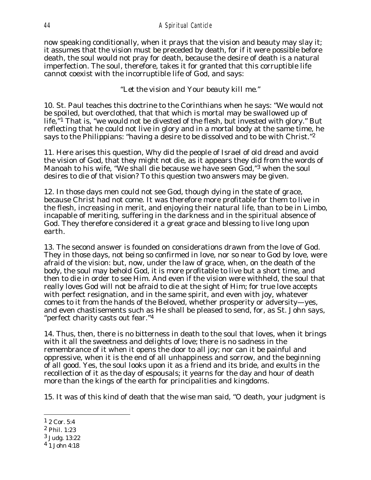now speaking conditionally, when it prays that the vision and beauty may slay it; it assumes that the vision must be preceded by death, for if it were possible before death, the soul would not pray for death, because the desire of death is a natural imperfection. The soul, therefore, takes it for granted that this corruptible life cannot coexist with the incorruptible life of God, and says:

### *"Let the vision and Your beauty kill me."*

10. St. Paul teaches this doctrine to the Corinthians when he says: "We would not be spoiled, but overclothed, that that which is mortal may be swallowed up of life,<sup>"1</sup> That is, "we would not be divested of the flesh, but invested with glory." But reflecting that he could not live in glory and in a mortal body at the same time, he says to the Philippians: "having a desire to be dissolved and to be with Christ."2

11. Here arises this question, Why did the people of Israel of old dread and avoid the vision of God, that they might not die, as it appears they did from the words of Manoah to his wife, "We shall die because we have seen God,"3 when the soul desires to die of that vision? To this question two answers may be given.

12. In those days men could not see God, though dying in the state of grace, because Christ had not come. It was therefore more profitable for them to live in the flesh, increasing in merit, and enjoying their natural life, than to be in Limbo, incapable of meriting, suffering in the darkness and in the spiritual absence of God. They therefore considered it a great grace and blessing to live long upon earth.

13. The second answer is founded on considerations drawn from the love of God. They in those days, not being so confirmed in love, nor so near to God by love, were afraid of the vision: but, now, under the law of grace, when, on the death of the body, the soul may behold God, it is more profitable to live but a short time, and then to die in order to see Him. And even if the vision were withheld, the soul that really loves God will not be afraid to die at the sight of Him; for true love accepts with perfect resignation, and in the same spirit, and even with joy, whatever comes to it from the hands of the Beloved, whether prosperity or adversity—yes, and even chastisements such as He shall be pleased to send, for, as St. John says, "perfect charity casts out fear."4

14. Thus, then, there is no bitterness in death to the soul that loves, when it brings with it all the sweetness and delights of love; there is no sadness in the remembrance of it when it opens the door to all joy; nor can it be painful and oppressive, when it is the end of all unhappiness and sorrow, and the beginning of all good. Yes, the soul looks upon it as a friend and its bride, and exults in the recollection of it as the day of espousals; it yearns for the day and hour of death more than the kings of the earth for principalities and kingdoms.

15. It was of this kind of death that the wise man said, "O death, your judgment is

- 2 Phil. 1:23
- 3 Judg. 13:22
- 4 1 John 4:18

<sup>1</sup> 2 Cor. 5:4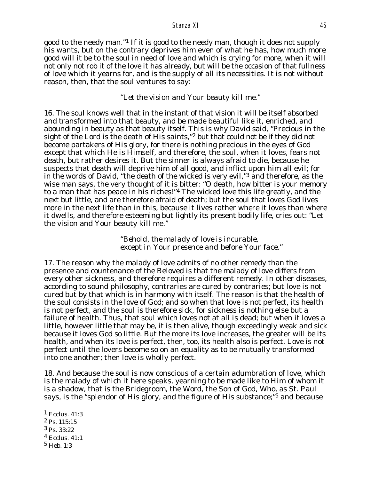good to the needy man."1 If it is good to the needy man, though it does not supply his wants, but on the contrary deprives him even of what he has, how much more good will it be to the soul in need of love and which is crying for more, when it will not only not rob it of the love it has already, but will be the occasion of that fullness of love which it yearns for, and is the supply of all its necessities. It is not without reason, then, that the soul ventures to say:

#### *"Let the vision and Your beauty kill me."*

16. The soul knows well that in the instant of that vision it will be itself absorbed and transformed into that beauty, and be made beautiful like it, enriched, and abounding in beauty as that beauty itself. This is why David said, "Precious in the sight of the Lord is the death of His saints,"2 but that could not be if they did not become partakers of His glory, for there is nothing precious in the eyes of God except that which He is Himself, and therefore, the soul, when it loves, fears not death, but rather desires it. But the sinner is always afraid to die, because he suspects that death will deprive him of all good, and inflict upon him all evil; for in the words of David, "the death of the wicked is very evil,"3 and therefore, as the wise man says, the very thought of it is bitter: "O death, how bitter is your memory to a man that has peace in his riches!"4 The wicked love this life greatly, and the next but little, and are therefore afraid of death; but the soul that loves God lives more in the next life than in this, because it lives rather where it loves than where it dwells, and therefore esteeming but lightly its present bodily life, cries out: "Let the vision and Your beauty kill me."

#### *"Behold, the malady of love is incurable, except in Your presence and before Your face."*

17. The reason why the malady of love admits of no other remedy than the presence and countenance of the Beloved is that the malady of love differs from every other sickness, and therefore requires a different remedy. In other diseases, according to sound philosophy, contraries are cured by contraries; but love is not cured but by that which is in harmony with itself. The reason is that the health of the soul consists in the love of God; and so when that love is not perfect, its health is not perfect, and the soul is therefore sick, for sickness is nothing else but a failure of health. Thus, that soul which loves not at all is dead; but when it loves a little, however little that may be, it is then alive, though exceedingly weak and sick because it loves God so little. But the more its love increases, the greater will be its health, and when its love is perfect, then, too, its health also is perfect. Love is not perfect until the lovers become so on an equality as to be mutually transformed into one another; then love is wholly perfect.

18. And because the soul is now conscious of a certain adumbration of love, which is the malady of which it here speaks, yearning to be made like to Him of whom it is a shadow, that is the Bridegroom, the Word, the Son of God, Who, as St. Paul says, is the "splendor of His glory, and the figure of His substance;"5 and because

- 3 Ps. 33:22
- 4 Ecclus. 41:1
- 5 Heb. 1:3

 $1$  Ecclus. 41:3

 $^{2}$  Ps. 115:15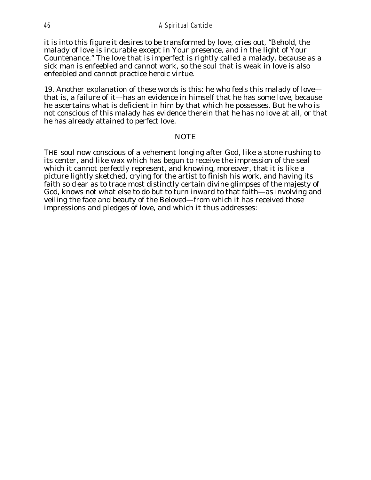it is into this figure it desires to be transformed by love, cries out, "Behold, the malady of love is incurable except in Your presence, and in the light of Your Countenance." The love that is imperfect is rightly called a malady, because as a sick man is enfeebled and cannot work, so the soul that is weak in love is also enfeebled and cannot practice heroic virtue.

19. Another explanation of these words is this: he who feels this malady of love that is, a failure of it—has an evidence in himself that he has some love, because he ascertains what is deficient in him by that which he possesses. But he who is not conscious of this malady has evidence therein that he has no love at all, or that he has already attained to perfect love.

#### NOTE

THE soul now conscious of a vehement longing after God, like a stone rushing to its center, and like wax which has begun to receive the impression of the seal which it cannot perfectly represent, and knowing, moreover, that it is like a picture lightly sketched, crying for the artist to finish his work, and having its faith so clear as to trace most distinctly certain divine glimpses of the majesty of God, knows not what else to do but to turn inward to that faith—as involving and veiling the face and beauty of the Beloved—from which it has received those impressions and pledges of love, and which it thus addresses: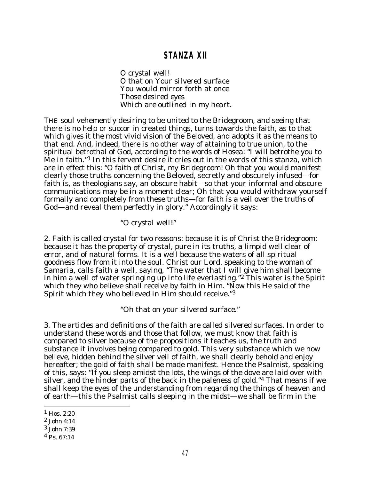## *STANZA XII*

*O crystal well! O that on Your silvered surface You would mirror forth at once Those desired eyes Which are outlined in my heart.*

THE soul vehemently desiring to be united to the Bridegroom, and seeing that there is no help or succor in created things, turns towards the faith, as to that which gives it the most vivid vision of the Beloved, and adopts it as the means to that end. And, indeed, there is no other way of attaining to true union, to the spiritual betrothal of God, according to the words of Hosea: "I will betrothe you to Me in faith."1 In this fervent desire it cries out in the words of this stanza, which are in effect this: "O faith of Christ, my Bridegroom! Oh that you would manifest clearly those truths concerning the Beloved, secretly and obscurely infused—for faith is, as theologians say, an obscure habit—so that your informal and obscure communications may be in a moment clear; Oh that you would withdraw yourself formally and completely from these truths—for faith is a veil over the truths of God—and reveal them perfectly in glory." Accordingly it says:

### *"O crystal well!"*

2. Faith is called crystal for two reasons: because it is of Christ the Bridegroom; because it has the property of crystal, pure in its truths, a limpid well clear of error, and of natural forms. It is a well because the waters of all spiritual goodness flow from it into the soul. Christ our Lord, speaking to the woman of Samaria, calls faith a well, saying, "The water that I will give him shall become in him a well of water springing up into life everlasting."2 This water is the Spirit which they who believe shall receive by faith in Him. "Now this He said of the Spirit which they who believed in Him should receive."3

#### *"Oh that on your silvered surface."*

3. The articles and definitions of the faith are called silvered surfaces. In order to understand these words and those that follow, we must know that faith is compared to silver because of the propositions it teaches us, the truth and substance it involves being compared to gold. This very substance which we now believe, hidden behind the silver veil of faith, we shall clearly behold and enjoy hereafter; the gold of faith shall be made manifest. Hence the Psalmist, speaking of this, says: "If you sleep amidst the lots, the wings of the dove are laid over with silver, and the hinder parts of the back in the paleness of gold."4 That means if we shall keep the eyes of the understanding from regarding the things of heaven and of earth—this the Psalmist calls sleeping in the midst—we shall be firm in the

<sup>1</sup> Hos. 2:20

<sup>2</sup> John 4:14

<sup>3</sup> John 7:39

<sup>4</sup> Ps. 67:14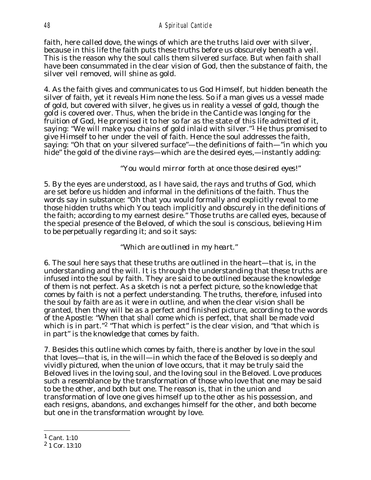faith, here called dove, the wings of which are the truths laid over with silver, because in this life the faith puts these truths before us obscurely beneath a veil. This is the reason why the soul calls them silvered surface. But when faith shall have been consummated in the clear vision of God, then the substance of faith, the silver veil removed, will shine as gold.

4. As the faith gives and communicates to us God Himself, but hidden beneath the silver of faith, yet it reveals Him none the less. So if a man gives us a vessel made of gold, but covered with silver, he gives us in reality a vessel of gold, though the gold is covered over. Thus, when the bride in the Canticle was longing for the fruition of God, He promised it to her so far as the state of this life admitted of it, saying: "We will make you chains of gold inlaid with silver."1 He thus promised to give Himself to her under the veil of faith. Hence the soul addresses the faith, saying: "Oh that on your silvered surface"—the definitions of faith—"in which you hide" the gold of the divine rays—which are the desired eyes,—instantly adding:

### *"You would mirror forth at once those desired eyes!"*

5. By the eyes are understood, as I have said, the rays and truths of God, which are set before us hidden and informal in the definitions of the faith. Thus the words say in substance: "Oh that you would formally and explicitly reveal to me those hidden truths which You teach implicitly and obscurely in the definitions of the faith; according to my earnest desire." Those truths are called eyes, because of the special presence of the Beloved, of which the soul is conscious, believing Him to be perpetually regarding it; and so it says:

# *"Which are outlined in my heart."*

6. The soul here says that these truths are outlined in the heart—that is, in the understanding and the will. It is through the understanding that these truths are infused into the soul by faith. They are said to be outlined because the knowledge of them is not perfect. As a sketch is not a perfect picture, so the knowledge that comes by faith is not a perfect understanding. The truths, therefore, infused into the soul by faith are as it were in outline, and when the clear vision shall be granted, then they will be as a perfect and finished picture, according to the words of the Apostle: "When that shall come which is perfect, that shall be made void which is in part."<sup>2</sup> "That which is perfect" is the clear vision, and "that which is in part" is the knowledge that comes by faith.

7. Besides this outline which comes by faith, there is another by love in the soul that loves—that is, in the will—in which the face of the Beloved is so deeply and vividly pictured, when the union of love occurs, that it may be truly said the Beloved lives in the loving soul, and the loving soul in the Beloved. Love produces such a resemblance by the transformation of those who love that one may be said to be the other, and both but one. The reason is, that in the union and transformation of love one gives himself up to the other as his possession, and each resigns, abandons, and exchanges himself for the other, and both become but one in the transformation wrought by love.

<sup>1</sup> Cant. 1:10

<sup>2</sup> 1 Cor. 13:10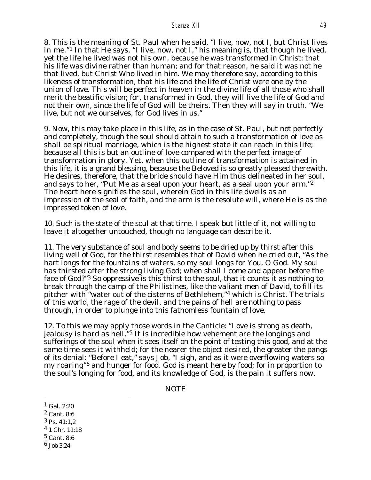8. This is the meaning of St. Paul when he said, "I live, now, not I, but Christ lives in me."1 In that He says, "I live, now, not I," his meaning is, that though he lived, yet the life he lived was not his own, because he was transformed in Christ: that his life was divine rather than human; and for that reason, he said it was not he that lived, but Christ Who lived in him. We may therefore say, according to this likeness of transformation, that his life and the life of Christ were one by the union of love. This will be perfect in heaven in the divine life of all those who shall merit the beatific vision; for, transformed in God, they will live the life of God and not their own, since the life of God will be theirs. Then they will say in truth. "We live, but not we ourselves, for God lives in us."

9. Now, this may take place in this life, as in the case of St. Paul, but not perfectly and completely, though the soul should attain to such a transformation of love as shall be spiritual marriage, which is the highest state it can reach in this life; because all this is but an outline of love compared with the perfect image of transformation in glory. Yet, when this outline of transformation is attained in this life, it is a grand blessing, because the Beloved is so greatly pleased therewith. He desires, therefore, that the bride should have Him thus delineated in her soul, and says to her, "Put Me as a seal upon your heart, as a seal upon your arm."2 The heart here signifies the soul, wherein God in this life dwells as an impression of the seal of faith, and the arm is the resolute will, where He is as the impressed token of love.

10. Such is the state of the soul at that time. I speak but little of it, not willing to leave it altogether untouched, though no language can describe it.

11. The very substance of soul and body seems to be dried up by thirst after this living well of God, for the thirst resembles that of David when he cried out, "As the hart longs for the fountains of waters, so my soul longs for You, O God. My soul has thirsted after the strong living God; when shall I come and appear before the face of God?"3 So oppressive is this thirst to the soul, that it counts it as nothing to break through the camp of the Philistines, like the valiant men of David, to fill its pitcher with "water out of the cisterns of Bethlehem,"4 which is Christ. The trials of this world, the rage of the devil, and the pains of hell are nothing to pass through, in order to plunge into this fathomless fountain of love.

12. To this we may apply those words in the Canticle: "Love is strong as death, jealousy is hard as hell."5 It is incredible how vehement are the longings and sufferings of the soul when it sees itself on the point of testing this good, and at the same time sees it withheld; for the nearer the object desired, the greater the pangs of its denial: "Before I eat," says Job, "I sigh, and as it were overflowing waters so my roaring"6 and hunger for food. God is meant here by food; for in proportion to the soul's longing for food, and its knowledge of God, is the pain it suffers now.

NOTE

- 2 Cant. 8:6
- $3$  Ps. 41:1.2
- 4 1 Chr. 11:18
- 5 Cant. 8:6
- $6$  Job  $3:24$

<sup>1</sup> Gal. 2:20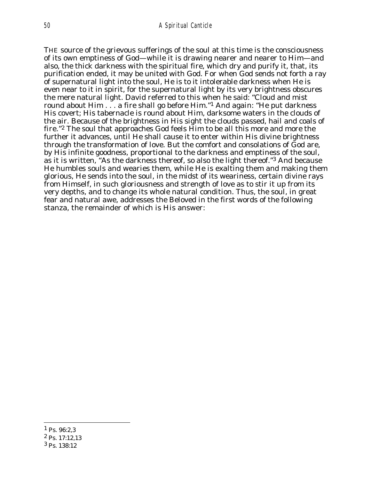THE source of the grievous sufferings of the soul at this time is the consciousness of its own emptiness of God—while it is drawing nearer and nearer to Him—and also, the thick darkness with the spiritual fire, which dry and purify it, that, its purification ended, it may be united with God. For when God sends not forth a ray of supernatural light into the soul, He is to it intolerable darkness when He is even near to it in spirit, for the supernatural light by its very brightness obscures the mere natural light. David referred to this when he said: "Cloud and mist round about Him . . . a fire shall go before Him."<sup>1</sup> And again: "He put darkness His covert; His tabernacle is round about Him, darksome waters in the clouds of the air. Because of the brightness in His sight the clouds passed, hail and coals of fire."2 The soul that approaches God feels Him to be all this more and more the further it advances, until He shall cause it to enter within His divine brightness through the transformation of love. But the comfort and consolations of God are, by His infinite goodness, proportional to the darkness and emptiness of the soul, as it is written, "As the darkness thereof, so also the light thereof."3 And because He humbles souls and wearies them, while He is exalting them and making them glorious, He sends into the soul, in the midst of its weariness, certain divine rays from Himself, in such gloriousness and strength of love as to stir it up from its very depths, and to change its whole natural condition. Thus, the soul, in great fear and natural awe, addresses the Beloved in the first words of the following stanza, the remainder of which is His answer:

- 1 Ps. 96:2,3
- 2 Ps. 17:12,13
- 3 Ps. 138:12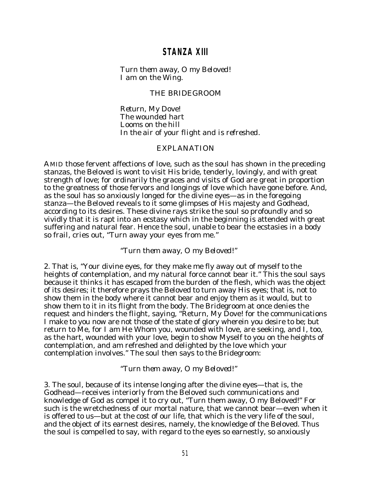## *STANZA XIII*

#### *Turn them away, O my Beloved! I am on the Wing.*

#### THE BRIDEGROOM

*Return, My Dove! The wounded hart Looms on the hill In the air of your flight and is refreshed.*

#### EXPLANATION

AMID those fervent affections of love, such as the soul has shown in the preceding stanzas, the Beloved is wont to visit His bride, tenderly, lovingly, and with great strength of love; for ordinarily the graces and visits of God are great in proportion to the greatness of those fervors and longings of love which have gone before. And, as the soul has so anxiously longed for the divine eyes—as in the foregoing stanza—the Beloved reveals to it some glimpses of His majesty and Godhead, according to its desires. These divine rays strike the soul so profoundly and so vividly that it is rapt into an ecstasy which in the beginning is attended with great suffering and natural fear. Hence the soul, unable to bear the ecstasies in a body so frail, cries out, "Turn away your eyes from me."

#### *"Turn them away, O my Beloved!"*

2. That is, "Your divine eyes, for they make me fly away out of myself to the heights of contemplation, and my natural force cannot bear it." This the soul says because it thinks it has escaped from the burden of the flesh, which was the object of its desires; it therefore prays the Beloved to turn away His eyes; that is, not to show them in the body where it cannot bear and enjoy them as it would, but to show them to it in its flight from the body. The Bridegroom at once denies the request and hinders the flight, saying, "Return, My Dove! for the communications I make to you now are not those of the state of glory wherein you desire to be; but return to Me, for I am He Whom you, wounded with love, are seeking, and I, too, as the hart, wounded with your love, begin to show Myself to you on the heights of contemplation, and am refreshed and delighted by the love which your contemplation involves." The soul then says to the Bridegroom:

#### *"Turn them away, O my Beloved!"*

3. The soul, because of its intense longing after the divine eyes—that is, the Godhead—receives interiorly from the Beloved such communications and knowledge of God as compel it to cry out, "Turn them away, O my Beloved!" For such is the wretchedness of our mortal nature, that we cannot bear—even when it is offered to us—but at the cost of our life, that which is the very life of the soul, and the object of its earnest desires, namely, the knowledge of the Beloved. Thus the soul is compelled to say, with regard to the eyes so earnestly, so anxiously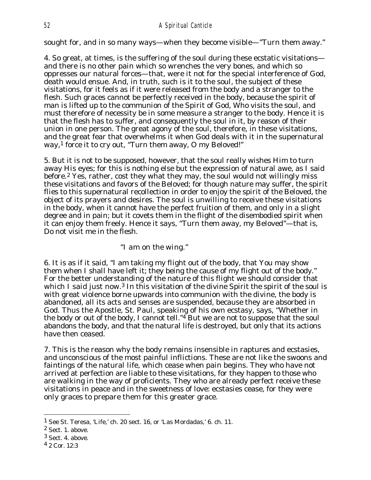sought for, and in so many ways—when they become visible—"Turn them away."

4. So great, at times, is the suffering of the soul during these ecstatic visitations and there is no other pain which so wrenches the very bones, and which so oppresses our natural forces—that, were it not for the special interference of God, death would ensue. And, in truth, such is it to the soul, the subject of these visitations, for it feels as if it were released from the body and a stranger to the flesh. Such graces cannot be perfectly received in the body, because the spirit of man is lifted up to the communion of the Spirit of God, Who visits the soul, and must therefore of necessity be in some measure a stranger to the body. Hence it is that the flesh has to suffer, and consequently the soul in it, by reason of their union in one person. The great agony of the soul, therefore, in these visitations, and the great fear that overwhelms it when God deals with it in the supernatural way,1 force it to cry out, "Turn them away, O my Beloved!"

5. But it is not to be supposed, however, that the soul really wishes Him to turn away His eyes; for this is nothing else but the expression of natural awe, as I said before.<sup>2</sup> Yes, rather, cost they what they may, the soul would not willingly miss these visitations and favors of the Beloved; for though nature may suffer, the spirit flies to this supernatural recollection in order to enjoy the spirit of the Beloved, the object of its prayers and desires. The soul is unwilling to receive these visitations in the body, when it cannot have the perfect fruition of them, and only in a slight degree and in pain; but it covets them in the flight of the disembodied spirit when it can enjoy them freely. Hence it says, "Turn them away, my Beloved"—that is, Do not visit me in the flesh.

### *"I am on the wing."*

6. It is as if it said, "I am taking my flight out of the body, that You may show them when I shall have left it; they being the cause of my flight out of the body." For the better understanding of the nature of this flight we should consider that which I said just now.<sup>3</sup> In this visitation of the divine Spirit the spirit of the soul is with great violence borne upwards into communion with the divine, the body is abandoned, all its acts and senses are suspended, because they are absorbed in God. Thus the Apostle, St. Paul, speaking of his own ecstasy, says, "Whether in the body or out of the body, I cannot tell." $4$  But we are not to suppose that the soul abandons the body, and that the natural life is destroyed, but only that its actions have then ceased.

7. This is the reason why the body remains insensible in raptures and ecstasies, and unconscious of the most painful inflictions. These are not like the swoons and faintings of the natural life, which cease when pain begins. They who have not arrived at perfection are liable to these visitations, for they happen to those who are walking in the way of proficients. They who are already perfect receive these visitations in peace and in the sweetness of love: ecstasies cease, for they were only graces to prepare them for this greater grace.

<sup>1</sup> See St. Teresa, 'Life,' ch. 20 sect. 16, or 'Las Mordadas,' 6. ch. 11.

<sup>2</sup> Sect. 1. above.

<sup>3</sup> Sect. 4. above.

<sup>4</sup> 2 Cor. 12:3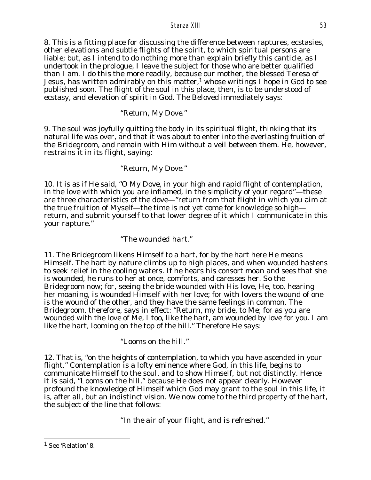#### *Stanza XIII 53*

8. This is a fitting place for discussing the difference between raptures, ecstasies, other elevations and subtle flights of the spirit, to which spiritual persons are liable; but, as I intend to do nothing more than explain briefly this canticle, as I undertook in the prologue, I leave the subject for those who are better qualified than I am. I do this the more readily, because our mother, the blessed Teresa of Jesus, has written admirably on this matter,<sup>1</sup> whose writings I hope in God to see published soon. The flight of the soul in this place, then, is to be understood of ecstasy, and elevation of spirit in God. The Beloved immediately says:

### *"Return, My Dove."*

9. The soul was joyfully quitting the body in its spiritual flight, thinking that its natural life was over, and that it was about to enter into the everlasting fruition of the Bridegroom, and remain with Him without a veil between them. He, however, restrains it in its flight, saying:

### *"Return, My Dove."*

10. It is as if He said, "O My Dove, in your high and rapid flight of contemplation, in the love with which you are inflamed, in the simplicity of your regard"—these are three characteristics of the dove—"return from that flight in which you aim at the true fruition of Myself—the time is not yet come for knowledge so high return, and submit yourself to that lower degree of it which I communicate in this your rapture."

### *"The wounded hart."*

11. The Bridegroom likens Himself to a hart, for by the hart here He means Himself. The hart by nature climbs up to high places, and when wounded hastens to seek relief in the cooling waters. If he hears his consort moan and sees that she is wounded, he runs to her at once, comforts, and caresses her. So the Bridegroom now; for, seeing the bride wounded with His love, He, too, hearing her moaning, is wounded Himself with her love; for with lovers the wound of one is the wound of the other, and they have the same feelings in common. The Bridegroom, therefore, says in effect: "Return, my bride, to Me; for as you are wounded with the love of Me, I too, like the hart, am wounded by love for you. I am like the hart, looming on the top of the hill." Therefore He says:

### *"Looms on the hill."*

12. That is, "on the heights of contemplation, to which you have ascended in your flight." Contemplation is a lofty eminence where God, in this life, begins to communicate Himself to the soul, and to show Himself, but not distinctly. Hence it is said, "Looms on the hill," because He does not appear clearly. However profound the knowledge of Himself which God may grant to the soul in this life, it is, after all, but an indistinct vision. We now come to the third property of the hart, the subject of the line that follows:

*"In the air of your flight, and is refreshed."*

<sup>1</sup> See 'Relation' 8.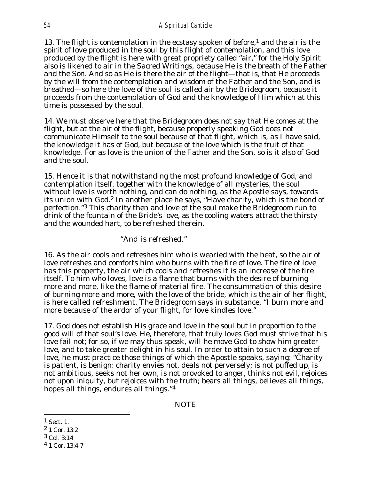13. The flight is contemplation in the ecstasy spoken of before,<sup>1</sup> and the air is the spirit of love produced in the soul by this flight of contemplation, and this love produced by the flight is here with great propriety called "air," for the Holy Spirit also is likened to air in the Sacred Writings, because He is the breath of the Father and the Son. And so as He is there the air of the flight—that is, that He proceeds by the will from the contemplation and wisdom of the Father and the Son, and is breathed—so here the love of the soul is called air by the Bridegroom, because it proceeds from the contemplation of God and the knowledge of Him which at this time is possessed by the soul.

14. We must observe here that the Bridegroom does not say that He comes at the flight, but at the air of the flight, because properly speaking God does not communicate Himself to the soul because of that flight, which is, as I have said, the knowledge it has of God, but because of the love which is the fruit of that knowledge. For as love is the union of the Father and the Son, so is it also of God and the soul.

15. Hence it is that notwithstanding the most profound knowledge of God, and contemplation itself, together with the knowledge of all mysteries, the soul without love is worth nothing, and can do nothing, as the Apostle says, towards its union with God.2 In another place he says, "Have charity, which is the bond of perfection."3 This charity then and love of the soul make the Bridegroom run to drink of the fountain of the Bride's love, as the cooling waters attract the thirsty and the wounded hart, to be refreshed therein.

### *"And is refreshed."*

16. As the air cools and refreshes him who is wearied with the heat, so the air of love refreshes and comforts him who burns with the fire of love. The fire of love has this property, the air which cools and refreshes it is an increase of the fire itself. To him who loves, love is a flame that burns with the desire of burning more and more, like the flame of material fire. The consummation of this desire of burning more and more, with the love of the bride, which is the air of her flight, is here called refreshment. The Bridegroom says in substance, "I burn more and more because of the ardor of your flight, for love kindles love."

17. God does not establish His grace and love in the soul but in proportion to the good will of that soul's love. He, therefore, that truly loves God must strive that his love fail not; for so, if we may thus speak, will he move God to show him greater love, and to take greater delight in his soul. In order to attain to such a degree of love, he must practice those things of which the Apostle speaks, saying: "Charity is patient, is benign: charity envies not, deals not perversely; is not puffed up, is not ambitious, seeks not her own, is not provoked to anger, thinks not evil, rejoices not upon iniquity, but rejoices with the truth; bears all things, believes all things, hopes all things, endures all things."4

NOTE

- 2 1 Cor. 13:2
- 3 Col. 3:14
- 4 1 Cor. 13:4-7

<sup>1</sup> Sect. 1.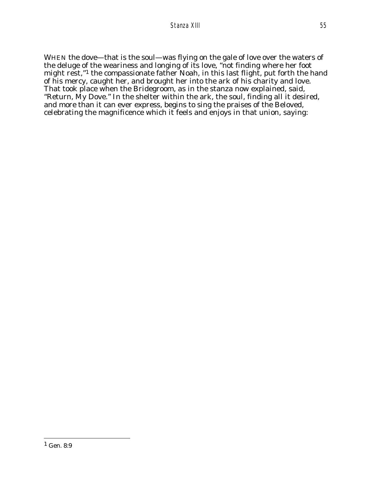WHEN the dove—that is the soul—was flying on the gale of love over the waters of the deluge of the weariness and longing of its love, "not finding where her foot might rest,"<sup>1</sup> the compassionate father Noah, in this last flight, put forth the hand of his mercy, caught her, and brought her into the ark of his charity and love. That took place when the Bridegroom, as in the stanza now explained, said, "Return, My Dove." In the shelter within the ark, the soul, finding all it desired, and more than it can ever express, begins to sing the praises of the Beloved, celebrating the magnificence which it feels and enjoys in that union, saying: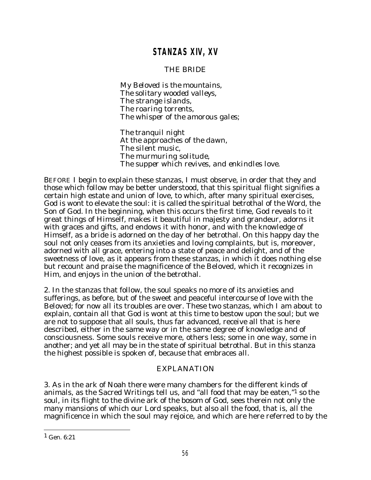# *STANZAS XIV, XV*

## THE BRIDE

*My Beloved is the mountains, The solitary wooded valleys, The strange islands, The roaring torrents, The whisper of the amorous gales;*

*The tranquil night At the approaches of the dawn, The silent music, The murmuring solitude, The supper which revives, and enkindles love.*

BEFORE I begin to explain these stanzas, I must observe, in order that they and those which follow may be better understood, that this spiritual flight signifies a certain high estate and union of love, to which, after many spiritual exercises, God is wont to elevate the soul: it is called the spiritual betrothal of the Word, the Son of God. In the beginning, when this occurs the first time, God reveals to it great things of Himself, makes it beautiful in majesty and grandeur, adorns it with graces and gifts, and endows it with honor, and with the knowledge of Himself, as a bride is adorned on the day of her betrothal. On this happy day the soul not only ceases from its anxieties and loving complaints, but is, moreover, adorned with all grace, entering into a state of peace and delight, and of the sweetness of love, as it appears from these stanzas, in which it does nothing else but recount and praise the magnificence of the Beloved, which it recognizes in Him, and enjoys in the union of the betrothal.

2. In the stanzas that follow, the soul speaks no more of its anxieties and sufferings, as before, but of the sweet and peaceful intercourse of love with the Beloved; for now all its troubles are over. These two stanzas, which I am about to explain, contain all that God is wont at this time to bestow upon the soul; but we are not to suppose that all souls, thus far advanced, receive all that is here described, either in the same way or in the same degree of knowledge and of consciousness. Some souls receive more, others less; some in one way, some in another; and yet all may be in the state of spiritual betrothal. But in this stanza the highest possible is spoken of, because that embraces all.

### EXPLANATION

3. As in the ark of Noah there were many chambers for the different kinds of animals, as the Sacred Writings tell us, and "all food that may be eaten,"1 so the soul, in its flight to the divine ark of the bosom of God, sees therein not only the many mansions of which our Lord speaks, but also all the food, that is, all the magnificence in which the soul may rejoice, and which are here referred to by the

<sup>1</sup> Gen. 6:21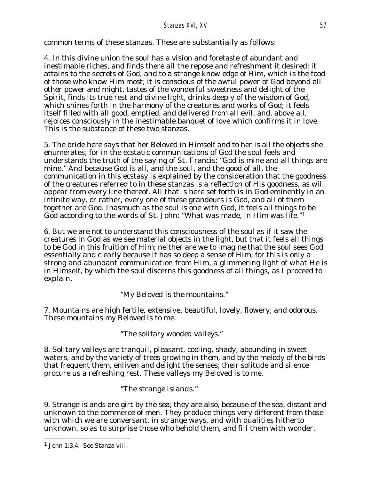common terms of these stanzas. These are substantially as follows:

4. In this divine union the soul has a vision and foretaste of abundant and inestimable riches, and finds there all the repose and refreshment it desired; it attains to the secrets of God, and to a strange knowledge of Him, which is the food of those who know Him most; it is conscious of the awful power of God beyond all other power and might, tastes of the wonderful sweetness and delight of the Spirit, finds its true rest and divine light, drinks deeply of the wisdom of God, which shines forth in the harmony of the creatures and works of God; it feels itself filled with all good, emptied, and delivered from all evil, and, above all, rejoices consciously in the inestimable banquet of love which confirms it in love. This is the substance of these two stanzas.

5. The bride here says that her Beloved in Himself and to her is all the objects she enumerates; for in the ecstatic communications of God the soul feels and understands the truth of the saying of St. Francis: "God is mine and all things are mine." And because God is all, and the soul, and the good of all, the communication in this ecstasy is explained by the consideration that the goodness of the creatures referred to in these stanzas is a reflection of His goodness, as will appear from every line thereof. All that is here set forth is in God eminently in an infinite way, or rather, every one of these grandeurs is God, and all of them together are God. Inasmuch as the soul is one with God, it feels all things to be God according to the words of St. John: "What was made, in Him was life."1

6. But we are not to understand this consciousness of the soul as if it saw the creatures in God as we see material objects in the light, but that it feels all things to be God in this fruition of Him; neither are we to imagine that the soul sees God essentially and clearly because it has so deep a sense of Him; for this is only a strong and abundant communication from Him, a glimmering light of what He is in Himself, by which the soul discerns this goodness of all things, as I proceed to explain.

### *"My Beloved is the mountains."*

7. Mountains are high fertile, extensive, beautiful, lovely, flowery, and odorous. These mountains my Beloved is to me.

# *"The solitary wooded valleys."*

8. Solitary valleys are tranquil, pleasant, cooling, shady, abounding in sweet waters, and by the variety of trees growing in them, and by the melody of the birds that frequent them, enliven and delight the senses; their solitude and silence procure us a refreshing rest. These valleys my Beloved is to me.

# *"The strange islands."*

9. Strange islands are girt by the sea; they are also, because of the sea, distant and unknown to the commerce of men. They produce things very different from those with which we are conversant, in strange ways, and with qualities hitherto unknown, so as to surprise those who behold them, and fill them with wonder.

<sup>1</sup> John 1:3,4. See Stanza viii.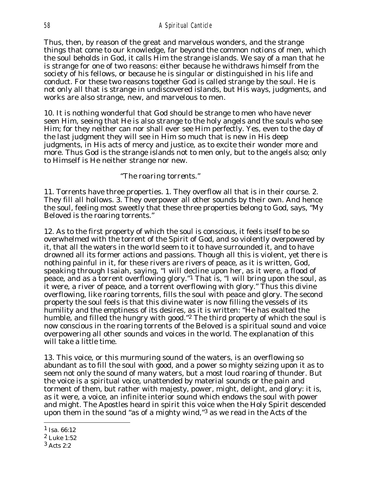Thus, then, by reason of the great and marvelous wonders, and the strange things that come to our knowledge, far beyond the common notions of men, which the soul beholds in God, it calls Him the strange islands. We say of a man that he is strange for one of two reasons: either because he withdraws himself from the society of his fellows, or because he is singular or distinguished in his life and conduct. For these two reasons together God is called strange by the soul. He is not only all that is strange in undiscovered islands, but His ways, judgments, and works are also strange, new, and marvelous to men.

10. It is nothing wonderful that God should be strange to men who have never seen Him, seeing that He is also strange to the holy angels and the souls who see Him; for they neither can nor shall ever see Him perfectly. Yes, even to the day of the last judgment they will see in Him so much that is new in His deep judgments, in His acts of mercy and justice, as to excite their wonder more and more. Thus God is the strange islands not to men only, but to the angels also; only to Himself is He neither strange nor new.

### *"The roaring torrents."*

11. Torrents have three properties. 1. They overflow all that is in their course. 2. They fill all hollows. 3. They overpower all other sounds by their own. And hence the soul, feeling most sweetly that these three properties belong to God, says, "My Beloved is the roaring torrents."

12. As to the first property of which the soul is conscious, it feels itself to be so overwhelmed with the torrent of the Spirit of God, and so violently overpowered by it, that all the waters in the world seem to it to have surrounded it, and to have drowned all its former actions and passions. Though all this is violent, yet there is nothing painful in it, for these rivers are rivers of peace, as it is written, God, speaking through Isaiah, saying, "I will decline upon her, as it were, a flood of peace, and as a torrent overflowing glory."1 That is, "I will bring upon the soul, as it were, a river of peace, and a torrent overflowing with glory." Thus this divine overflowing, like roaring torrents, fills the soul with peace and glory. The second property the soul feels is that this divine water is now filling the vessels of its humility and the emptiness of its desires, as it is written: "He has exalted the humble, and filled the hungry with good."2 The third property of which the soul is now conscious in the roaring torrents of the Beloved is a spiritual sound and voice overpowering all other sounds and voices in the world. The explanation of this will take a little time.

13. This voice, or this murmuring sound of the waters, is an overflowing so abundant as to fill the soul with good, and a power so mighty seizing upon it as to seem not only the sound of many waters, but a most loud roaring of thunder. But the voice is a spiritual voice, unattended by material sounds or the pain and torment of them, but rather with majesty, power, might, delight, and glory: it is, as it were, a voice, an infinite interior sound which endows the soul with power and might. The Apostles heard in spirit this voice when the Holy Spirit descended upon them in the sound "as of a mighty wind,"3 as we read in the Acts of the

 $1$  Isa. 66:12

<sup>2</sup> Luke 1:52

<sup>3</sup> Acts 2:2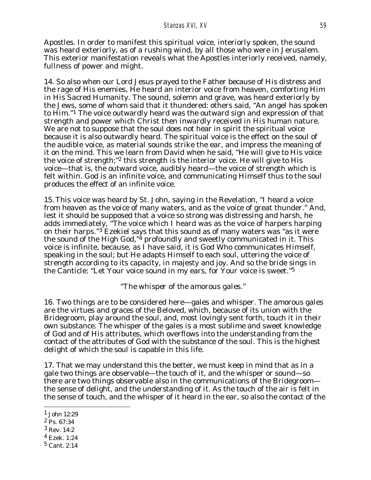Apostles. In order to manifest this spiritual voice, interiorly spoken, the sound was heard exteriorly, as of a rushing wind, by all those who were in Jerusalem. This exterior manifestation reveals what the Apostles interiorly received, namely, fullness of power and might.

14. So also when our Lord Jesus prayed to the Father because of His distress and the rage of His enemies, He heard an interior voice from heaven, comforting Him in His Sacred Humanity. The sound, solemn and grave, was heard exteriorly by the Jews, some of whom said that it thundered: others said, "An angel has spoken to Him."1 The voice outwardly heard was the outward sign and expression of that strength and power which Christ then inwardly received in His human nature. We are not to suppose that the soul does not hear in spirit the spiritual voice because it is also outwardly heard. The spiritual voice is the effect on the soul of the audible voice, as material sounds strike the ear, and impress the meaning of it on the mind. This we learn from David when he said, "He will give to His voice the voice of strength;"2 this strength is the interior voice. He will give to His voice—that is, the outward voice, audibly heard—the voice of strength which is felt within. God is an infinite voice, and communicating Himself thus to the soul produces the effect of an infinite voice.

15. This voice was heard by St. John, saying in the Revelation, "I heard a voice from heaven as the voice of many waters, and as the voice of great thunder." And, lest it should be supposed that a voice so strong was distressing and harsh, he adds immediately, "The voice which I heard was as the voice of harpers harping on their harps."3 Ezekiel says that this sound as of many waters was "as it were the sound of the High God,"4 profoundly and sweetly communicated in it. This voice is infinite, because, as I have said, it is God Who communicates Himself, speaking in the soul; but He adapts Himself to each soul, uttering the voice of strength according to its capacity, in majesty and joy. And so the bride sings in the Canticle: "Let Your voice sound in my ears, for Your voice is sweet."5

*"The whisper of the amorous gales."*

16. Two things are to be considered here—gales and whisper. The amorous gales are the virtues and graces of the Beloved, which, because of its union with the Bridegroom, play around the soul, and, most lovingly sent forth, touch it in their own substance. The whisper of the gales is a most sublime and sweet knowledge of God and of His attributes, which overflows into the understanding from the contact of the attributes of God with the substance of the soul. This is the highest delight of which the soul is capable in this life.

17. That we may understand this the better, we must keep in mind that as in a gale two things are observable—the touch of it, and the whisper or sound—so there are two things observable also in the communications of the Bridegroom the sense of delight, and the understanding of it. As the touch of the air is felt in the sense of touch, and the whisper of it heard in the ear, so also the contact of the

- 4 Ezek. 1:24
- 5 Cant. 2:14

<sup>1</sup> John 12:29

 $2$  Ps. 67:34

<sup>3</sup> Rev. 14:2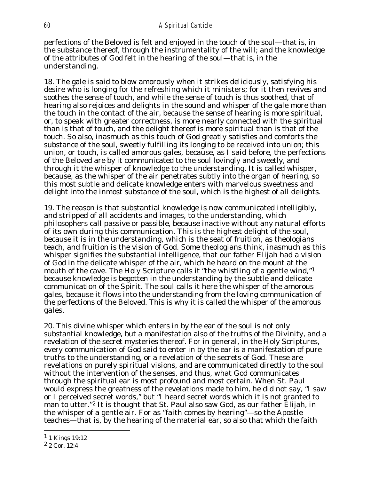perfections of the Beloved is felt and enjoyed in the touch of the soul—that is, in the substance thereof, through the instrumentality of the will; and the knowledge of the attributes of God felt in the hearing of the soul—that is, in the understanding.

18. The gale is said to blow amorously when it strikes deliciously, satisfying his desire who is longing for the refreshing which it ministers; for it then revives and soothes the sense of touch, and while the sense of touch is thus soothed, that of hearing also rejoices and delights in the sound and whisper of the gale more than the touch in the contact of the air, because the sense of hearing is more spiritual, or, to speak with greater correctness, is more nearly connected with the spiritual than is that of touch, and the delight thereof is more spiritual than is that of the touch. So also, inasmuch as this touch of God greatly satisfies and comforts the substance of the soul, sweetly fulfilling its longing to be received into union; this union, or touch, is called amorous gales, because, as I said before, the perfections of the Beloved are by it communicated to the soul lovingly and sweetly, and through it the whisper of knowledge to the understanding. It is called whisper, because, as the whisper of the air penetrates subtly into the organ of hearing, so this most subtle and delicate knowledge enters with marvelous sweetness and delight into the inmost substance of the soul, which is the highest of all delights.

19. The reason is that substantial knowledge is now communicated intelligibly, and stripped of all accidents and images, to the understanding, which philosophers call passive or passible, because inactive without any natural efforts of its own during this communication. This is the highest delight of the soul, because it is in the understanding, which is the seat of fruition, as theologians teach, and fruition is the vision of God. Some theologians think, inasmuch as this whisper signifies the substantial intelligence, that our father Elijah had a vision of God in the delicate whisper of the air, which he heard on the mount at the mouth of the cave. The Holy Scripture calls it "the whistling of a gentle wind,"1 because knowledge is begotten in the understanding by the subtle and delicate communication of the Spirit. The soul calls it here the whisper of the amorous gales, because it flows into the understanding from the loving communication of the perfections of the Beloved. This is why it is called the whisper of the amorous gales.

20. This divine whisper which enters in by the ear of the soul is not only substantial knowledge, but a manifestation also of the truths of the Divinity, and a revelation of the secret mysteries thereof. For in general, in the Holy Scriptures, every communication of God said to enter in by the ear is a manifestation of pure truths to the understanding, or a revelation of the secrets of God. These are revelations on purely spiritual visions, and are communicated directly to the soul without the intervention of the senses, and thus, what God communicates through the spiritual ear is most profound and most certain. When St. Paul would express the greatness of the revelations made to him, he did not say, "I saw or I perceived secret words," but "I heard secret words which it is not granted to man to utter."2 It is thought that St. Paul also saw God, as our father Elijah, in the whisper of a gentle air. For as "faith comes by hearing"—so the Apostle teaches—that is, by the hearing of the material ear, so also that which the faith

<sup>1</sup> 1 Kings 19:12

<sup>2</sup> 2 Cor. 12:4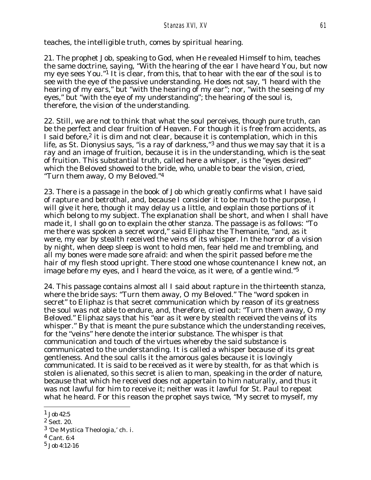teaches, the intelligible truth, comes by spiritual hearing.

21. The prophet Job, speaking to God, when He revealed Himself to him, teaches the same doctrine, saying, "With the hearing of the ear I have heard You, but now my eye sees You."1 It is clear, from this, that to hear with the ear of the soul is to see with the eye of the passive understanding. He does not say, "I heard with the hearing of my ears," but "with the hearing of my ear"; nor, "with the seeing of my eyes," but "with the eye of my understanding"; the hearing of the soul is, therefore, the vision of the understanding.

22. Still, we are not to think that what the soul perceives, though pure truth, can be the perfect and clear fruition of Heaven. For though it is free from accidents, as I said before,<sup>2</sup> it is dim and not clear, because it is contemplation, which in this life, as St. Dionysius says, "is a ray of darkness,"3 and thus we may say that it is a ray and an image of fruition, because it is in the understanding, which is the seat of fruition. This substantial truth, called here a whisper, is the "eyes desired" which the Beloved showed to the bride, who, unable to bear the vision, cried, "Turn them away, O my Beloved."4

23. There is a passage in the book of Job which greatly confirms what I have said of rapture and betrothal, and, because I consider it to be much to the purpose, I will give it here, though it may delay us a little, and explain those portions of it which belong to my subject. The explanation shall be short, and when I shall have made it, I shall go on to explain the other stanza. The passage is as follows: "To me there was spoken a secret word," said Eliphaz the Themanite, "and, as it were, my ear by stealth received the veins of its whisper. In the horror of a vision by night, when deep sleep is wont to hold men, fear held me and trembling, and all my bones were made sore afraid: and when the spirit passed before me the hair of my flesh stood upright. There stood one whose countenance I knew not, an image before my eyes, and I heard the voice, as it were, of a gentle wind."5

24. This passage contains almost all I said about rapture in the thirteenth stanza, where the bride says: "Turn them away, O my Beloved." The "word spoken in secret" to Eliphaz is that secret communication which by reason of its greatness the soul was not able to endure, and, therefore, cried out: "Turn them away, O my Beloved." Eliphaz says that his "ear as it were by stealth received the veins of its whisper." By that is meant the pure substance which the understanding receives, for the "veins" here denote the interior substance. The whisper is that communication and touch of the virtues whereby the said substance is communicated to the understanding. It is called a whisper because of its great gentleness. And the soul calls it the amorous gales because it is lovingly communicated. It is said to be received as it were by stealth, for as that which is stolen is alienated, so this secret is alien to man, speaking in the order of nature, because that which he received does not appertain to him naturally, and thus it was not lawful for him to receive it; neither was it lawful for St. Paul to repeat what he heard. For this reason the prophet says twice, "My secret to myself, my

 $1$  Job 42:5

<sup>2</sup> Sect. 20.

<sup>3</sup> 'De Mystica Theologia,' ch. i.

<sup>4</sup> Cant. 6:4

 $5$  Job 4:12-16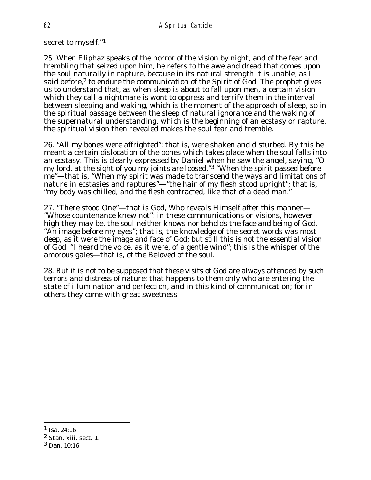secret to myself."1

25. When Eliphaz speaks of the horror of the vision by night, and of the fear and trembling that seized upon him, he refers to the awe and dread that comes upon the soul naturally in rapture, because in its natural strength it is unable, as I said before,<sup>2</sup> to endure the communication of the Spirit of God. The prophet gives us to understand that, as when sleep is about to fall upon men, a certain vision which they call a nightmare is wont to oppress and terrify them in the interval between sleeping and waking, which is the moment of the approach of sleep, so in the spiritual passage between the sleep of natural ignorance and the waking of the supernatural understanding, which is the beginning of an ecstasy or rapture, the spiritual vision then revealed makes the soul fear and tremble.

26. "All my bones were affrighted"; that is, were shaken and disturbed. By this he meant a certain dislocation of the bones which takes place when the soul falls into an ecstasy. This is clearly expressed by Daniel when he saw the angel, saying, "O my lord, at the sight of you my joints are loosed."3 "When the spirit passed before me"—that is, "When my spirit was made to transcend the ways and limitations of nature in ecstasies and raptures"—"the hair of my flesh stood upright"; that is, "my body was chilled, and the flesh contracted, like that of a dead man."

27. "There stood One"—that is God, Who reveals Himself after this manner— "Whose countenance knew not": in these communications or visions, however high they may be, the soul neither knows nor beholds the face and being of God. "An image before my eyes"; that is, the knowledge of the secret words was most deep, as it were the image and face of God; but still this is not the essential vision of God. "I heard the voice, as it were, of a gentle wind"; this is the whisper of the amorous gales—that is, of the Beloved of the soul.

28. But it is not to be supposed that these visits of God are always attended by such terrors and distress of nature: that happens to them only who are entering the state of illumination and perfection, and in this kind of communication; for in others they come with great sweetness.

 $1$  Isa. 24:16

<sup>2</sup> Stan. xiii. sect. 1.

<sup>3</sup> Dan. 10:16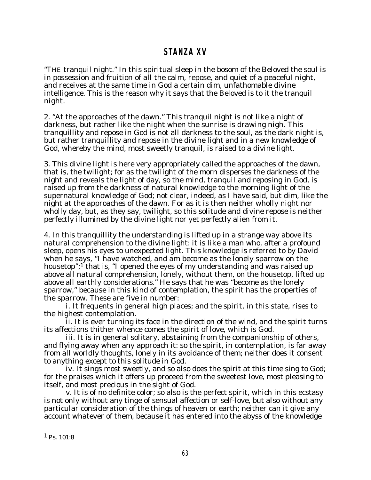# *STANZA XV*

"THE tranquil night." In this spiritual sleep in the bosom of the Beloved the soul is in possession and fruition of all the calm, repose, and quiet of a peaceful night, and receives at the same time in God a certain dim, unfathomable divine intelligence. This is the reason why it says that the Beloved is to it the tranquil night.

2. "At the approaches of the dawn." This tranquil night is not like a night of darkness, but rather like the night when the sunrise is drawing nigh. This tranquillity and repose in God is not all darkness to the soul, as the dark night is, but rather tranquillity and repose in the divine light and in a new knowledge of God, whereby the mind, most sweetly tranquil, is raised to a divine light.

3. This divine light is here very appropriately called the approaches of the dawn, that is, the twilight; for as the twilight of the morn disperses the darkness of the night and reveals the light of day, so the mind, tranquil and reposing in God, is raised up from the darkness of natural knowledge to the morning light of the supernatural knowledge of God; not clear, indeed, as I have said, but dim, like the night at the approaches of the dawn. For as it is then neither wholly night nor wholly day, but, as they say, twilight, so this solitude and divine repose is neither perfectly illumined by the divine light nor yet perfectly alien from it.

4. In this tranquillity the understanding is lifted up in a strange way above its natural comprehension to the divine light: it is like a man who, after a profound sleep, opens his eyes to unexpected light. This knowledge is referred to by David when he says, "I have watched, and am become as the lonely sparrow on the housetop";<sup>1</sup> that is, "I opened the eyes of my understanding and was raised up above all natural comprehension, lonely, without them, on the housetop, lifted up above all earthly considerations." He says that he was "become as the lonely sparrow," because in this kind of contemplation, the spirit has the properties of the sparrow. These are five in number:

i. It frequents in general high places; and the spirit, in this state, rises to the highest contemplation.

ii. It is ever turning its face in the direction of the wind, and the spirit turns its affections thither whence comes the spirit of love, which is God.

iii. It is in general solitary, abstaining from the companionship of others, and flying away when any approach it: so the spirit, in contemplation, is far away from all worldly thoughts, lonely in its avoidance of them; neither does it consent to anything except to this solitude in God.

iv. It sings most sweetly, and so also does the spirit at this time sing to God; for the praises which it offers up proceed from the sweetest love, most pleasing to itself, and most precious in the sight of God.

v. It is of no definite color; so also is the perfect spirit, which in this ecstasy is not only without any tinge of sensual affection or self-love, but also without any particular consideration of the things of heaven or earth; neither can it give any account whatever of them, because it has entered into the abyss of the knowledge

<sup>1</sup> Ps. 101:8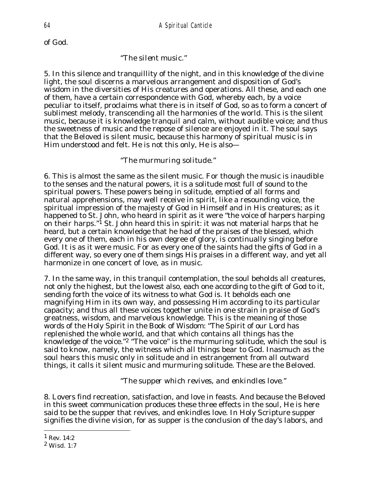of God.

*"The silent music."*

5. In this silence and tranquillity of the night, and in this knowledge of the divine light, the soul discerns a marvelous arrangement and disposition of God's wisdom in the diversities of His creatures and operations. All these, and each one of them, have a certain correspondence with God, whereby each, by a voice peculiar to itself, proclaims what there is in itself of God, so as to form a concert of sublimest melody, transcending all the harmonies of the world. This is the silent music, because it is knowledge tranquil and calm, without audible voice; and thus the sweetness of music and the repose of silence are enjoyed in it. The soul says that the Beloved is silent music, because this harmony of spiritual music is in Him understood and felt. He is not this only, He is also—

## *"The murmuring solitude."*

6. This is almost the same as the silent music. For though the music is inaudible to the senses and the natural powers, it is a solitude most full of sound to the spiritual powers. These powers being in solitude, emptied of all forms and natural apprehensions, may well receive in spirit, like a resounding voice, the spiritual impression of the majesty of God in Himself and in His creatures; as it happened to St. John, who heard in spirit as it were "the voice of harpers harping on their harps."1 St. John heard this in spirit: it was not material harps that he heard, but a certain knowledge that he had of the praises of the blessed, which every one of them, each in his own degree of glory, is continually singing before God. It is as it were music. For as every one of the saints had the gifts of God in a different way, so every one of them sings His praises in a different way, and yet all harmonize in one concert of love, as in music.

7. In the same way, in this tranquil contemplation, the soul beholds all creatures, not only the highest, but the lowest also, each one according to the gift of God to it, sending forth the voice of its witness to what God is. It beholds each one magnifying Him in its own way, and possessing Him according to its particular capacity; and thus all these voices together unite in one strain in praise of God's greatness, wisdom, and marvelous knowledge. This is the meaning of those words of the Holy Spirit in the Book of Wisdom: "The Spirit of our Lord has replenished the whole world, and that which contains all things has the knowledge of the voice."2 "The voice" is the murmuring solitude, which the soul is said to know, namely, the witness which all things bear to God. Inasmuch as the soul hears this music only in solitude and in estrangement from all outward things, it calls it silent music and murmuring solitude. These are the Beloved.

# *"The supper which revives, and enkindles love."*

8. Lovers find recreation, satisfaction, and love in feasts. And because the Beloved in this sweet communication produces these three effects in the soul, He is here said to be the supper that revives, and enkindles love. In Holy Scripture supper signifies the divine vision, for as supper is the conclusion of the day's labors, and

<sup>1</sup> Rev. 14:2

 $2$  Wisd. 1:7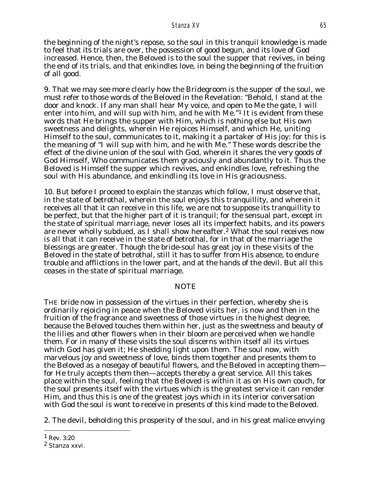the beginning of the night's repose, so the soul in this tranquil knowledge is made to feel that its trials are over, the possession of good begun, and its love of God increased. Hence, then, the Beloved is to the soul the supper that revives, in being the end of its trials, and that enkindles love, in being the beginning of the fruition of all good.

9. That we may see more clearly how the Bridegroom is the supper of the soul, we must refer to those words of the Beloved in the Revelation: "Behold, I stand at the door and knock. If any man shall hear My voice, and open to Me the gate, I will enter into him, and will sup with him, and he with Me."1 It is evident from these words that He brings the supper with Him, which is nothing else but His own sweetness and delights, wherein He rejoices Himself, and which He, uniting Himself to the soul, communicates to it, making it a partaker of His joy: for this is the meaning of "I will sup with him, and he with Me." These words describe the effect of the divine union of the soul with God, wherein it shares the very goods of God Himself, Who communicates them graciously and abundantly to it. Thus the Beloved is Himself the supper which revives, and enkindles love, refreshing the soul with His abundance, and enkindling its love in His graciousness.

10. But before I proceed to explain the stanzas which follow, I must observe that, in the state of betrothal, wherein the soul enjoys this tranquillity, and wherein it receives all that it can receive in this life, we are not to suppose its tranquillity to be perfect, but that the higher part of it is tranquil; for the sensual part, except in the state of spiritual marriage, never loses all its imperfect habits, and its powers are never wholly subdued, as I shall show hereafter.2 What the soul receives now is all that it can receive in the state of betrothal, for in that of the marriage the blessings are greater. Though the bride-soul has great joy in these visits of the Beloved in the state of betrothal, still it has to suffer from His absence, to endure trouble and afflictions in the lower part, and at the hands of the devil. But all this ceases in the state of spiritual marriage.

#### NOTE

THE bride now in possession of the virtues in their perfection, whereby she is ordinarily rejoicing in peace when the Beloved visits her, is now and then in the fruition of the fragrance and sweetness of those virtues in the highest degree, because the Beloved touches them within her, just as the sweetness and beauty of the lilies and other flowers when in their bloom are perceived when we handle them. For in many of these visits the soul discerns within itself all its virtues which God has given it; He shedding light upon them. The soul now, with marvelous joy and sweetness of love, binds them together and presents them to the Beloved as a nosegay of beautiful flowers, and the Beloved in accepting them for He truly accepts them then—accepts thereby a great service. All this takes place within the soul, feeling that the Beloved is within it as on His own couch, for the soul presents itself with the virtues which is the greatest service it can render Him, and thus this is one of the greatest joys which in its interior conversation with God the soul is wont to receive in presents of this kind made to the Beloved.

2. The devil, beholding this prosperity of the soul, and in his great malice envying

<sup>1</sup> Rev. 3:20

<sup>2</sup> Stanza xxvi.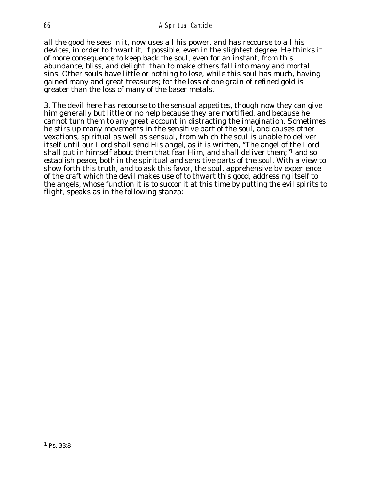all the good he sees in it, now uses all his power, and has recourse to all his devices, in order to thwart it, if possible, even in the slightest degree. He thinks it of more consequence to keep back the soul, even for an instant, from this abundance, bliss, and delight, than to make others fall into many and mortal sins. Other souls have little or nothing to lose, while this soul has much, having gained many and great treasures; for the loss of one grain of refined gold is greater than the loss of many of the baser metals.

3. The devil here has recourse to the sensual appetites, though now they can give him generally but little or no help because they are mortified, and because he cannot turn them to any great account in distracting the imagination. Sometimes he stirs up many movements in the sensitive part of the soul, and causes other vexations, spiritual as well as sensual, from which the soul is unable to deliver itself until our Lord shall send His angel, as it is written, "The angel of the Lord shall put in himself about them that fear Him, and shall deliver them;"1 and so establish peace, both in the spiritual and sensitive parts of the soul. With a view to show forth this truth, and to ask this favor, the soul, apprehensive by experience of the craft which the devil makes use of to thwart this good, addressing itself to the angels, whose function it is to succor it at this time by putting the evil spirits to flight, speaks as in the following stanza: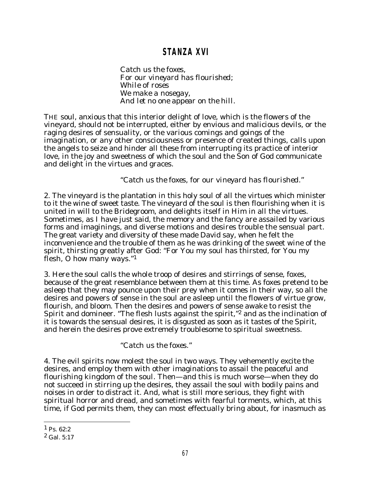# *STANZA XVI*

*Catch us the foxes, For our vineyard has flourished; While of roses We make a nosegay, And let no one appear on the hill.*

THE soul, anxious that this interior delight of love, which is the flowers of the vineyard, should not be interrupted, either by envious and malicious devils, or the raging desires of sensuality, or the various comings and goings of the imagination, or any other consciousness or presence of created things, calls upon the angels to seize and hinder all these from interrupting its practice of interior love, in the joy and sweetness of which the soul and the Son of God communicate and delight in the virtues and graces.

## *"Catch us the foxes, for our vineyard has flourished."*

2. The vineyard is the plantation in this holy soul of all the virtues which minister to it the wine of sweet taste. The vineyard of the soul is then flourishing when it is united in will to the Bridegroom, and delights itself in Him in all the virtues. Sometimes, as I have just said, the memory and the fancy are assailed by various forms and imaginings, and diverse motions and desires trouble the sensual part. The great variety and diversity of these made David say, when he felt the inconvenience and the trouble of them as he was drinking of the sweet wine of the spirit, thirsting greatly after God: "For You my soul has thirsted, for You my flesh, O how many ways."1

3. Here the soul calls the whole troop of desires and stirrings of sense, foxes, because of the great resemblance between them at this time. As foxes pretend to be asleep that they may pounce upon their prey when it comes in their way, so all the desires and powers of sense in the soul are asleep until the flowers of virtue grow, flourish, and bloom. Then the desires and powers of sense awake to resist the Spirit and domineer. "The flesh lusts against the spirit,"2 and as the inclination of it is towards the sensual desires, it is disgusted as soon as it tastes of the Spirit, and herein the desires prove extremely troublesome to spiritual sweetness.

## *"Catch us the foxes."*

4. The evil spirits now molest the soul in two ways. They vehemently excite the desires, and employ them with other imaginations to assail the peaceful and flourishing kingdom of the soul. Then—and this is much worse—when they do not succeed in stirring up the desires, they assail the soul with bodily pains and noises in order to distract it. And, what is still more serious, they fight with spiritual horror and dread, and sometimes with fearful torments, which, at this time, if God permits them, they can most effectually bring about, for inasmuch as

 $1 \text{Ps}$ . 62:2

 $2$  Gal. 5:17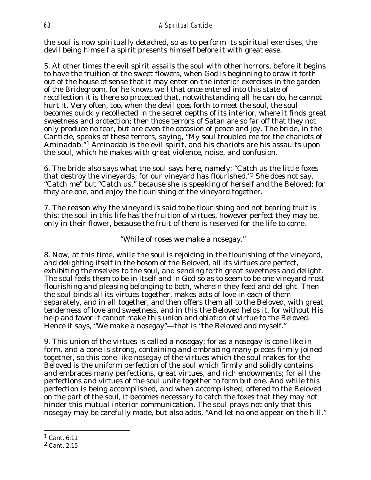the soul is now spiritually detached, so as to perform its spiritual exercises, the devil being himself a spirit presents himself before it with great ease.

5. At other times the evil spirit assails the soul with other horrors, before it begins to have the fruition of the sweet flowers, when God is beginning to draw it forth out of the house of sense that it may enter on the interior exercises in the garden of the Bridegroom, for he knows well that once entered into this state of recollection it is there so protected that, notwithstanding all he can do, he cannot hurt it. Very often, too, when the devil goes forth to meet the soul, the soul becomes quickly recollected in the secret depths of its interior, where it finds great sweetness and protection; then those terrors of Satan are so far off that they not only produce no fear, but are even the occasion of peace and joy. The bride, in the Canticle, speaks of these terrors, saying, "My soul troubled me for the chariots of Aminadab."1 Aminadab is the evil spirit, and his chariots are his assaults upon the soul, which he makes with great violence, noise, and confusion.

6. The bride also says what the soul says here, namely: "Catch us the little foxes that destroy the vineyards; for our vineyard has flourished."2 She does not say, "Catch me" but "Catch us," because she is speaking of herself and the Beloved; for they are one, and enjoy the flourishing of the vineyard together.

7. The reason why the vineyard is said to be flourishing and not bearing fruit is this: the soul in this life has the fruition of virtues, however perfect they may be, only in their flower, because the fruit of them is reserved for the life to come.

## *"While of roses we make a nosegay."*

8. Now, at this time, while the soul is rejoicing in the flourishing of the vineyard, and delighting itself in the bosom of the Beloved, all its virtues are perfect, exhibiting themselves to the soul, and sending forth great sweetness and delight. The soul feels them to be in itself and in God so as to seem to be one vineyard most flourishing and pleasing belonging to both, wherein they feed and delight. Then the soul binds all its virtues together, makes acts of love in each of them separately, and in all together, and then offers them all to the Beloved, with great tenderness of love and sweetness, and in this the Beloved helps it, for without His help and favor it cannot make this union and oblation of virtue to the Beloved. Hence it says, "We make a nosegay"—that is "the Beloved and myself."

9. This union of the virtues is called a nosegay; for as a nosegay is cone-like in form, and a cone is strong, containing and embracing many pieces firmly joined together, so this cone-like nosegay of the virtues which the soul makes for the Beloved is the uniform perfection of the soul which firmly and solidly contains and embraces many perfections, great virtues, and rich endowments; for all the perfections and virtues of the soul unite together to form but one. And while this perfection is being accomplished, and when accomplished, offered to the Beloved on the part of the soul, it becomes necessary to catch the foxes that they may not hinder this mutual interior communication. The soul prays not only that this nosegay may be carefully made, but also adds, "And let no one appear on the hill."

<sup>1</sup> Cant. 6:11

<sup>2</sup> Cant. 2:15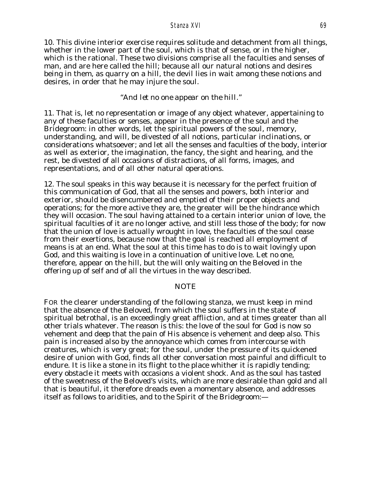10. This divine interior exercise requires solitude and detachment from all things, whether in the lower part of the soul, which is that of sense, or in the higher, which is the rational. These two divisions comprise all the faculties and senses of man, and are here called the hill; because all our natural notions and desires being in them, as quarry on a hill, the devil lies in wait among these notions and desires, in order that he may injure the soul.

#### *"And let no one appear on the hill."*

11. That is, let no representation or image of any object whatever, appertaining to any of these faculties or senses, appear in the presence of the soul and the Bridegroom: in other words, let the spiritual powers of the soul, memory, understanding, and will, be divested of all notions, particular inclinations, or considerations whatsoever; and let all the senses and faculties of the body, interior as well as exterior, the imagination, the fancy, the sight and hearing, and the rest, be divested of all occasions of distractions, of all forms, images, and representations, and of all other natural operations.

12. The soul speaks in this way because it is necessary for the perfect fruition of this communication of God, that all the senses and powers, both interior and exterior, should be disencumbered and emptied of their proper objects and operations; for the more active they are, the greater will be the hindrance which they will occasion. The soul having attained to a certain interior union of love, the spiritual faculties of it are no longer active, and still less those of the body; for now that the union of love is actually wrought in love, the faculties of the soul cease from their exertions, because now that the goal is reached all employment of means is at an end. What the soul at this time has to do is to wait lovingly upon God, and this waiting is love in a continuation of unitive love. Let no one, therefore, appear on the hill, but the will only waiting on the Beloved in the offering up of self and of all the virtues in the way described.

#### NOTE

FOR the clearer understanding of the following stanza, we must keep in mind that the absence of the Beloved, from which the soul suffers in the state of spiritual betrothal, is an exceedingly great affliction, and at times greater than all other trials whatever. The reason is this: the love of the soul for God is now so vehement and deep that the pain of His absence is vehement and deep also. This pain is increased also by the annoyance which comes from intercourse with creatures, which is very great; for the soul, under the pressure of its quickened desire of union with God, finds all other conversation most painful and difficult to endure. It is like a stone in its flight to the place whither it is rapidly tending; every obstacle it meets with occasions a violent shock. And as the soul has tasted of the sweetness of the Beloved's visits, which are more desirable than gold and all that is beautiful, it therefore dreads even a momentary absence, and addresses itself as follows to aridities, and to the Spirit of the Bridegroom:—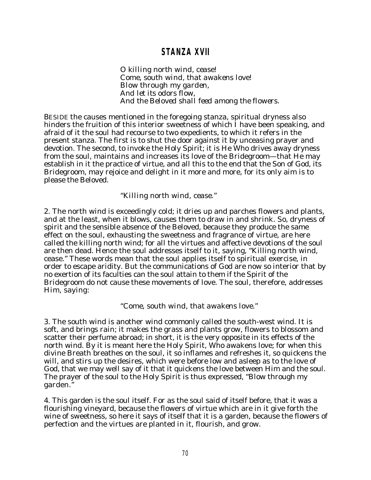# *STANZA XVII*

*O killing north wind, cease! Come, south wind, that awakens love! Blow through my garden, And let its odors flow, And the Beloved shall feed among the flowers.*

BESIDE the causes mentioned in the foregoing stanza, spiritual dryness also hinders the fruition of this interior sweetness of which I have been speaking, and afraid of it the soul had recourse to two expedients, to which it refers in the present stanza. The first is to shut the door against it by unceasing prayer and devotion. The second, to invoke the Holy Spirit; it is He Who drives away dryness from the soul, maintains and increases its love of the Bridegroom—that He may establish in it the practice of virtue, and all this to the end that the Son of God, its Bridegroom, may rejoice and delight in it more and more, for its only aim is to please the Beloved.

## *"Killing north wind, cease."*

2. The north wind is exceedingly cold; it dries up and parches flowers and plants, and at the least, when it blows, causes them to draw in and shrink. So, dryness of spirit and the sensible absence of the Beloved, because they produce the same effect on the soul, exhausting the sweetness and fragrance of virtue, are here called the killing north wind; for all the virtues and affective devotions of the soul are then dead. Hence the soul addresses itself to it, saying, "Killing north wind, cease." These words mean that the soul applies itself to spiritual exercise, in order to escape aridity. But the communications of God are now so interior that by no exertion of its faculties can the soul attain to them if the Spirit of the Bridegroom do not cause these movements of love. The soul, therefore, addresses Him, saying:

*"Come, south wind, that awakens love."*

3. The south wind is another wind commonly called the south-west wind. It is soft, and brings rain; it makes the grass and plants grow, flowers to blossom and scatter their perfume abroad; in short, it is the very opposite in its effects of the north wind. By it is meant here the Holy Spirit, Who awakens love; for when this divine Breath breathes on the soul, it so inflames and refreshes it, so quickens the will, and stirs up the desires, which were before low and asleep as to the love of God, that we may well say of it that it quickens the love between Him and the soul. The prayer of the soul to the Holy Spirit is thus expressed, "Blow through my garden."

4. This garden is the soul itself. For as the soul said of itself before, that it was a flourishing vineyard, because the flowers of virtue which are in it give forth the wine of sweetness, so here it says of itself that it is a garden, because the flowers of perfection and the virtues are planted in it, flourish, and grow.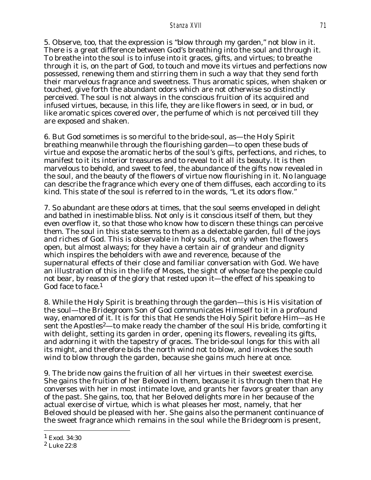5. Observe, too, that the expression is "blow through my garden," not blow in it. There is a great difference between God's breathing into the soul and through it. To breathe into the soul is to infuse into it graces, gifts, and virtues; to breathe through it is, on the part of God, to touch and move its virtues and perfections now possessed, renewing them and stirring them in such a way that they send forth their marvelous fragrance and sweetness. Thus aromatic spices, when shaken or touched, give forth the abundant odors which are not otherwise so distinctly perceived. The soul is not always in the conscious fruition of its acquired and infused virtues, because, in this life, they are like flowers in seed, or in bud, or like aromatic spices covered over, the perfume of which is not perceived till they are exposed and shaken.

6. But God sometimes is so merciful to the bride-soul, as—the Holy Spirit breathing meanwhile through the flourishing garden—to open these buds of virtue and expose the aromatic herbs of the soul's gifts, perfections, and riches, to manifest to it its interior treasures and to reveal to it all its beauty. It is then marvelous to behold, and sweet to feel, the abundance of the gifts now revealed in the soul, and the beauty of the flowers of virtue now flourishing in it. No language can describe the fragrance which every one of them diffuses, each according to its kind. This state of the soul is referred to in the words, "Let its odors flow."

7. So abundant are these odors at times, that the soul seems enveloped in delight and bathed in inestimable bliss. Not only is it conscious itself of them, but they even overflow it, so that those who know how to discern these things can perceive them. The soul in this state seems to them as a delectable garden, full of the joys and riches of God. This is observable in holy souls, not only when the flowers open, but almost always; for they have a certain air of grandeur and dignity which inspires the beholders with awe and reverence, because of the supernatural effects of their close and familiar conversation with God. We have an illustration of this in the life of Moses, the sight of whose face the people could not bear, by reason of the glory that rested upon it—the effect of his speaking to God face to face.1

8. While the Holy Spirit is breathing through the garden—this is His visitation of the soul—the Bridegroom Son of God communicates Himself to it in a profound way, enamored of it. It is for this that He sends the Holy Spirit before Him—as He sent the Apostles<sup>2</sup>—to make ready the chamber of the soul His bride, comforting it with delight, setting its garden in order, opening its flowers, revealing its gifts, and adorning it with the tapestry of graces. The bride-soul longs for this with all its might, and therefore bids the north wind not to blow, and invokes the south wind to blow through the garden, because she gains much here at once.

9. The bride now gains the fruition of all her virtues in their sweetest exercise. She gains the fruition of her Beloved in them, because it is through them that He converses with her in most intimate love, and grants her favors greater than any of the past. She gains, too, that her Beloved delights more in her because of the actual exercise of virtue, which is what pleases her most, namely, that her Beloved should be pleased with her. She gains also the permanent continuance of the sweet fragrance which remains in the soul while the Bridegroom is present,

<sup>1</sup> Exod. 34:30

<sup>2</sup> Luke 22:8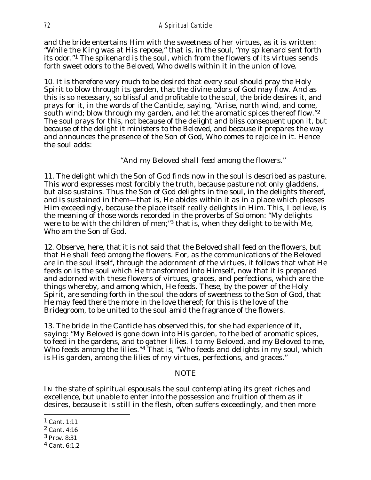and the bride entertains Him with the sweetness of her virtues, as it is written: "While the King was at His repose," that is, in the soul, "my spikenard sent forth its odor."1 The spikenard is the soul, which from the flowers of its virtues sends forth sweet odors to the Beloved, Who dwells within it in the union of love.

10. It is therefore very much to be desired that every soul should pray the Holy Spirit to blow through its garden, that the divine odors of God may flow. And as this is so necessary, so blissful and profitable to the soul, the bride desires it, and prays for it, in the words of the Canticle, saying, "Arise, north wind, and come, south wind; blow through my garden, and let the aromatic spices thereof flow."<sup>2</sup> The soul prays for this, not because of the delight and bliss consequent upon it, but because of the delight it ministers to the Beloved, and because it prepares the way and announces the presence of the Son of God, Who comes to rejoice in it. Hence the soul adds:

### *"And my Beloved shall feed among the flowers."*

11. The delight which the Son of God finds now in the soul is described as pasture. This word expresses most forcibly the truth, because pasture not only gladdens, but also sustains. Thus the Son of God delights in the soul, in the delights thereof, and is sustained in them—that is, He abides within it as in a place which pleases Him exceedingly, because the place itself really delights in Him. This, I believe, is the meaning of those words recorded in the proverbs of Solomon: "My delights were to be with the children of men;"<sup>3</sup> that is, when they delight to be with Me, Who am the Son of God.

12. Observe, here, that it is not said that the Beloved shall feed on the flowers, but that He shall feed among the flowers. For, as the communications of the Beloved are in the soul itself, through the adornment of the virtues, it follows that what He feeds on is the soul which He transformed into Himself, now that it is prepared and adorned with these flowers of virtues, graces, and perfections, which are the things whereby, and among which, He feeds. These, by the power of the Holy Spirit, are sending forth in the soul the odors of sweetness to the Son of God, that He may feed there the more in the love thereof; for this is the love of the Bridegroom, to be united to the soul amid the fragrance of the flowers.

13. The bride in the Canticle has observed this, for she had experience of it, saying: "My Beloved is gone down into His garden, to the bed of aromatic spices, to feed in the gardens, and to gather lilies. I to my Beloved, and my Beloved to me, Who feeds among the lilies."<sup>4</sup> That is, "Who feeds and delights in my soul, which is His garden, among the lilies of my virtues, perfections, and graces."

### **NOTE**

IN the state of spiritual espousals the soul contemplating its great riches and excellence, but unable to enter into the possession and fruition of them as it desires, because it is still in the flesh, often suffers exceedingly, and then more

- 3 Prov. 8:31
- 4 Cant. 6:1,2

<sup>1</sup> Cant. 1:11

<sup>2</sup> Cant. 4:16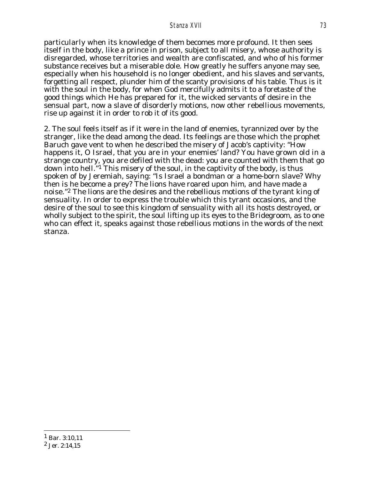particularly when its knowledge of them becomes more profound. It then sees itself in the body, like a prince in prison, subject to all misery, whose authority is disregarded, whose territories and wealth are confiscated, and who of his former substance receives but a miserable dole. How greatly he suffers anyone may see, especially when his household is no longer obedient, and his slaves and servants, forgetting all respect, plunder him of the scanty provisions of his table. Thus is it with the soul in the body, for when God mercifully admits it to a foretaste of the good things which He has prepared for it, the wicked servants of desire in the sensual part, now a slave of disorderly motions, now other rebellious movements, rise up against it in order to rob it of its good.

2. The soul feels itself as if it were in the land of enemies, tyrannized over by the stranger, like the dead among the dead. Its feelings are those which the prophet Baruch gave vent to when he described the misery of Jacob's captivity: "How happens it, O Israel, that you are in your enemies' land? You have grown old in a strange country, you are defiled with the dead: you are counted with them that go down into hell."1 This misery of the soul, in the captivity of the body, is thus spoken of by Jeremiah, saying: "Is Israel a bondman or a home-born slave? Why then is he become a prey? The lions have roared upon him, and have made a noise."2 The lions are the desires and the rebellious motions of the tyrant king of sensuality. In order to express the trouble which this tyrant occasions, and the desire of the soul to see this kingdom of sensuality with all its hosts destroyed, or wholly subject to the spirit, the soul lifting up its eyes to the Bridegroom, as to one who can effect it, speaks against those rebellious motions in the words of the next stanza.

<sup>1</sup> Bar. 3:10,11

 $2$  Jer. 2:14.15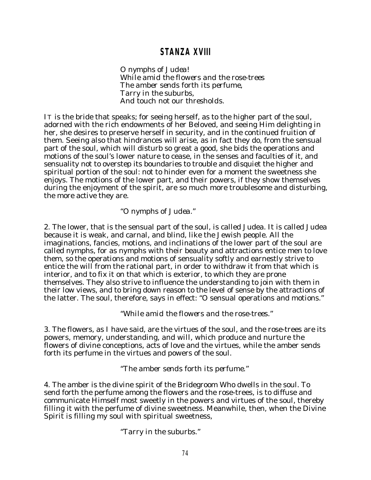# *STANZA XVIII*

*O nymphs of Judea! While amid the flowers and the rose-trees The amber sends forth its perfume, Tarry in the suburbs, And touch not our thresholds.*

IT is the bride that speaks; for seeing herself, as to the higher part of the soul, adorned with the rich endowments of her Beloved, and seeing Him delighting in her, she desires to preserve herself in security, and in the continued fruition of them. Seeing also that hindrances will arise, as in fact they do, from the sensual part of the soul, which will disturb so great a good, she bids the operations and motions of the soul's lower nature to cease, in the senses and faculties of it, and sensuality not to overstep its boundaries to trouble and disquiet the higher and spiritual portion of the soul: not to hinder even for a moment the sweetness she enjoys. The motions of the lower part, and their powers, if they show themselves during the enjoyment of the spirit, are so much more troublesome and disturbing, the more active they are.

## *"O nymphs of Judea."*

2. The lower, that is the sensual part of the soul, is called Judea. It is called Judea because it is weak, and carnal, and blind, like the Jewish people. All the imaginations, fancies, motions, and inclinations of the lower part of the soul are called nymphs, for as nymphs with their beauty and attractions entice men to love them, so the operations and motions of sensuality softly and earnestly strive to entice the will from the rational part, in order to withdraw it from that which is interior, and to fix it on that which is exterior, to which they are prone themselves. They also strive to influence the understanding to join with them in their low views, and to bring down reason to the level of sense by the attractions of the latter. The soul, therefore, says in effect: "O sensual operations and motions."

*"While amid the flowers and the rose-trees."*

3. The flowers, as I have said, are the virtues of the soul, and the rose-trees are its powers, memory, understanding, and will, which produce and nurture the flowers of divine conceptions, acts of love and the virtues, while the amber sends forth its perfume in the virtues and powers of the soul.

#### *"The amber sends forth its perfume."*

4. The amber is the divine spirit of the Bridegroom Who dwells in the soul. To send forth the perfume among the flowers and the rose-trees, is to diffuse and communicate Himself most sweetly in the powers and virtues of the soul, thereby filling it with the perfume of divine sweetness. Meanwhile, then, when the Divine Spirit is filling my soul with spiritual sweetness,

### *"Tarry in the suburbs."*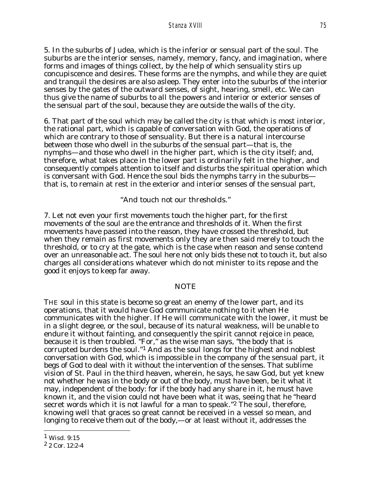5. In the suburbs of Judea, which is the inferior or sensual part of the soul. The suburbs are the interior senses, namely, memory, fancy, and imagination, where forms and images of things collect, by the help of which sensuality stirs up concupiscence and desires. These forms are the nymphs, and while they are quiet and tranquil the desires are also asleep. They enter into the suburbs of the interior senses by the gates of the outward senses, of sight, hearing, smell, etc. We can thus give the name of suburbs to all the powers and interior or exterior senses of the sensual part of the soul, because they are outside the walls of the city.

6. That part of the soul which may be called the city is that which is most interior, the rational part, which is capable of conversation with God, the operations of which are contrary to those of sensuality. But there is a natural intercourse between those who dwell in the suburbs of the sensual part—that is, the nymphs—and those who dwell in the higher part, which is the city itself; and, therefore, what takes place in the lower part is ordinarily felt in the higher, and consequently compels attention to itself and disturbs the spiritual operation which is conversant with God. Hence the soul bids the nymphs tarry in the suburbs that is, to remain at rest in the exterior and interior senses of the sensual part,

### *"And touch not our thresholds."*

7. Let not even your first movements touch the higher part, for the first movements of the soul are the entrance and thresholds of it. When the first movements have passed into the reason, they have crossed the threshold, but when they remain as first movements only they are then said merely to touch the threshold, or to cry at the gate, which is the case when reason and sense contend over an unreasonable act. The soul here not only bids these not to touch it, but also charges all considerations whatever which do not minister to its repose and the good it enjoys to keep far away.

#### NOTE

THE soul in this state is become so great an enemy of the lower part, and its operations, that it would have God communicate nothing to it when He communicates with the higher. If He will communicate with the lower, it must be in a slight degree, or the soul, because of its natural weakness, will be unable to endure it without fainting, and consequently the spirit cannot rejoice in peace, because it is then troubled. "For," as the wise man says, "the body that is corrupted burdens the soul."1 And as the soul longs for the highest and noblest conversation with God, which is impossible in the company of the sensual part, it begs of God to deal with it without the intervention of the senses. That sublime vision of St. Paul in the third heaven, wherein, he says, he saw God, but yet knew not whether he was in the body or out of the body, must have been, be it what it may, independent of the body: for if the body had any share in it, he must have known it, and the vision could not have been what it was, seeing that he "heard secret words which it is not lawful for a man to speak."2 The soul, therefore, knowing well that graces so great cannot be received in a vessel so mean, and longing to receive them out of the body,—or at least without it, addresses the

<sup>1</sup> Wisd. 9:15

<sup>2</sup> 2 Cor. 12:2-4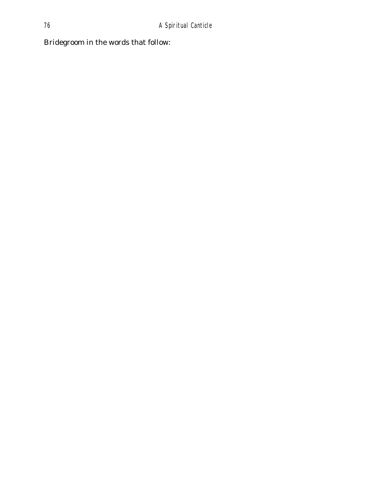Bridegroom in the words that follow: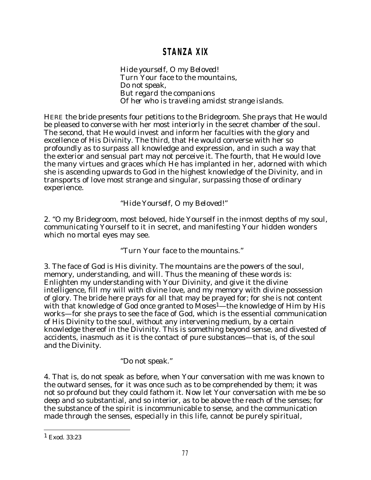# *STANZA XIX*

*Hide yourself, O my Beloved! Turn Your face to the mountains, Do not speak, But regard the companions Of her who is traveling amidst strange islands.*

HERE the bride presents four petitions to the Bridegroom. She prays that He would be pleased to converse with her most interiorly in the secret chamber of the soul. The second, that He would invest and inform her faculties with the glory and excellence of His Divinity. The third, that He would converse with her so profoundly as to surpass all knowledge and expression, and in such a way that the exterior and sensual part may not perceive it. The fourth, that He would love the many virtues and graces which He has implanted in her, adorned with which she is ascending upwards to God in the highest knowledge of the Divinity, and in transports of love most strange and singular, surpassing those of ordinary experience.

## *"Hide Yourself, O my Beloved!"*

2. "O my Bridegroom, most beloved, hide Yourself in the inmost depths of my soul, communicating Yourself to it in secret, and manifesting Your hidden wonders which no mortal eyes may see.

## *"Turn Your face to the mountains."*

3. The face of God is His divinity. The mountains are the powers of the soul, memory, understanding, and will. Thus the meaning of these words is: Enlighten my understanding with Your Divinity, and give it the divine intelligence, fill my will with divine love, and my memory with divine possession of glory. The bride here prays for all that may be prayed for; for she is not content with that knowledge of God once granted to Moses<sup>1</sup>—the knowledge of Him by His works—for she prays to see the face of God, which is the essential communication of His Divinity to the soul, without any intervening medium, by a certain knowledge thereof in the Divinity. This is something beyond sense, and divested of accidents, inasmuch as it is the contact of pure substances—that is, of the soul and the Divinity.

## *"Do not speak."*

4. That is, do not speak as before, when Your conversation with me was known to the outward senses, for it was once such as to be comprehended by them; it was not so profound but they could fathom it. Now let Your conversation with me be so deep and so substantial, and so interior, as to be above the reach of the senses; for the substance of the spirit is incommunicable to sense, and the communication made through the senses, especially in this life, cannot be purely spiritual,

<sup>1</sup> Exod. 33:23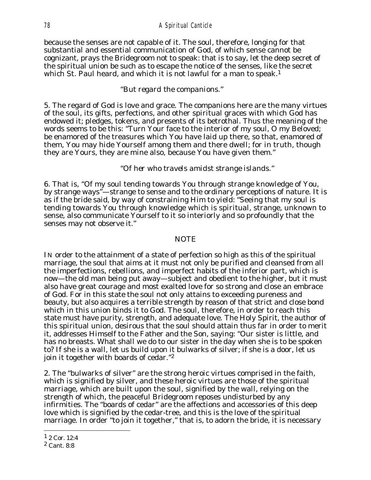because the senses are not capable of it. The soul, therefore, longing for that substantial and essential communication of God, of which sense cannot be cognizant, prays the Bridegroom not to speak: that is to say, let the deep secret of the spiritual union be such as to escape the notice of the senses, like the secret which St. Paul heard, and which it is not lawful for a man to speak.<sup>1</sup>

## *"But regard the companions."*

5. The regard of God is love and grace. The companions here are the many virtues of the soul, its gifts, perfections, and other spiritual graces with which God has endowed it; pledges, tokens, and presents of its betrothal. Thus the meaning of the words seems to be this: "Turn Your face to the interior of my soul, O my Beloved; be enamored of the treasures which You have laid up there, so that, enamored of them, You may hide Yourself among them and there dwell; for in truth, though they are Yours, they are mine also, because You have given them."

## *"Of her who travels amidst strange islands."*

6. That is, "Of my soul tending towards You through strange knowledge of You, by strange ways"—strange to sense and to the ordinary perceptions of nature. It is as if the bride said, by way of constraining Him to yield: "Seeing that my soul is tending towards You through knowledge which is spiritual, strange, unknown to sense, also communicate Yourself to it so interiorly and so profoundly that the senses may not observe it."

### NOTE

IN order to the attainment of a state of perfection so high as this of the spiritual marriage, the soul that aims at it must not only be purified and cleansed from all the imperfections, rebellions, and imperfect habits of the inferior part, which is now—the old man being put away—subject and obedient to the higher, but it must also have great courage and most exalted love for so strong and close an embrace of God. For in this state the soul not only attains to exceeding pureness and beauty, but also acquires a terrible strength by reason of that strict and close bond which in this union binds it to God. The soul, therefore, in order to reach this state must have purity, strength, and adequate love. The Holy Spirit, the author of this spiritual union, desirous that the soul should attain thus far in order to merit it, addresses Himself to the Father and the Son, saying: "Our sister is little, and has no breasts. What shall we do to our sister in the day when she is to be spoken to? If she is a wall, let us build upon it bulwarks of silver; if she is a door, let us join it together with boards of cedar."2

2. The "bulwarks of silver" are the strong heroic virtues comprised in the faith, which is signified by silver, and these heroic virtues are those of the spiritual marriage, which are built upon the soul, signified by the wall, relying on the strength of which, the peaceful Bridegroom reposes undisturbed by any infirmities. The "boards of cedar" are the affections and accessories of this deep love which is signified by the cedar-tree, and this is the love of the spiritual marriage. In order "to join it together," that is, to adorn the bride, it is necessary

<sup>1</sup> 2 Cor. 12:4

<sup>2</sup> Cant. 8:8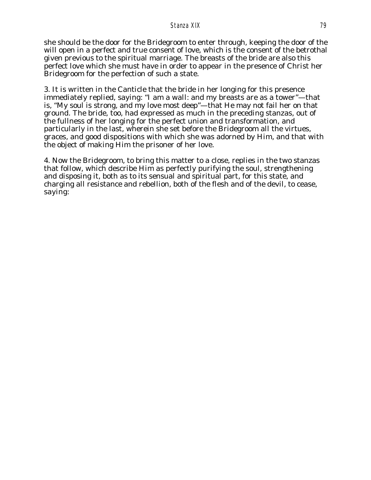she should be the door for the Bridegroom to enter through, keeping the door of the will open in a perfect and true consent of love, which is the consent of the betrothal given previous to the spiritual marriage. The breasts of the bride are also this perfect love which she must have in order to appear in the presence of Christ her Bridegroom for the perfection of such a state.

3. It is written in the Canticle that the bride in her longing for this presence immediately replied, saying: "I am a wall: and my breasts are as a tower"—that is, "My soul is strong, and my love most deep"—that He may not fail her on that ground. The bride, too, had expressed as much in the preceding stanzas, out of the fullness of her longing for the perfect union and transformation, and particularly in the last, wherein she set before the Bridegroom all the virtues, graces, and good dispositions with which she was adorned by Him, and that with the object of making Him the prisoner of her love.

4. Now the Bridegroom, to bring this matter to a close, replies in the two stanzas that follow, which describe Him as perfectly purifying the soul, strengthening and disposing it, both as to its sensual and spiritual part, for this state, and charging all resistance and rebellion, both of the flesh and of the devil, to cease, saying: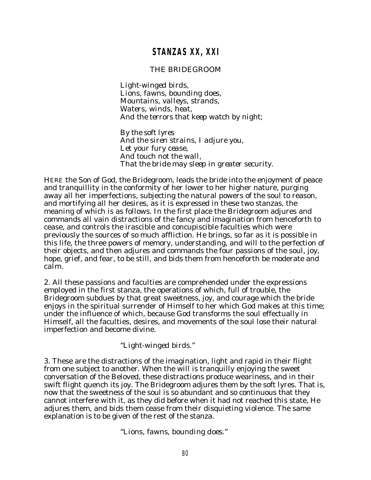# *STANZAS XX, XXI*

### THE BRIDEGROOM

*Light-winged birds, Lions, fawns, bounding does, Mountains, valleys, strands, Waters, winds, heat, And the terrors that keep watch by night;*

*By the soft lyres And the siren strains, I adjure you, Let your fury cease, And touch not the wall, That the bride may sleep in greater security.*

HERE the Son of God, the Bridegroom, leads the bride into the enjoyment of peace and tranquillity in the conformity of her lower to her higher nature, purging away all her imperfections, subjecting the natural powers of the soul to reason, and mortifying all her desires, as it is expressed in these two stanzas, the meaning of which is as follows. In the first place the Bridegroom adjures and commands all vain distractions of the fancy and imagination from henceforth to cease, and controls the irascible and concupiscible faculties which were previously the sources of so much affliction. He brings, so far as it is possible in this life, the three powers of memory, understanding, and will to the perfection of their objects, and then adjures and commands the four passions of the soul, joy, hope, grief, and fear, to be still, and bids them from henceforth be moderate and calm.

2. All these passions and faculties are comprehended under the expressions employed in the first stanza, the operations of which, full of trouble, the Bridegroom subdues by that great sweetness, joy, and courage which the bride enjoys in the spiritual surrender of Himself to her which God makes at this time; under the influence of which, because God transforms the soul effectually in Himself, all the faculties, desires, and movements of the soul lose their natural imperfection and become divine.

### *"Light-winged birds."*

3. These are the distractions of the imagination, light and rapid in their flight from one subject to another. When the will is tranquilly enjoying the sweet conversation of the Beloved, these distractions produce weariness, and in their swift flight quench its joy. The Bridegroom adjures them by the soft lyres. That is, now that the sweetness of the soul is so abundant and so continuous that they cannot interfere with it, as they did before when it had not reached this state, He adjures them, and bids them cease from their disquieting violence. The same explanation is to be given of the rest of the stanza.

*"Lions, fawns, bounding does."*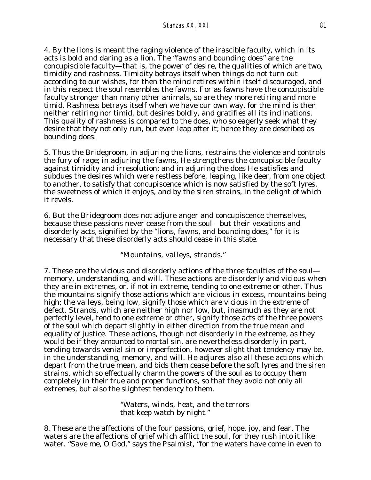4. By the lions is meant the raging violence of the irascible faculty, which in its acts is bold and daring as a lion. The "fawns and bounding does" are the concupiscible faculty—that is, the power of desire, the qualities of which are two, timidity and rashness. Timidity betrays itself when things do not turn out according to our wishes, for then the mind retires within itself discouraged, and in this respect the soul resembles the fawns. For as fawns have the concupiscible faculty stronger than many other animals, so are they more retiring and more timid. Rashness betrays itself when we have our own way, for the mind is then neither retiring nor timid, but desires boldly, and gratifies all its inclinations. This quality of rashness is compared to the does, who so eagerly seek what they desire that they not only run, but even leap after it; hence they are described as bounding does.

5. Thus the Bridegroom, in adjuring the lions, restrains the violence and controls the fury of rage; in adjuring the fawns, He strengthens the concupiscible faculty against timidity and irresolution; and in adjuring the does He satisfies and subdues the desires which were restless before, leaping, like deer, from one object to another, to satisfy that concupiscence which is now satisfied by the soft lyres, the sweetness of which it enjoys, and by the siren strains, in the delight of which it revels.

6. But the Bridegroom does not adjure anger and concupiscence themselves, because these passions never cease from the soul—but their vexations and disorderly acts, signified by the "lions, fawns, and bounding does," for it is necessary that these disorderly acts should cease in this state.

### *"Mountains, valleys, strands."*

7. These are the vicious and disorderly actions of the three faculties of the soul memory, understanding, and will. These actions are disorderly and vicious when they are in extremes, or, if not in extreme, tending to one extreme or other. Thus the mountains signify those actions which are vicious in excess, mountains being high; the valleys, being low, signify those which are vicious in the extreme of defect. Strands, which are neither high nor low, but, inasmuch as they are not perfectly level, tend to one extreme or other, signify those acts of the three powers of the soul which depart slightly in either direction from the true mean and equality of justice. These actions, though not disorderly in the extreme, as they would be if they amounted to mortal sin, are nevertheless disorderly in part, tending towards venial sin or imperfection, however slight that tendency may be, in the understanding, memory, and will. He adjures also all these actions which depart from the true mean, and bids them cease before the soft lyres and the siren strains, which so effectually charm the powers of the soul as to occupy them completely in their true and proper functions, so that they avoid not only all extremes, but also the slightest tendency to them.

### *"Waters, winds, heat, and the terrors that keep watch by night."*

8. These are the affections of the four passions, grief, hope, joy, and fear. The waters are the affections of grief which afflict the soul, for they rush into it like water. "Save me, O God," says the Psalmist, "for the waters have come in even to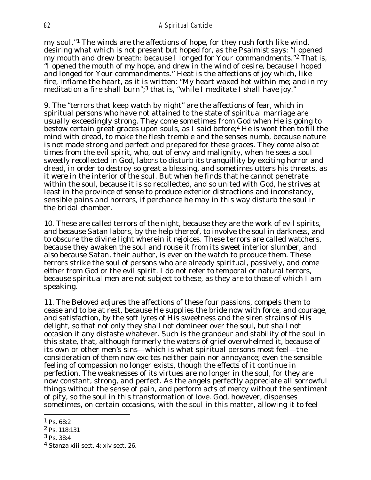my soul."1 The winds are the affections of hope, for they rush forth like wind, desiring what which is not present but hoped for, as the Psalmist says: "I opened my mouth and drew breath: because I longed for Your commandments."2 That is, "I opened the mouth of my hope, and drew in the wind of desire, because I hoped and longed for Your commandments." Heat is the affections of joy which, like fire, inflame the heart, as it is written: "My heart waxed hot within me; and in my meditation a fire shall burn";<sup>3</sup> that is, "while I meditate I shall have joy."

9. The "terrors that keep watch by night" are the affections of fear, which in spiritual persons who have not attained to the state of spiritual marriage are usually exceedingly strong. They come sometimes from God when He is going to bestow certain great graces upon souls, as I said before;<sup>4</sup> He is wont then to fill the mind with dread, to make the flesh tremble and the senses numb, because nature is not made strong and perfect and prepared for these graces. They come also at times from the evil spirit, who, out of envy and malignity, when he sees a soul sweetly recollected in God, labors to disturb its tranquillity by exciting horror and dread, in order to destroy so great a blessing, and sometimes utters his threats, as it were in the interior of the soul. But when he finds that he cannot penetrate within the soul, because it is so recollected, and so united with God, he strives at least in the province of sense to produce exterior distractions and inconstancy, sensible pains and horrors, if perchance he may in this way disturb the soul in the bridal chamber.

10. These are called terrors of the night, because they are the work of evil spirits, and because Satan labors, by the help thereof, to involve the soul in darkness, and to obscure the divine light wherein it rejoices. These terrors are called watchers, because they awaken the soul and rouse it from its sweet interior slumber, and also because Satan, their author, is ever on the watch to produce them. These terrors strike the soul of persons who are already spiritual, passively, and come either from God or the evil spirit. I do not refer to temporal or natural terrors, because spiritual men are not subject to these, as they are to those of which I am speaking.

11. The Beloved adjures the affections of these four passions, compels them to cease and to be at rest, because He supplies the bride now with force, and courage, and satisfaction, by the soft lyres of His sweetness and the siren strains of His delight, so that not only they shall not domineer over the soul, but shall not occasion it any distaste whatever. Such is the grandeur and stability of the soul in this state, that, although formerly the waters of grief overwhelmed it, because of its own or other men's sins—which is what spiritual persons most feel—the consideration of them now excites neither pain nor annoyance; even the sensible feeling of compassion no longer exists, though the effects of it continue in perfection. The weaknesses of its virtues are no longer in the soul, for they are now constant, strong, and perfect. As the angels perfectly appreciate all sorrowful things without the sense of pain, and perform acts of mercy without the sentiment of pity, so the soul in this transformation of love. God, however, dispenses sometimes, on certain occasions, with the soul in this matter, allowing it to feel

 $1 \text{ Ps. } 68:2$ 

<sup>2</sup> Ps. 118:131

<sup>3</sup> Ps. 38:4

<sup>4</sup> Stanza xiii sect. 4; xiv sect. 26.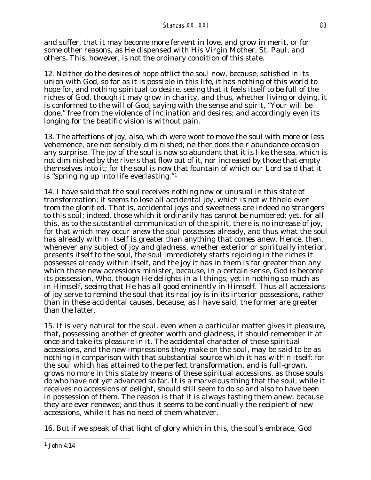and suffer, that it may become more fervent in love, and grow in merit, or for some other reasons, as He dispensed with His Virgin Mother, St. Paul, and others. This, however, is not the ordinary condition of this state.

12. Neither do the desires of hope afflict the soul now, because, satisfied in its union with God, so far as it is possible in this life, it has nothing of this world to hope for, and nothing spiritual to desire, seeing that it feels itself to be full of the riches of God, though it may grow in charity, and thus, whether living or dying, it is conformed to the will of God, saying with the sense and spirit, "Your will be done," free from the violence of inclination and desires; and accordingly even its longing for the beatific vision is without pain.

13. The affections of joy, also, which were wont to move the soul with more or less vehemence, are not sensibly diminished; neither does their abundance occasion any surprise. The joy of the soul is now so abundant that it is like the sea, which is not diminished by the rivers that flow out of it, nor increased by those that empty themselves into it; for the soul is now that fountain of which our Lord said that it is "springing up into life everlasting."1

14. I have said that the soul receives nothing new or unusual in this state of transformation; it seems to lose all accidental joy, which is not withheld even from the glorified. That is, accidental joys and sweetness are indeed no strangers to this soul; indeed, those which it ordinarily has cannot be numbered; yet, for all this, as to the substantial communication of the spirit, there is no increase of joy, for that which may occur anew the soul possesses already, and thus what the soul has already within itself is greater than anything that comes anew. Hence, then, whenever any subject of joy and gladness, whether exterior or spiritually interior, presents itself to the soul, the soul immediately starts rejoicing in the riches it possesses already within itself, and the joy it has in them is far greater than any which these new accessions minister, because, in a certain sense, God is become its possession, Who, though He delights in all things, yet in nothing so much as in Himself, seeing that He has all good eminently in Himself. Thus all accessions of joy serve to remind the soul that its real joy is in its interior possessions, rather than in these accidental causes, because, as I have said, the former are greater than the latter.

15. It is very natural for the soul, even when a particular matter gives it pleasure, that, possessing another of greater worth and gladness, it should remember it at once and take its pleasure in it. The accidental character of these spiritual accessions, and the new impressions they make on the soul, may be said to be as nothing in comparison with that substantial source which it has within itself: for the soul which has attained to the perfect transformation, and is full-grown, grows no more in this state by means of these spiritual accessions, as those souls do who have not yet advanced so far. It is a marvelous thing that the soul, while it receives no accessions of delight, should still seem to do so and also to have been in possession of them. The reason is that it is always tasting them anew, because they are ever renewed; and thus it seems to be continually the recipient of new accessions, while it has no need of them whatever.

16. But if we speak of that light of glory which in this, the soul's embrace, God

 $1$  John  $4:14$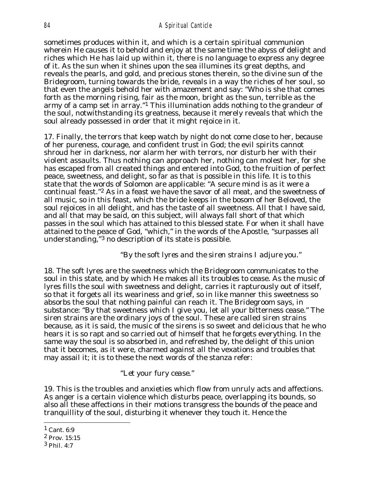sometimes produces within it, and which is a certain spiritual communion wherein He causes it to behold and enjoy at the same time the abyss of delight and riches which He has laid up within it, there is no language to express any degree of it. As the sun when it shines upon the sea illumines its great depths, and reveals the pearls, and gold, and precious stones therein, so the divine sun of the Bridegroom, turning towards the bride, reveals in a way the riches of her soul, so that even the angels behold her with amazement and say: "Who is she that comes forth as the morning rising, fair as the moon, bright as the sun, terrible as the army of a camp set in array."1 This illumination adds nothing to the grandeur of the soul, notwithstanding its greatness, because it merely reveals that which the soul already possessed in order that it might rejoice in it.

17. Finally, the terrors that keep watch by night do not come close to her, because of her pureness, courage, and confident trust in God; the evil spirits cannot shroud her in darkness, nor alarm her with terrors, nor disturb her with their violent assaults. Thus nothing can approach her, nothing can molest her, for she has escaped from all created things and entered into God, to the fruition of perfect peace, sweetness, and delight, so far as that is possible in this life. It is to this state that the words of Solomon are applicable: "A secure mind is as it were a continual feast."2 As in a feast we have the savor of all meat, and the sweetness of all music, so in this feast, which the bride keeps in the bosom of her Beloved, the soul rejoices in all delight, and has the taste of all sweetness. All that I have said, and all that may be said, on this subject, will always fall short of that which passes in the soul which has attained to this blessed state. For when it shall have attained to the peace of God, "which," in the words of the Apostle, "surpasses all understanding,"3 no description of its state is possible.

### *"By the soft lyres and the siren strains I adjure you."*

18. The soft lyres are the sweetness which the Bridegroom communicates to the soul in this state, and by which He makes all its troubles to cease. As the music of lyres fills the soul with sweetness and delight, carries it rapturously out of itself, so that it forgets all its weariness and grief, so in like manner this sweetness so absorbs the soul that nothing painful can reach it. The Bridegroom says, in substance: "By that sweetness which I give you, let all your bitterness cease." The siren strains are the ordinary joys of the soul. These are called siren strains because, as it is said, the music of the sirens is so sweet and delicious that he who hears it is so rapt and so carried out of himself that he forgets everything. In the same way the soul is so absorbed in, and refreshed by, the delight of this union that it becomes, as it were, charmed against all the vexations and troubles that may assail it; it is to these the next words of the stanza refer:

## *"Let your fury cease."*

19. This is the troubles and anxieties which flow from unruly acts and affections. As anger is a certain violence which disturbs peace, overlapping its bounds, so also all these affections in their motions transgress the bounds of the peace and tranquillity of the soul, disturbing it whenever they touch it. Hence the

<sup>1</sup> Cant. 6:9

 $2$  Prov. 15:15

<sup>3</sup> Phil. 4:7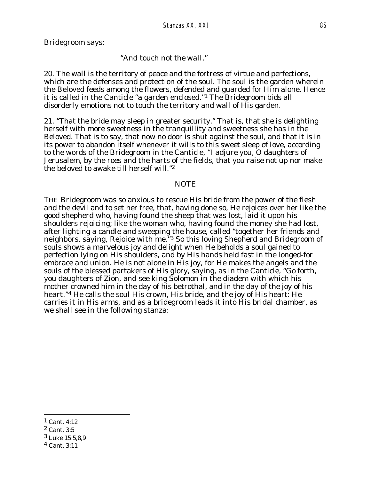Bridegroom says:

### *"And touch not the wall."*

20. The wall is the territory of peace and the fortress of virtue and perfections, which are the defenses and protection of the soul. The soul is the garden wherein the Beloved feeds among the flowers, defended and guarded for Him alone. Hence it is called in the Canticle "a garden enclosed."1 The Bridegroom bids all disorderly emotions not to touch the territory and wall of His garden.

21. "That the bride may sleep in greater security." That is, that she is delighting herself with more sweetness in the tranquillity and sweetness she has in the Beloved. That is to say, that now no door is shut against the soul, and that it is in its power to abandon itself whenever it wills to this sweet sleep of love, according to the words of the Bridegroom in the Canticle, "I adjure you, O daughters of Jerusalem, by the roes and the harts of the fields, that you raise not up nor make the beloved to awake till herself will."2

#### NOTE

THE Bridegroom was so anxious to rescue His bride from the power of the flesh and the devil and to set her free, that, having done so, He rejoices over her like the good shepherd who, having found the sheep that was lost, laid it upon his shoulders rejoicing; like the woman who, having found the money she had lost, after lighting a candle and sweeping the house, called "together her friends and neighbors, saying, Rejoice with me."3 So this loving Shepherd and Bridegroom of souls shows a marvelous joy and delight when He beholds a soul gained to perfection lying on His shoulders, and by His hands held fast in the longed-for embrace and union. He is not alone in His joy, for He makes the angels and the souls of the blessed partakers of His glory, saying, as in the Canticle, "Go forth, you daughters of Zion, and see king Solomon in the diadem with which his mother crowned him in the day of his betrothal, and in the day of the joy of his heart."4 He calls the soul His crown, His bride, and the joy of His heart: He carries it in His arms, and as a bridegroom leads it into His bridal chamber, as we shall see in the following stanza:

<sup>1</sup> Cant. 4:12

<sup>2</sup> Cant. 3:5

<sup>3</sup> Luke 15:5,8,9

<sup>4</sup> Cant. 3:11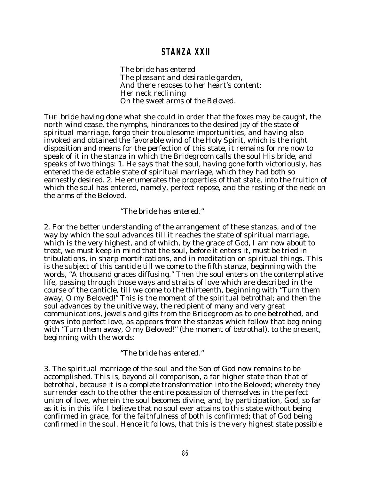# *STANZA XXII*

*The bride has entered The pleasant and desirable garden, And there reposes to her heart's content; Her neck reclining On the sweet arms of the Beloved.*

THE bride having done what she could in order that the foxes may be caught, the north wind cease, the nymphs, hindrances to the desired joy of the state of spiritual marriage, forgo their troublesome importunities, and having also invoked and obtained the favorable wind of the Holy Spirit, which is the right disposition and means for the perfection of this state, it remains for me now to speak of it in the stanza in which the Bridegroom calls the soul His bride, and speaks of two things: 1. He says that the soul, having gone forth victoriously, has entered the delectable state of spiritual marriage, which they had both so earnestly desired. 2. He enumerates the properties of that state, into the fruition of which the soul has entered, namely, perfect repose, and the resting of the neck on the arms of the Beloved.

#### *"The bride has entered."*

2. For the better understanding of the arrangement of these stanzas, and of the way by which the soul advances till it reaches the state of spiritual marriage, which is the very highest, and of which, by the grace of God, I am now about to treat, we must keep in mind that the soul, before it enters it, must be tried in tribulations, in sharp mortifications, and in meditation on spiritual things. This is the subject of this canticle till we come to the fifth stanza, beginning with the words, "A thousand graces diffusing." Then the soul enters on the contemplative life, passing through those ways and straits of love which are described in the course of the canticle, till we come to the thirteenth, beginning with "Turn them away, O my Beloved!" This is the moment of the spiritual betrothal; and then the soul advances by the unitive way, the recipient of many and very great communications, jewels and gifts from the Bridegroom as to one betrothed, and grows into perfect love, as appears from the stanzas which follow that beginning with "Turn them away, O my Beloved!" (the moment of betrothal), to the present, beginning with the words:

#### *"The bride has entered."*

3. The spiritual marriage of the soul and the Son of God now remains to be accomplished. This is, beyond all comparison, a far higher state than that of betrothal, because it is a complete transformation into the Beloved; whereby they surrender each to the other the entire possession of themselves in the perfect union of love, wherein the soul becomes divine, and, by participation, God, so far as it is in this life. I believe that no soul ever attains to this state without being confirmed in grace, for the faithfulness of both is confirmed; that of God being confirmed in the soul. Hence it follows, that this is the very highest state possible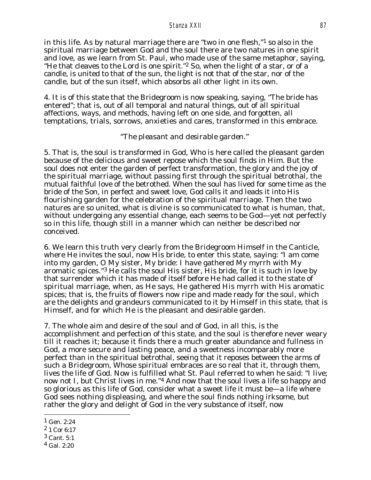in this life. As by natural marriage there are "two in one flesh,"1 so also in the spiritual marriage between God and the soul there are two natures in one spirit and love, as we learn from St. Paul, who made use of the same metaphor, saying, "He that cleaves to the Lord is one spirit."2 So, when the light of a star, or of a candle, is united to that of the sun, the light is not that of the star, nor of the candle, but of the sun itself, which absorbs all other light in its own.

4. It is of this state that the Bridegroom is now speaking, saying, "The bride has entered"; that is, out of all temporal and natural things, out of all spiritual affections, ways, and methods, having left on one side, and forgotten, all temptations, trials, sorrows, anxieties and cares, transformed in this embrace.

#### *"The pleasant and desirable garden."*

5. That is, the soul is transformed in God, Who is here called the pleasant garden because of the delicious and sweet repose which the soul finds in Him. But the soul does not enter the garden of perfect transformation, the glory and the joy of the spiritual marriage, without passing first through the spiritual betrothal, the mutual faithful love of the betrothed. When the soul has lived for some time as the bride of the Son, in perfect and sweet love, God calls it and leads it into His flourishing garden for the celebration of the spiritual marriage. Then the two natures are so united, what is divine is so communicated to what is human, that, without undergoing any essential change, each seems to be God—yet not perfectly so in this life, though still in a manner which can neither be described nor conceived.

6. We learn this truth very clearly from the Bridegroom Himself in the Canticle, where He invites the soul, now His bride, to enter this state, saying: "I am come into my garden, O My sister, My bride: I have gathered My myrrh with My aromatic spices."3 He calls the soul His sister, His bride, for it is such in love by that surrender which it has made of itself before He had called it to the state of spiritual marriage, when, as He says, He gathered His myrrh with His aromatic spices; that is, the fruits of flowers now ripe and made ready for the soul, which are the delights and grandeurs communicated to it by Himself in this state, that is Himself, and for which He is the pleasant and desirable garden.

7. The whole aim and desire of the soul and of God, in all this, is the accomplishment and perfection of this state, and the soul is therefore never weary till it reaches it; because it finds there a much greater abundance and fullness in God, a more secure and lasting peace, and a sweetness incomparably more perfect than in the spiritual betrothal, seeing that it reposes between the arms of such a Bridegroom, Whose spiritual embraces are so real that it, through them, lives the life of God. Now is fulfilled what St. Paul referred to when he said: "I live; now not I, but Christ lives in me."4 And now that the soul lives a life so happy and so glorious as this life of God, consider what a sweet life it must be—a life where God sees nothing displeasing, and where the soul finds nothing irksome, but rather the glory and delight of God in the very substance of itself, now

<sup>1</sup> Gen. 2:24

<sup>2</sup> 1 Cor 6:17

<sup>3</sup> Cant. 5:1

<sup>4</sup> Gal. 2:20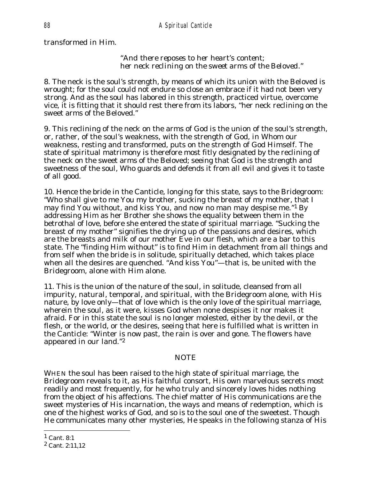transformed in Him.

## *"And there reposes to her heart's content; her neck reclining on the sweet arms of the Beloved."*

8. The neck is the soul's strength, by means of which its union with the Beloved is wrought; for the soul could not endure so close an embrace if it had not been very strong. And as the soul has labored in this strength, practiced virtue, overcome vice, it is fitting that it should rest there from its labors, "her neck reclining on the sweet arms of the Beloved."

9. This reclining of the neck on the arms of God is the union of the soul's strength, or, rather, of the soul's weakness, with the strength of God, in Whom our weakness, resting and transformed, puts on the strength of God Himself. The state of spiritual matrimony is therefore most fitly designated by the reclining of the neck on the sweet arms of the Beloved; seeing that God is the strength and sweetness of the soul, Who guards and defends it from all evil and gives it to taste of all good.

10. Hence the bride in the Canticle, longing for this state, says to the Bridegroom: "Who shall give to me You my brother, sucking the breast of my mother, that I may find You without, and kiss You, and now no man may despise me."1 By addressing Him as her Brother she shows the equality between them in the betrothal of love, before she entered the state of spiritual marriage. "Sucking the breast of my mother" signifies the drying up of the passions and desires, which are the breasts and milk of our mother Eve in our flesh, which are a bar to this state. The "finding Him without" is to find Him in detachment from all things and from self when the bride is in solitude, spiritually detached, which takes place when all the desires are quenched. "And kiss You"—that is, be united with the Bridegroom, alone with Him alone.

11. This is the union of the nature of the soul, in solitude, cleansed from all impurity, natural, temporal, and spiritual, with the Bridegroom alone, with His nature, by love only—that of love which is the only love of the spiritual marriage, wherein the soul, as it were, kisses God when none despises it nor makes it afraid. For in this state the soul is no longer molested, either by the devil, or the flesh, or the world, or the desires, seeing that here is fulfilled what is written in the Canticle: "Winter is now past, the rain is over and gone. The flowers have appeared in our land."2

## NOTE

WHEN the soul has been raised to the high state of spiritual marriage, the Bridegroom reveals to it, as His faithful consort, His own marvelous secrets most readily and most frequently, for he who truly and sincerely loves hides nothing from the object of his affections. The chief matter of His communications are the sweet mysteries of His incarnation, the ways and means of redemption, which is one of the highest works of God, and so is to the soul one of the sweetest. Though He communicates many other mysteries, He speaks in the following stanza of His

<sup>1</sup> Cant. 8:1

<sup>2</sup> Cant. 2:11,12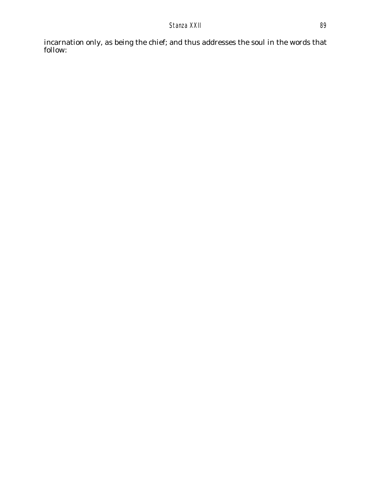incarnation only, as being the chief; and thus addresses the soul in the words that follow: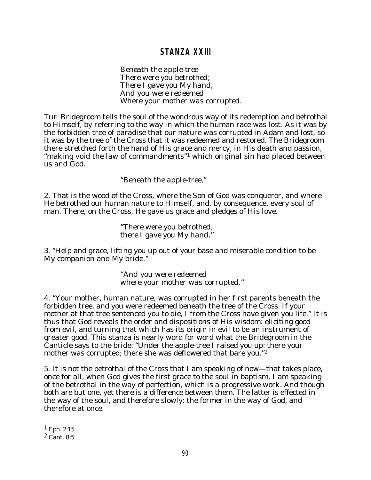# *STANZA XXIII*

*Beneath the apple-tree There were you betrothed; There I gave you My hand, And you were redeemed Where your mother was corrupted.*

THE Bridegroom tells the soul of the wondrous way of its redemption and betrothal to Himself, by referring to the way in which the human race was lost. As it was by the forbidden tree of paradise that our nature was corrupted in Adam and lost, so it was by the tree of the Cross that it was redeemed and restored. The Bridegroom there stretched forth the hand of His grace and mercy, in His death and passion, "making void the law of commandments"1 which original sin had placed between us and God.

*"Beneath the apple-tree,"*

2. That is the wood of the Cross, where the Son of God was conqueror, and where He betrothed our human nature to Himself, and, by consequence, every soul of man. There, on the Cross, He gave us grace and pledges of His love.

> *"There were you betrothed, there I gave you My hand."*

3. "Help and grace, lifting you up out of your base and miserable condition to be My companion and My bride."

> *"And you were redeemed where your mother was corrupted."*

4. "Your mother, human nature, was corrupted in her first parents beneath the forbidden tree, and you were redeemed beneath the tree of the Cross. If your mother at that tree sentenced you to die, I from the Cross have given you life." It is thus that God reveals the order and dispositions of His wisdom: eliciting good from evil, and turning that which has its origin in evil to be an instrument of greater good. This stanza is nearly word for word what the Bridegroom in the Canticle says to the bride: "Under the apple-tree I raised you up: there your mother was corrupted; there she was deflowered that bare you."2

5. It is not the betrothal of the Cross that I am speaking of now—that takes place, once for all, when God gives the first grace to the soul in baptism. I am speaking of the betrothal in the way of perfection, which is a progressive work. And though both are but one, yet there is a difference between them. The latter is effected in the way of the soul, and therefore slowly: the former in the way of God, and therefore at once.

 $1$  Eph. 2:15

<sup>2</sup> Cant. 8:5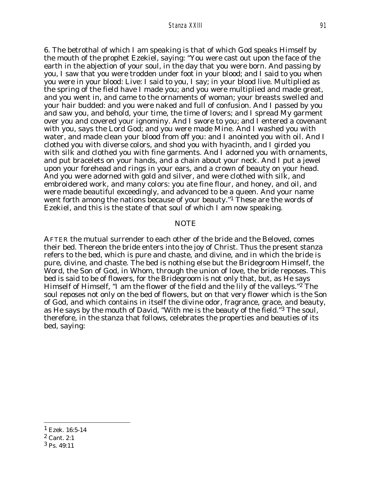6. The betrothal of which I am speaking is that of which God speaks Himself by the mouth of the prophet Ezekiel, saying: "You were cast out upon the face of the earth in the abjection of your soul, in the day that you were born. And passing by you, I saw that you were trodden under foot in your blood; and I said to you when you were in your blood: Live: I said to you, I say; in your blood live. Multiplied as the spring of the field have I made you; and you were multiplied and made great, and you went in, and came to the ornaments of woman; your breasts swelled and your hair budded: and you were naked and full of confusion. And I passed by you and saw you, and behold, your time, the time of lovers; and I spread My garment over you and covered your ignominy. And I swore to you; and I entered a covenant with you, says the Lord God; and you were made Mine. And I washed you with water, and made clean your blood from off you: and I anointed you with oil. And I clothed you with diverse colors, and shod you with hyacinth, and I girded you with silk and clothed you with fine garments. And I adorned you with ornaments, and put bracelets on your hands, and a chain about your neck. And I put a jewel upon your forehead and rings in your ears, and a crown of beauty on your head. And you were adorned with gold and silver, and were clothed with silk, and embroidered work, and many colors: you ate fine flour, and honey, and oil, and were made beautiful exceedingly, and advanced to be a queen. And your name went forth among the nations because of your beauty."1 These are the words of Ezekiel, and this is the state of that soul of which I am now speaking.

#### **NOTE**

AFTER the mutual surrender to each other of the bride and the Beloved, comes their bed. Thereon the bride enters into the joy of Christ. Thus the present stanza refers to the bed, which is pure and chaste, and divine, and in which the bride is pure, divine, and chaste. The bed is nothing else but the Bridegroom Himself, the Word, the Son of God, in Whom, through the union of love, the bride reposes. This bed is said to be of flowers, for the Bridegroom is not only that, but, as He says Himself of Himself, "I am the flower of the field and the lily of the valleys."2 The soul reposes not only on the bed of flowers, but on that very flower which is the Son of God, and which contains in itself the divine odor, fragrance, grace, and beauty, as He says by the mouth of David, "With me is the beauty of the field."3 The soul, therefore, in the stanza that follows, celebrates the properties and beauties of its bed, saying:

<sup>1</sup> Ezek. 16:5-14

<sup>2</sup> Cant. 2:1

 $3$  Ps. 49:11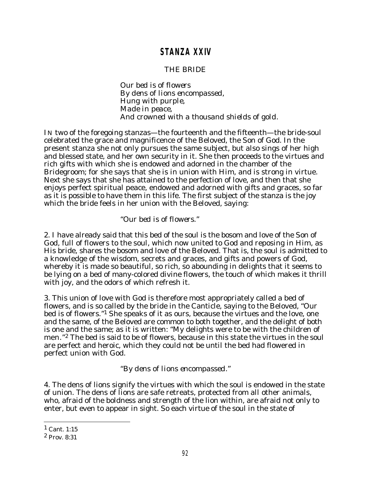# *STANZA XXIV*

## THE BRIDE

*Our bed is of flowers By dens of lions encompassed, Hung with purple, Made in peace, And crowned with a thousand shields of gold.*

IN two of the foregoing stanzas—the fourteenth and the fifteenth—the bride-soul celebrated the grace and magnificence of the Beloved, the Son of God. In the present stanza she not only pursues the same subject, but also sings of her high and blessed state, and her own security in it. She then proceeds to the virtues and rich gifts with which she is endowed and adorned in the chamber of the Bridegroom; for she says that she is in union with Him, and is strong in virtue. Next she says that she has attained to the perfection of love, and then that she enjoys perfect spiritual peace, endowed and adorned with gifts and graces, so far as it is possible to have them in this life. The first subject of the stanza is the joy which the bride feels in her union with the Beloved, saying:

## *"Our bed is of flowers."*

2. I have already said that this bed of the soul is the bosom and love of the Son of God, full of flowers to the soul, which now united to God and reposing in Him, as His bride, shares the bosom and love of the Beloved. That is, the soul is admitted to a knowledge of the wisdom, secrets and graces, and gifts and powers of God, whereby it is made so beautiful, so rich, so abounding in delights that it seems to be lying on a bed of many-colored divine flowers, the touch of which makes it thrill with joy, and the odors of which refresh it.

3. This union of love with God is therefore most appropriately called a bed of flowers, and is so called by the bride in the Canticle, saying to the Beloved, "Our bed is of flowers."1 She speaks of it as ours, because the virtues and the love, one and the same, of the Beloved are common to both together, and the delight of both is one and the same; as it is written: "My delights were to be with the children of men."2 The bed is said to be of flowers, because in this state the virtues in the soul are perfect and heroic, which they could not be until the bed had flowered in perfect union with God.

## *"By dens of lions encompassed."*

4. The dens of lions signify the virtues with which the soul is endowed in the state of union. The dens of lions are safe retreats, protected from all other animals, who, afraid of the boldness and strength of the lion within, are afraid not only to enter, but even to appear in sight. So each virtue of the soul in the state of

<sup>1</sup> Cant. 1:15

<sup>2</sup> Prov. 8:31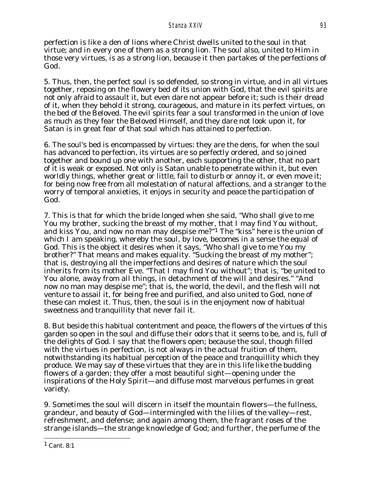perfection is like a den of lions where Christ dwells united to the soul in that virtue; and in every one of them as a strong lion. The soul also, united to Him in those very virtues, is as a strong lion, because it then partakes of the perfections of God.

5. Thus, then, the perfect soul is so defended, so strong in virtue, and in all virtues together, reposing on the flowery bed of its union with God, that the evil spirits are not only afraid to assault it, but even dare not appear before it; such is their dread of it, when they behold it strong, courageous, and mature in its perfect virtues, on the bed of the Beloved. The evil spirits fear a soul transformed in the union of love as much as they fear the Beloved Himself, and they dare not look upon it, for Satan is in great fear of that soul which has attained to perfection.

6. The soul's bed is encompassed by virtues: they are the dens, for when the soul has advanced to perfection, its virtues are so perfectly ordered, and so joined together and bound up one with another, each supporting the other, that no part of it is weak or exposed. Not only is Satan unable to penetrate within it, but even worldly things, whether great or little, fail to disturb or annoy it, or even move it; for being now free from all molestation of natural affections, and a stranger to the worry of temporal anxieties, it enjoys in security and peace the participation of God.

7. This is that for which the bride longed when she said, "Who shall give to me You my brother, sucking the breast of my mother, that I may find You without, and kiss You, and now no man may despise me?"1 The "kiss" here is the union of which I am speaking, whereby the soul, by love, becomes in a sense the equal of God. This is the object it desires when it says, "Who shall give to me You my brother?" That means and makes equality. "Sucking the breast of my mother"; that is, destroying all the imperfections and desires of nature which the soul inherits from its mother Eve. "That I may find You without"; that is, "be united to You alone, away from all things, in detachment of the will and desires." "And now no man may despise me"; that is, the world, the devil, and the flesh will not venture to assail it, for being free and purified, and also united to God, none of these can molest it. Thus, then, the soul is in the enjoyment now of habitual sweetness and tranquillity that never fail it.

8. But beside this habitual contentment and peace, the flowers of the virtues of this garden so open in the soul and diffuse their odors that it seems to be, and is, full of the delights of God. I say that the flowers open; because the soul, though filled with the virtues in perfection, is not always in the actual fruition of them, notwithstanding its habitual perception of the peace and tranquillity which they produce. We may say of these virtues that they are in this life like the budding flowers of a garden; they offer a most beautiful sight—opening under the inspirations of the Holy Spirit—and diffuse most marvelous perfumes in great variety.

9. Sometimes the soul will discern in itself the mountain flowers—the fullness, grandeur, and beauty of God—intermingled with the lilies of the valley—rest, refreshment, and defense; and again among them, the fragrant roses of the strange islands—the strange knowledge of God; and further, the perfume of the

<sup>1</sup> Cant. 8:1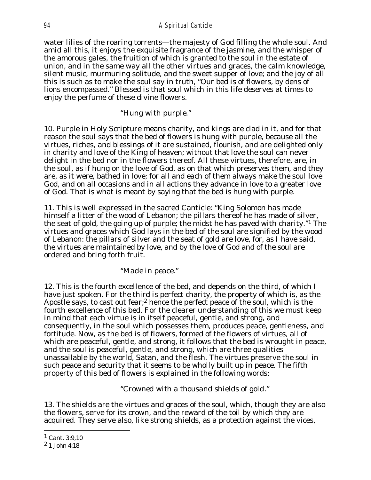water lilies of the roaring torrents—the majesty of God filling the whole soul. And amid all this, it enjoys the exquisite fragrance of the jasmine, and the whisper of the amorous gales, the fruition of which is granted to the soul in the estate of union, and in the same way all the other virtues and graces, the calm knowledge, silent music, murmuring solitude, and the sweet supper of love; and the joy of all this is such as to make the soul say in truth, "Our bed is of flowers, by dens of lions encompassed." Blessed is that soul which in this life deserves at times to enjoy the perfume of these divine flowers.

## *"Hung with purple."*

10. Purple in Holy Scripture means charity, and kings are clad in it, and for that reason the soul says that the bed of flowers is hung with purple, because all the virtues, riches, and blessings of it are sustained, flourish, and are delighted only in charity and love of the King of heaven; without that love the soul can never delight in the bed nor in the flowers thereof. All these virtues, therefore, are, in the soul, as if hung on the love of God, as on that which preserves them, and they are, as it were, bathed in love; for all and each of them always make the soul love God, and on all occasions and in all actions they advance in love to a greater love of God. That is what is meant by saying that the bed is hung with purple.

11. This is well expressed in the sacred Canticle: "King Solomon has made himself a litter of the wood of Lebanon; the pillars thereof he has made of silver, the seat of gold, the going up of purple; the midst he has paved with charity."1 The virtues and graces which God lays in the bed of the soul are signified by the wood of Lebanon: the pillars of silver and the seat of gold are love, for, as I have said, the virtues are maintained by love, and by the love of God and of the soul are ordered and bring forth fruit.

### *"Made in peace."*

12. This is the fourth excellence of the bed, and depends on the third, of which I have just spoken. For the third is perfect charity, the property of which is, as the Apostle says, to cast out fear;2 hence the perfect peace of the soul, which is the fourth excellence of this bed. For the clearer understanding of this we must keep in mind that each virtue is in itself peaceful, gentle, and strong, and consequently, in the soul which possesses them, produces peace, gentleness, and fortitude. Now, as the bed is of flowers, formed of the flowers of virtues, all of which are peaceful, gentle, and strong, it follows that the bed is wrought in peace, and the soul is peaceful, gentle, and strong, which are three qualities unassailable by the world, Satan, and the flesh. The virtues preserve the soul in such peace and security that it seems to be wholly built up in peace. The fifth property of this bed of flowers is explained in the following words:

## *"Crowned with a thousand shields of gold."*

13. The shields are the virtues and graces of the soul, which, though they are also the flowers, serve for its crown, and the reward of the toil by which they are acquired. They serve also, like strong shields, as a protection against the vices,

<sup>1</sup> Cant. 3:9,10

 $21$  John 4:18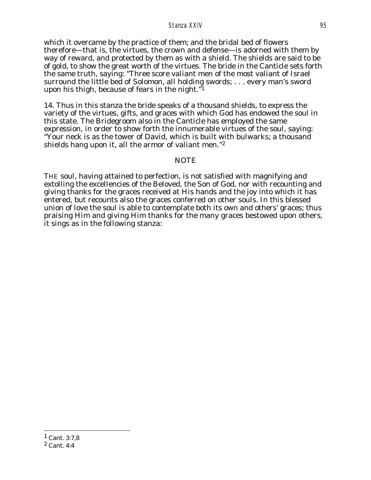which it overcame by the practice of them; and the bridal bed of flowers therefore—that is, the virtues, the crown and defense—is adorned with them by way of reward, and protected by them as with a shield. The shields are said to be of gold, to show the great worth of the virtues. The bride in the Canticle sets forth the same truth, saying: "Three score valiant men of the most valiant of Israel surround the little bed of Solomon, all holding swords; . . . every man's sword upon his thigh, because of fears in the night."1

14. Thus in this stanza the bride speaks of a thousand shields, to express the variety of the virtues, gifts, and graces with which God has endowed the soul in this state. The Bridegroom also in the Canticle has employed the same expression, in order to show forth the innumerable virtues of the soul, saying: "Your neck is as the tower of David, which is built with bulwarks; a thousand shields hang upon it, all the armor of valiant men."2

### **NOTE**

THE soul, having attained to perfection, is not satisfied with magnifying and extolling the excellencies of the Beloved, the Son of God, nor with recounting and giving thanks for the graces received at His hands and the joy into which it has entered, but recounts also the graces conferred on other souls. In this blessed union of love the soul is able to contemplate both its own and others' graces; thus praising Him and giving Him thanks for the many graces bestowed upon others, it sings as in the following stanza:

<sup>1</sup> Cant. 3:7,8  $2$  Cant. 4:4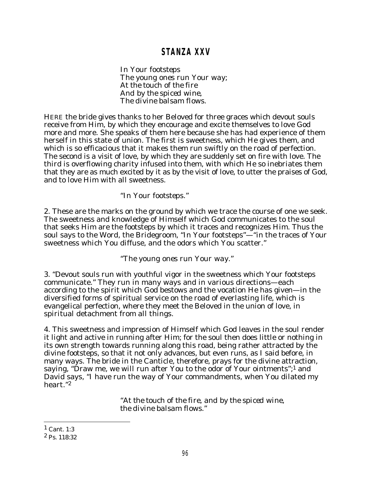# *STANZA XXV*

*In Your footsteps The young ones run Your way; At the touch of the fire And by the spiced wine, The divine balsam flows.*

HERE the bride gives thanks to her Beloved for three graces which devout souls receive from Him, by which they encourage and excite themselves to love God more and more. She speaks of them here because she has had experience of them herself in this state of union. The first is sweetness, which He gives them, and which is so efficacious that it makes them run swiftly on the road of perfection. The second is a visit of love, by which they are suddenly set on fire with love. The third is overflowing charity infused into them, with which He so inebriates them that they are as much excited by it as by the visit of love, to utter the praises of God, and to love Him with all sweetness.

### *"In Your footsteps."*

2. These are the marks on the ground by which we trace the course of one we seek. The sweetness and knowledge of Himself which God communicates to the soul that seeks Him are the footsteps by which it traces and recognizes Him. Thus the soul says to the Word, the Bridegroom, "In Your footsteps"—"in the traces of Your sweetness which You diffuse, and the odors which You scatter."

*"The young ones run Your way."*

3. "Devout souls run with youthful vigor in the sweetness which Your footsteps communicate." They run in many ways and in various directions—each according to the spirit which God bestows and the vocation He has given—in the diversified forms of spiritual service on the road of everlasting life, which is evangelical perfection, where they meet the Beloved in the union of love, in spiritual detachment from all things.

4. This sweetness and impression of Himself which God leaves in the soul render it light and active in running after Him; for the soul then does little or nothing in its own strength towards running along this road, being rather attracted by the divine footsteps, so that it not only advances, but even runs, as I said before, in many ways. The bride in the Canticle, therefore, prays for the divine attraction, saying, "Draw me, we will run after You to the odor of Your ointments";<sup>1</sup> and David says, "I have run the way of Your commandments, when You dilated my heart<sup>"2</sup>

> *"At the touch of the fire, and by the spiced wine, the divine balsam flows."*

<sup>1</sup> Cant. 1:3

<sup>2</sup> Ps. 118:32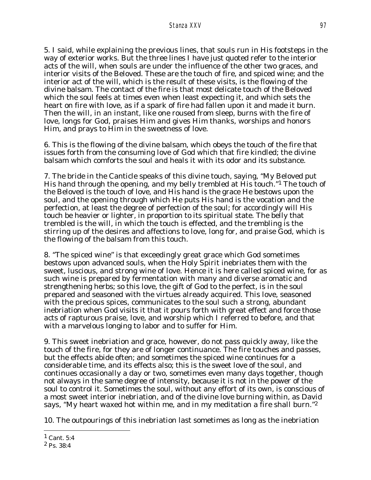5. I said, while explaining the previous lines, that souls run in His footsteps in the way of exterior works. But the three lines I have just quoted refer to the interior acts of the will, when souls are under the influence of the other two graces, and interior visits of the Beloved. These are the touch of fire, and spiced wine; and the interior act of the will, which is the result of these visits, is the flowing of the divine balsam. The contact of the fire is that most delicate touch of the Beloved which the soul feels at times even when least expecting it, and which sets the heart on fire with love, as if a spark of fire had fallen upon it and made it burn. Then the will, in an instant, like one roused from sleep, burns with the fire of love, longs for God, praises Him and gives Him thanks, worships and honors Him, and prays to Him in the sweetness of love.

6. This is the flowing of the divine balsam, which obeys the touch of the fire that issues forth from the consuming love of God which that fire kindled; the divine balsam which comforts the soul and heals it with its odor and its substance.

7. The bride in the Canticle speaks of this divine touch, saying, "My Beloved put His hand through the opening, and my belly trembled at His touch."1 The touch of the Beloved is the touch of love, and His hand is the grace He bestows upon the soul, and the opening through which He puts His hand is the vocation and the perfection, at least the degree of perfection of the soul; for accordingly will His touch be heavier or lighter, in proportion to its spiritual state. The belly that trembled is the will, in which the touch is effected, and the trembling is the stirring up of the desires and affections to love, long for, and praise God, which is the flowing of the balsam from this touch.

8. "The spiced wine" is that exceedingly great grace which God sometimes bestows upon advanced souls, when the Holy Spirit inebriates them with the sweet, luscious, and strong wine of love. Hence it is here called spiced wine, for as such wine is prepared by fermentation with many and diverse aromatic and strengthening herbs; so this love, the gift of God to the perfect, is in the soul prepared and seasoned with the virtues already acquired. This love, seasoned with the precious spices, communicates to the soul such a strong, abundant inebriation when God visits it that it pours forth with great effect and force those acts of rapturous praise, love, and worship which I referred to before, and that with a marvelous longing to labor and to suffer for Him.

9. This sweet inebriation and grace, however, do not pass quickly away, like the touch of the fire, for they are of longer continuance. The fire touches and passes, but the effects abide often; and sometimes the spiced wine continues for a considerable time, and its effects also; this is the sweet love of the soul, and continues occasionally a day or two, sometimes even many days together, though not always in the same degree of intensity, because it is not in the power of the soul to control it. Sometimes the soul, without any effort of its own, is conscious of a most sweet interior inebriation, and of the divine love burning within, as David says, "My heart waxed hot within me, and in my meditation a fire shall burn."2

10. The outpourings of this inebriation last sometimes as long as the inebriation

<sup>1</sup> Cant. 5:4

<sup>2</sup> Ps. 38:4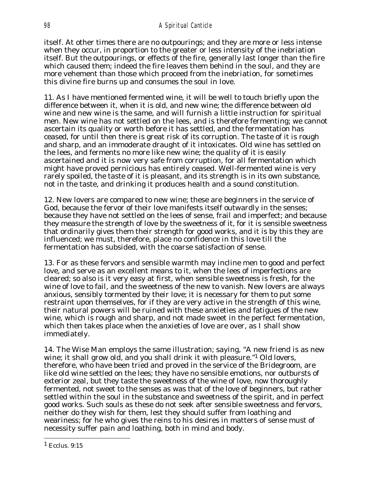itself. At other times there are no outpourings; and they are more or less intense when they occur, in proportion to the greater or less intensity of the inebriation itself. But the outpourings, or effects of the fire, generally last longer than the fire which caused them; indeed the fire leaves them behind in the soul, and they are more vehement than those which proceed from the inebriation, for sometimes this divine fire burns up and consumes the soul in love.

11. As I have mentioned fermented wine, it will be well to touch briefly upon the difference between it, when it is old, and new wine; the difference between old wine and new wine is the same, and will furnish a little instruction for spiritual men. New wine has not settled on the lees, and is therefore fermenting; we cannot ascertain its quality or worth before it has settled, and the fermentation has ceased, for until then there is great risk of its corruption. The taste of it is rough and sharp, and an immoderate draught of it intoxicates. Old wine has settled on the lees, and ferments no more like new wine; the quality of it is easily ascertained and it is now very safe from corruption, for all fermentation which might have proved pernicious has entirely ceased. Well-fermented wine is very rarely spoiled, the taste of it is pleasant, and its strength is in its own substance, not in the taste, and drinking it produces health and a sound constitution.

12. New lovers are compared to new wine; these are beginners in the service of God, because the fervor of their love manifests itself outwardly in the senses; because they have not settled on the lees of sense, frail and imperfect; and because they measure the strength of love by the sweetness of it, for it is sensible sweetness that ordinarily gives them their strength for good works, and it is by this they are influenced; we must, therefore, place no confidence in this love till the fermentation has subsided, with the coarse satisfaction of sense.

13. For as these fervors and sensible warmth may incline men to good and perfect love, and serve as an excellent means to it, when the lees of imperfections are cleared; so also is it very easy at first, when sensible sweetness is fresh, for the wine of love to fail, and the sweetness of the new to vanish. New lovers are always anxious, sensibly tormented by their love; it is necessary for them to put some restraint upon themselves, for if they are very active in the strength of this wine, their natural powers will be ruined with these anxieties and fatigues of the new wine, which is rough and sharp, and not made sweet in the perfect fermentation, which then takes place when the anxieties of love are over, as I shall show immediately.

14. The Wise Man employs the same illustration; saying, "A new friend is as new wine; it shall grow old, and you shall drink it with pleasure."<sup>1</sup> Old lovers, therefore, who have been tried and proved in the service of the Bridegroom, are like old wine settled on the lees; they have no sensible emotions, nor outbursts of exterior zeal, but they taste the sweetness of the wine of love, now thoroughly fermented, not sweet to the senses as was that of the love of beginners, but rather settled within the soul in the substance and sweetness of the spirit, and in perfect good works. Such souls as these do not seek after sensible sweetness and fervors, neither do they wish for them, lest they should suffer from loathing and weariness; for he who gives the reins to his desires in matters of sense must of necessity suffer pain and loathing, both in mind and body.

<sup>1</sup> Ecclus. 9:15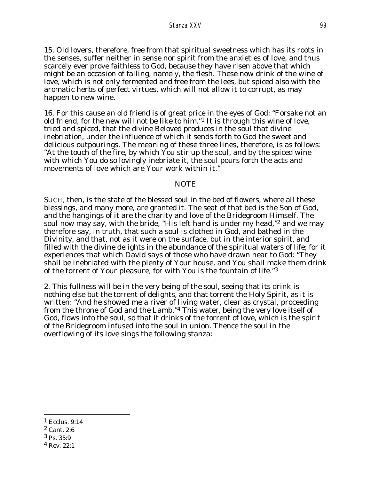15. Old lovers, therefore, free from that spiritual sweetness which has its roots in the senses, suffer neither in sense nor spirit from the anxieties of love, and thus scarcely ever prove faithless to God, because they have risen above that which might be an occasion of falling, namely, the flesh. These now drink of the wine of love, which is not only fermented and free from the lees, but spiced also with the aromatic herbs of perfect virtues, which will not allow it to corrupt, as may happen to new wine.

16. For this cause an old friend is of great price in the eyes of God: "Forsake not an old friend, for the new will not be like to him."1 It is through this wine of love, tried and spiced, that the divine Beloved produces in the soul that divine inebriation, under the influence of which it sends forth to God the sweet and delicious outpourings. The meaning of these three lines, therefore, is as follows: "At the touch of the fire, by which You stir up the soul, and by the spiced wine with which You do so lovingly inebriate it, the soul pours forth the acts and movements of love which are Your work within it."

### NOTE

SUCH, then, is the state of the blessed soul in the bed of flowers, where all these blessings, and many more, are granted it. The seat of that bed is the Son of God, and the hangings of it are the charity and love of the Bridegroom Himself. The soul now may say, with the bride, "His left hand is under my head,"2 and we may therefore say, in truth, that such a soul is clothed in God, and bathed in the Divinity, and that, not as it were on the surface, but in the interior spirit, and filled with the divine delights in the abundance of the spiritual waters of life; for it experiences that which David says of those who have drawn near to God: "They shall be inebriated with the plenty of Your house, and You shall make them drink of the torrent of Your pleasure, for with You is the fountain of life."3

2. This fullness will be in the very being of the soul, seeing that its drink is nothing else but the torrent of delights, and that torrent the Holy Spirit, as it is written: "And he showed me a river of living water, clear as crystal, proceeding from the throne of God and the Lamb."4 This water, being the very love itself of God, flows into the soul, so that it drinks of the torrent of love, which is the spirit of the Bridegroom infused into the soul in union. Thence the soul in the overflowing of its love sings the following stanza:

3 Ps. 35:9

<sup>1</sup> Ecclus. 9:14

<sup>2</sup> Cant. 2:6

<sup>4</sup> Rev. 22:1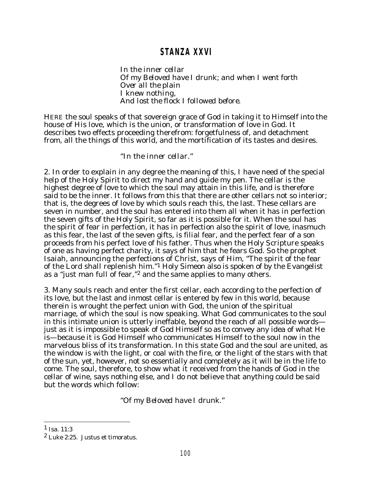# *STANZA XXVI*

*In the inner cellar Of my Beloved have I drunk; and when I went forth Over all the plain I knew nothing, And lost the flock I followed before.*

HERE the soul speaks of that sovereign grace of God in taking it to Himself into the house of His love, which is the union, or transformation of love in God. It describes two effects proceeding therefrom: forgetfulness of, and detachment from, all the things of this world, and the mortification of its tastes and desires.

### *"In the inner cellar."*

2. In order to explain in any degree the meaning of this, I have need of the special help of the Holy Spirit to direct my hand and guide my pen. The cellar is the highest degree of love to which the soul may attain in this life, and is therefore said to be the inner. It follows from this that there are other cellars not so interior; that is, the degrees of love by which souls reach this, the last. These cellars are seven in number, and the soul has entered into them all when it has in perfection the seven gifts of the Holy Spirit, so far as it is possible for it. When the soul has the spirit of fear in perfection, it has in perfection also the spirit of love, inasmuch as this fear, the last of the seven gifts, is filial fear, and the perfect fear of a son proceeds from his perfect love of his father. Thus when the Holy Scripture speaks of one as having perfect charity, it says of him that he fears God. So the prophet Isaiah, announcing the perfections of Christ, says of Him, "The spirit of the fear of the Lord shall replenish him."1 Holy Simeon also is spoken of by the Evangelist as a "just man full of fear,"2 and the same applies to many others.

3. Many souls reach and enter the first cellar, each according to the perfection of its love, but the last and inmost cellar is entered by few in this world, because therein is wrought the perfect union with God, the union of the spiritual marriage, of which the soul is now speaking. What God communicates to the soul in this intimate union is utterly ineffable, beyond the reach of all possible words just as it is impossible to speak of God Himself so as to convey any idea of what He is—because it is God Himself who communicates Himself to the soul now in the marvelous bliss of its transformation. In this state God and the soul are united, as the window is with the light, or coal with the fire, or the light of the stars with that of the sun, yet, however, not so essentially and completely as it will be in the life to come. The soul, therefore, to show what it received from the hands of God in the cellar of wine, says nothing else, and I do not believe that anything could be said but the words which follow:

*"Of my Beloved have I drunk."*

 $1$  Isa. 11:3

<sup>2</sup> Luke 2:25. Justus et timoratus.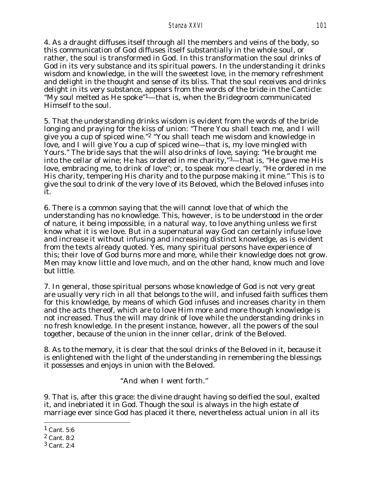4. As a draught diffuses itself through all the members and veins of the body, so this communication of God diffuses itself substantially in the whole soul, or rather, the soul is transformed in God. In this transformation the soul drinks of God in its very substance and its spiritual powers. In the understanding it drinks wisdom and knowledge, in the will the sweetest love, in the memory refreshment and delight in the thought and sense of its bliss. That the soul receives and drinks delight in its very substance, appears from the words of the bride in the Canticle: "My soul melted as He spoke"1—that is, when the Bridegroom communicated Himself to the soul.

5. That the understanding drinks wisdom is evident from the words of the bride longing and praying for the kiss of union: "There You shall teach me, and I will give you a cup of spiced wine."2 "You shall teach me wisdom and knowledge in love, and I will give You a cup of spiced wine—that is, my love mingled with Yours." The bride says that the will also drinks of love, saying: "He brought me into the cellar of wine; He has ordered in me charity,"3—that is, "He gave me His love, embracing me, to drink of love"; or, to speak more clearly, "He ordered in me His charity, tempering His charity and to the purpose making it mine." This is to give the soul to drink of the very love of its Beloved, which the Beloved infuses into it.

6. There is a common saying that the will cannot love that of which the understanding has no knowledge. This, however, is to be understood in the order of nature, it being impossible, in a natural way, to love anything unless we first know what it is we love. But in a supernatural way God can certainly infuse love and increase it without infusing and increasing distinct knowledge, as is evident from the texts already quoted. Yes, many spiritual persons have experience of this; their love of God burns more and more, while their knowledge does not grow. Men may know little and love much, and on the other hand, know much and love but little.

7. In general, those spiritual persons whose knowledge of God is not very great are usually very rich in all that belongs to the will, and infused faith suffices them for this knowledge, by means of which God infuses and increases charity in them and the acts thereof, which are to love Him more and more though knowledge is not increased. Thus the will may drink of love while the understanding drinks in no fresh knowledge. In the present instance, however, all the powers of the soul together, because of the union in the inner cellar, drink of the Beloved.

8. As to the memory, it is clear that the soul drinks of the Beloved in it, because it is enlightened with the light of the understanding in remembering the blessings it possesses and enjoys in union with the Beloved.

### *"And when I went forth."*

9. That is, after this grace: the divine draught having so deified the soul, exalted it, and inebriated it in God. Though the soul is always in the high estate of marriage ever since God has placed it there, nevertheless actual union in all its

<sup>1</sup> Cant. 5:6

<sup>2</sup> Cant. 8:2

<sup>3</sup> Cant. 2:4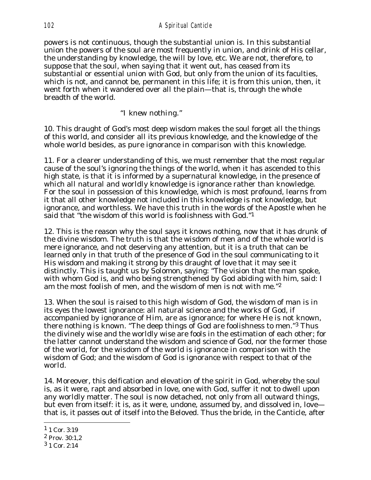powers is not continuous, though the substantial union is. In this substantial union the powers of the soul are most frequently in union, and drink of His cellar, the understanding by knowledge, the will by love, etc. We are not, therefore, to suppose that the soul, when saying that it went out, has ceased from its substantial or essential union with God, but only from the union of its faculties, which is not, and cannot be, permanent in this life; it is from this union, then, it went forth when it wandered over all the plain—that is, through the whole breadth of the world.

# *"I knew nothing."*

10. This draught of God's most deep wisdom makes the soul forget all the things of this world, and consider all its previous knowledge, and the knowledge of the whole world besides, as pure ignorance in comparison with this knowledge.

11. For a clearer understanding of this, we must remember that the most regular cause of the soul's ignoring the things of the world, when it has ascended to this high state, is that it is informed by a supernatural knowledge, in the presence of which all natural and worldly knowledge is ignorance rather than knowledge. For the soul in possession of this knowledge, which is most profound, learns from it that all other knowledge not included in this knowledge is not knowledge, but ignorance, and worthless. We have this truth in the words of the Apostle when he said that "the wisdom of this world is foolishness with God."1

12. This is the reason why the soul says it knows nothing, now that it has drunk of the divine wisdom. The truth is that the wisdom of men and of the whole world is mere ignorance, and not deserving any attention, but it is a truth that can be learned only in that truth of the presence of God in the soul communicating to it His wisdom and making it strong by this draught of love that it may see it distinctly. This is taught us by Solomon, saying: "The vision that the man spoke, with whom God is, and who being strengthened by God abiding with him, said: I am the most foolish of men, and the wisdom of men is not with me."2

13. When the soul is raised to this high wisdom of God, the wisdom of man is in its eyes the lowest ignorance: all natural science and the works of God, if accompanied by ignorance of Him, are as ignorance; for where He is not known, there nothing is known. "The deep things of God are foolishness to men."3 Thus the divinely wise and the worldly wise are fools in the estimation of each other; for the latter cannot understand the wisdom and science of God, nor the former those of the world, for the wisdom of the world is ignorance in comparison with the wisdom of God; and the wisdom of God is ignorance with respect to that of the world.

14. Moreover, this deification and elevation of the spirit in God, whereby the soul is, as it were, rapt and absorbed in love, one with God, suffer it not to dwell upon any worldly matter. The soul is now detached, not only from all outward things, but even from itself: it is, as it were, undone, assumed by, and dissolved in, love that is, it passes out of itself into the Beloved. Thus the bride, in the Canticle, after

<sup>1</sup> 1 Cor. 3:19

<sup>2</sup> Prov. 30:1,2

<sup>3</sup> 1 Cor. 2:14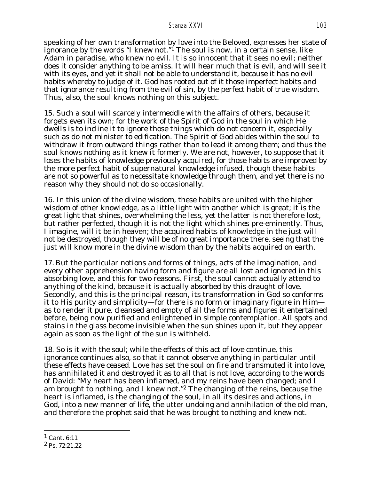speaking of her own transformation by love into the Beloved, expresses her state of ignorance by the words "I knew not."<sup>I</sup> The soul is now, in a certain sense, like Adam in paradise, who knew no evil. It is so innocent that it sees no evil; neither does it consider anything to be amiss. It will hear much that is evil, and will see it with its eyes, and yet it shall not be able to understand it, because it has no evil habits whereby to judge of it. God has rooted out of it those imperfect habits and that ignorance resulting from the evil of sin, by the perfect habit of true wisdom. Thus, also, the soul knows nothing on this subject.

15. Such a soul will scarcely intermeddle with the affairs of others, because it forgets even its own; for the work of the Spirit of God in the soul in which He dwells is to incline it to ignore those things which do not concern it, especially such as do not minister to edification. The Spirit of God abides within the soul to withdraw it from outward things rather than to lead it among them; and thus the soul knows nothing as it knew it formerly. We are not, however, to suppose that it loses the habits of knowledge previously acquired, for those habits are improved by the more perfect habit of supernatural knowledge infused, though these habits are not so powerful as to necessitate knowledge through them, and yet there is no reason why they should not do so occasionally.

16. In this union of the divine wisdom, these habits are united with the higher wisdom of other knowledge, as a little light with another which is great; it is the great light that shines, overwhelming the less, yet the latter is not therefore lost, but rather perfected, though it is not the light which shines pre-eminently. Thus, I imagine, will it be in heaven; the acquired habits of knowledge in the just will not be destroyed, though they will be of no great importance there, seeing that the just will know more in the divine wisdom than by the habits acquired on earth.

17. But the particular notions and forms of things, acts of the imagination, and every other apprehension having form and figure are all lost and ignored in this absorbing love, and this for two reasons. First, the soul cannot actually attend to anything of the kind, because it is actually absorbed by this draught of love. Secondly, and this is the principal reason, its transformation in God so conforms it to His purity and simplicity—for there is no form or imaginary figure in Him as to render it pure, cleansed and empty of all the forms and figures it entertained before, being now purified and enlightened in simple contemplation. All spots and stains in the glass become invisible when the sun shines upon it, but they appear again as soon as the light of the sun is withheld.

18. So is it with the soul; while the effects of this act of love continue, this ignorance continues also, so that it cannot observe anything in particular until these effects have ceased. Love has set the soul on fire and transmuted it into love, has annihilated it and destroyed it as to all that is not love, according to the words of David: "My heart has been inflamed, and my reins have been changed; and I am brought to nothing, and I knew not."2 The changing of the reins, because the heart is inflamed, is the changing of the soul, in all its desires and actions, in God, into a new manner of life, the utter undoing and annihilation of the old man, and therefore the prophet said that he was brought to nothing and knew not.

<sup>1</sup> Cant. 6:11

<sup>2</sup> Ps. 72:21,22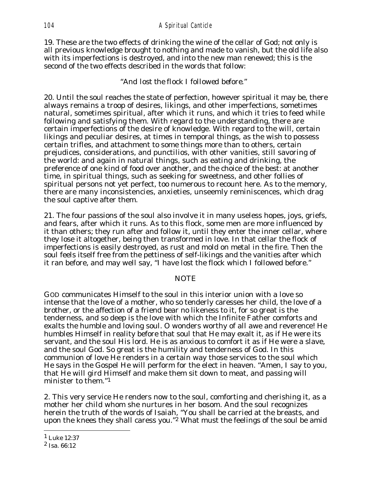19. These are the two effects of drinking the wine of the cellar of God; not only is all previous knowledge brought to nothing and made to vanish, but the old life also with its imperfections is destroyed, and into the new man renewed; this is the second of the two effects described in the words that follow:

### *"And lost the flock I followed before."*

20. Until the soul reaches the state of perfection, however spiritual it may be, there always remains a troop of desires, likings, and other imperfections, sometimes natural, sometimes spiritual, after which it runs, and which it tries to feed while following and satisfying them. With regard to the understanding, there are certain imperfections of the desire of knowledge. With regard to the will, certain likings and peculiar desires, at times in temporal things, as the wish to possess certain trifles, and attachment to some things more than to others, certain prejudices, considerations, and punctilios, with other vanities, still savoring of the world: and again in natural things, such as eating and drinking, the preference of one kind of food over another, and the choice of the best: at another time, in spiritual things, such as seeking for sweetness, and other follies of spiritual persons not yet perfect, too numerous to recount here. As to the memory, there are many inconsistencies, anxieties, unseemly reminiscences, which drag the soul captive after them.

21. The four passions of the soul also involve it in many useless hopes, joys, griefs, and fears, after which it runs. As to this flock, some men are more influenced by it than others; they run after and follow it, until they enter the inner cellar, where they lose it altogether, being then transformed in love. In that cellar the flock of imperfections is easily destroyed, as rust and mold on metal in the fire. Then the soul feels itself free from the pettiness of self-likings and the vanities after which it ran before, and may well say, "I have lost the flock which I followed before."

#### NOTE

GOD communicates Himself to the soul in this interior union with a love so intense that the love of a mother, who so tenderly caresses her child, the love of a brother, or the affection of a friend bear no likeness to it, for so great is the tenderness, and so deep is the love with which the Infinite Father comforts and exalts the humble and loving soul. O wonders worthy of all awe and reverence! He humbles Himself in reality before that soul that He may exalt it, as if He were its servant, and the soul His lord. He is as anxious to comfort it as if He were a slave, and the soul God. So great is the humility and tenderness of God. In this communion of love He renders in a certain way those services to the soul which He says in the Gospel He will perform for the elect in heaven. "Amen, I say to you, that He will gird Himself and make them sit down to meat, and passing will minister to them."1

2. This very service He renders now to the soul, comforting and cherishing it, as a mother her child whom she nurtures in her bosom. And the soul recognizes herein the truth of the words of Isaiah, "You shall be carried at the breasts, and upon the knees they shall caress you."2 What must the feelings of the soul be amid

<sup>1</sup> Luke 12:37

 $2$  Isa. 66:12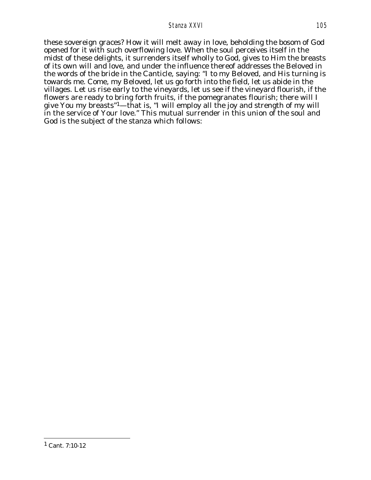these sovereign graces? How it will melt away in love, beholding the bosom of God opened for it with such overflowing love. When the soul perceives itself in the midst of these delights, it surrenders itself wholly to God, gives to Him the breasts of its own will and love, and under the influence thereof addresses the Beloved in the words of the bride in the Canticle, saying: "I to my Beloved, and His turning is towards me. Come, my Beloved, let us go forth into the field, let us abide in the villages. Let us rise early to the vineyards, let us see if the vineyard flourish, if the flowers are ready to bring forth fruits, if the pomegranates flourish; there will I give You my breasts"1—that is, "I will employ all the joy and strength of my will in the service of Your love." This mutual surrender in this union of the soul and God is the subject of the stanza which follows: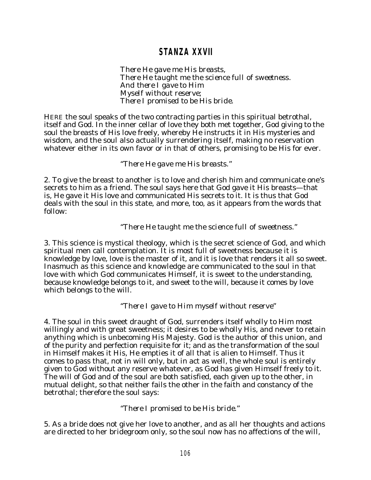# *STANZA XXVII*

*There He gave me His breasts, There He taught me the science full of sweetness. And there I gave to Him Myself without reserve; There I promised to be His bride.*

HERE the soul speaks of the two contracting parties in this spiritual betrothal, itself and God. In the inner cellar of love they both met together, God giving to the soul the breasts of His love freely, whereby He instructs it in His mysteries and wisdom, and the soul also actually surrendering itself, making no reservation whatever either in its own favor or in that of others, promising to be His for ever.

#### *"There He gave me His breasts."*

2. To give the breast to another is to love and cherish him and communicate one's secrets to him as a friend. The soul says here that God gave it His breasts—that is, He gave it His love and communicated His secrets to it. It is thus that God deals with the soul in this state, and more, too, as it appears from the words that follow:

#### *"There He taught me the science full of sweetness."*

3. This science is mystical theology, which is the secret science of God, and which spiritual men call contemplation. It is most full of sweetness because it is knowledge by love, love is the master of it, and it is love that renders it all so sweet. Inasmuch as this science and knowledge are communicated to the soul in that love with which God communicates Himself, it is sweet to the understanding, because knowledge belongs to it, and sweet to the will, because it comes by love which belongs to the will.

### *"There I gave to Him myself without reserve"*

4. The soul in this sweet draught of God, surrenders itself wholly to Him most willingly and with great sweetness; it desires to be wholly His, and never to retain anything which is unbecoming His Majesty. God is the author of this union, and of the purity and perfection requisite for it; and as the transformation of the soul in Himself makes it His, He empties it of all that is alien to Himself. Thus it comes to pass that, not in will only, but in act as well, the whole soul is entirely given to God without any reserve whatever, as God has given Himself freely to it. The will of God and of the soul are both satisfied, each given up to the other, in mutual delight, so that neither fails the other in the faith and constancy of the betrothal; therefore the soul says:

#### *"There I promised to be His bride."*

5. As a bride does not give her love to another, and as all her thoughts and actions are directed to her bridegroom only, so the soul now has no affections of the will,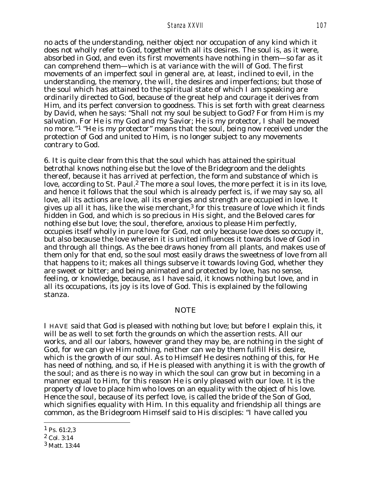no acts of the understanding, neither object nor occupation of any kind which it does not wholly refer to God, together with all its desires. The soul is, as it were, absorbed in God, and even its first movements have nothing in them—so far as it can comprehend them—which is at variance with the will of God. The first movements of an imperfect soul in general are, at least, inclined to evil, in the understanding, the memory, the will, the desires and imperfections; but those of the soul which has attained to the spiritual state of which I am speaking are ordinarily directed to God, because of the great help and courage it derives from Him, and its perfect conversion to goodness. This is set forth with great clearness by David, when he says: "Shall not my soul be subject to God? For from Him is my salvation. For He is my God and my Savior; He is my protector, I shall be moved no more."1 "He is my protector" means that the soul, being now received under the protection of God and united to Him, is no longer subject to any movements contrary to God.

6. It is quite clear from this that the soul which has attained the spiritual betrothal knows nothing else but the love of the Bridegroom and the delights thereof, because it has arrived at perfection, the form and substance of which is love, according to St. Paul.<sup>2</sup> The more a soul loves, the more perfect it is in its love, and hence it follows that the soul which is already perfect is, if we may say so, all love, all its actions are love, all its energies and strength are occupied in love. It gives up all it has, like the wise merchant, $3$  for this treasure of love which it finds hidden in God, and which is so precious in His sight, and the Beloved cares for nothing else but love; the soul, therefore, anxious to please Him perfectly, occupies itself wholly in pure love for God, not only because love does so occupy it, but also because the love wherein it is united influences it towards love of God in and through all things. As the bee draws honey from all plants, and makes use of them only for that end, so the soul most easily draws the sweetness of love from all that happens to it; makes all things subserve it towards loving God, whether they are sweet or bitter; and being animated and protected by love, has no sense, feeling, or knowledge, because, as I have said, it knows nothing but love, and in all its occupations, its joy is its love of God. This is explained by the following stanza.

#### NOTE

I HAVE said that God is pleased with nothing but love; but before I explain this, it will be as well to set forth the grounds on which the assertion rests. All our works, and all our labors, however grand they may be, are nothing in the sight of God, for we can give Him nothing, neither can we by them fulfill His desire, which is the growth of our soul. As to Himself He desires nothing of this, for He has need of nothing, and so, if He is pleased with anything it is with the growth of the soul; and as there is no way in which the soul can grow but in becoming in a manner equal to Him, for this reason He is only pleased with our love. It is the property of love to place him who loves on an equality with the object of his love. Hence the soul, because of its perfect love, is called the bride of the Son of God, which signifies equality with Him. In this equality and friendship all things are common, as the Bridegroom Himself said to His disciples: "I have called you

<sup>1</sup> Ps. 61:2,3

 $2$  Col. 3:14

<sup>3</sup> Matt. 13:44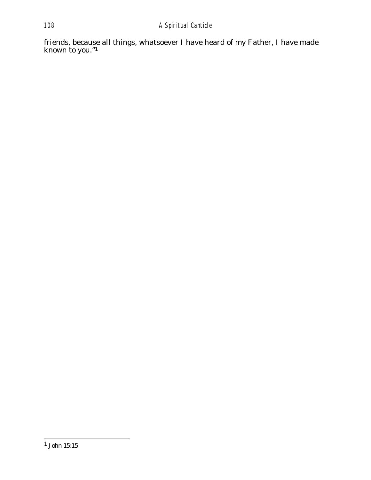friends, because all things, whatsoever I have heard of my Father, I have made known to you."1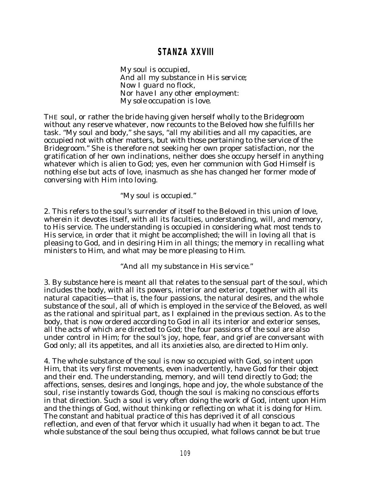# *STANZA XXVIII*

*My soul is occupied, And all my substance in His service; Now I guard no flock, Nor have I any other employment: My sole occupation is love.*

THE soul, or rather the bride having given herself wholly to the Bridegroom without any reserve whatever, now recounts to the Beloved how she fulfills her task. "My soul and body," she says, "all my abilities and all my capacities, are occupied not with other matters, but with those pertaining to the service of the Bridegroom." She is therefore not seeking her own proper satisfaction, nor the gratification of her own inclinations, neither does she occupy herself in anything whatever which is alien to God; yes, even her communion with God Himself is nothing else but acts of love, inasmuch as she has changed her former mode of conversing with Him into loving.

#### *"My soul is occupied."*

2. This refers to the soul's surrender of itself to the Beloved in this union of love, wherein it devotes itself, with all its faculties, understanding, will, and memory, to His service. The understanding is occupied in considering what most tends to His service, in order that it might be accomplished; the will in loving all that is pleasing to God, and in desiring Him in all things; the memory in recalling what ministers to Him, and what may be more pleasing to Him.

*"And all my substance in His service."*

3. By substance here is meant all that relates to the sensual part of the soul, which includes the body, with all its powers, interior and exterior, together with all its natural capacities—that is, the four passions, the natural desires, and the whole substance of the soul, all of which is employed in the service of the Beloved, as well as the rational and spiritual part, as I explained in the previous section. As to the body, that is now ordered according to God in all its interior and exterior senses, all the acts of which are directed to God; the four passions of the soul are also under control in Him; for the soul's joy, hope, fear, and grief are conversant with God only; all its appetites, and all its anxieties also, are directed to Him only.

4. The whole substance of the soul is now so occupied with God, so intent upon Him, that its very first movements, even inadvertently, have God for their object and their end. The understanding, memory, and will tend directly to God; the affections, senses, desires and longings, hope and joy, the whole substance of the soul, rise instantly towards God, though the soul is making no conscious efforts in that direction. Such a soul is very often doing the work of God, intent upon Him and the things of God, without thinking or reflecting on what it is doing for Him. The constant and habitual practice of this has deprived it of all conscious reflection, and even of that fervor which it usually had when it began to act. The whole substance of the soul being thus occupied, what follows cannot be but true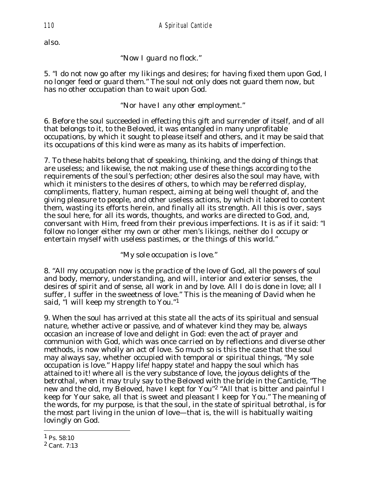also.

*"Now I guard no flock."*

5. "I do not now go after my likings and desires; for having fixed them upon God, I no longer feed or guard them." The soul not only does not guard them now, but has no other occupation than to wait upon God.

# *"Nor have I any other employment."*

6. Before the soul succeeded in effecting this gift and surrender of itself, and of all that belongs to it, to the Beloved, it was entangled in many unprofitable occupations, by which it sought to please itself and others, and it may be said that its occupations of this kind were as many as its habits of imperfection.

7. To these habits belong that of speaking, thinking, and the doing of things that are useless; and likewise, the not making use of these things according to the requirements of the soul's perfection; other desires also the soul may have, with which it ministers to the desires of others, to which may be referred display, compliments, flattery, human respect, aiming at being well thought of, and the giving pleasure to people, and other useless actions, by which it labored to content them, wasting its efforts herein, and finally all its strength. All this is over, says the soul here, for all its words, thoughts, and works are directed to God, and, conversant with Him, freed from their previous imperfections. It is as if it said: "I follow no longer either my own or other men's likings, neither do I occupy or entertain myself with useless pastimes, or the things of this world."

### *"My sole occupation is love."*

8. "All my occupation now is the practice of the love of God, all the powers of soul and body, memory, understanding, and will, interior and exterior senses, the desires of spirit and of sense, all work in and by love. All I do is done in love; all I suffer, I suffer in the sweetness of love." This is the meaning of David when he said, "I will keep my strength to You."1

9. When the soul has arrived at this state all the acts of its spiritual and sensual nature, whether active or passive, and of whatever kind they may be, always occasion an increase of love and delight in God: even the act of prayer and communion with God, which was once carried on by reflections and diverse other methods, is now wholly an act of love. So much so is this the case that the soul may always say, whether occupied with temporal or spiritual things, "My sole occupation is love." Happy life! happy state! and happy the soul which has attained to it! where all is the very substance of love, the joyous delights of the betrothal, when it may truly say to the Beloved with the bride in the Canticle, "The new and the old, my Beloved, have I kept for You"2 "All that is bitter and painful I keep for Your sake, all that is sweet and pleasant I keep for You." The meaning of the words, for my purpose, is that the soul, in the state of spiritual betrothal, is for the most part living in the union of love—that is, the will is habitually waiting lovingly on God.

 $1 \text{Ps}$ , 58:10

<sup>2</sup> Cant. 7:13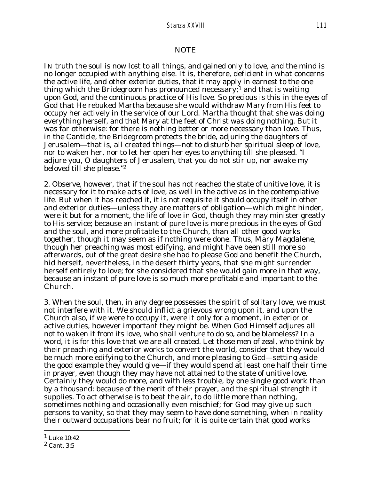#### NOTE

IN truth the soul is now lost to all things, and gained only to love, and the mind is no longer occupied with anything else. It is, therefore, deficient in what concerns the active life, and other exterior duties, that it may apply in earnest to the one thing which the Bridegroom has pronounced necessary;1 and that is waiting upon God, and the continuous practice of His love. So precious is this in the eyes of God that He rebuked Martha because she would withdraw Mary from His feet to occupy her actively in the service of our Lord. Martha thought that she was doing everything herself, and that Mary at the feet of Christ was doing nothing. But it was far otherwise: for there is nothing better or more necessary than love. Thus, in the Canticle, the Bridegroom protects the bride, adjuring the daughters of Jerusalem—that is, all created things—not to disturb her spiritual sleep of love, nor to waken her, nor to let her open her eyes to anything till she pleased. "I adjure you, O daughters of Jerusalem, that you do not stir up, nor awake my beloved till she please."2

2. Observe, however, that if the soul has not reached the state of unitive love, it is necessary for it to make acts of love, as well in the active as in the contemplative life. But when it has reached it, it is not requisite it should occupy itself in other and exterior duties—unless they are matters of obligation—which might hinder, were it but for a moment, the life of love in God, though they may minister greatly to His service; because an instant of pure love is more precious in the eyes of God and the soul, and more profitable to the Church, than all other good works together, though it may seem as if nothing were done. Thus, Mary Magdalene, though her preaching was most edifying, and might have been still more so afterwards, out of the great desire she had to please God and benefit the Church, hid herself, nevertheless, in the desert thirty years, that she might surrender herself entirely to love; for she considered that she would gain more in that way, because an instant of pure love is so much more profitable and important to the Church.

3. When the soul, then, in any degree possesses the spirit of solitary love, we must not interfere with it. We should inflict a grievous wrong upon it, and upon the Church also, if we were to occupy it, were it only for a moment, in exterior or active duties, however important they might be. When God Himself adjures all not to waken it from its love, who shall venture to do so, and be blameless? In a word, it is for this love that we are all created. Let those men of zeal, who think by their preaching and exterior works to convert the world, consider that they would be much more edifying to the Church, and more pleasing to God—setting aside the good example they would give—if they would spend at least one half their time in prayer, even though they may have not attained to the state of unitive love. Certainly they would do more, and with less trouble, by one single good work than by a thousand: because of the merit of their prayer, and the spiritual strength it supplies. To act otherwise is to beat the air, to do little more than nothing, sometimes nothing and occasionally even mischief; for God may give up such persons to vanity, so that they may seem to have done something, when in reality their outward occupations bear no fruit; for it is quite certain that good works

<sup>1</sup> Luke 10:42

<sup>2</sup> Cant. 3:5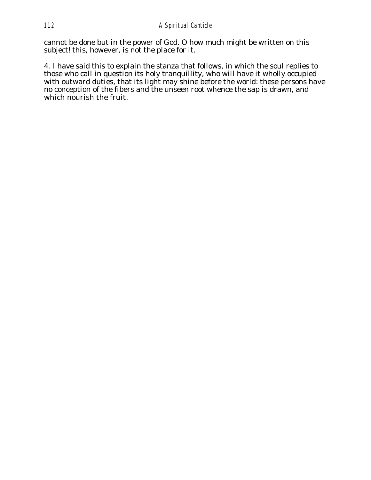cannot be done but in the power of God. O how much might be written on this subject! this, however, is not the place for it.

4. I have said this to explain the stanza that follows, in which the soul replies to those who call in question its holy tranquillity, who will have it wholly occupied with outward duties, that its light may shine before the world: these persons have no conception of the fibers and the unseen root whence the sap is drawn, and which nourish the fruit.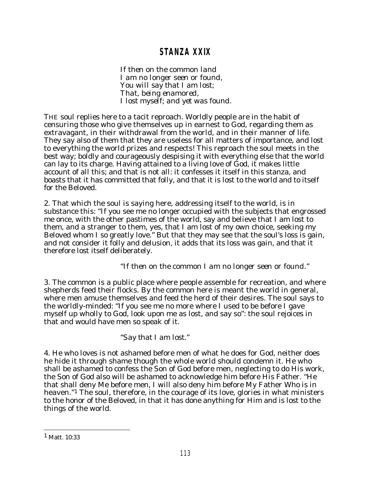# *STANZA XXIX*

*If then on the common land I am no longer seen or found, You will say that I am lost; That, being enamored, I lost myself; and yet was found.*

THE soul replies here to a tacit reproach. Worldly people are in the habit of censuring those who give themselves up in earnest to God, regarding them as extravagant, in their withdrawal from the world, and in their manner of life. They say also of them that they are useless for all matters of importance, and lost to everything the world prizes and respects! This reproach the soul meets in the best way; boldly and courageously despising it with everything else that the world can lay to its charge. Having attained to a living love of God, it makes little account of all this; and that is not all: it confesses it itself in this stanza, and boasts that it has committed that folly, and that it is lost to the world and to itself for the Beloved.

2. That which the soul is saying here, addressing itself to the world, is in substance this: "If you see me no longer occupied with the subjects that engrossed me once, with the other pastimes of the world, say and believe that I am lost to them, and a stranger to them, yes, that I am lost of my own choice, seeking my Beloved whom I so greatly love." But that they may see that the soul's loss is gain, and not consider it folly and delusion, it adds that its loss was gain, and that it therefore lost itself deliberately.

### *"If then on the common I am no longer seen or found."*

3. The common is a public place where people assemble for recreation, and where shepherds feed their flocks. By the common here is meant the world in general, where men amuse themselves and feed the herd of their desires. The soul says to the worldly-minded: "If you see me no more where I used to be before I gave myself up wholly to God, look upon me as lost, and say so": the soul rejoices in that and would have men so speak of it.

### *"Say that I am lost."*

4. He who loves is not ashamed before men of what he does for God, neither does he hide it through shame though the whole world should condemn it. He who shall be ashamed to confess the Son of God before men, neglecting to do His work, the Son of God also will be ashamed to acknowledge him before His Father. "He that shall deny Me before men, I will also deny him before My Father Who is in heaven."1 The soul, therefore, in the courage of its love, glories in what ministers to the honor of the Beloved, in that it has done anything for Him and is lost to the things of the world.

<sup>1</sup> Matt. 10:33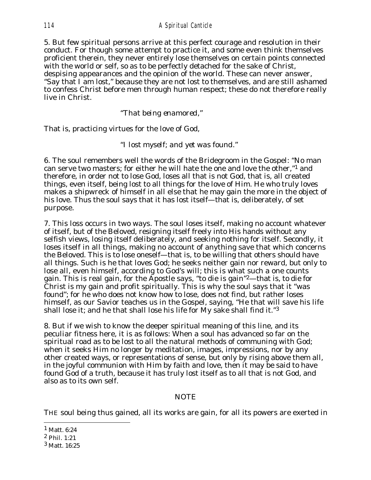5. But few spiritual persons arrive at this perfect courage and resolution in their conduct. For though some attempt to practice it, and some even think themselves proficient therein, they never entirely lose themselves on certain points connected with the world or self, so as to be perfectly detached for the sake of Christ, despising appearances and the opinion of the world. These can never answer, "Say that I am lost," because they are not lost to themselves, and are still ashamed to confess Christ before men through human respect; these do not therefore really live in Christ.

### *"That being enamored,"*

That is, practicing virtues for the love of God,

## *"I lost myself; and yet was found."*

6. The soul remembers well the words of the Bridegroom in the Gospel: "No man can serve two masters; for either he will hate the one and love the other,"1 and therefore, in order not to lose God, loses all that is not God, that is, all created things, even itself, being lost to all things for the love of Him. He who truly loves makes a shipwreck of himself in all else that he may gain the more in the object of his love. Thus the soul says that it has lost itself—that is, deliberately, of set purpose.

7. This loss occurs in two ways. The soul loses itself, making no account whatever of itself, but of the Beloved, resigning itself freely into His hands without any selfish views, losing itself deliberately, and seeking nothing for itself. Secondly, it loses itself in all things, making no account of anything save that which concerns the Beloved. This is to lose oneself—that is, to be willing that others should have all things. Such is he that loves God; he seeks neither gain nor reward, but only to lose all, even himself, according to God's will; this is what such a one counts gain. This is real gain, for the Apostle says, "to die is gain"2—that is, to die for Christ is my gain and profit spiritually. This is why the soul says that it "was found"; for he who does not know how to lose, does not find, but rather loses himself, as our Savior teaches us in the Gospel, saying, "He that will save his life shall lose it; and he that shall lose his life for My sake shall find it."3

8. But if we wish to know the deeper spiritual meaning of this line, and its peculiar fitness here, it is as follows: When a soul has advanced so far on the spiritual road as to be lost to all the natural methods of communing with God; when it seeks Him no longer by meditation, images, impressions, nor by any other created ways, or representations of sense, but only by rising above them all, in the joyful communion with Him by faith and love, then it may be said to have found God of a truth, because it has truly lost itself as to all that is not God, and also as to its own self.

### NOTE

THE soul being thus gained, all its works are gain, for all its powers are exerted in

<sup>1</sup> Matt. 6:24

<sup>2</sup> Phil. 1:21

<sup>3</sup> Matt. 16:25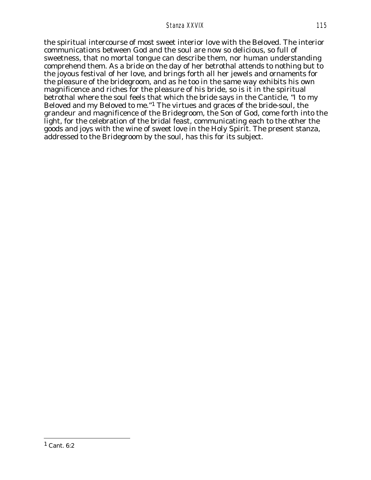the spiritual intercourse of most sweet interior love with the Beloved. The interior communications between God and the soul are now so delicious, so full of sweetness, that no mortal tongue can describe them, nor human understanding comprehend them. As a bride on the day of her betrothal attends to nothing but to the joyous festival of her love, and brings forth all her jewels and ornaments for the pleasure of the bridegroom, and as he too in the same way exhibits his own magnificence and riches for the pleasure of his bride, so is it in the spiritual betrothal where the soul feels that which the bride says in the Canticle, "I to my Beloved and my Beloved to me."1 The virtues and graces of the bride-soul, the grandeur and magnificence of the Bridegroom, the Son of God, come forth into the light, for the celebration of the bridal feast, communicating each to the other the goods and joys with the wine of sweet love in the Holy Spirit. The present stanza, addressed to the Bridegroom by the soul, has this for its subject.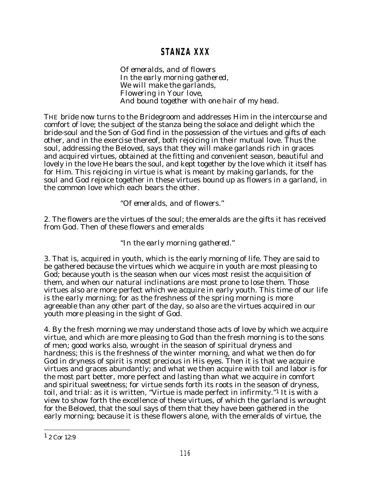# *STANZA XXX*

*Of emeralds, and of flowers In the early morning gathered, We will make the garlands, Flowering in Your love, And bound together with one hair of my head.*

THE bride now turns to the Bridegroom and addresses Him in the intercourse and comfort of love; the subject of the stanza being the solace and delight which the bride-soul and the Son of God find in the possession of the virtues and gifts of each other, and in the exercise thereof, both rejoicing in their mutual love. Thus the soul, addressing the Beloved, says that they will make garlands rich in graces and acquired virtues, obtained at the fitting and convenient season, beautiful and lovely in the love He bears the soul, and kept together by the love which it itself has for Him. This rejoicing in virtue is what is meant by making garlands, for the soul and God rejoice together in these virtues bound up as flowers in a garland, in the common love which each bears the other.

*"Of emeralds, and of flowers."*

2. The flowers are the virtues of the soul; the emeralds are the gifts it has received from God. Then of these flowers and emeralds

### *"In the early morning gathered."*

3. That is, acquired in youth, which is the early morning of life. They are said to be gathered because the virtues which we acquire in youth are most pleasing to God; because youth is the season when our vices most resist the acquisition of them, and when our natural inclinations are most prone to lose them. Those virtues also are more perfect which we acquire in early youth. This time of our life is the early morning; for as the freshness of the spring morning is more agreeable than any other part of the day, so also are the virtues acquired in our youth more pleasing in the sight of God.

4. By the fresh morning we may understand those acts of love by which we acquire virtue, and which are more pleasing to God than the fresh morning is to the sons of men; good works also, wrought in the season of spiritual dryness and hardness; this is the freshness of the winter morning, and what we then do for God in dryness of spirit is most precious in His eyes. Then it is that we acquire virtues and graces abundantly; and what we then acquire with toil and labor is for the most part better, more perfect and lasting than what we acquire in comfort and spiritual sweetness; for virtue sends forth its roots in the season of dryness, toil, and trial: as it is written, "Virtue is made perfect in infirmity."1 It is with a view to show forth the excellence of these virtues, of which the garland is wrought for the Beloved, that the soul says of them that they have been gathered in the early morning; because it is these flowers alone, with the emeralds of virtue, the

<sup>1</sup> 2 Cor 12:9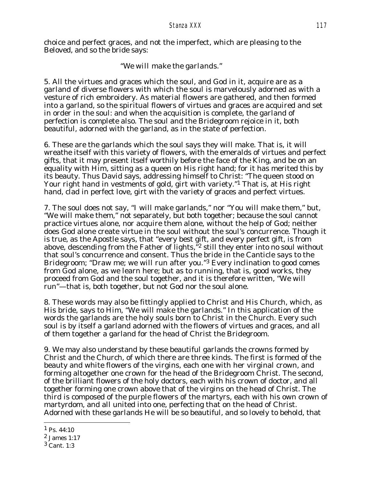choice and perfect graces, and not the imperfect, which are pleasing to the Beloved, and so the bride says:

#### *"We will make the garlands."*

5. All the virtues and graces which the soul, and God in it, acquire are as a garland of diverse flowers with which the soul is marvelously adorned as with a vesture of rich embroidery. As material flowers are gathered, and then formed into a garland, so the spiritual flowers of virtues and graces are acquired and set in order in the soul: and when the acquisition is complete, the garland of perfection is complete also. The soul and the Bridegroom rejoice in it, both beautiful, adorned with the garland, as in the state of perfection.

6. These are the garlands which the soul says they will make. That is, it will wreathe itself with this variety of flowers, with the emeralds of virtues and perfect gifts, that it may present itself worthily before the face of the King, and be on an equality with Him, sitting as a queen on His right hand; for it has merited this by its beauty. Thus David says, addressing himself to Christ: "The queen stood on Your right hand in vestments of gold, girt with variety."1 That is, at His right hand, clad in perfect love, girt with the variety of graces and perfect virtues.

7. The soul does not say, "I will make garlands," nor "You will make them," but, "We will make them," not separately, but both together; because the soul cannot practice virtues alone, nor acquire them alone, without the help of God; neither does God alone create virtue in the soul without the soul's concurrence. Though it is true, as the Apostle says, that "every best gift, and every perfect gift, is from above, descending from the Father of lights,<sup>"2</sup> still they enter into no soul without that soul's concurrence and consent. Thus the bride in the Canticle says to the Bridegroom; "Draw me; we will run after you."3 Every inclination to good comes from God alone, as we learn here; but as to running, that is, good works, they proceed from God and the soul together, and it is therefore written, "We will run"—that is, both together, but not God nor the soul alone.

8. These words may also be fittingly applied to Christ and His Church, which, as His bride, says to Him, "We will make the garlands." In this application of the words the garlands are the holy souls born to Christ in the Church. Every such soul is by itself a garland adorned with the flowers of virtues and graces, and all of them together a garland for the head of Christ the Bridegroom.

9. We may also understand by these beautiful garlands the crowns formed by Christ and the Church, of which there are three kinds. The first is formed of the beauty and white flowers of the virgins, each one with her virginal crown, and forming altogether one crown for the head of the Bridegroom Christ. The second, of the brilliant flowers of the holy doctors, each with his crown of doctor, and all together forming one crown above that of the virgins on the head of Christ. The third is composed of the purple flowers of the martyrs, each with his own crown of martyrdom, and all united into one, perfecting that on the head of Christ. Adorned with these garlands He will be so beautiful, and so lovely to behold, that

 $1$  Ps. 44:10

<sup>2</sup> James 1:17

<sup>3</sup> Cant. 1:3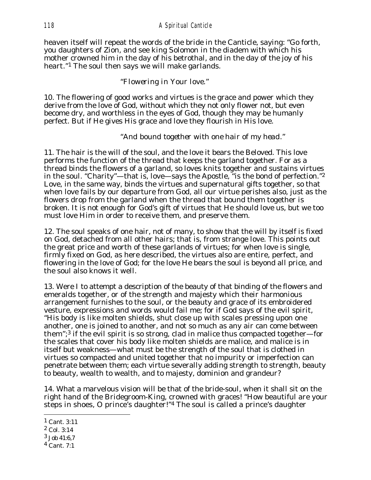heaven itself will repeat the words of the bride in the Canticle, saying: "Go forth, you daughters of Zion, and see king Solomon in the diadem with which his mother crowned him in the day of his betrothal, and in the day of the joy of his heart."1 The soul then says we will make garlands.

## *"Flowering in Your love."*

10. The flowering of good works and virtues is the grace and power which they derive from the love of God, without which they not only flower not, but even become dry, and worthless in the eyes of God, though they may be humanly perfect. But if He gives His grace and love they flourish in His love.

## *"And bound together with one hair of my head."*

11. The hair is the will of the soul, and the love it bears the Beloved. This love performs the function of the thread that keeps the garland together. For as a thread binds the flowers of a garland, so loves knits together and sustains virtues in the soul. "Charity"—that is, love—says the Apostle, "is the bond of perfection."2 Love, in the same way, binds the virtues and supernatural gifts together, so that when love fails by our departure from God, all our virtue perishes also, just as the flowers drop from the garland when the thread that bound them together is broken. It is not enough for God's gift of virtues that He should love us, but we too must love Him in order to receive them, and preserve them.

12. The soul speaks of one hair, not of many, to show that the will by itself is fixed on God, detached from all other hairs; that is, from strange love. This points out the great price and worth of these garlands of virtues; for when love is single, firmly fixed on God, as here described, the virtues also are entire, perfect, and flowering in the love of God; for the love He bears the soul is beyond all price, and the soul also knows it well.

13. Were I to attempt a description of the beauty of that binding of the flowers and emeralds together, or of the strength and majesty which their harmonious arrangement furnishes to the soul, or the beauty and grace of its embroidered vesture, expressions and words would fail me; for if God says of the evil spirit, "His body is like molten shields, shut close up with scales pressing upon one another, one is joined to another, and not so much as any air can come between them";3 if the evil spirit is so strong, clad in malice thus compacted together—for the scales that cover his body like molten shields are malice, and malice is in itself but weakness—what must be the strength of the soul that is clothed in virtues so compacted and united together that no impurity or imperfection can penetrate between them; each virtue severally adding strength to strength, beauty to beauty, wealth to wealth, and to majesty, dominion and grandeur?

14. What a marvelous vision will be that of the bride-soul, when it shall sit on the right hand of the Bridegroom-King, crowned with graces! "How beautiful are your steps in shoes, O prince's daughter!"4 The soul is called a prince's daughter

- 2 Col. 3:14
- 3 Job 41:6,7
- 4 Cant. 7:1

<sup>1</sup> Cant. 3:11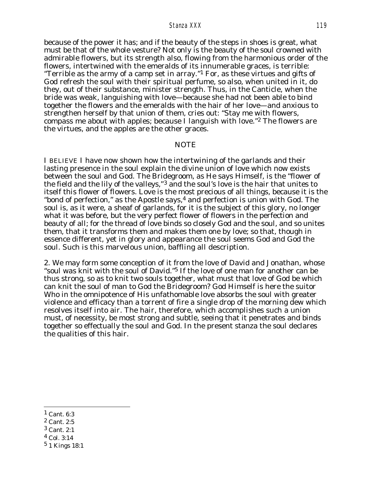because of the power it has; and if the beauty of the steps in shoes is great, what must be that of the whole vesture? Not only is the beauty of the soul crowned with admirable flowers, but its strength also, flowing from the harmonious order of the flowers, intertwined with the emeralds of its innumerable graces, is terrible: "Terrible as the army of a camp set in array."<sup>1</sup> For, as these virtues and gifts of God refresh the soul with their spiritual perfume, so also, when united in it, do they, out of their substance, minister strength. Thus, in the Canticle, when the bride was weak, languishing with love—because she had not been able to bind together the flowers and the emeralds with the hair of her love—and anxious to strengthen herself by that union of them, cries out: "Stay me with flowers, compass me about with apples; because I languish with love."2 The flowers are the virtues, and the apples are the other graces.

#### **NOTE**

I BELIEVE I have now shown how the intertwining of the garlands and their lasting presence in the soul explain the divine union of love which now exists between the soul and God. The Bridegroom, as He says Himself, is the "flower of the field and the lily of the valleys,"3 and the soul's love is the hair that unites to itself this flower of flowers. Love is the most precious of all things, because it is the "bond of perfection," as the Apostle says, $4$  and perfection is union with God. The soul is, as it were, a sheaf of garlands, for it is the subject of this glory, no longer what it was before, but the very perfect flower of flowers in the perfection and beauty of all; for the thread of love binds so closely God and the soul, and so unites them, that it transforms them and makes them one by love; so that, though in essence different, yet in glory and appearance the soul seems God and God the soul. Such is this marvelous union, baffling all description.

2. We may form some conception of it from the love of David and Jonathan, whose "soul was knit with the soul of David."5 If the love of one man for another can be thus strong, so as to knit two souls together, what must that love of God be which can knit the soul of man to God the Bridegroom? God Himself is here the suitor Who in the omnipotence of His unfathomable love absorbs the soul with greater violence and efficacy than a torrent of fire a single drop of the morning dew which resolves itself into air. The hair, therefore, which accomplishes such a union must, of necessity, be most strong and subtle, seeing that it penetrates and binds together so effectually the soul and God. In the present stanza the soul declares the qualities of this hair.

4 Col. 3:14

<sup>1</sup> Cant. 6:3

<sup>2</sup> Cant. 2:5

<sup>3</sup> Cant. 2:1

<sup>5</sup> 1 Kings 18:1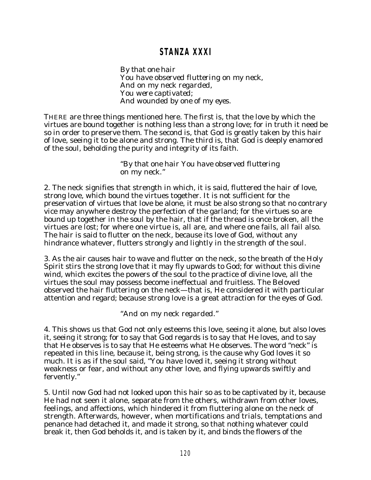# *STANZA XXXI*

*By that one hair You have observed fluttering on my neck, And on my neck regarded, You were captivated; And wounded by one of my eyes.*

THERE are three things mentioned here. The first is, that the love by which the virtues are bound together is nothing less than a strong love; for in truth it need be so in order to preserve them. The second is, that God is greatly taken by this hair of love, seeing it to be alone and strong. The third is, that God is deeply enamored of the soul, beholding the purity and integrity of its faith.

#### *"By that one hair You have observed fluttering on my neck."*

2. The neck signifies that strength in which, it is said, fluttered the hair of love, strong love, which bound the virtues together. It is not sufficient for the preservation of virtues that love be alone, it must be also strong so that no contrary vice may anywhere destroy the perfection of the garland; for the virtues so are bound up together in the soul by the hair, that if the thread is once broken, all the virtues are lost; for where one virtue is, all are, and where one fails, all fail also. The hair is said to flutter on the neck, because its love of God, without any hindrance whatever, flutters strongly and lightly in the strength of the soul.

3. As the air causes hair to wave and flutter on the neck, so the breath of the Holy Spirit stirs the strong love that it may fly upwards to God; for without this divine wind, which excites the powers of the soul to the practice of divine love, all the virtues the soul may possess become ineffectual and fruitless. The Beloved observed the hair fluttering on the neck—that is, He considered it with particular attention and regard; because strong love is a great attraction for the eyes of God.

### *"And on my neck regarded."*

4. This shows us that God not only esteems this love, seeing it alone, but also loves it, seeing it strong; for to say that God regards is to say that He loves, and to say that He observes is to say that He esteems what He observes. The word "neck" is repeated in this line, because it, being strong, is the cause why God loves it so much. It is as if the soul said, "You have loved it, seeing it strong without weakness or fear, and without any other love, and flying upwards swiftly and fervently."

5. Until now God had not looked upon this hair so as to be captivated by it, because He had not seen it alone, separate from the others, withdrawn from other loves, feelings, and affections, which hindered it from fluttering alone on the neck of strength. Afterwards, however, when mortifications and trials, temptations and penance had detached it, and made it strong, so that nothing whatever could break it, then God beholds it, and is taken by it, and binds the flowers of the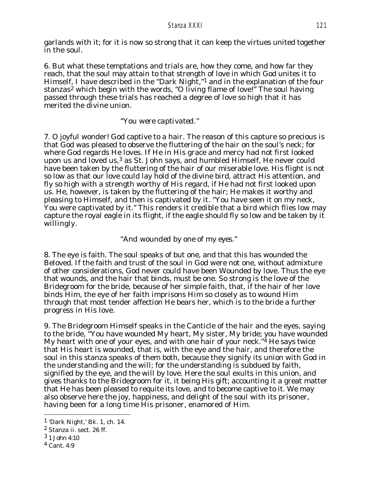garlands with it; for it is now so strong that it can keep the virtues united together in the soul.

6. But what these temptations and trials are, how they come, and how far they reach, that the soul may attain to that strength of love in which God unites it to Himself, I have described in the "Dark Night,"1 and in the explanation of the four stanzas<sup>2</sup> which begin with the words, "O living flame of love!" The soul having passed through these trials has reached a degree of love so high that it has merited the divine union.

### *"You were captivated."*

7. O joyful wonder! God captive to a hair. The reason of this capture so precious is that God was pleased to observe the fluttering of the hair on the soul's neck; for where God regards He loves. If He in His grace and mercy had not first looked upon us and loved us, $3$  as St. John says, and humbled Himself, He never could have been taken by the fluttering of the hair of our miserable love. His flight is not so low as that our love could lay hold of the divine bird, attract His attention, and fly so high with a strength worthy of His regard, if He had not first looked upon us. He, however, is taken by the fluttering of the hair; He makes it worthy and pleasing to Himself, and then is captivated by it. "You have seen it on my neck, You were captivated by it." This renders it credible that a bird which flies low may capture the royal eagle in its flight, if the eagle should fly so low and be taken by it willingly.

#### *"And wounded by one of my eyes."*

8. The eye is faith. The soul speaks of but one, and that this has wounded the Beloved. If the faith and trust of the soul in God were not one, without admixture of other considerations, God never could have been Wounded by love. Thus the eye that wounds, and the hair that binds, must be one. So strong is the love of the Bridegroom for the bride, because of her simple faith, that, if the hair of her love binds Him, the eye of her faith imprisons Him so closely as to wound Him through that most tender affection He bears her, which is to the bride a further progress in His love.

9. The Bridegroom Himself speaks in the Canticle of the hair and the eyes, saying to the bride, "You have wounded My heart, My sister, My bride; you have wounded My heart with one of your eyes, and with one hair of your neck."4 He says twice that His heart is wounded, that is, with the eye and the hair, and therefore the soul in this stanza speaks of them both, because they signify its union with God in the understanding and the will; for the understanding is subdued by faith, signified by the eye, and the will by love. Here the soul exults in this union, and gives thanks to the Bridegroom for it, it being His gift; accounting it a great matter that He has been pleased to requite its love, and to become captive to it. We may also observe here the joy, happiness, and delight of the soul with its prisoner, having been for a long time His prisoner, enamored of Him.

<sup>1</sup> 'Dark Night,' Bk. 1, ch. 14.

<sup>2</sup> Stanza ii. sect. 26 ff.

<sup>3</sup> 1 John 4:10

<sup>4</sup> Cant. 4:9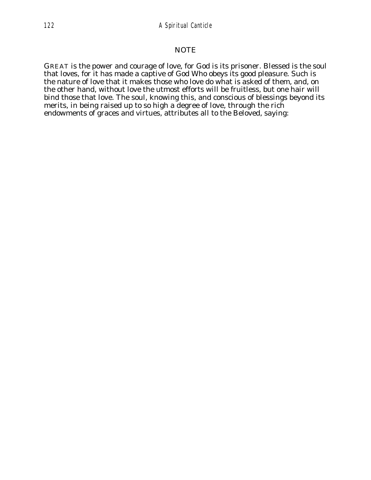## NOTE

GREAT is the power and courage of love, for God is its prisoner. Blessed is the soul that loves, for it has made a captive of God Who obeys its good pleasure. Such is the nature of love that it makes those who love do what is asked of them, and, on the other hand, without love the utmost efforts will be fruitless, but one hair will bind those that love. The soul, knowing this, and conscious of blessings beyond its merits, in being raised up to so high a degree of love, through the rich endowments of graces and virtues, attributes all to the Beloved, saying: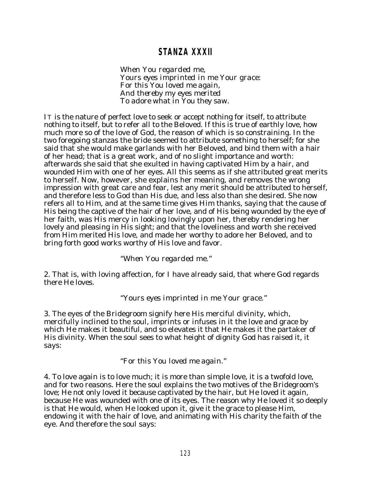# *STANZA XXXII*

*When You regarded me, Yours eyes imprinted in me Your grace: For this You loved me again, And thereby my eyes merited To adore what in You they saw.*

IT is the nature of perfect love to seek or accept nothing for itself, to attribute nothing to itself, but to refer all to the Beloved. If this is true of earthly love, how much more so of the love of God, the reason of which is so constraining. In the two foregoing stanzas the bride seemed to attribute something to herself; for she said that she would make garlands with her Beloved, and bind them with a hair of her head; that is a great work, and of no slight importance and worth: afterwards she said that she exulted in having captivated Him by a hair, and wounded Him with one of her eyes. All this seems as if she attributed great merits to herself. Now, however, she explains her meaning, and removes the wrong impression with great care and fear, lest any merit should be attributed to herself, and therefore less to God than His due, and less also than she desired. She now refers all to Him, and at the same time gives Him thanks, saying that the cause of His being the captive of the hair of her love, and of His being wounded by the eye of her faith, was His mercy in looking lovingly upon her, thereby rendering her lovely and pleasing in His sight; and that the loveliness and worth she received from Him merited His love, and made her worthy to adore her Beloved, and to bring forth good works worthy of His love and favor.

#### *"When You regarded me."*

2. That is, with loving affection, for I have already said, that where God regards there He loves.

*"Yours eyes imprinted in me Your grace."*

3. The eyes of the Bridegroom signify here His merciful divinity, which, mercifully inclined to the soul, imprints or infuses in it the love and grace by which He makes it beautiful, and so elevates it that He makes it the partaker of His divinity. When the soul sees to what height of dignity God has raised it, it says:

#### *"For this You loved me again."*

4. To love again is to love much; it is more than simple love, it is a twofold love, and for two reasons. Here the soul explains the two motives of the Bridegroom's love; He not only loved it because captivated by the hair, but He loved it again, because He was wounded with one of its eyes. The reason why He loved it so deeply is that He would, when He looked upon it, give it the grace to please Him, endowing it with the hair of love, and animating with His charity the faith of the eye. And therefore the soul says: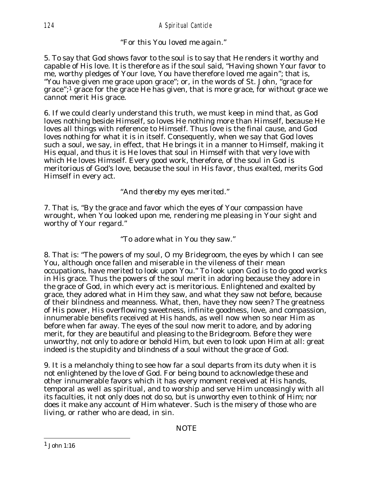# *"For this You loved me again."*

5. To say that God shows favor to the soul is to say that He renders it worthy and capable of His love. It is therefore as if the soul said, "Having shown Your favor to me, worthy pledges of Your love, You have therefore loved me again"; that is, "You have given me grace upon grace"; or, in the words of St. John, "grace for grace";1 grace for the grace He has given, that is more grace, for without grace we cannot merit His grace.

6. If we could clearly understand this truth, we must keep in mind that, as God loves nothing beside Himself, so loves He nothing more than Himself, because He loves all things with reference to Himself. Thus love is the final cause, and God loves nothing for what it is in itself. Consequently, when we say that God loves such a soul, we say, in effect, that He brings it in a manner to Himself, making it His equal, and thus it is He loves that soul in Himself with that very love with which He loves Himself. Every good work, therefore, of the soul in God is meritorious of God's love, because the soul in His favor, thus exalted, merits God Himself in every act.

*"And thereby my eyes merited."*

7. That is, "By the grace and favor which the eyes of Your compassion have wrought, when You looked upon me, rendering me pleasing in Your sight and worthy of Your regard."

## *"To adore what in You they saw."*

8. That is: "The powers of my soul, O my Bridegroom, the eyes by which I can see You, although once fallen and miserable in the vileness of their mean occupations, have merited to look upon You." To look upon God is to do good works in His grace. Thus the powers of the soul merit in adoring because they adore in the grace of God, in which every act is meritorious. Enlightened and exalted by grace, they adored what in Him they saw, and what they saw not before, because of their blindness and meanness. What, then, have they now seen? The greatness of His power, His overflowing sweetness, infinite goodness, love, and compassion, innumerable benefits received at His hands, as well now when so near Him as before when far away. The eyes of the soul now merit to adore, and by adoring merit, for they are beautiful and pleasing to the Bridegroom. Before they were unworthy, not only to adore or behold Him, but even to look upon Him at all: great indeed is the stupidity and blindness of a soul without the grace of God.

9. It is a melancholy thing to see how far a soul departs from its duty when it is not enlightened by the love of God. For being bound to acknowledge these and other innumerable favors which it has every moment received at His hands, temporal as well as spiritual, and to worship and serve Him unceasingly with all its faculties, it not only does not do so, but is unworthy even to think of Him; nor does it make any account of Him whatever. Such is the misery of those who are living, or rather who are dead, in sin.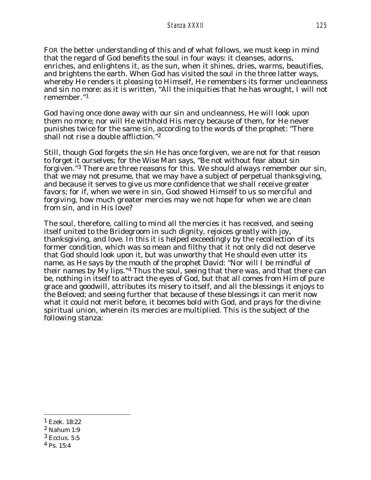FOR the better understanding of this and of what follows, we must keep in mind that the regard of God benefits the soul in four ways: it cleanses, adorns, enriches, and enlightens it, as the sun, when it shines, dries, warms, beautifies, and brightens the earth. When God has visited the soul in the three latter ways, whereby He renders it pleasing to Himself, He remembers its former uncleanness and sin no more: as it is written, "All the iniquities that he has wrought, I will not remember."1

God having once done away with our sin and uncleanness, He will look upon them no more; nor will He withhold His mercy because of them, for He never punishes twice for the same sin, according to the words of the prophet: "There shall not rise a double affliction."2

Still, though God forgets the sin He has once forgiven, we are not for that reason to forget it ourselves; for the Wise Man says, "Be not without fear about sin forgiven."3 There are three reasons for this. We should always remember our sin, that we may not presume, that we may have a subject of perpetual thanksgiving, and because it serves to give us more confidence that we shall receive greater favors; for if, when we were in sin, God showed Himself to us so merciful and forgiving, how much greater mercies may we not hope for when we are clean from sin, and in His love?

The soul, therefore, calling to mind all the mercies it has received, and seeing itself united to the Bridegroom in such dignity, rejoices greatly with joy, thanksgiving, and love. In this it is helped exceedingly by the recollection of its former condition, which was so mean and filthy that it not only did not deserve that God should look upon it, but was unworthy that He should even utter its name, as He says by the mouth of the prophet David: "Nor will I be mindful of their names by My lips."4 Thus the soul, seeing that there was, and that there can be, nothing in itself to attract the eyes of God, but that all comes from Him of pure grace and goodwill, attributes its misery to itself, and all the blessings it enjoys to the Beloved; and seeing further that because of these blessings it can merit now what it could not merit before, it becomes bold with God, and prays for the divine spiritual union, wherein its mercies are multiplied. This is the subject of the following stanza:

 $1$  Ezek.  $18:22$ 

<sup>2</sup> Nahum 1:9

 $3$  Ecclus. 5:5

 $4 \text{Ps}$  15:4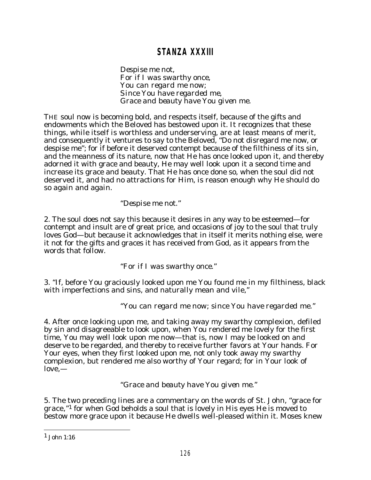# *STANZA XXXIII*

*Despise me not, For if I was swarthy once, You can regard me now; Since You have regarded me, Grace and beauty have You given me.*

THE soul now is becoming bold, and respects itself, because of the gifts and endowments which the Beloved has bestowed upon it. It recognizes that these things, while itself is worthless and underserving, are at least means of merit, and consequently it ventures to say to the Beloved, "Do not disregard me now, or despise me"; for if before it deserved contempt because of the filthiness of its sin, and the meanness of its nature, now that He has once looked upon it, and thereby adorned it with grace and beauty, He may well look upon it a second time and increase its grace and beauty. That He has once done so, when the soul did not deserved it, and had no attractions for Him, is reason enough why He should do so again and again.

### *"Despise me not."*

2. The soul does not say this because it desires in any way to be esteemed—for contempt and insult are of great price, and occasions of joy to the soul that truly loves God—but because it acknowledges that in itself it merits nothing else, were it not for the gifts and graces it has received from God, as it appears from the words that follow.

### *"For if I was swarthy once."*

3. "If, before You graciously looked upon me You found me in my filthiness, black with imperfections and sins, and naturally mean and vile,"

### *"You can regard me now; since You have regarded me."*

4. After once looking upon me, and taking away my swarthy complexion, defiled by sin and disagreeable to look upon, when You rendered me lovely for the first time, You may well look upon me now—that is, now I may be looked on and deserve to be regarded, and thereby to receive further favors at Your hands. For Your eyes, when they first looked upon me, not only took away my swarthy complexion, but rendered me also worthy of Your regard; for in Your look of love,—

### *"Grace and beauty have You given me."*

5. The two preceding lines are a commentary on the words of St. John, "grace for grace,"1 for when God beholds a soul that is lovely in His eyes He is moved to bestow more grace upon it because He dwells well-pleased within it. Moses knew

<sup>1</sup> John 1:16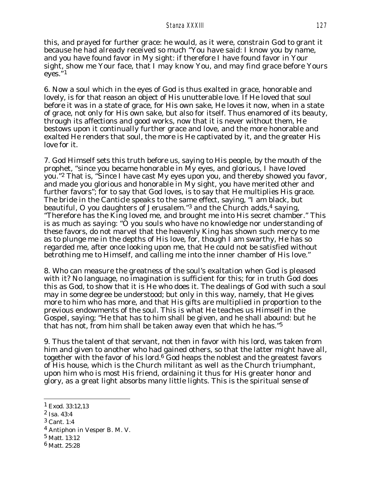this, and prayed for further grace: he would, as it were, constrain God to grant it because he had already received so much "You have said: I know you by name, and you have found favor in My sight: if therefore I have found favor in Your sight, show me Your face, that I may know You, and may find grace before Yours eyes."1

6. Now a soul which in the eyes of God is thus exalted in grace, honorable and lovely, is for that reason an object of His unutterable love. If He loved that soul before it was in a state of grace, for His own sake, He loves it now, when in a state of grace, not only for His own sake, but also for itself. Thus enamored of its beauty, through its affections and good works, now that it is never without them, He bestows upon it continually further grace and love, and the more honorable and exalted He renders that soul, the more is He captivated by it, and the greater His love for it.

7. God Himself sets this truth before us, saying to His people, by the mouth of the prophet, "since you became honorable in My eyes, and glorious, I have loved you."2 That is, "Since I have cast My eyes upon you, and thereby showed you favor, and made you glorious and honorable in My sight, you have merited other and further favors"; for to say that God loves, is to say that He multiplies His grace. The bride in the Canticle speaks to the same effect, saying, "I am black, but beautiful, O you daughters of Jerusalem."<sup>3</sup> and the Church adds, $4$  saying, "Therefore has the King loved me, and brought me into His secret chamber." This is as much as saying: "O you souls who have no knowledge nor understanding of these favors, do not marvel that the heavenly King has shown such mercy to me as to plunge me in the depths of His love, for, though I am swarthy, He has so regarded me, after once looking upon me, that He could not be satisfied without betrothing me to Himself, and calling me into the inner chamber of His love."

8. Who can measure the greatness of the soul's exaltation when God is pleased with it? No language, no imagination is sufficient for this; for in truth God does this as God, to show that it is He who does it. The dealings of God with such a soul may in some degree be understood; but only in this way, namely, that He gives more to him who has more, and that His gifts are multiplied in proportion to the previous endowments of the soul. This is what He teaches us Himself in the Gospel, saying; "He that has to him shall be given, and he shall abound: but he that has not, from him shall be taken away even that which he has."5

9. Thus the talent of that servant, not then in favor with his lord, was taken from him and given to another who had gained others, so that the latter might have all, together with the favor of his lord. $6$  God heaps the noblest and the greatest favors of His house, which is the Church militant as well as the Church triumphant, upon him who is most His friend, ordaining it thus for His greater honor and glory, as a great light absorbs many little lights. This is the spiritual sense of

 $1$  Exod. 33:12,13

<sup>2</sup> Isa. 43:4

<sup>3</sup> Cant. 1:4

<sup>4</sup> Antiphon in Vesper B. M. V.

<sup>5</sup> Matt. 13:12

<sup>6</sup> Matt. 25:28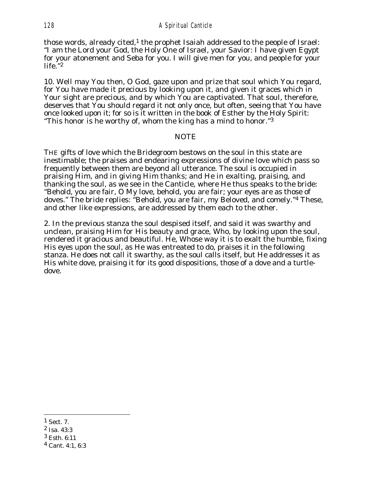those words, already cited,<sup>1</sup> the prophet Isaiah addressed to the people of Israel: "I am the Lord your God, the Holy One of Israel, your Savior: I have given Egypt for your atonement and Seba for you. I will give men for you, and people for your life."2

10. Well may You then, O God, gaze upon and prize that soul which You regard, for You have made it precious by looking upon it, and given it graces which in Your sight are precious, and by which You are captivated. That soul, therefore, deserves that You should regard it not only once, but often, seeing that You have once looked upon it; for so is it written in the book of Esther by the Holy Spirit: "This honor is he worthy of, whom the king has a mind to honor."3

#### NOTE

THE gifts of love which the Bridegroom bestows on the soul in this state are inestimable; the praises and endearing expressions of divine love which pass so frequently between them are beyond all utterance. The soul is occupied in praising Him, and in giving Him thanks; and He in exalting, praising, and thanking the soul, as we see in the Canticle, where He thus speaks to the bride: "Behold, you are fair, O My love, behold, you are fair; your eyes are as those of doves." The bride replies: "Behold, you are fair, my Beloved, and comely."4 These, and other like expressions, are addressed by them each to the other.

2. In the previous stanza the soul despised itself, and said it was swarthy and unclean, praising Him for His beauty and grace, Who, by looking upon the soul, rendered it gracious and beautiful. He, Whose way it is to exalt the humble, fixing His eyes upon the soul, as He was entreated to do, praises it in the following stanza. He does not call it swarthy, as the soul calls itself, but He addresses it as His white dove, praising it for its good dispositions, those of a dove and a turtledove.

3 Esth. 6:11

 $1$  Sect.  $7$ 

 $2$  Isa. 43:3

<sup>4</sup> Cant. 4:1, 6:3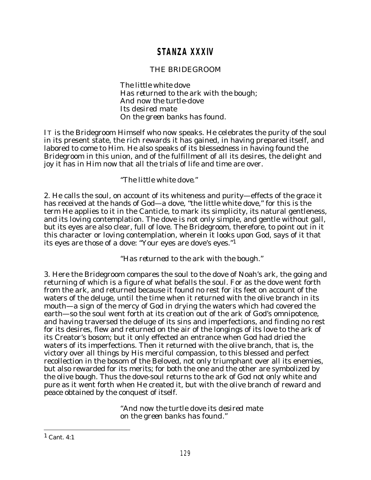# *STANZA XXXIV*

### THE BRIDEGROOM

*The little white dove Has returned to the ark with the bough; And now the turtle-dove Its desired mate On the green banks has found.*

IT is the Bridegroom Himself who now speaks. He celebrates the purity of the soul in its present state, the rich rewards it has gained, in having prepared itself, and labored to come to Him. He also speaks of its blessedness in having found the Bridegroom in this union, and of the fulfillment of all its desires, the delight and joy it has in Him now that all the trials of life and time are over.

#### *"The little white dove."*

2. He calls the soul, on account of its whiteness and purity—effects of the grace it has received at the hands of God—a dove, "the little white dove," for this is the term He applies to it in the Canticle, to mark its simplicity, its natural gentleness, and its loving contemplation. The dove is not only simple, and gentle without gall, but its eyes are also clear, full of love. The Bridegroom, therefore, to point out in it this character or loving contemplation, wherein it looks upon God, says of it that its eyes are those of a dove: "Your eyes are dove's eyes."1

*"Has returned to the ark with the bough."*

3. Here the Bridegroom compares the soul to the dove of Noah's ark, the going and returning of which is a figure of what befalls the soul. For as the dove went forth from the ark, and returned because it found no rest for its feet on account of the waters of the deluge, until the time when it returned with the olive branch in its mouth—a sign of the mercy of God in drying the waters which had covered the earth—so the soul went forth at its creation out of the ark of God's omnipotence, and having traversed the deluge of its sins and imperfections, and finding no rest for its desires, flew and returned on the air of the longings of its love to the ark of its Creator's bosom; but it only effected an entrance when God had dried the waters of its imperfections. Then it returned with the olive branch, that is, the victory over all things by His merciful compassion, to this blessed and perfect recollection in the bosom of the Beloved, not only triumphant over all its enemies, but also rewarded for its merits; for both the one and the other are symbolized by the olive bough. Thus the dove-soul returns to the ark of God not only white and pure as it went forth when He created it, but with the olive branch of reward and peace obtained by the conquest of itself.

> *"And now the turtle dove its desired mate on the green banks has found."*

<sup>1</sup> Cant. 4:1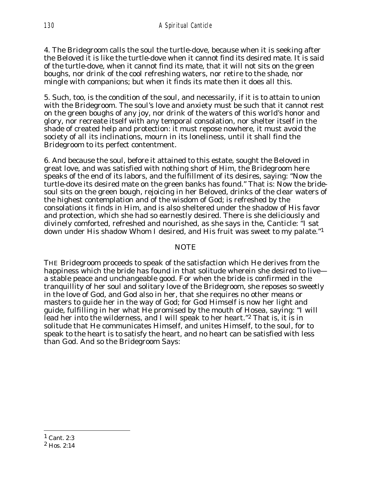4. The Bridegroom calls the soul the turtle-dove, because when it is seeking after the Beloved it is like the turtle-dove when it cannot find its desired mate. It is said of the turtle-dove, when it cannot find its mate, that it will not sits on the green boughs, nor drink of the cool refreshing waters, nor retire to the shade, nor mingle with companions; but when it finds its mate then it does all this.

5. Such, too, is the condition of the soul, and necessarily, if it is to attain to union with the Bridegroom. The soul's love and anxiety must be such that it cannot rest on the green boughs of any joy, nor drink of the waters of this world's honor and glory, nor recreate itself with any temporal consolation, nor shelter itself in the shade of created help and protection: it must repose nowhere, it must avoid the society of all its inclinations, mourn in its loneliness, until it shall find the Bridegroom to its perfect contentment.

6. And because the soul, before it attained to this estate, sought the Beloved in great love, and was satisfied with nothing short of Him, the Bridegroom here speaks of the end of its labors, and the fulfillment of its desires, saying: "Now the turtle-dove its desired mate on the green banks has found." That is: Now the bridesoul sits on the green bough, rejoicing in her Beloved, drinks of the clear waters of the highest contemplation and of the wisdom of God; is refreshed by the consolations it finds in Him, and is also sheltered under the shadow of His favor and protection, which she had so earnestly desired. There is she deliciously and divinely comforted, refreshed and nourished, as she says in the, Canticle: "I sat down under His shadow Whom I desired, and His fruit was sweet to my palate."1

#### **NOTE**

THE Bridegroom proceeds to speak of the satisfaction which He derives from the happiness which the bride has found in that solitude wherein she desired to live a stable peace and unchangeable good. For when the bride is confirmed in the tranquillity of her soul and solitary love of the Bridegroom, she reposes so sweetly in the love of God, and God also in her, that she requires no other means or masters to guide her in the way of God; for God Himself is now her light and guide, fulfilling in her what He promised by the mouth of Hosea, saying: "I will lead her into the wilderness, and I will speak to her heart."2 That is, it is in solitude that He communicates Himself, and unites Himself, to the soul, for to speak to the heart is to satisfy the heart, and no heart can be satisfied with less than God. And so the Bridegroom Says:

<sup>1</sup> Cant. 2:3

 $2 H$ os.  $2:14$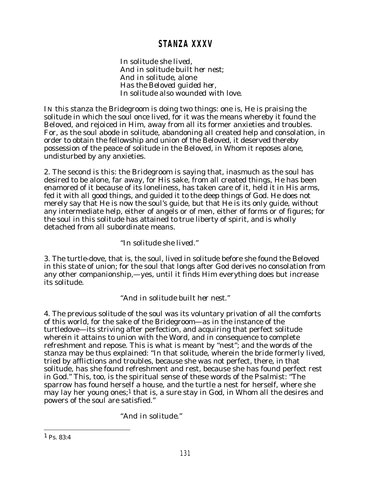# *STANZA XXXV*

*In solitude she lived, And in solitude built her nest; And in solitude, alone Has the Beloved guided her, In solitude also wounded with love.*

IN this stanza the Bridegroom is doing two things: one is, He is praising the solitude in which the soul once lived, for it was the means whereby it found the Beloved, and rejoiced in Him, away from all its former anxieties and troubles. For, as the soul abode in solitude, abandoning all created help and consolation, in order to obtain the fellowship and union of the Beloved, it deserved thereby possession of the peace of solitude in the Beloved, in Whom it reposes alone, undisturbed by any anxieties.

2. The second is this: the Bridegroom is saying that, inasmuch as the soul has desired to be alone, far away, for His sake, from all created things, He has been enamored of it because of its loneliness, has taken care of it, held it in His arms, fed it with all good things, and guided it to the deep things of God. He does not merely say that He is now the soul's guide, but that He is its only guide, without any intermediate help, either of angels or of men, either of forms or of figures; for the soul in this solitude has attained to true liberty of spirit, and is wholly detached from all subordinate means.

#### *"In solitude she lived."*

3. The turtle-dove, that is, the soul, lived in solitude before she found the Beloved in this state of union; for the soul that longs after God derives no consolation from any other companionship,—yes, until it finds Him everything does but increase its solitude.

#### *"And in solitude built her nest."*

4. The previous solitude of the soul was its voluntary privation of all the comforts of this world, for the sake of the Bridegroom—as in the instance of the turtledove—its striving after perfection, and acquiring that perfect solitude wherein it attains to union with the Word, and in consequence to complete refreshment and repose. This is what is meant by "nest"; and the words of the stanza may be thus explained: "In that solitude, wherein the bride formerly lived, tried by afflictions and troubles, because she was not perfect, there, in that solitude, has she found refreshment and rest, because she has found perfect rest in God." This, too, is the spiritual sense of these words of the Psalmist: "The sparrow has found herself a house, and the turtle a nest for herself, where she may lay her young ones;<sup>1</sup> that is, a sure stay in God, in Whom all the desires and powers of the soul are satisfied."

*"And in solitude."*

<sup>1</sup> Ps. 83:4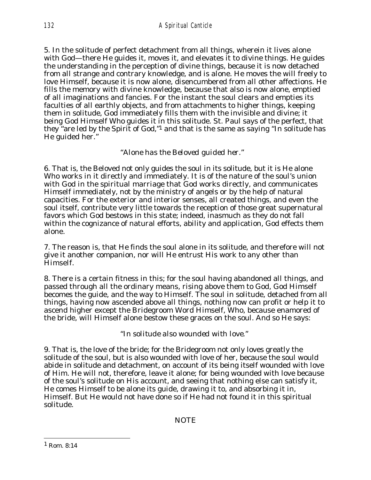5. In the solitude of perfect detachment from all things, wherein it lives alone with God—there He guides it, moves it, and elevates it to divine things. He guides the understanding in the perception of divine things, because it is now detached from all strange and contrary knowledge, and is alone. He moves the will freely to love Himself, because it is now alone, disencumbered from all other affections. He fills the memory with divine knowledge, because that also is now alone, emptied of all imaginations and fancies. For the instant the soul clears and empties its faculties of all earthly objects, and from attachments to higher things, keeping them in solitude, God immediately fills them with the invisible and divine; it being God Himself Who guides it in this solitude. St. Paul says of the perfect, that they "are led by the Spirit of God,"1 and that is the same as saying "In solitude has He guided her."

# *"Alone has the Beloved guided her."*

6. That is, the Beloved not only guides the soul in its solitude, but it is He alone Who works in it directly and immediately. It is of the nature of the soul's union with God in the spiritual marriage that God works directly, and communicates Himself immediately, not by the ministry of angels or by the help of natural capacities. For the exterior and interior senses, all created things, and even the soul itself, contribute very little towards the reception of those great supernatural favors which God bestows in this state; indeed, inasmuch as they do not fall within the cognizance of natural efforts, ability and application, God effects them alone.

7. The reason is, that He finds the soul alone in its solitude, and therefore will not give it another companion, nor will He entrust His work to any other than Himself.

8. There is a certain fitness in this; for the soul having abandoned all things, and passed through all the ordinary means, rising above them to God, God Himself becomes the guide, and the way to Himself. The soul in solitude, detached from all things, having now ascended above all things, nothing now can profit or help it to ascend higher except the Bridegroom Word Himself, Who, because enamored of the bride, will Himself alone bestow these graces on the soul. And so He says:

*"In solitude also wounded with love."*

9. That is, the love of the bride; for the Bridegroom not only loves greatly the solitude of the soul, but is also wounded with love of her, because the soul would abide in solitude and detachment, on account of its being itself wounded with love of Him. He will not, therefore, leave it alone; for being wounded with love because of the soul's solitude on His account, and seeing that nothing else can satisfy it, He comes Himself to be alone its guide, drawing it to, and absorbing it in, Himself. But He would not have done so if He had not found it in this spiritual solitude.

NOTE

 $1$  Rom.  $8:14$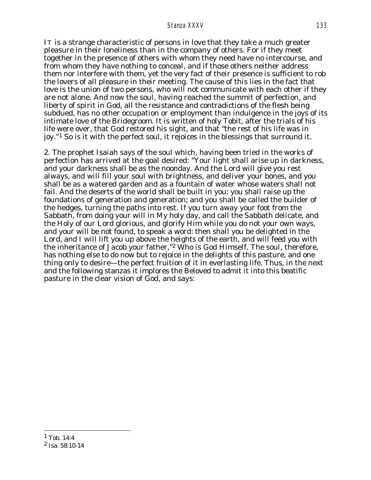IT is a strange characteristic of persons in love that they take a much greater pleasure in their loneliness than in the company of others. For if they meet together in the presence of others with whom they need have no intercourse, and from whom they have nothing to conceal, and if those others neither address them nor interfere with them, yet the very fact of their presence is sufficient to rob the lovers of all pleasure in their meeting. The cause of this lies in the fact that love is the union of two persons, who will not communicate with each other if they are not alone. And now the soul, having reached the summit of perfection, and liberty of spirit in God, all the resistance and contradictions of the flesh being subdued, has no other occupation or employment than indulgence in the joys of its intimate love of the Bridegroom. It is written of holy Tobit, after the trials of his life were over, that God restored his sight, and that "the rest of his life was in joy."1 So is it with the perfect soul, it rejoices in the blessings that surround it.

2. The prophet Isaiah says of the soul which, having been tried in the works of perfection has arrived at the goal desired: "Your light shall arise up in darkness, and your darkness shall be as the noonday. And the Lord will give you rest always, and will fill your soul with brightness, and deliver your bones, and you shall be as a watered garden and as a fountain of water whose waters shall not fail. And the deserts of the world shall be built in you: you shall raise up the foundations of generation and generation; and you shall be called the builder of the hedges, turning the paths into rest. If you turn away your foot from the Sabbath, from doing your will in My holy day, and call the Sabbath delicate, and the Holy of our Lord glorious, and glorify Him while you do not your own ways, and your will be not found, to speak a word: then shall you be delighted in the Lord, and I will lift you up above the heights of the earth, and will feed you with the inheritance of Jacob your father,"2 Who is God Himself. The soul, therefore, has nothing else to do now but to rejoice in the delights of this pasture, and one thing only to desire—the perfect fruition of it in everlasting life. Thus, in the next and the following stanzas it implores the Beloved to admit it into this beatific pasture in the clear vision of God, and says:

<sup>1</sup> Tob. 14:4  $2$  Isa. 58:10-14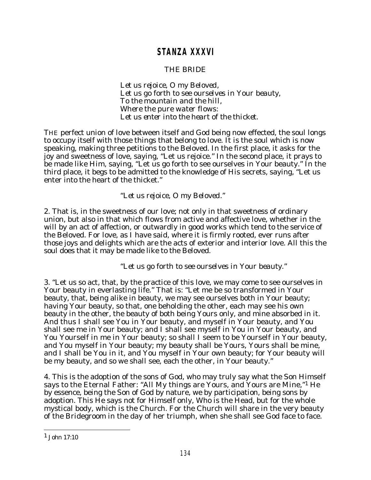# *STANZA XXXVI*

# THE BRIDE

*Let us rejoice, O my Beloved, Let us go forth to see ourselves in Your beauty, To the mountain and the hill, Where the pure water flows: Let us enter into the heart of the thicket.*

THE perfect union of love between itself and God being now effected, the soul longs to occupy itself with those things that belong to love. It is the soul which is now speaking, making three petitions to the Beloved. In the first place, it asks for the joy and sweetness of love, saying, "Let us rejoice." In the second place, it prays to be made like Him, saying, "Let us go forth to see ourselves in Your beauty." In the third place, it begs to be admitted to the knowledge of His secrets, saying, "Let us enter into the heart of the thicket."

### *"Let us rejoice, O my Beloved."*

2. That is, in the sweetness of our love; not only in that sweetness of ordinary union, but also in that which flows from active and affective love, whether in the will by an act of affection, or outwardly in good works which tend to the service of the Beloved. For love, as I have said, where it is firmly rooted, ever runs after those joys and delights which are the acts of exterior and interior love. All this the soul does that it may be made like to the Beloved.

*"Let us go forth to see ourselves in Your beauty."*

3. "Let us so act, that, by the practice of this love, we may come to see ourselves in Your beauty in everlasting life." That is: "Let me be so transformed in Your beauty, that, being alike in beauty, we may see ourselves both in Your beauty; having Your beauty, so that, one beholding the other, each may see his own beauty in the other, the beauty of both being Yours only, and mine absorbed in it. And thus I shall see You in Your beauty, and myself in Your beauty, and You shall see me in Your beauty; and I shall see myself in You in Your beauty, and You Yourself in me in Your beauty; so shall I seem to be Yourself in Your beauty, and You myself in Your beauty; my beauty shall be Yours, Yours shall be mine, and I shall be You in it, and You myself in Your own beauty; for Your beauty will be my beauty, and so we shall see, each the other, in Your beauty."

4. This is the adoption of the sons of God, who may truly say what the Son Himself says to the Eternal Father: "All My things are Yours, and Yours are Mine,"1 He by essence, being the Son of God by nature, we by participation, being sons by adoption. This He says not for Himself only, Who is the Head, but for the whole mystical body, which is the Church. For the Church will share in the very beauty of the Bridegroom in the day of her triumph, when she shall see God face to face.

<sup>1</sup> John 17:10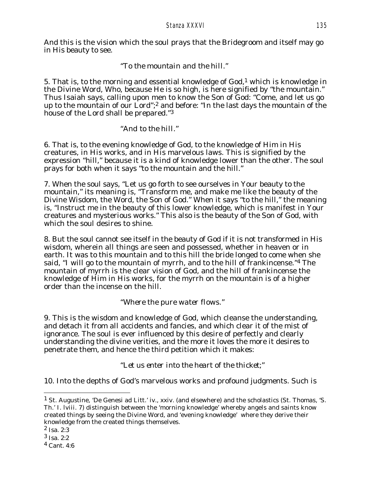And this is the vision which the soul prays that the Bridegroom and itself may go in His beauty to see.

## *"To the mountain and the hill."*

5. That is, to the morning and essential knowledge of God,1 which is knowledge in the Divine Word, Who, because He is so high, is here signified by "the mountain." Thus Isaiah says, calling upon men to know the Son of God: "Come, and let us go up to the mountain of our Lord";2 and before: "In the last days the mountain of the house of the Lord shall be prepared."3

### *"And to the hill."*

6. That is, to the evening knowledge of God, to the knowledge of Him in His creatures, in His works, and in His marvelous laws. This is signified by the expression "hill," because it is a kind of knowledge lower than the other. The soul prays for both when it says "to the mountain and the hill."

7. When the soul says, "Let us go forth to see ourselves in Your beauty to the mountain," its meaning is, "Transform me, and make me like the beauty of the Divine Wisdom, the Word, the Son of God." When it says "to the hill," the meaning is, "Instruct me in the beauty of this lower knowledge, which is manifest in Your creatures and mysterious works." This also is the beauty of the Son of God, with which the soul desires to shine.

8. But the soul cannot see itself in the beauty of God if it is not transformed in His wisdom, wherein all things are seen and possessed, whether in heaven or in earth. It was to this mountain and to this hill the bride longed to come when she said, "I will go to the mountain of myrrh, and to the hill of frankincense."4 The mountain of myrrh is the clear vision of God, and the hill of frankincense the knowledge of Him in His works, for the myrrh on the mountain is of a higher order than the incense on the hill.

### *"Where the pure water flows."*

9. This is the wisdom and knowledge of God, which cleanse the understanding, and detach it from all accidents and fancies, and which clear it of the mist of ignorance. The soul is ever influenced by this desire of perfectly and clearly understanding the divine verities, and the more it loves the more it desires to penetrate them, and hence the third petition which it makes:

*"Let us enter into the heart of the thicket;"*

10. Into the depths of God's marvelous works and profound judgments. Such is

<sup>1</sup> St. Augustine, 'De Genesi ad Litt.' iv., xxiv. (and elsewhere) and the scholastics (St. Thomas, 'S. Th.' I. lviii. 7) distinguish between the 'morning knowledge' whereby angels and saints know created things by seeing the Divine Word, and 'evening knowledge' where they derive their knowledge from the created things themselves.

 $2$  Isa. 2:3

<sup>3</sup> Isa. 2:2

<sup>4</sup> Cant. 4:6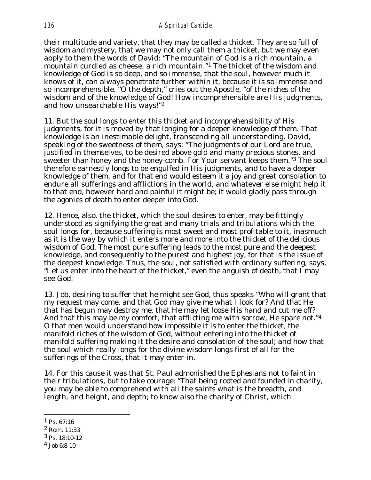their multitude and variety, that they may be called a thicket. They are so full of wisdom and mystery, that we may not only call them a thicket, but we may even apply to them the words of David: "The mountain of God is a rich mountain, a mountain curdled as cheese, a rich mountain."1 The thicket of the wisdom and knowledge of God is so deep, and so immense, that the soul, however much it knows of it, can always penetrate further within it, because it is so immense and so incomprehensible. "O the depth," cries out the Apostle, "of the riches of the wisdom and of the knowledge of God! How incomprehensible are His judgments, and how unsearchable His ways!"2

11. But the soul longs to enter this thicket and incomprehensibility of His judgments, for it is moved by that longing for a deeper knowledge of them. That knowledge is an inestimable delight, transcending all understanding. David, speaking of the sweetness of them, says: "The judgments of our Lord are true, justified in themselves, to be desired above gold and many precious stones, and sweeter than honey and the honey-comb. For Your servant keeps them."3 The soul therefore earnestly longs to be engulfed in His judgments, and to have a deeper knowledge of them, and for that end would esteem it a joy and great consolation to endure all sufferings and afflictions in the world, and whatever else might help it to that end, however hard and painful it might be; it would gladly pass through the agonies of death to enter deeper into God.

12. Hence, also, the thicket, which the soul desires to enter, may be fittingly understood as signifying the great and many trials and tribulations which the soul longs for, because suffering is most sweet and most profitable to it, inasmuch as it is the way by which it enters more and more into the thicket of the delicious wisdom of God. The most pure suffering leads to the most pure and the deepest knowledge, and consequently to the purest and highest joy, for that is the issue of the deepest knowledge. Thus, the soul, not satisfied with ordinary suffering, says, "Let us enter into the heart of the thicket," even the anguish of death, that I may see God.

13. Job, desiring to suffer that he might see God, thus speaks "Who will grant that my request may come, and that God may give me what I look for? And that He that has begun may destroy me, that He may let loose His hand and cut me off? And that this may be my comfort, that afflicting me with sorrow, He spare not."<sup>4</sup> O that men would understand how impossible it is to enter the thicket, the manifold riches of the wisdom of God, without entering into the thicket of manifold suffering making it the desire and consolation of the soul; and how that the soul which really longs for the divine wisdom longs first of all for the sufferings of the Cross, that it may enter in.

14. For this cause it was that St. Paul admonished the Ephesians not to faint in their tribulations, but to take courage: "That being rooted and founded in charity, you may be able to comprehend with all the saints what is the breadth, and length, and height, and depth; to know also the charity of Christ, which

3 Ps. 18:10-12

 $1$  Ps. 67:16

<sup>2</sup> Rom. 11:33

<sup>4</sup> Job 6:8-10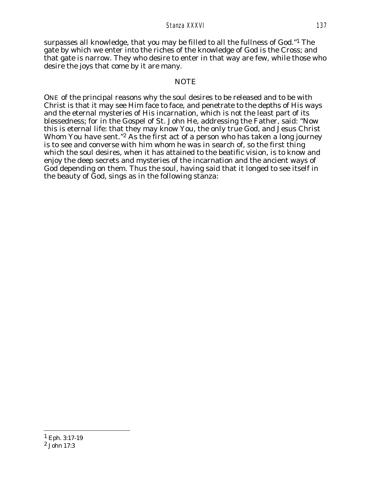surpasses all knowledge, that you may be filled to all the fullness of God."1 The gate by which we enter into the riches of the knowledge of God is the Cross; and that gate is narrow. They who desire to enter in that way are few, while those who desire the joys that come by it are many.

#### NOTE

ONE of the principal reasons why the soul desires to be released and to be with Christ is that it may see Him face to face, and penetrate to the depths of His ways and the eternal mysteries of His incarnation, which is not the least part of its blessedness; for in the Gospel of St. John He, addressing the Father, said: "Now this is eternal life: that they may know You, the only true God, and Jesus Christ Whom You have sent."<sup>2</sup> As the first act of a person who has taken a long journey is to see and converse with him whom he was in search of, so the first thing which the soul desires, when it has attained to the beatific vision, is to know and enjoy the deep secrets and mysteries of the incarnation and the ancient ways of God depending on them. Thus the soul, having said that it longed to see itself in the beauty of God, sings as in the following stanza:

<sup>1</sup> Eph. 3:17-19 2 John 17:3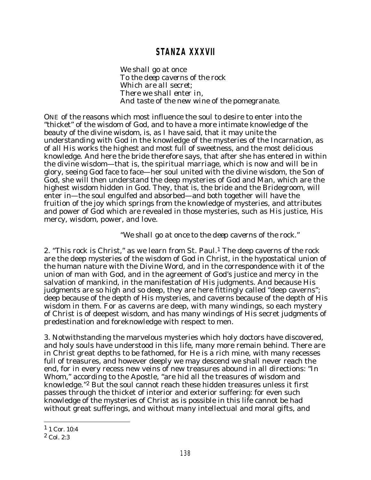## *STANZA XXXVII*

*We shall go at once To the deep caverns of the rock Which are all secret; There we shall enter in, And taste of the new wine of the pomegranate.*

ONE of the reasons which most influence the soul to desire to enter into the "thicket" of the wisdom of God, and to have a more intimate knowledge of the beauty of the divine wisdom, is, as I have said, that it may unite the understanding with God in the knowledge of the mysteries of the Incarnation, as of all His works the highest and most full of sweetness, and the most delicious knowledge. And here the bride therefore says, that after she has entered in within the divine wisdom—that is, the spiritual marriage, which is now and will be in glory, seeing God face to face—her soul united with the divine wisdom, the Son of God, she will then understand the deep mysteries of God and Man, which are the highest wisdom hidden in God. They, that is, the bride and the Bridegroom, will enter in—the soul engulfed and absorbed—and both together will have the fruition of the joy which springs from the knowledge of mysteries, and attributes and power of God which are revealed in those mysteries, such as His justice, His mercy, wisdom, power, and love.

#### *"We shall go at once to the deep caverns of the rock."*

2. "This rock is Christ," as we learn from St. Paul.1 The deep caverns of the rock are the deep mysteries of the wisdom of God in Christ, in the hypostatical union of the human nature with the Divine Word, and in the correspondence with it of the union of man with God, and in the agreement of God's justice and mercy in the salvation of mankind, in the manifestation of His judgments. And because His judgments are so high and so deep, they are here fittingly called "deep caverns"; deep because of the depth of His mysteries, and caverns because of the depth of His wisdom in them. For as caverns are deep, with many windings, so each mystery of Christ is of deepest wisdom, and has many windings of His secret judgments of predestination and foreknowledge with respect to men.

3. Notwithstanding the marvelous mysteries which holy doctors have discovered, and holy souls have understood in this life, many more remain behind. There are in Christ great depths to be fathomed, for He is a rich mine, with many recesses full of treasures, and however deeply we may descend we shall never reach the end, for in every recess new veins of new treasures abound in all directions: "In Whom," according to the Apostle, "are hid all the treasures of wisdom and knowledge."2 But the soul cannot reach these hidden treasures unless it first passes through the thicket of interior and exterior suffering: for even such knowledge of the mysteries of Christ as is possible in this life cannot be had without great sufferings, and without many intellectual and moral gifts, and

 $1 \text{ }$  1 Cor. 10:4

<sup>2</sup> Col. 2:3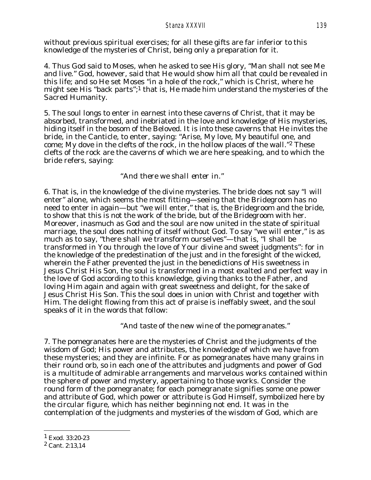without previous spiritual exercises; for all these gifts are far inferior to this knowledge of the mysteries of Christ, being only a preparation for it.

4. Thus God said to Moses, when he asked to see His glory, "Man shall not see Me and live." God, however, said that He would show him all that could be revealed in this life; and so He set Moses "in a hole of the rock," which is Christ, where he might see His "back parts";<sup>1</sup> that is, He made him understand the mysteries of the Sacred Humanity.

5. The soul longs to enter in earnest into these caverns of Christ, that it may be absorbed, transformed, and inebriated in the love and knowledge of His mysteries, hiding itself in the bosom of the Beloved. It is into these caverns that He invites the bride, in the Canticle, to enter, saying: "Arise, My love, My beautiful one, and come; My dove in the clefts of the rock, in the hollow places of the wall."2 These clefts of the rock are the caverns of which we are here speaking, and to which the bride refers, saying:

### *"And there we shall enter in."*

6. That is, in the knowledge of the divine mysteries. The bride does not say "I will enter" alone, which seems the most fitting—seeing that the Bridegroom has no need to enter in again—but "we will enter," that is, the Bridegroom and the bride, to show that this is not the work of the bride, but of the Bridegroom with her. Moreover, inasmuch as God and the soul are now united in the state of spiritual marriage, the soul does nothing of itself without God. To say "we will enter," is as much as to say, "there shall we transform ourselves"—that is, "I shall be transformed in You through the love of Your divine and sweet judgments": for in the knowledge of the predestination of the just and in the foresight of the wicked, wherein the Father prevented the just in the benedictions of His sweetness in Jesus Christ His Son, the soul is transformed in a most exalted and perfect way in the love of God according to this knowledge, giving thanks to the Father, and loving Him again and again with great sweetness and delight, for the sake of Jesus Christ His Son. This the soul does in union with Christ and together with Him. The delight flowing from this act of praise is ineffably sweet, and the soul speaks of it in the words that follow:

### *"And taste of the new wine of the pomegranates."*

7. The pomegranates here are the mysteries of Christ and the judgments of the wisdom of God; His power and attributes, the knowledge of which we have from these mysteries; and they are infinite. For as pomegranates have many grains in their round orb, so in each one of the attributes and judgments and power of God is a multitude of admirable arrangements and marvelous works contained within the sphere of power and mystery, appertaining to those works. Consider the round form of the pomegranate; for each pomegranate signifies some one power and attribute of God, which power or attribute is God Himself, symbolized here by the circular figure, which has neither beginning not end. It was in the contemplation of the judgments and mysteries of the wisdom of God, which are

<sup>1</sup> Exod. 33:20-23

<sup>2</sup> Cant. 2:13,14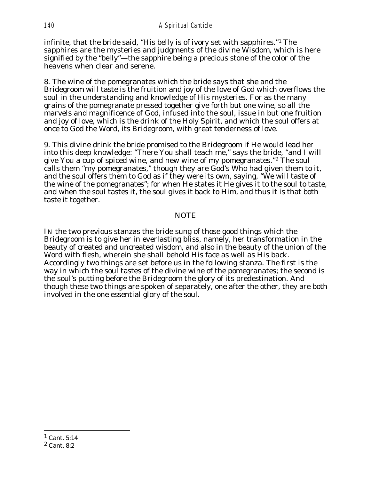infinite, that the bride said, "His belly is of ivory set with sapphires."1 The sapphires are the mysteries and judgments of the divine Wisdom, which is here signified by the "belly"—the sapphire being a precious stone of the color of the heavens when clear and serene.

8. The wine of the pomegranates which the bride says that she and the Bridegroom will taste is the fruition and joy of the love of God which overflows the soul in the understanding and knowledge of His mysteries. For as the many grains of the pomegranate pressed together give forth but one wine, so all the marvels and magnificence of God, infused into the soul, issue in but one fruition and joy of love, which is the drink of the Holy Spirit, and which the soul offers at once to God the Word, its Bridegroom, with great tenderness of love.

9. This divine drink the bride promised to the Bridegroom if He would lead her into this deep knowledge: "There You shall teach me," says the bride, "and I will give You a cup of spiced wine, and new wine of my pomegranates."2 The soul calls them "my pomegranates," though they are God's Who had given them to it, and the soul offers them to God as if they were its own, saying, "We will taste of the wine of the pomegranates"; for when He states it He gives it to the soul to taste, and when the soul tastes it, the soul gives it back to Him, and thus it is that both taste it together.

### NOTE

IN the two previous stanzas the bride sung of those good things which the Bridegroom is to give her in everlasting bliss, namely, her transformation in the beauty of created and uncreated wisdom, and also in the beauty of the union of the Word with flesh, wherein she shall behold His face as well as His back. Accordingly two things are set before us in the following stanza. The first is the way in which the soul tastes of the divine wine of the pomegranates; the second is the soul's putting before the Bridegroom the glory of its predestination. And though these two things are spoken of separately, one after the other, they are both involved in the one essential glory of the soul.

<sup>1</sup> Cant. 5:14

<sup>2</sup> Cant. 8:2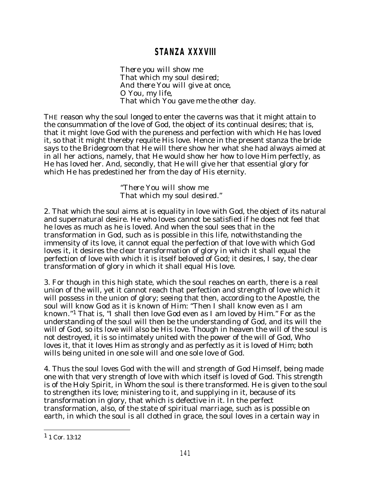# *STANZA XXXVIII*

*There you will show me That which my soul desired; And there You will give at once, O You, my life, That which You gave me the other day.*

THE reason why the soul longed to enter the caverns was that it might attain to the consummation of the love of God, the object of its continual desires; that is, that it might love God with the pureness and perfection with which He has loved it, so that it might thereby requite His love. Hence in the present stanza the bride says to the Bridegroom that He will there show her what she had always aimed at in all her actions, namely, that He would show her how to love Him perfectly, as He has loved her. And, secondly, that He will give her that essential glory for which He has predestined her from the day of His eternity.

#### *"There You will show me That which my soul desired."*

2. That which the soul aims at is equality in love with God, the object of its natural and supernatural desire. He who loves cannot be satisfied if he does not feel that he loves as much as he is loved. And when the soul sees that in the transformation in God, such as is possible in this life, notwithstanding the immensity of its love, it cannot equal the perfection of that love with which God loves it, it desires the clear transformation of glory in which it shall equal the perfection of love with which it is itself beloved of God; it desires, I say, the clear transformation of glory in which it shall equal His love.

3. For though in this high state, which the soul reaches on earth, there is a real union of the will, yet it cannot reach that perfection and strength of love which it will possess in the union of glory; seeing that then, according to the Apostle, the soul will know God as it is known of Him: "Then I shall know even as I am known."1 That is, "I shall then love God even as I am loved by Him." For as the understanding of the soul will then be the understanding of God, and its will the will of God, so its love will also be His love. Though in heaven the will of the soul is not destroyed, it is so intimately united with the power of the will of God, Who loves it, that it loves Him as strongly and as perfectly as it is loved of Him; both wills being united in one sole will and one sole love of God.

4. Thus the soul loves God with the will and strength of God Himself, being made one with that very strength of love with which itself is loved of God. This strength is of the Holy Spirit, in Whom the soul is there transformed. He is given to the soul to strengthen its love; ministering to it, and supplying in it, because of its transformation in glory, that which is defective in it. In the perfect transformation, also, of the state of spiritual marriage, such as is possible on earth, in which the soul is all clothed in grace, the soul loves in a certain way in

<sup>1</sup> 1 Cor. 13:12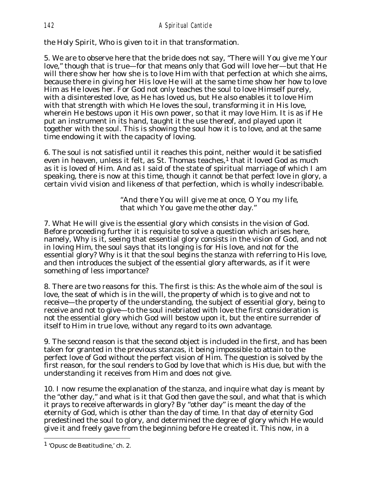the Holy Spirit, Who is given to it in that transformation.

5. We are to observe here that the bride does not say, "There will You give me Your love," though that is true—for that means only that God will love her—but that He will there show her how she is to love Him with that perfection at which she aims, because there in giving her His love He will at the same time show her how to love Him as He loves her. For God not only teaches the soul to love Himself purely, with a disinterested love, as He has loved us, but He also enables it to love Him with that strength with which He loves the soul, transforming it in His love, wherein He bestows upon it His own power, so that it may love Him. It is as if He put an instrument in its hand, taught it the use thereof, and played upon it together with the soul. This is showing the soul how it is to love, and at the same time endowing it with the capacity of loving.

6. The soul is not satisfied until it reaches this point, neither would it be satisfied even in heaven, unless it felt, as St. Thomas teaches, $1$  that it loved God as much as it is loved of Him. And as I said of the state of spiritual marriage of which I am speaking, there is now at this time, though it cannot be that perfect love in glory, a certain vivid vision and likeness of that perfection, which is wholly indescribable.

> *"And there You will give me at once, O You my life, that which You gave me the other day."*

7. What He will give is the essential glory which consists in the vision of God. Before proceeding further it is requisite to solve a question which arises here, namely, Why is it, seeing that essential glory consists in the vision of God, and not in loving Him, the soul says that its longing is for His love, and not for the essential glory? Why is it that the soul begins the stanza with referring to His love, and then introduces the subject of the essential glory afterwards, as if it were something of less importance?

8. There are two reasons for this. The first is this: As the whole aim of the soul is love, the seat of which is in the will, the property of which is to give and not to receive—the property of the understanding, the subject of essential glory, being to receive and not to give—to the soul inebriated with love the first consideration is not the essential glory which God will bestow upon it, but the entire surrender of itself to Him in true love, without any regard to its own advantage.

9. The second reason is that the second object is included in the first, and has been taken for granted in the previous stanzas, it being impossible to attain to the perfect love of God without the perfect vision of Him. The question is solved by the first reason, for the soul renders to God by love that which is His due, but with the understanding it receives from Him and does not give.

10. I now resume the explanation of the stanza, and inquire what day is meant by the "other day," and what is it that God then gave the soul, and what that is which it prays to receive afterwards in glory? By "other day" is meant the day of the eternity of God, which is other than the day of time. In that day of eternity God predestined the soul to glory, and determined the degree of glory which He would give it and freely gave from the beginning before He created it. This now, in a

<sup>1</sup> 'Opusc de Beatitudine,' ch. 2.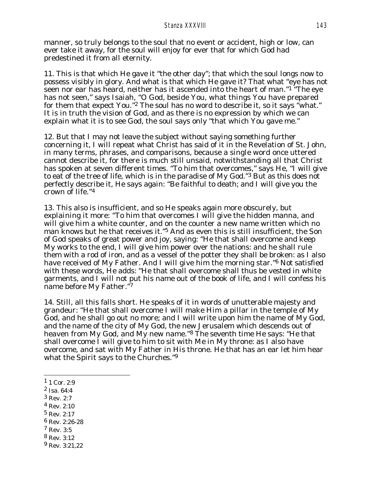manner, so truly belongs to the soul that no event or accident, high or low, can ever take it away, for the soul will enjoy for ever that for which God had predestined it from all eternity.

11. This is that which He gave it "the other day"; that which the soul longs now to possess visibly in glory. And what is that which He gave it? That what "eye has not seen nor ear has heard, neither has it ascended into the heart of man."<sup>1"</sup> The eye has not seen," says Isaiah, "O God, beside You, what things You have prepared for them that expect You."2 The soul has no word to describe it, so it says "what." It is in truth the vision of God, and as there is no expression by which we can explain what it is to see God, the soul says only "that which You gave me."

12. But that I may not leave the subject without saying something further concerning it, I will repeat what Christ has said of it in the Revelation of St. John, in many terms, phrases, and comparisons, because a single word once uttered cannot describe it, for there is much still unsaid, notwithstanding all that Christ has spoken at seven different times. "To him that overcomes," says He, "I will give to eat of the tree of life, which is in the paradise of My God."3 But as this does not perfectly describe it, He says again: "Be faithful to death; and I will give you the crown of life."4

13. This also is insufficient, and so He speaks again more obscurely, but explaining it more: "To him that overcomes I will give the hidden manna, and will give him a white counter, and on the counter a new name written which no man knows but he that receives it."5 And as even this is still insufficient, the Son of God speaks of great power and joy, saying: "He that shall overcome and keep My works to the end, I will give him power over the nations: and he shall rule them with a rod of iron, and as a vessel of the potter they shall be broken: as I also have received of My Father. And I will give him the morning star."6 Not satisfied with these words, He adds: "He that shall overcome shall thus be vested in white garments, and I will not put his name out of the book of life, and I will confess his name before My Father."7

14. Still, all this falls short. He speaks of it in words of unutterable majesty and grandeur: "He that shall overcome I will make Him a pillar in the temple of My God, and he shall go out no more; and I will write upon him the name of My God, and the name of the city of My God, the new Jerusalem which descends out of heaven from My God, and My new name."8 The seventh time He says: "He that shall overcome I will give to him to sit with Me in My throne: as I also have overcome, and sat with My Father in His throne. He that has an ear let him hear what the Spirit says to the Churches."9

- $2$  Isa. 64:4
- 3 Rev. 2:7
- 4 Rev. 2:10
- 5 Rev. 2:17
- 6 Rev. 2:26-28
- 7 Rev. 3:5
- 8 Rev. 3:12
- 9 Rev. 3:21,22

<sup>1</sup> 1 Cor. 2:9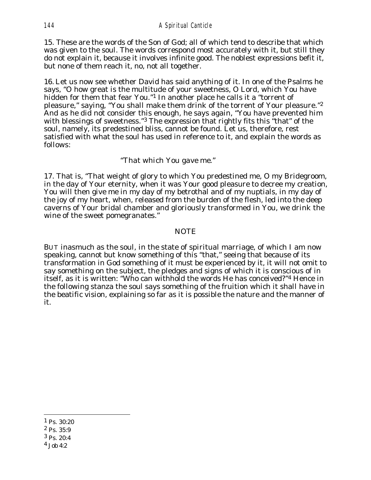15. These are the words of the Son of God; all of which tend to describe that which was given to the soul. The words correspond most accurately with it, but still they do not explain it, because it involves infinite good. The noblest expressions befit it, but none of them reach it, no, not all together.

16. Let us now see whether David has said anything of it. In one of the Psalms he says, "O how great is the multitude of your sweetness, O Lord, which You have hidden for them that fear You."<sup>1</sup> In another place he calls it a "torrent of pleasure," saying, "You shall make them drink of the torrent of Your pleasure."2 And as he did not consider this enough, he says again, "You have prevented him with blessings of sweetness."<sup>3</sup> The expression that rightly fits this "that" of the soul, namely, its predestined bliss, cannot be found. Let us, therefore, rest satisfied with what the soul has used in reference to it, and explain the words as follows:

### *"That which You gave me."*

17. That is, "That weight of glory to which You predestined me, O my Bridegroom, in the day of Your eternity, when it was Your good pleasure to decree my creation, You will then give me in my day of my betrothal and of my nuptials, in my day of the joy of my heart, when, released from the burden of the flesh, led into the deep caverns of Your bridal chamber and gloriously transformed in You, we drink the wine of the sweet pomegranates."

### NOTE

BUT inasmuch as the soul, in the state of spiritual marriage, of which I am now speaking, cannot but know something of this "that," seeing that because of its transformation in God something of it must be experienced by it, it will not omit to say something on the subject, the pledges and signs of which it is conscious of in itself, as it is written: "Who can withhold the words He has conceived?"4 Hence in the following stanza the soul says something of the fruition which it shall have in the beatific vision, explaining so far as it is possible the nature and the manner of it.

<sup>1</sup> Ps. 30:20

 $2$  Ps. 35:9

<sup>3</sup> Ps. 20:4

 $4$  Job  $4.2$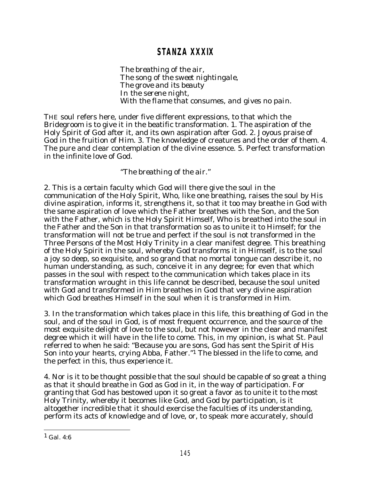# *STANZA XXXIX*

*The breathing of the air, The song of the sweet nightingale, The grove and its beauty In the serene night, With the flame that consumes, and gives no pain.*

THE soul refers here, under five different expressions, to that which the Bridegroom is to give it in the beatific transformation. 1. The aspiration of the Holy Spirit of God after it, and its own aspiration after God. 2. Joyous praise of God in the fruition of Him. 3. The knowledge of creatures and the order of them. 4. The pure and clear contemplation of the divine essence. 5. Perfect transformation in the infinite love of God.

### *"The breathing of the air."*

2. This is a certain faculty which God will there give the soul in the communication of the Holy Spirit, Who, like one breathing, raises the soul by His divine aspiration, informs it, strengthens it, so that it too may breathe in God with the same aspiration of love which the Father breathes with the Son, and the Son with the Father, which is the Holy Spirit Himself, Who is breathed into the soul in the Father and the Son in that transformation so as to unite it to Himself; for the transformation will not be true and perfect if the soul is not transformed in the Three Persons of the Most Holy Trinity in a clear manifest degree. This breathing of the Holy Spirit in the soul, whereby God transforms it in Himself, is to the soul a joy so deep, so exquisite, and so grand that no mortal tongue can describe it, no human understanding, as such, conceive it in any degree; for even that which passes in the soul with respect to the communication which takes place in its transformation wrought in this life cannot be described, because the soul united with God and transformed in Him breathes in God that very divine aspiration which God breathes Himself in the soul when it is transformed in Him.

3. In the transformation which takes place in this life, this breathing of God in the soul, and of the soul in God, is of most frequent occurrence, and the source of the most exquisite delight of love to the soul, but not however in the clear and manifest degree which it will have in the life to come. This, in my opinion, is what St. Paul referred to when he said: "Because you are sons, God has sent the Spirit of His Son into your hearts, crying Abba, Father."1 The blessed in the life to come, and the perfect in this, thus experience it.

4. Nor is it to be thought possible that the soul should be capable of so great a thing as that it should breathe in God as God in it, in the way of participation. For granting that God has bestowed upon it so great a favor as to unite it to the most Holy Trinity, whereby it becomes like God, and God by participation, is it altogether incredible that it should exercise the faculties of its understanding, perform its acts of knowledge and of love, or, to speak more accurately, should

 $1$  Gal. 4:6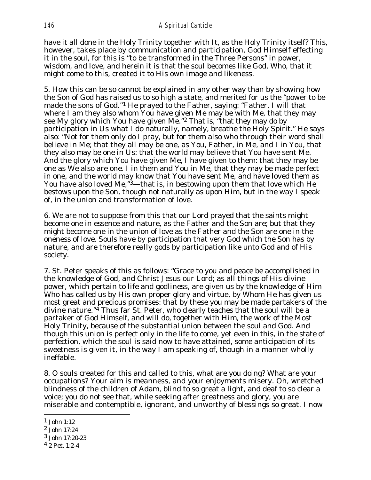have it all done in the Holy Trinity together with It, as the Holy Trinity itself? This, however, takes place by communication and participation, God Himself effecting it in the soul, for this is "to be transformed in the Three Persons" in power, wisdom, and love, and herein it is that the soul becomes like God, Who, that it might come to this, created it to His own image and likeness.

5. How this can be so cannot be explained in any other way than by showing how the Son of God has raised us to so high a state, and merited for us the "power to be made the sons of God."1 He prayed to the Father, saying: "Father, I will that where I am they also whom You have given Me may be with Me, that they may see My glory which You have given Me."<sup>2</sup> That is, "that they may do by participation in Us what I do naturally, namely, breathe the Holy Spirit." He says also: "Not for them only do I pray, but for them also who through their word shall believe in Me; that they all may be one, as You, Father, in Me, and I in You, that they also may be one in Us: that the world may believe that You have sent Me. And the glory which You have given Me, I have given to them: that they may be one as We also are one. I in them and You in Me, that they may be made perfect in one, and the world may know that You have sent Me, and have loved them as You have also loved Me,"3—that is, in bestowing upon them that love which He bestows upon the Son, though not naturally as upon Him, but in the way I speak of, in the union and transformation of love.

6. We are not to suppose from this that our Lord prayed that the saints might become one in essence and nature, as the Father and the Son are; but that they might become one in the union of love as the Father and the Son are one in the oneness of love. Souls have by participation that very God which the Son has by nature, and are therefore really gods by participation like unto God and of His society.

7. St. Peter speaks of this as follows: "Grace to you and peace be accomplished in the knowledge of God, and Christ Jesus our Lord; as all things of His divine power, which pertain to life and godliness, are given us by the knowledge of Him Who has called us by His own proper glory and virtue, by Whom He has given us most great and precious promises: that by these you may be made partakers of the divine nature."4 Thus far St. Peter, who clearly teaches that the soul will be a partaker of God Himself, and will do, together with Him, the work of the Most Holy Trinity, because of the substantial union between the soul and God. And though this union is perfect only in the life to come, yet even in this, in the state of perfection, which the soul is said now to have attained, some anticipation of its sweetness is given it, in the way I am speaking of, though in a manner wholly ineffable.

8. O souls created for this and called to this, what are you doing? What are your occupations? Your aim is meanness, and your enjoyments misery. Oh, wretched blindness of the children of Adam, blind to so great a light, and deaf to so clear a voice; you do not see that, while seeking after greatness and glory, you are miserable and contemptible, ignorant, and unworthy of blessings so great. I now

<sup>1</sup> John 1:12

<sup>2</sup> John 17:24

<sup>3</sup> John 17:20-23

<sup>4</sup> 2 Pet. 1:2-4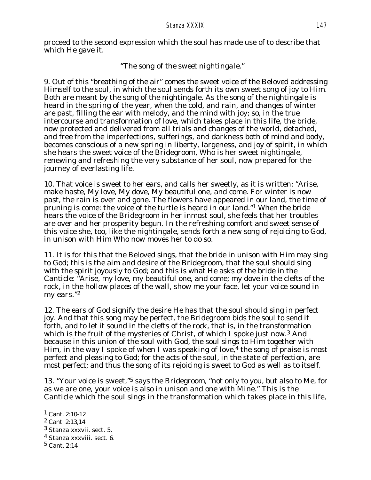proceed to the second expression which the soul has made use of to describe that which He gave it.

### *"The song of the sweet nightingale."*

9. Out of this "breathing of the air" comes the sweet voice of the Beloved addressing Himself to the soul, in which the soul sends forth its own sweet song of joy to Him. Both are meant by the song of the nightingale. As the song of the nightingale is heard in the spring of the year, when the cold, and rain, and changes of winter are past, filling the ear with melody, and the mind with joy; so, in the true intercourse and transformation of love, which takes place in this life, the bride, now protected and delivered from all trials and changes of the world, detached, and free from the imperfections, sufferings, and darkness both of mind and body, becomes conscious of a new spring in liberty, largeness, and joy of spirit, in which she hears the sweet voice of the Bridegroom, Who is her sweet nightingale, renewing and refreshing the very substance of her soul, now prepared for the journey of everlasting life.

10. That voice is sweet to her ears, and calls her sweetly, as it is written: "Arise, make haste, My love, My dove, My beautiful one, and come. For winter is now past, the rain is over and gone. The flowers have appeared in our land, the time of pruning is come: the voice of the turtle is heard in our land."1 When the bride hears the voice of the Bridegroom in her inmost soul, she feels that her troubles are over and her prosperity begun. In the refreshing comfort and sweet sense of this voice she, too, like the nightingale, sends forth a new song of rejoicing to God, in unison with Him Who now moves her to do so.

11. It is for this that the Beloved sings, that the bride in unison with Him may sing to God; this is the aim and desire of the Bridegroom, that the soul should sing with the spirit joyously to God; and this is what He asks of the bride in the Canticle: "Arise, my love, my beautiful one, and come; my dove in the clefts of the rock, in the hollow places of the wall, show me your face, let your voice sound in my ears."2

12. The ears of God signify the desire He has that the soul should sing in perfect joy. And that this song may be perfect, the Bridegroom bids the soul to send it forth, and to let it sound in the clefts of the rock, that is, in the transformation which is the fruit of the mysteries of Christ, of which I spoke just now.3 And because in this union of the soul with God, the soul sings to Him together with Him, in the way I spoke of when I was speaking of love,  $4$  the song of praise is most perfect and pleasing to God; for the acts of the soul, in the state of perfection, are most perfect; and thus the song of its rejoicing is sweet to God as well as to itself.

13. "Your voice is sweet,"5 says the Bridegroom, "not only to you, but also to Me, for as we are one, your voice is also in unison and one with Mine." This is the Canticle which the soul sings in the transformation which takes place in this life,

<sup>1</sup> Cant. 2:10-12

<sup>2</sup> Cant. 2:13,14

<sup>3</sup> Stanza xxxvii. sect. 5.

<sup>4</sup> Stanza xxxviii. sect. 6.

<sup>5</sup> Cant. 2:14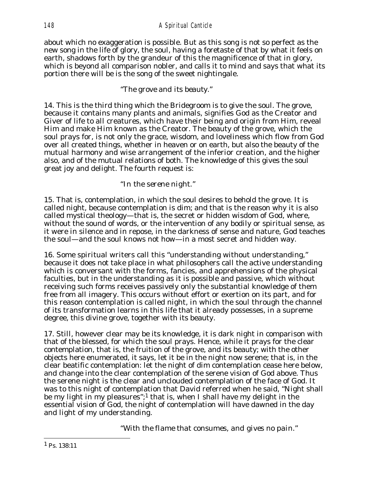about which no exaggeration is possible. But as this song is not so perfect as the new song in the life of glory, the soul, having a foretaste of that by what it feels on earth, shadows forth by the grandeur of this the magnificence of that in glory, which is beyond all comparison nobler, and calls it to mind and says that what its portion there will be is the song of the sweet nightingale.

## *"The grove and its beauty."*

14. This is the third thing which the Bridegroom is to give the soul. The grove, because it contains many plants and animals, signifies God as the Creator and Giver of life to all creatures, which have their being and origin from Him, reveal Him and make Him known as the Creator. The beauty of the grove, which the soul prays for, is not only the grace, wisdom, and loveliness which flow from God over all created things, whether in heaven or on earth, but also the beauty of the mutual harmony and wise arrangement of the inferior creation, and the higher also, and of the mutual relations of both. The knowledge of this gives the soul great joy and delight. The fourth request is:

### *"In the serene night."*

15. That is, contemplation, in which the soul desires to behold the grove. It is called night, because contemplation is dim; and that is the reason why it is also called mystical theology—that is, the secret or hidden wisdom of God, where, without the sound of words, or the intervention of any bodily or spiritual sense, as it were in silence and in repose, in the darkness of sense and nature, God teaches the soul—and the soul knows not how—in a most secret and hidden way.

16. Some spiritual writers call this "understanding without understanding," because it does not take place in what philosophers call the active understanding which is conversant with the forms, fancies, and apprehensions of the physical faculties, but in the understanding as it is possible and passive, which without receiving such forms receives passively only the substantial knowledge of them free from all imagery. This occurs without effort or exertion on its part, and for this reason contemplation is called night, in which the soul through the channel of its transformation learns in this life that it already possesses, in a supreme degree, this divine grove, together with its beauty.

17. Still, however clear may be its knowledge, it is dark night in comparison with that of the blessed, for which the soul prays. Hence, while it prays for the clear contemplation, that is, the fruition of the grove, and its beauty; with the other objects here enumerated, it says, let it be in the night now serene; that is, in the clear beatific contemplation: let the night of dim contemplation cease here below, and change into the clear contemplation of the serene vision of God above. Thus the serene night is the clear and unclouded contemplation of the face of God. It was to this night of contemplation that David referred when he said, "Night shall be my light in my pleasures";<sup>1</sup> that is, when I shall have my delight in the essential vision of God, the night of contemplation will have dawned in the day and light of my understanding.

*"With the flame that consumes, and gives no pain."*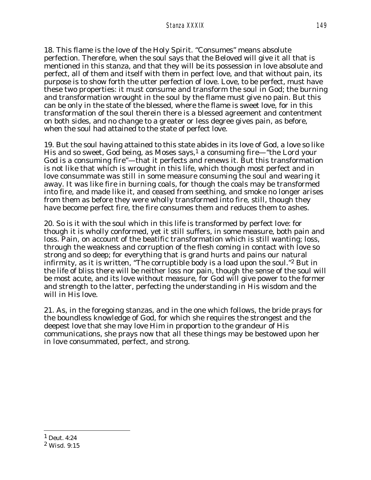18. This flame is the love of the Holy Spirit. "Consumes" means absolute perfection. Therefore, when the soul says that the Beloved will give it all that is mentioned in this stanza, and that they will be its possession in love absolute and perfect, all of them and itself with them in perfect love, and that without pain, its purpose is to show forth the utter perfection of love. Love, to be perfect, must have these two properties: it must consume and transform the soul in God; the burning and transformation wrought in the soul by the flame must give no pain. But this can be only in the state of the blessed, where the flame is sweet love, for in this transformation of the soul therein there is a blessed agreement and contentment on both sides, and no change to a greater or less degree gives pain, as before, when the soul had attained to the state of perfect love.

19. But the soul having attained to this state abides in its love of God, a love so like His and so sweet, God being, as Moses says,<sup>1</sup> a consuming fire—"the Lord your God is a consuming fire"—that it perfects and renews it. But this transformation is not like that which is wrought in this life, which though most perfect and in love consummate was still in some measure consuming the soul and wearing it away. It was like fire in burning coals, for though the coals may be transformed into fire, and made like it, and ceased from seething, and smoke no longer arises from them as before they were wholly transformed into fire, still, though they have become perfect fire, the fire consumes them and reduces them to ashes.

20. So is it with the soul which in this life is transformed by perfect love: for though it is wholly conformed, yet it still suffers, in some measure, both pain and loss. Pain, on account of the beatific transformation which is still wanting; loss, through the weakness and corruption of the flesh coming in contact with love so strong and so deep; for everything that is grand hurts and pains our natural infirmity, as it is written, "The corruptible body is a load upon the soul."2 But in the life of bliss there will be neither loss nor pain, though the sense of the soul will be most acute, and its love without measure, for God will give power to the former and strength to the latter, perfecting the understanding in His wisdom and the will in His love.

21. As, in the foregoing stanzas, and in the one which follows, the bride prays for the boundless knowledge of God, for which she requires the strongest and the deepest love that she may love Him in proportion to the grandeur of His communications, she prays now that all these things may be bestowed upon her in love consummated, perfect, and strong.

<sup>1</sup> Deut. 4:24

<sup>2</sup> Wisd. 9:15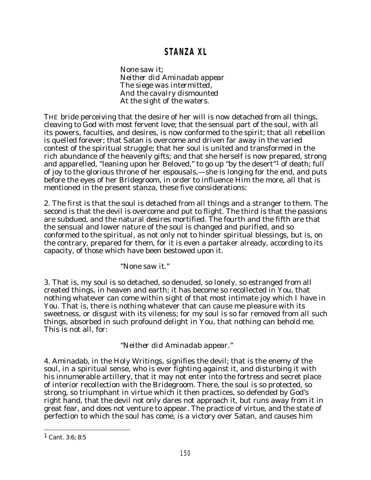# *STANZA XL*

*None saw it; Neither did Aminadab appear The siege was intermitted, And the cavalry dismounted At the sight of the waters.*

THE bride perceiving that the desire of her will is now detached from all things, cleaving to God with most fervent love; that the sensual part of the soul, with all its powers, faculties, and desires, is now conformed to the spirit; that all rebellion is quelled forever; that Satan is overcome and driven far away in the varied contest of the spiritual struggle; that her soul is united and transformed in the rich abundance of the heavenly gifts; and that she herself is now prepared, strong and apparelled, "leaning upon her Beloved," to go up "by the desert"1 of death; full of joy to the glorious throne of her espousals,—she is longing for the end, and puts before the eyes of her Bridegroom, in order to influence Him the more, all that is mentioned in the present stanza, these five considerations:

2. The first is that the soul is detached from all things and a stranger to them. The second is that the devil is overcome and put to flight. The third is that the passions are subdued, and the natural desires mortified. The fourth and the fifth are that the sensual and lower nature of the soul is changed and purified, and so conformed to the spiritual, as not only not to hinder spiritual blessings, but is, on the contrary, prepared for them, for it is even a partaker already, according to its capacity, of those which have been bestowed upon it.

*"None saw it."*

3. That is, my soul is so detached, so denuded, so lonely, so estranged from all created things, in heaven and earth; it has become so recollected in You, that nothing whatever can come within sight of that most intimate joy which I have in You. That is, there is nothing whatever that can cause me pleasure with its sweetness, or disgust with its vileness; for my soul is so far removed from all such things, absorbed in such profound delight in You, that nothing can behold me. This is not all, for:

*"Neither did Aminadab appear."*

4. Aminadab, in the Holy Writings, signifies the devil; that is the enemy of the soul, in a spiritual sense, who is ever fighting against it, and disturbing it with his innumerable artillery, that it may not enter into the fortress and secret place of interior recollection with the Bridegroom. There, the soul is so protected, so strong, so triumphant in virtue which it then practices, so defended by God's right hand, that the devil not only dares not approach it, but runs away from it in great fear, and does not venture to appear. The practice of virtue, and the state of perfection to which the soul has come, is a victory over Satan, and causes him

<sup>1</sup> Cant. 3:6; 8:5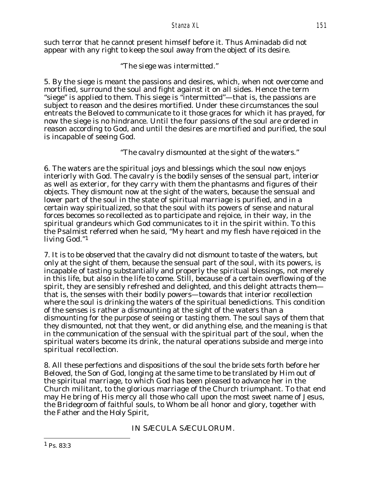such terror that he cannot present himself before it. Thus Aminadab did not appear with any right to keep the soul away from the object of its desire.

## *"The siege was intermitted."*

5. By the siege is meant the passions and desires, which, when not overcome and mortified, surround the soul and fight against it on all sides. Hence the term "siege" is applied to them. This siege is "intermitted"—that is, the passions are subject to reason and the desires mortified. Under these circumstances the soul entreats the Beloved to communicate to it those graces for which it has prayed, for now the siege is no hindrance. Until the four passions of the soul are ordered in reason according to God, and until the desires are mortified and purified, the soul is incapable of seeing God.

## *"The cavalry dismounted at the sight of the waters."*

6. The waters are the spiritual joys and blessings which the soul now enjoys interiorly with God. The cavalry is the bodily senses of the sensual part, interior as well as exterior, for they carry with them the phantasms and figures of their objects. They dismount now at the sight of the waters, because the sensual and lower part of the soul in the state of spiritual marriage is purified, and in a certain way spiritualized, so that the soul with its powers of sense and natural forces becomes so recollected as to participate and rejoice, in their way, in the spiritual grandeurs which God communicates to it in the spirit within. To this the Psalmist referred when he said, "My heart and my flesh have rejoiced in the living God."1

7. It is to be observed that the cavalry did not dismount to taste of the waters, but only at the sight of them, because the sensual part of the soul, with its powers, is incapable of tasting substantially and properly the spiritual blessings, not merely in this life, but also in the life to come. Still, because of a certain overflowing of the spirit, they are sensibly refreshed and delighted, and this delight attracts them that is, the senses with their bodily powers—towards that interior recollection where the soul is drinking the waters of the spiritual benedictions. This condition of the senses is rather a dismounting at the sight of the waters than a dismounting for the purpose of seeing or tasting them. The soul says of them that they dismounted, not that they went, or did anything else, and the meaning is that in the communication of the sensual with the spiritual part of the soul, when the spiritual waters become its drink, the natural operations subside and merge into spiritual recollection.

8. All these perfections and dispositions of the soul the bride sets forth before her Beloved, the Son of God, longing at the same time to be translated by Him out of the spiritual marriage, to which God has been pleased to advance her in the Church militant, to the glorious marriage of the Church triumphant. To that end may He bring of His mercy all those who call upon the most sweet name of Jesus, the Bridegroom of faithful souls, to Whom be all honor and glory, together with the Father and the Holy Spirit,

IN SÆCULA SÆCULORUM.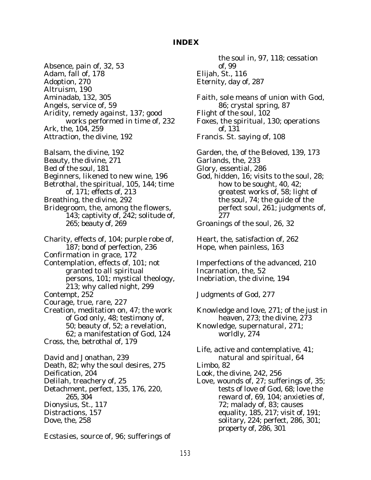#### **INDEX**

Absence, pain of, 32, 53 of, 99<br>Adam, fall of, 178 Elijah, St., 116 Adam, fall of, 178 Adoption, 270 **Eternity, day of, 287** Altruism, 190 Angels, service of, 59 86; crystal spring, 87 Aridity, remedy against, 137; good works performed in time of, 232 Ark, the, 104, 259 of, 131<br>Attraction, the divine, 192 Francis. St. saying of, 108 Attraction, the divine, 192 Balsam, the divine, 192 Garden, the, of the Beloved, 139, 173 Beauty, the divine, 271 Garlands, the, 233 Bed of the soul, 181 Glory, essential, 286 Beginners, likened to new wine, 196 God, hidden, 16; visits to the soul, 28; Betrothal, the spiritual, 105, 144; time of, 171; effects of, 213 Breathing, the divine, 292 Bridegroom, the, among the flowers, 143; captivity of, 242; solitude of, 265; beauty of, 269 Groanings of the soul, 26, 32 Charity, effects of, 104; purple robe of, 187; bond of perfection, 236 Confirmation in grace, 172 Contemplation, effects of, 101; not granted to all spiritual persons, 101; mystical theology, 213; why called night, 299 Contempt, 252 Judgments of God, 277 Courage, true, rare, 227

Creation, meditation on, 47; the work of God only, 48; testimony of, 50; beauty of, 52; a revelation, 62; a manifestation of God, 124 Cross, the, betrothal of, 179

David and Jonathan, 239 **natural and spiritual, 64** Death, 82; why the soul desires, 275 Limbo, 82<br>Deification, 204 Look, the c Delilah, treachery of, 25 Love, wounds of, 27; sufferings of, 35; Detachment, perfect, 135, 176, 220, 265, 304 Dionysius, St., 117 Distractions, 157 Dove, the, 258

Ecstasies, source of, 96; sufferings of

the soul in, 97, 118; cessation

Faith, sole means of union with God, Flight of the soul, 102 Foxes, the spiritual, 130; operations

how to be sought, 40, 42; greatest works of, 58; light of the soul, 74; the guide of the perfect soul, 261; judgments of, 277

Heart, the, satisfaction of, 262 Hope, when painless, 163

Imperfections of the advanced, 210 Incarnation, the, 52 Inebriation, the divine, 194

Knowledge and love, 271; of the just in heaven, 273; the divine, 273 Knowledge, supernatural, 271;

worldly, 274

Life, active and contemplative, 41;

Look, the divine,  $242, 256$ 

tests of love of God, 68; love the reward of, 69, 104; anxieties of, 72; malady of, 83; causes equality, 185, 217; visit of, 191; solitary, 224; perfect, 286, 301; property of, 286, 301